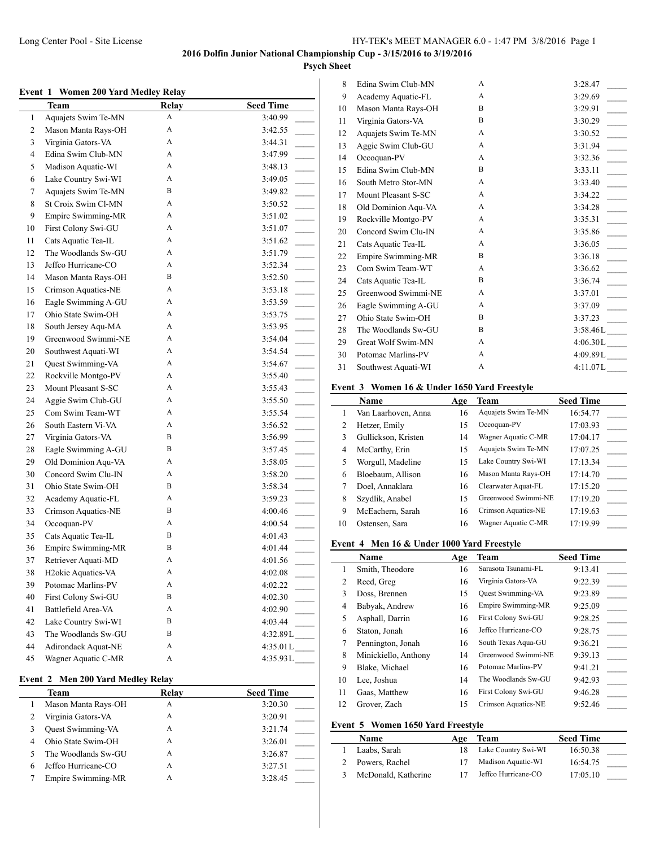### **Psych Sheet**

#### **Event 1 Women 200 Yard Medley Relay**

|                | Team                            | <b>Relay</b> | <b>Seed Time</b>                      |
|----------------|---------------------------------|--------------|---------------------------------------|
| $\mathbf{1}$   | Aquajets Swim Te-MN             | A            | 3:40.99                               |
| $\overline{c}$ | Mason Manta Rays-OH             | A            | 3:42.55                               |
| 3              | Virginia Gators-VA              | A            | 3:44.31                               |
| 4              | Edina Swim Club-MN              | A            | 3:47.99                               |
| 5              | Madison Aquatic-WI              | A            | 3:48.13                               |
| 6              | Lake Country Swi-WI             | A            | 3:49.05                               |
| 7              | Aquajets Swim Te-MN             | B            | 3:49.82<br>$\sim$ 10 $\mu$            |
| 8              | St Croix Swim Cl-MN             | A            | 3:50.52                               |
| 9              | Empire Swimming-MR              | A            | 3:51.02<br>$\overline{\phantom{a}}$   |
| 10             | First Colony Swi-GU             | A            | 3:51.07                               |
| 11             | Cats Aquatic Tea-IL             | A            | 3:51.62                               |
| 12             | The Woodlands Sw-GU             | A            | 3:51.79                               |
| 13             | Jeffco Hurricane-CO             | A            | $\overline{a}$<br>3:52.34             |
| 14             | Mason Manta Rays-OH             | B            | 3:52.50<br>$\mathcal{L}$              |
| 15             | Crimson Aquatics-NE             | A            | $\overline{\phantom{a}}$<br>3:53.18   |
| 16             | Eagle Swimming A-GU             | A            | 3:53.59<br>$\overline{\phantom{a}}$   |
| 17             | Ohio State Swim-OH              | А            | 3:53.75                               |
| 18             | South Jersey Aqu-MA             | A            | 3:53.95                               |
| 19             | Greenwood Swimmi-NE             | A            | 3:54.04                               |
| 20             | Southwest Aquati-WI             | A            | 3:54.54                               |
| 21             | Quest Swimming-VA               | A            | 3:54.67                               |
| 22             | Rockville Montgo-PV             | A            | 3:55.40                               |
| 23             | Mount Pleasant S-SC             | A            | 3:55.43                               |
| 24             | Aggie Swim Club-GU              | A            | 3:55.50                               |
| 25             | Com Swim Team-WT                | A            | $\overline{\phantom{a}}$<br>3:55.54   |
| 26             | South Eastern Vi-VA             | A            | 3:56.52                               |
| 27             | Virginia Gators-VA              | B            | $\overline{\phantom{a}}$<br>3:56.99   |
| 28             | Eagle Swimming A-GU             | B            | 3:57.45<br>$\overline{\phantom{a}}$   |
| 29             | Old Dominion Aqu-VA             | A            | 3:58.05                               |
| 30             | Concord Swim Clu-IN             | A            | 3:58.20                               |
| 31             | Ohio State Swim-OH              | B            | 3:58.34<br>$\mathcal{L}^{\text{max}}$ |
| 32             | Academy Aquatic-FL              | A            | 3:59.23                               |
| 33             | Crimson Aquatics-NE             | B            | 4:00.46                               |
| 34             | Occoquan-PV                     | A            | 4:00.54                               |
| 35             | Cats Aquatic Tea-IL             | B            | 4:01.43                               |
| 36             | Empire Swimming-MR              | B            | 4:01.44                               |
| 37             | Retriever Aquati-MD             | A            | 4:01.56                               |
| 38             | H <sub>2</sub> okie Aquatics-VA | A            | 4:02.08                               |
| 39             | Potomac Marlins-PV              | А            | 4:02.22                               |
| 40             | First Colony Swi-GU             | B            | 4:02.30                               |
| 41             | Battlefield Area-VA             | A            | 4:02.90                               |
| 42             | Lake Country Swi-WI             | B            | 4:03.44                               |
| 43             | The Woodlands Sw-GU             | B            |                                       |
| 44             | Adirondack Aquat-NE             | A            | $4:35.01L$ <sub>____</sub>            |
| 45             | Wagner Aquatic C-MR             | A            | 4:35.93L                              |
|                |                                 |              |                                       |

## **Event 2 Men 200 Yard Medley Relay**

| Team                     | Relay | <b>Seed Time</b> |
|--------------------------|-------|------------------|
| Mason Manta Rays-OH      | Α     | 3:20.30          |
| Virginia Gators-VA       | А     | 3:20.91          |
| <b>Ouest Swimming-VA</b> | А     | 3:21.74          |
| Ohio State Swim-OH       | А     | 3:26.01          |
| The Woodlands Sw-GU      | А     | 3:26.87          |
| Jeffco Hurricane-CO      | А     | 3:27.51          |
| Empire Swimming-MR       | А     | 3:28.45          |

| 8  | Edina Swim Club-MN  | A | 3:28.47                             |
|----|---------------------|---|-------------------------------------|
| 9  | Academy Aquatic-FL  | A | 3:29.69                             |
| 10 | Mason Manta Rays-OH | B | 3:29.91                             |
| 11 | Virginia Gators-VA  | B | 3:30.29                             |
| 12 | Aquajets Swim Te-MN | A | 3:30.52                             |
| 13 | Aggie Swim Club-GU  | A | 3:31.94                             |
| 14 | Occoquan-PV         | A | 3:32.36                             |
| 15 | Edina Swim Club-MN  | B | 3:33.11                             |
| 16 | South Metro Stor-MN | A | 3:33.40                             |
| 17 | Mount Pleasant S-SC | A | 3:34.22<br>$\overline{\phantom{a}}$ |
| 18 | Old Dominion Aqu-VA | A | 3:34.28                             |
| 19 | Rockville Montgo-PV | A | 3:35.31                             |
| 20 | Concord Swim Clu-IN | A | 3:35.86<br>$\mathbb{R}$             |
| 21 | Cats Aquatic Tea-IL | A | 3:36.05                             |
| 22 | Empire Swimming-MR  | B | 3:36.18<br>$\overline{\phantom{a}}$ |
| 23 | Com Swim Team-WT    | A | 3:36.62                             |
| 24 | Cats Aquatic Tea-IL | B | 3:36.74                             |
| 25 | Greenwood Swimmi-NE | A | 3:37.01                             |
| 26 | Eagle Swimming A-GU | A | 3:37.09                             |
| 27 | Ohio State Swim-OH  | B | 3:37.23                             |
| 28 | The Woodlands Sw-GU | B | 3:58.46L                            |
| 29 | Great Wolf Swim-MN  | A | 4:06.30L                            |
| 30 | Potomac Marlins-PV  | A | 4:09.89L                            |
| 31 | Southwest Aquati-WI | A | 4:11.07L                            |

# **Event 3 Women 16 & Under 1650 Yard Freestyle**

|    | <b>Name</b>         | Age | Team                | <b>Seed Time</b> |
|----|---------------------|-----|---------------------|------------------|
|    | Van Laarhoven, Anna | 16  | Aquajets Swim Te-MN | 16:54.77         |
| 2  | Hetzer, Emily       | 15  | Occoquan-PV         | 17:03.93         |
| 3  | Gullickson, Kristen | 14  | Wagner Aquatic C-MR | 17:04.17         |
| 4  | McCarthy, Erin      | 15  | Aquajets Swim Te-MN | 17:07.25         |
| 5  | Worgull, Madeline   | 15  | Lake Country Swi-WI | 17:13.34         |
| 6  | Bloebaum, Allison   | 16  | Mason Manta Rays-OH | 17:14.70         |
|    | Doel, Annaklara     | 16  | Clearwater Aquat-FL | 17:15.20         |
| 8  | Szydlik, Anabel     | 15  | Greenwood Swimmi-NE | 17:19.20         |
| 9  | McEachern, Sarah    | 16  | Crimson Aquatics-NE | 17:19.63         |
| 10 | Ostensen, Sara      | 16  | Wagner Aquatic C-MR | 17:19.99         |

#### **Event 4 Men 16 & Under 1000 Yard Freestyle**

|    | <b>Name</b>          | Age | Team                     | <b>Seed Time</b> |
|----|----------------------|-----|--------------------------|------------------|
| 1  | Smith, Theodore      | 16  | Sarasota Tsunami-FL      | 9:13.41          |
| 2  | Reed, Greg           | 16  | Virginia Gators-VA       | 9:22.39          |
| 3  | Doss, Brennen        | 15  | <b>Ouest Swimming-VA</b> | 9:23.89          |
| 4  | Babyak, Andrew       | 16  | Empire Swimming-MR       | 9:25.09          |
| 5  | Asphall, Darrin      | 16  | First Colony Swi-GU      | 9:28.25          |
| 6  | Staton, Jonah        | 16  | Jeffco Hurricane-CO      | 9:28.75          |
| 7  | Pennington, Jonah    | 16  | South Texas Aqua-GU      | 9:36.21          |
| 8  | Minickiello, Anthony | 14  | Greenwood Swimmi-NE      | 9:39.13          |
| 9  | Blake, Michael       | 16  | Potomac Marlins-PV       | 9:41.21          |
| 10 | Lee, Joshua          | 14  | The Woodlands Sw-GU      | 9:42.93          |
| 11 | Gaas, Matthew        | 16  | First Colony Swi-GU      | 9:46.28          |
| 12 | Grover, Zach         | 15  | Crimson Aquatics-NE      | 9:52.46          |

#### **Event 5 Women 1650 Yard Freestyle**

| Name                | Age | Team                | <b>Seed Time</b> |  |
|---------------------|-----|---------------------|------------------|--|
| Laabs, Sarah        |     | Lake Country Swi-WI | 16:50.38         |  |
| 2 Powers, Rachel    |     | Madison Aquatic-WI  | 16:54.75         |  |
| McDonald, Katherine |     | Jeffco Hurricane-CO | 17:05.10         |  |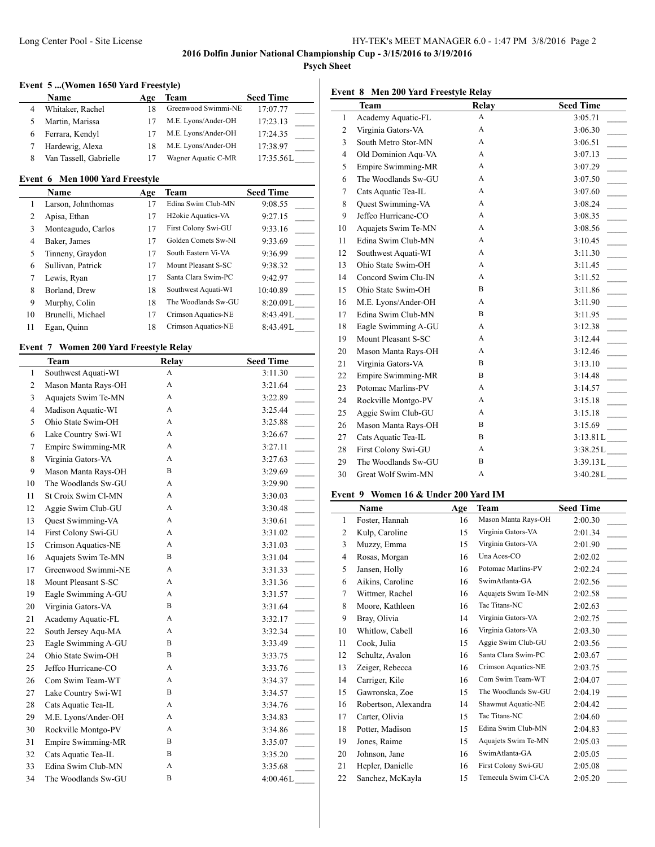# **Psych Sheet**

## **Event 5 ...(Women 1650 Yard Freestyle)**

|   | <b>Name</b>            | Age | Team                | <b>Seed Time</b> |
|---|------------------------|-----|---------------------|------------------|
|   | Whitaker, Rachel       | 18  | Greenwood Swimmi-NE | 17:07.77         |
|   | Martin, Marissa        |     | M.E. Lyons/Ander-OH | 17:23.13         |
| 6 | Ferrara, Kendyl        |     | M.E. Lyons/Ander-OH | 17:24.35         |
|   | Hardewig, Alexa        | 18  | M.E. Lyons/Ander-OH | 17:38.97         |
|   | Van Tassell, Gabrielle |     | Wagner Aquatic C-MR | 17:35.56L        |

## **Event 6 Men 1000 Yard Freestyle**

 $\overline{\phantom{a}}$ 

|    | Name               | Age | Team                            | <b>Seed Time</b> |
|----|--------------------|-----|---------------------------------|------------------|
|    | Larson, Johnthomas | 17  | Edina Swim Club-MN              | 9:08.55          |
| 2  | Apisa, Ethan       | 17  | H <sub>2</sub> okie Aquatics-VA | 9:27.15          |
| 3  | Monteagudo, Carlos | 17  | First Colony Swi-GU             | 9:33.16          |
| 4  | Baker, James       | 17  | Golden Comets Sw-NI             | 9:33.69          |
| 5  | Tinneny, Graydon   | 17  | South Eastern Vi-VA             | 9:36.99          |
| 6  | Sullivan, Patrick  | 17  | Mount Pleasant S-SC             | 9:38.32          |
| 7  | Lewis, Ryan        | 17  | Santa Clara Swim-PC             | 9:42.97          |
| 8  | Borland, Drew      | 18  | Southwest Aquati-WI             | 10:40.89         |
| 9  | Murphy, Colin      | 18  | The Woodlands Sw-GU             | 8:20.09L         |
| 10 | Brunelli, Michael  | 17  | Crimson Aquatics-NE             | 8:43.49L         |
| 11 | Egan, Quinn        | 18  | Crimson Aquatics-NE             | 8:43.49L         |

## **Event 7 Women 200 Yard Freestyle Relay**

|                | Team                | <b>Relay</b> | <b>Seed Time</b>                    |
|----------------|---------------------|--------------|-------------------------------------|
| $\mathbf{1}$   | Southwest Aquati-WI | A            | 3:11.30                             |
| $\overline{2}$ | Mason Manta Rays-OH | A            | 3:21.64                             |
| 3              | Aquajets Swim Te-MN | А            | 3:22.89                             |
| $\overline{4}$ | Madison Aquatic-WI  | A            | 3:25.44                             |
| 5              | Ohio State Swim-OH  | A            | $\overline{a}$<br>3:25.88           |
| 6              | Lake Country Swi-WI | A            | 3:26.67                             |
| $\overline{7}$ | Empire Swimming-MR  | A            | 3:27.11                             |
| 8              | Virginia Gators-VA  | A            | 3:27.63                             |
| 9              | Mason Manta Rays-OH | B            | 3:29.69                             |
| 10             | The Woodlands Sw-GU | A            | 3:29.90                             |
| 11             | St Croix Swim Cl-MN | A            | $\overline{\phantom{a}}$<br>3:30.03 |
| 12             | Aggie Swim Club-GU  | A            | $\overline{\phantom{a}}$<br>3:30.48 |
| 13             | Quest Swimming-VA   | A            | 3:30.61                             |
| 14             | First Colony Swi-GU | A            | 3:31.02                             |
| 15             | Crimson Aquatics-NE | A            | 3:31.03                             |
| 16             | Aquajets Swim Te-MN | B            | 3:31.04                             |
| 17             | Greenwood Swimmi-NE | A            | $\overline{\phantom{a}}$<br>3:31.33 |
| 18             | Mount Pleasant S-SC | A            | $\overline{\phantom{a}}$<br>3:31.36 |
| 19             | Eagle Swimming A-GU | A            | 3:31.57                             |
| 20             | Virginia Gators-VA  | B            | 3:31.64                             |
| 21             | Academy Aquatic-FL  | A            | 3:32.17                             |
| 22             | South Jersey Aqu-MA | A            | 3:32.34                             |
| 23             | Eagle Swimming A-GU | B            | $\overline{\phantom{a}}$<br>3:33.49 |
| 24             | Ohio State Swim-OH  | B            | $\overline{\phantom{a}}$<br>3:33.75 |
| 25             | Jeffco Hurricane-CO | A            | $\overline{\phantom{a}}$<br>3:33.76 |
| 26             | Com Swim Team-WT    | A            | 3:34.37                             |
| 27             | Lake Country Swi-WI | B            | 3:34.57                             |
| 28             | Cats Aquatic Tea-IL | A            | 3:34.76                             |
| 29             | M.E. Lyons/Ander-OH | A            | 3:34.83                             |
| 30             | Rockville Montgo-PV | A            | 3:34.86<br>$\overline{\phantom{a}}$ |
| 31             | Empire Swimming-MR  | B            | $\overline{\phantom{a}}$<br>3:35.07 |
| 32             | Cats Aquatic Tea-IL | B            | 3:35.20                             |
| 33             | Edina Swim Club-MN  | A            | 3:35.68                             |
| 34             | The Woodlands Sw-GU | B            | 4:00.46L                            |

## **Event 8 Men 200 Yard Freestyle Relay**

|                | Team                | Relay | <b>Seed Time</b>                       |
|----------------|---------------------|-------|----------------------------------------|
| 1              | Academy Aquatic-FL  | A     | 3:05.71                                |
| $\mathfrak{2}$ | Virginia Gators-VA  | A     | 3:06.30                                |
| 3              | South Metro Stor-MN | A     | 3:06.51                                |
| $\overline{4}$ | Old Dominion Aqu-VA | A     | 3:07.13<br>$\mathbb{R}$                |
| 5              | Empire Swimming-MR  | A     | 3:07.29<br>$\sim$                      |
| 6              | The Woodlands Sw-GU | A     | 3:07.50                                |
| 7              | Cats Aquatic Tea-IL | A     | $\overline{\phantom{a}}$<br>3:07.60    |
| 8              | Quest Swimming-VA   | A     | 3:08.24                                |
| 9              | Jeffco Hurricane-CO | A     | 3:08.35                                |
| 10             | Aquajets Swim Te-MN | A     | 3:08.56<br>$\mathcal{L}_{\text{max}}$  |
| 11             | Edina Swim Club-MN  | A     | 3:10.45                                |
| 12             | Southwest Aquati-WI | A     | 3:11.30<br>$\overline{\phantom{a}}$    |
| 13             | Ohio State Swim-OH  | A     | 3:11.45                                |
| 14             | Concord Swim Clu-IN | A     | 3:11.52                                |
| 15             | Ohio State Swim-OH  | B     | 3:11.86<br>$\overline{a}$              |
| 16             | M.E. Lyons/Ander-OH | A     | 3:11.90<br>$\overline{a}$              |
| 17             | Edina Swim Club-MN  | B     | 3:11.95<br>$\mathcal{L}$               |
| 18             | Eagle Swimming A-GU | A     | 3:12.38<br>$\sim$                      |
| 19             | Mount Pleasant S-SC | A     | 3:12.44<br>$\mathcal{L}$               |
| 20             | Mason Manta Rays-OH | A     | 3:12.46<br>$\sim$                      |
| 21             | Virginia Gators-VA  | B     | $\overline{a}$<br>3:13.10              |
| 22             | Empire Swimming-MR  | B     | 3:14.48<br>$\mathcal{L}^{\text{max}}$  |
| 23             | Potomac Marlins-PV  | A     | $\mathbb{R}$<br>3:14.57                |
| 24             | Rockville Montgo-PV | A     | 3:15.18<br>$\mathcal{L}^{\mathcal{L}}$ |
| 25             | Aggie Swim Club-GU  | A     | 3:15.18                                |
| 26             | Mason Manta Rays-OH | B     | 3:15.69                                |
| 27             | Cats Aquatic Tea-IL | B     | 3:13.81L                               |
| 28             | First Colony Swi-GU | A     |                                        |
| 29             | The Woodlands Sw-GU | B     | 3:39.13L                               |
| 30             | Great Wolf Swim-MN  | A     | 3:40.28L                               |

### **Event 9 Women 16 & Under 200 Yard IM**

|    | Name                 | Age | Team                | <b>Seed Time</b> |
|----|----------------------|-----|---------------------|------------------|
| 1  | Foster, Hannah       | 16  | Mason Manta Rays-OH | 2:00.30          |
| 2  | Kulp, Caroline       | 15  | Virginia Gators-VA  | 2:01.34          |
| 3  | Muzzy, Emma          | 15  | Virginia Gators-VA  | 2:01.90          |
| 4  | Rosas, Morgan        | 16  | Una Aces-CO         | 2:02.02          |
| 5  | Jansen, Holly        | 16  | Potomac Marlins-PV  | 2:02.24          |
| 6  | Aikins, Caroline     | 16  | SwimAtlanta-GA      | 2:02.56          |
| 7  | Wittmer, Rachel      | 16  | Aquajets Swim Te-MN | 2:02.58          |
| 8  | Moore, Kathleen      | 16  | Tac Titans-NC       | 2:02.63          |
| 9  | Bray, Olivia         | 14  | Virginia Gators-VA  | 2:02.75          |
| 10 | Whitlow, Cabell      | 16  | Virginia Gators-VA  | 2:03.30          |
| 11 | Cook, Julia          | 15  | Aggie Swim Club-GU  | 2:03.56          |
| 12 | Schultz, Avalon      | 16  | Santa Clara Swim-PC | 2:03.67          |
| 13 | Zeiger, Rebecca      | 16  | Crimson Aquatics-NE | 2:03.75          |
| 14 | Carriger, Kile       | 16  | Com Swim Team-WT    | 2:04.07          |
| 15 | Gawronska, Zoe       | 15  | The Woodlands Sw-GU | 2:04.19          |
| 16 | Robertson, Alexandra | 14  | Shawmut Aquatic-NE  | 2:04.42          |
| 17 | Carter, Olivia       | 15  | Tac Titans-NC       | 2:04.60          |
| 18 | Potter, Madison      | 15  | Edina Swim Club-MN  | 2:04.83          |
| 19 | Jones, Raime         | 15  | Aquajets Swim Te-MN | 2:05.03          |
| 20 | Johnson, Jane        | 16  | SwimAtlanta-GA      | 2:05.05          |
| 21 | Hepler, Danielle     | 16  | First Colony Swi-GU | 2:05.08          |
| 22 | Sanchez, McKayla     | 15  | Temecula Swim Cl-CA | 2:05.20          |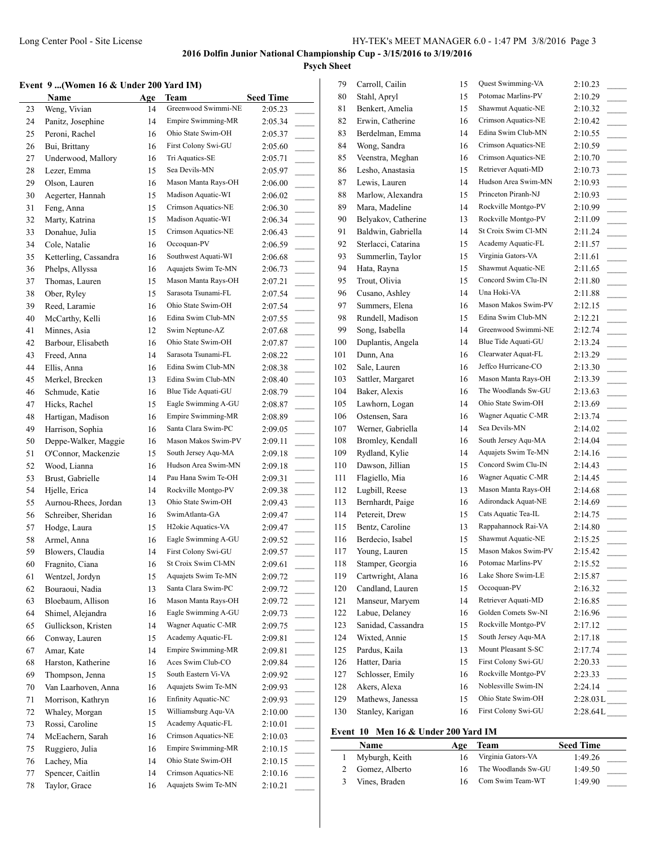# **Psych Sheet**

#### **Event 9 ...(Women 16 & Under 200 Yard IM)**

|    | Event 9  (Women 16 & Under 200 Yard IM) |     |                                 |                  |
|----|-----------------------------------------|-----|---------------------------------|------------------|
|    | Name                                    | Age | <b>Team</b>                     | <b>Seed Time</b> |
| 23 | Weng, Vivian                            | 14  | Greenwood Swimmi-NE             | 2:05.23          |
| 24 | Panitz, Josephine                       | 14  | Empire Swimming-MR              | 2:05.34          |
| 25 | Peroni, Rachel                          | 16  | Ohio State Swim-OH              | 2:05.37          |
| 26 | Bui, Brittany                           | 16  | First Colony Swi-GU             | 2:05.60          |
| 27 | Underwood, Mallory                      | 16  | Tri Aquatics-SE                 | 2:05.71          |
| 28 | Lezer, Emma                             | 15  | Sea Devils-MN                   | 2:05.97          |
| 29 | Olson, Lauren                           | 16  | Mason Manta Rays-OH             | 2:06.00          |
| 30 | Aegerter, Hannah                        | 15  | Madison Aquatic-WI              | 2:06.02          |
| 31 | Feng, Anna                              | 15  | Crimson Aquatics-NE             | 2:06.30          |
| 32 | Marty, Katrina                          | 15  | Madison Aquatic-WI              | 2:06.34          |
| 33 | Donahue, Julia                          | 15  | Crimson Aquatics-NE             | 2:06.43          |
| 34 | Cole, Natalie                           | 16  | Occoquan-PV                     | 2:06.59          |
| 35 | Ketterling, Cassandra                   | 16  | Southwest Aquati-WI             | 2:06.68          |
| 36 | Phelps, Allyssa                         | 16  | Aquajets Swim Te-MN             | 2:06.73          |
| 37 | Thomas, Lauren                          | 15  | Mason Manta Rays-OH             | 2:07.21          |
| 38 | Ober, Ryley                             | 15  | Sarasota Tsunami-FL             | 2:07.54          |
| 39 | Reed, Laramie                           | 16  | Ohio State Swim-OH              | 2:07.54          |
| 40 | McCarthy, Kelli                         | 16  | Edina Swim Club-MN              | 2:07.55          |
| 41 | Minnes, Asia                            | 12  | Swim Neptune-AZ                 | 2:07.68          |
| 42 | Barbour, Elisabeth                      | 16  | Ohio State Swim-OH              | 2:07.87          |
| 43 | Freed, Anna                             | 14  | Sarasota Tsunami-FL             | 2:08.22          |
| 44 | Ellis, Anna                             | 16  | Edina Swim Club-MN              | 2:08.38          |
| 45 | Merkel, Brecken                         | 13  | Edina Swim Club-MN              | 2:08.40          |
| 46 | Schmude, Katie                          | 16  | Blue Tide Aquati-GU             | 2:08.79          |
| 47 | Hicks, Rachel                           | 15  | Eagle Swimming A-GU             | 2:08.87          |
| 48 | Hartigan, Madison                       | 16  | Empire Swimming-MR              | 2:08.89          |
| 49 | Harrison, Sophia                        | 16  | Santa Clara Swim-PC             | 2:09.05          |
| 50 | Deppe-Walker, Maggie                    | 16  | Mason Makos Swim-PV             | 2:09.11          |
| 51 | O'Connor, Mackenzie                     | 15  | South Jersey Aqu-MA             | 2:09.18          |
| 52 | Wood, Lianna                            | 16  | Hudson Area Swim-MN             | 2:09.18          |
| 53 | Brust, Gabrielle                        | 14  | Pau Hana Swim Te-OH             | 2:09.31          |
|    |                                         |     | Rockville Montgo-PV             |                  |
| 54 | Hjelle, Erica                           | 14  | Ohio State Swim-OH              | 2:09.38          |
| 55 | Aurnou-Rhees, Jordan                    | 13  | SwimAtlanta-GA                  | 2:09.43          |
| 56 | Schreiber, Sheridan                     | 16  |                                 | 2:09.47          |
| 57 | Hodge, Laura                            | 15  | H <sub>2</sub> okie Aquatics-VA | 2:09.47          |
| 58 | Armel, Anna                             | 16  | Eagle Swimming A-GU             | 2:09.52          |
| 59 | Blowers, Claudia                        | 14  | First Colony Swi-GU             | 2:09.57          |
| 60 | Fragnito, Ciana                         | 16  | St Croix Swim Cl-MN             | 2:09.61          |
| 61 | Wentzel, Jordyn                         | 15  | Aquajets Swim Te-MN             | 2:09.72          |
| 62 | Bouraoui, Nadia                         | 13  | Santa Clara Swim-PC             | 2:09.72          |
| 63 | Bloebaum, Allison                       | 16  | Mason Manta Rays-OH             | 2:09.72          |
| 64 | Shimel, Alejandra                       | 16  | Eagle Swimming A-GU             | 2:09.73          |
| 65 | Gullickson, Kristen                     | 14  | Wagner Aquatic C-MR             | 2:09.75          |
| 66 | Conway, Lauren                          | 15  | Academy Aquatic-FL              | 2:09.81          |
| 67 | Amar, Kate                              | 14  | Empire Swimming-MR              | 2:09.81          |
| 68 | Harston, Katherine                      | 16  | Aces Swim Club-CO               | 2:09.84          |
| 69 | Thompson, Jenna                         | 15  | South Eastern Vi-VA             | 2:09.92          |
| 70 | Van Laarhoven, Anna                     | 16  | Aquajets Swim Te-MN             | 2:09.93          |
| 71 | Morrison, Kathryn                       | 16  | Enfinity Aquatic-NC             | 2:09.93          |
| 72 | Whaley, Morgan                          | 15  | Williamsburg Aqu-VA             | 2:10.00          |
| 73 | Rossi, Caroline                         | 15  | Academy Aquatic-FL              | 2:10.01          |
| 74 | McEachern, Sarah                        | 16  | Crimson Aquatics-NE             | 2:10.03          |
| 75 | Ruggiero, Julia                         | 16  | Empire Swimming-MR              | 2:10.15          |
| 76 | Lachey, Mia                             | 14  | Ohio State Swim-OH              | 2:10.15          |
| 77 | Spencer, Caitlin                        | 14  | Crimson Aquatics-NE             | 2:10.16          |
| 78 |                                         |     | Aquajets Swim Te-MN             |                  |
|    | Taylor, Grace                           | 16  |                                 | 2:10.21          |

| 79  | Carroll, Cailin     | 15 | Quest Swimming-VA   | 2:10.23                             |
|-----|---------------------|----|---------------------|-------------------------------------|
| 80  | Stahl, Apryl        | 15 | Potomac Marlins-PV  | 2:10.29                             |
| 81  | Benkert, Amelia     | 15 | Shawmut Aquatic-NE  | 2:10.32                             |
| 82  | Erwin, Catherine    | 16 | Crimson Aquatics-NE | 2:10.42                             |
| 83  | Berdelman, Emma     | 14 | Edina Swim Club-MN  | 2:10.55                             |
| 84  | Wong, Sandra        | 16 | Crimson Aquatics-NE | 2:10.59                             |
| 85  | Veenstra, Meghan    | 16 | Crimson Aquatics-NE | 2:10.70                             |
| 86  | Lesho, Anastasia    | 15 | Retriever Aquati-MD | 2:10.73                             |
| 87  | Lewis, Lauren       | 14 | Hudson Area Swim-MN | 2:10.93                             |
| 88  | Marlow, Alexandra   | 15 | Princeton Piranh-NJ | 2:10.93                             |
| 89  | Mara, Madeline      | 14 | Rockville Montgo-PV | 2:10.99                             |
| 90  | Belyakov, Catherine | 13 | Rockville Montgo-PV | 2:11.09                             |
| 91  | Baldwin, Gabriella  | 14 | St Croix Swim Cl-MN | 2:11.24<br>$\sim$                   |
| 92  | Sterlacci, Catarina | 15 | Academy Aquatic-FL  | 2:11.57<br>$\sim$                   |
| 93  | Summerlin, Taylor   | 15 | Virginia Gators-VA  | 2:11.61                             |
| 94  | Hata, Rayna         | 15 | Shawmut Aquatic-NE  | 2:11.65                             |
| 95  | Trout, Olivia       | 15 | Concord Swim Clu-IN | 2:11.80<br>$\overline{\phantom{a}}$ |
| 96  | Cusano, Ashley      | 14 | Una Hoki-VA         | 2:11.88                             |
| 97  | Summers, Elena      | 16 | Mason Makos Swim-PV | 2:12.15<br>$\overline{\phantom{a}}$ |
| 98  | Rundell, Madison    | 15 | Edina Swim Club-MN  | 2:12.21                             |
| 99  | Song, Isabella      | 14 | Greenwood Swimmi-NE | 2:12.74                             |
| 100 | Duplantis, Angela   | 14 | Blue Tide Aquati-GU | 2:13.24                             |
| 101 | Dunn, Ana           | 16 | Clearwater Aquat-FL | 2:13.29                             |
| 102 | Sale, Lauren        | 16 | Jeffco Hurricane-CO | 2:13.30                             |
| 103 | Sattler, Margaret   | 16 | Mason Manta Rays-OH | 2:13.39                             |
| 104 | Baker, Alexis       | 16 | The Woodlands Sw-GU | $\frac{1}{2}$<br>2:13.63            |
| 105 | Lawhorn, Logan      | 14 | Ohio State Swim-OH  | $\sim$<br>2:13.69                   |
| 106 | Ostensen, Sara      | 16 | Wagner Aquatic C-MR | 2:13.74                             |
|     |                     | 14 | Sea Devils-MN       |                                     |
| 107 | Werner, Gabriella   |    | South Jersey Aqu-MA | 2:14.02<br>$\sim$                   |
| 108 | Bromley, Kendall    | 16 |                     | 2:14.04                             |
| 109 | Rydland, Kylie      | 14 | Aquajets Swim Te-MN | 2:14.16                             |
| 110 | Dawson, Jillian     | 15 | Concord Swim Clu-IN | 2:14.43                             |
| 111 | Flagiello, Mia      | 16 | Wagner Aquatic C-MR | 2:14.45                             |
| 112 | Lugbill, Reese      | 13 | Mason Manta Rays-OH | 2:14.68                             |
| 113 | Bernhardt, Paige    | 16 | Adirondack Aquat-NE | 2:14.69                             |
| 114 | Petereit, Drew      | 15 | Cats Aquatic Tea-IL | 2:14.75                             |
| 115 | Bentz, Caroline     | 13 | Rappahannock Rai-VA | 2:14.80<br>$\overline{\phantom{a}}$ |
| 116 | Berdecio, Isabel    | 15 | Shawmut Aquatic-NE  | 2:15.25<br>$\sim$                   |
| 117 | Young, Lauren       | 15 | Mason Makos Swim-PV | 2:15.42                             |
| 118 | Stamper, Georgia    | 16 | Potomac Marlins-PV  | 2:15.52                             |
| 119 | Cartwright, Alana   | 16 | Lake Shore Swim-LE  | 2:15.87                             |
| 120 | Candland, Lauren    | 15 | Occoquan-PV         | 2:16.32                             |
| 121 | Manseur, Maryem     | 14 | Retriever Aquati-MD | 2:16.85<br>$\overline{\phantom{a}}$ |
| 122 | Labue, Delaney      | 16 | Golden Comets Sw-NI | 2:16.96<br>$\overline{\phantom{a}}$ |
| 123 | Sanidad, Cassandra  | 15 | Rockville Montgo-PV | 2:17.12                             |
| 124 | Wixted, Annie       | 15 | South Jersey Aqu-MA | 2:17.18                             |
| 125 | Pardus, Kaila       | 13 | Mount Pleasant S-SC | 2:17.74<br>$\sim$                   |
| 126 | Hatter, Daria       | 15 | First Colony Swi-GU | 2:20.33                             |
| 127 | Schlosser, Emily    | 16 | Rockville Montgo-PV | 2:23.33<br>$\frac{1}{2}$            |
| 128 | Akers, Alexa        | 16 | Noblesville Swim-IN | 2:24.14<br>$\sim$                   |
| 129 | Mathews, Janessa    | 15 | Ohio State Swim-OH  | $2:28.03L$ <sub>____</sub>          |
| 130 | Stanley, Karigan    | 16 | First Colony Swi-GU | 2:28.64L                            |
|     |                     |    |                     |                                     |

#### **Event 10 Men 16 & Under 200 Yard IM**

| Name           | Age | Team                | <b>Seed Time</b> |
|----------------|-----|---------------------|------------------|
| Myburgh, Keith | 16  | Virginia Gators-VA  | 1:49.26          |
| Gomez, Alberto | 16  | The Woodlands Sw-GU | 1:49.50          |
| Vines, Braden  |     | Com Swim Team-WT    | 1:49.90          |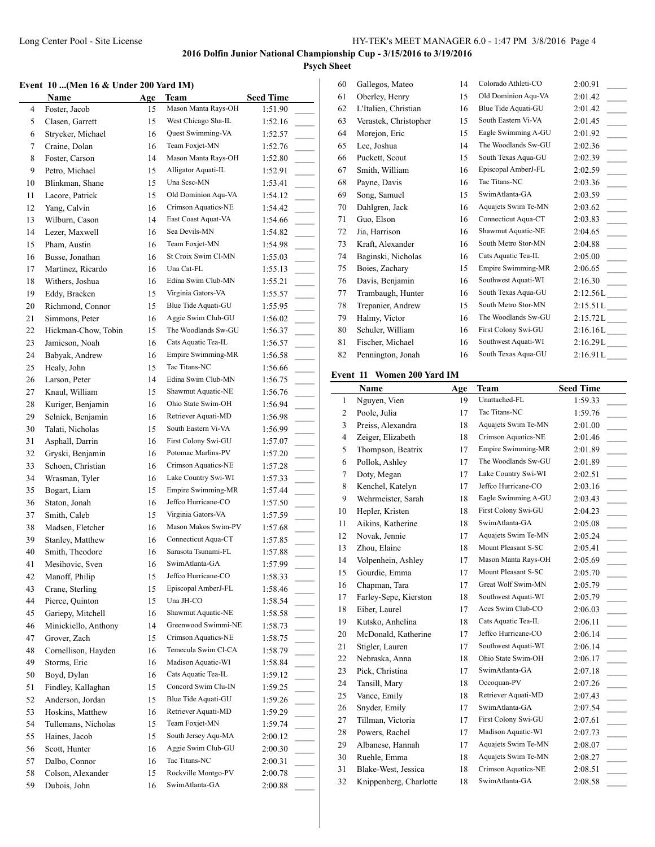# **Psych Sheet**

# **Event 10 ...(Men 16 & Under 200 Yard IM)**

|    | Event 10 (Men 16 & Under 200 Yard IM) |     |                           |                                        |
|----|---------------------------------------|-----|---------------------------|----------------------------------------|
|    | Name                                  | Age | Team                      | <b>Seed Time</b>                       |
| 4  | Foster, Jacob                         | 15  | Mason Manta Rays-OH       | 1:51.90                                |
| 5  | Clasen, Garrett                       | 15  | West Chicago Sha-IL       | 1:52.16                                |
| 6  | Strycker, Michael                     | 16  | Quest Swimming-VA         | 1:52.57                                |
| 7  | Craine, Dolan                         | 16  | Team Foxjet-MN            | 1:52.76<br>$\mathcal{L}^{\mathcal{L}}$ |
| 8  | Foster, Carson                        | 14  | Mason Manta Rays-OH       | 1:52.80                                |
| 9  | Petro, Michael                        | 15  | Alligator Aquati-IL       | 1:52.91<br>$\overline{\phantom{a}}$    |
| 10 | Blinkman, Shane                       | 15  | Una Scsc-MN               | 1:53.41<br>$\sim$                      |
| 11 | Lacore, Patrick                       | 15  | Old Dominion Aqu-VA       | 1:54.12                                |
| 12 | Yang, Calvin                          | 16  | Crimson Aquatics-NE       | 1:54.42                                |
| 13 | Wilburn, Cason                        | 14  | East Coast Aquat-VA       | 1:54.66                                |
| 14 | Lezer, Maxwell                        | 16  | Sea Devils-MN             | 1:54.82                                |
| 15 | Pham, Austin                          | 16  | Team Foxjet-MN            | 1:54.98<br>$\mathbb{R}^n$              |
| 16 | Busse, Jonathan                       | 16  | St Croix Swim Cl-MN       | 1:55.03<br>$\overline{\phantom{a}}$    |
| 17 | Martinez, Ricardo                     | 16  | Una Cat-FL                | 1:55.13                                |
| 18 | Withers, Joshua                       | 16  | Edina Swim Club-MN        | 1:55.21                                |
| 19 | Eddy, Bracken                         | 15  | Virginia Gators-VA        | 1:55.57<br>$\mathcal{L}^{\mathcal{L}}$ |
| 20 | Richmond, Connor                      | 15  | Blue Tide Aquati-GU       | 1:55.95                                |
| 21 | Simmons, Peter                        | 16  | Aggie Swim Club-GU        | $\mathbb{R}$<br>1:56.02                |
| 22 | Hickman-Chow, Tobin                   | 15  | The Woodlands Sw-GU       | a.<br>1:56.37                          |
| 23 | Jamieson, Noah                        | 16  | Cats Aquatic Tea-IL       | $\overline{\phantom{a}}$<br>1:56.57    |
| 24 | Babyak, Andrew                        | 16  | Empire Swimming-MR        | 1:56.58                                |
| 25 | Healy, John                           | 15  | Tac Titans-NC             |                                        |
|    |                                       |     | Edina Swim Club-MN        | 1:56.66<br>$\overline{\phantom{a}}$    |
| 26 | Larson, Peter                         | 14  | Shawmut Aquatic-NE        | 1:56.75                                |
| 27 | Knaul, William                        | 15  | Ohio State Swim-OH        | 1:56.76<br>$\overline{\phantom{a}}$    |
| 28 | Kuriger, Benjamin                     | 16  |                           | 1:56.94<br>$\overline{\phantom{a}}$    |
| 29 | Selnick, Benjamin                     | 16  | Retriever Aquati-MD       | 1:56.98                                |
| 30 | Talati, Nicholas                      | 15  | South Eastern Vi-VA       | 1:56.99                                |
| 31 | Asphall, Darrin                       | 16  | First Colony Swi-GU       | 1:57.07<br>$\mathbb{R}^2$              |
| 32 | Gryski, Benjamin                      | 16  | Potomac Marlins-PV        | 1:57.20                                |
| 33 | Schoen, Christian                     | 16  | Crimson Aquatics-NE       | 1:57.28<br>$\overline{\phantom{a}}$    |
| 34 | Wrasman, Tyler                        | 16  | Lake Country Swi-WI       | 1:57.33<br>$\sim$                      |
| 35 | Bogart, Liam                          | 15  | <b>Empire Swimming-MR</b> | 1:57.44                                |
| 36 | Staton, Jonah                         | 16  | Jeffco Hurricane-CO       | 1:57.50                                |
| 37 | Smith, Caleb                          | 15  | Virginia Gators-VA        | 1:57.59<br>$\overline{\phantom{a}}$    |
| 38 | Madsen, Fletcher                      | 16  | Mason Makos Swim-PV       | 1:57.68                                |
| 39 | Stanley, Matthew                      | 16  | Connecticut Aqua-CT       | 1:57.85                                |
| 40 | Smith. Theodore                       | 16  | Sarasota Tsunami-FL       | 1:57.88                                |
| 41 | Mesihovic, Sven                       | 16  | SwimAtlanta-GA            | 1:57.99                                |
| 42 | Manoff, Philip                        | 15  | Jeffco Hurricane-CO       | 1:58.33                                |
| 43 | Crane, Sterling                       | 15  | Episcopal AmberJ-FL       | 1:58.46                                |
| 44 | Pierce, Quinton                       | 15  | Una JH-CO                 | 1:58.54                                |
| 45 | Gariepy, Mitchell                     | 16  | Shawmut Aquatic-NE        | 1:58.58                                |
| 46 | Minickiello, Anthony                  | 14  | Greenwood Swimmi-NE       | 1:58.73                                |
| 47 | Grover, Zach                          | 15  | Crimson Aquatics-NE       | 1:58.75                                |
| 48 | Cornellison, Hayden                   | 16  | Temecula Swim Cl-CA       | 1:58.79                                |
| 49 | Storms, Eric                          | 16  | Madison Aquatic-WI        | 1:58.84                                |
| 50 | Boyd, Dylan                           | 16  | Cats Aquatic Tea-IL       | 1:59.12                                |
| 51 | Findley, Kallaghan                    | 15  | Concord Swim Clu-IN       | 1:59.25<br>$\overline{\phantom{a}}$    |
| 52 | Anderson, Jordan                      | 15  | Blue Tide Aquati-GU       | 1:59.26<br>$\overline{\phantom{a}}$    |
| 53 | Hoskins, Matthew                      | 16  | Retriever Aquati-MD       | 1:59.29                                |
| 54 | Tullemans, Nicholas                   | 15  | Team Foxjet-MN            | 1:59.74                                |
| 55 | Haines, Jacob                         | 15  | South Jersey Aqu-MA       | 2:00.12<br>$\mathcal{L}^{\mathcal{L}}$ |
| 56 | Scott, Hunter                         | 16  | Aggie Swim Club-GU        | 2:00.30                                |
| 57 | Dalbo, Connor                         | 16  | Tac Titans-NC             | 2:00.31                                |
| 58 | Colson, Alexander                     | 15  | Rockville Montgo-PV       | 2:00.78                                |
| 59 | Dubois, John                          | 16  | SwimAtlanta-GA            | 2:00.88                                |
|    |                                       |     |                           |                                        |

| 60 | Gallegos, Mateo       | 14 | Colorado Athleti-CO | 2:00.91                             |
|----|-----------------------|----|---------------------|-------------------------------------|
| 61 | Oberley, Henry        | 15 | Old Dominion Aqu-VA | 2:01.42                             |
| 62 | L'Italien, Christian  | 16 | Blue Tide Aquati-GU | 2:01.42                             |
| 63 | Verastek, Christopher | 15 | South Eastern Vi-VA | 2:01.45                             |
| 64 | Morejon, Eric         | 15 | Eagle Swimming A-GU | 2:01.92                             |
| 65 | Lee, Joshua           | 14 | The Woodlands Sw-GU | 2:02.36                             |
| 66 | Puckett, Scout        | 15 | South Texas Aqua-GU | 2:02.39                             |
| 67 | Smith, William        | 16 | Episcopal AmberJ-FL | 2:02.59                             |
| 68 | Payne, Davis          | 16 | Tac Titans-NC       | 2:03.36                             |
| 69 | Song, Samuel          | 15 | SwimAtlanta-GA      | 2:03.59                             |
| 70 | Dahlgren, Jack        | 16 | Aquajets Swim Te-MN | 2:03.62<br>$\overline{a}$           |
| 71 | Guo, Elson            | 16 | Connecticut Aqua-CT | 2:03.83                             |
| 72 | Jia, Harrison         | 16 | Shawmut Aquatic-NE  | 2:04.65                             |
| 73 | Kraft, Alexander      | 16 | South Metro Stor-MN | 2:04.88<br>$\overline{\phantom{a}}$ |
| 74 | Baginski, Nicholas    | 16 | Cats Aquatic Tea-IL | 2:05.00                             |
| 75 | Boies, Zachary        | 15 | Empire Swimming-MR  | 2:06.65                             |
| 76 | Davis, Benjamin       | 16 | Southwest Aquati-WI | 2:16.30                             |
| 77 | Trambaugh, Hunter     | 16 | South Texas Aqua-GU | 2:12.56L                            |
| 78 | Trepanier, Andrew     | 15 | South Metro Stor-MN | 2:15.51L                            |
| 79 | Halmy, Victor         | 16 | The Woodlands Sw-GU | 2:15.72L                            |
| 80 | Schuler, William      | 16 | First Colony Swi-GU | 2:16.16L                            |
| 81 | Fischer, Michael      | 16 | Southwest Aquati-WI | 2:16.29L                            |
| 82 | Pennington, Jonah     | 16 | South Texas Aqua-GU | 2:16.91L                            |
|    |                       |    |                     |                                     |

## **Event 11 Women 200 Yard IM**

|                | Name                   | Age | Team                | <b>Seed Time</b>     |
|----------------|------------------------|-----|---------------------|----------------------|
| 1              | Nguyen, Vien           | 19  | Unattached-FL       | 1:59.33              |
| $\overline{2}$ | Poole, Julia           | 17  | Tac Titans-NC       | 1:59.76              |
| 3              | Preiss, Alexandra      | 18  | Aquajets Swim Te-MN | 2:01.00              |
| $\overline{4}$ | Zeiger, Elizabeth      | 18  | Crimson Aquatics-NE | 2:01.46              |
| 5              | Thompson, Beatrix      | 17  | Empire Swimming-MR  | 2:01.89              |
| 6              | Pollok, Ashley         | 17  | The Woodlands Sw-GU | 2:01.89              |
| 7              | Doty, Megan            | 17  | Lake Country Swi-WI | 2:02.51              |
| 8              | Kenchel, Katelyn       | 17  | Jeffco Hurricane-CO | 2:03.16              |
| 9              | Wehrmeister, Sarah     | 18  | Eagle Swimming A-GU | 2:03.43              |
| 10             | Hepler, Kristen        | 18  | First Colony Swi-GU | 2:04.23              |
| 11             | Aikins, Katherine      | 18  | SwimAtlanta-GA      | 2:05.08              |
| 12             | Novak, Jennie          | 17  | Aquajets Swim Te-MN | 2:05.24              |
| 13             | Zhou, Elaine           | 18  | Mount Pleasant S-SC | 2:05.41              |
| 14             | Volpenhein, Ashley     | 17  | Mason Manta Rays-OH | 2:05.69              |
| 15             | Gourdie, Emma          | 17  | Mount Pleasant S-SC | 2:05.70              |
| 16             | Chapman, Tara          | 17  | Great Wolf Swim-MN  | 2:05.79              |
| 17             | Farley-Sepe, Kierston  | 18  | Southwest Aquati-WI | 2:05.79              |
| 18             | Eiber, Laurel          | 17  | Aces Swim Club-CO   | 2:06.03              |
| 19             | Kutsko, Anhelina       | 18  | Cats Aquatic Tea-IL | 2:06.11              |
| 20             | McDonald, Katherine    | 17  | Jeffco Hurricane-CO | 2:06.14<br>$\sim 10$ |
| 21             | Stigler, Lauren        | 17  | Southwest Aquati-WI | 2:06.14              |
| 22             | Nebraska, Anna         | 18  | Ohio State Swim-OH  | 2:06.17              |
| 23             | Pick, Christina        | 17  | SwimAtlanta-GA      | 2:07.18              |
| 24             | Tansill, Mary          | 18  | Occoquan-PV         | 2:07.26              |
| 25             | Vance, Emily           | 18  | Retriever Aquati-MD | 2:07.43              |
| 26             | Snyder, Emily          | 17  | SwimAtlanta-GA      | 2:07.54              |
| 27             | Tillman, Victoria      | 17  | First Colony Swi-GU | 2:07.61              |
| 28             | Powers, Rachel         | 17  | Madison Aquatic-WI  | 2:07.73              |
| 29             | Albanese, Hannah       | 17  | Aquajets Swim Te-MN | 2:08.07              |
| 30             | Ruehle, Emma           | 18  | Aquajets Swim Te-MN | 2:08.27              |
| 31             | Blake-West, Jessica    | 18  | Crimson Aquatics-NE | 2:08.51              |
| 32             | Knippenberg, Charlotte | 18  | SwimAtlanta-GA      | 2:08.58              |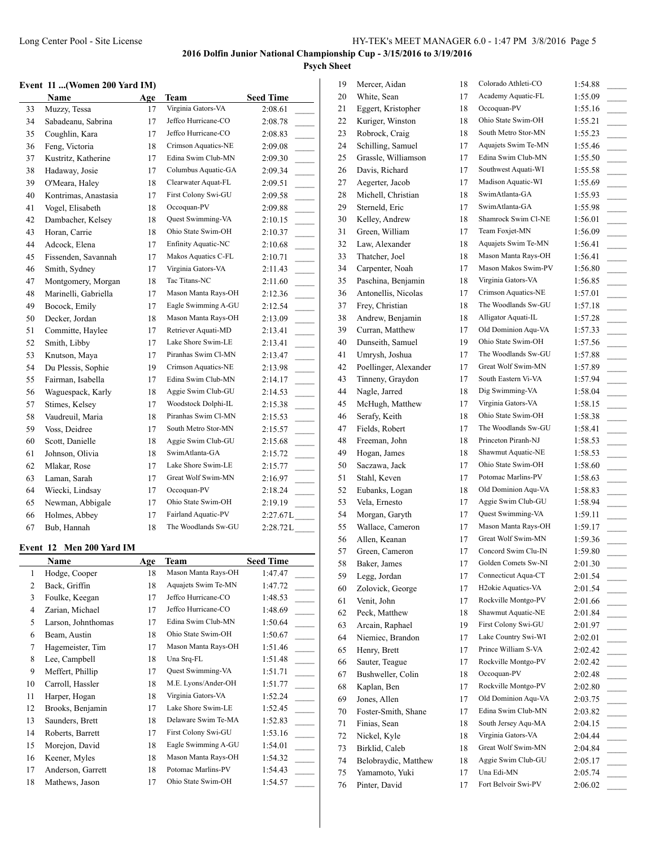#### **Event 11 ...(Women 200 Yard IM)**

|    | <b>Name</b>          | Age | Team                | <b>Seed Time</b>                      |
|----|----------------------|-----|---------------------|---------------------------------------|
| 33 | Muzzy, Tessa         | 17  | Virginia Gators-VA  | 2:08.61                               |
| 34 | Sabadeanu, Sabrina   | 17  | Jeffco Hurricane-CO | 2:08.78<br>$\overline{\phantom{a}}$   |
| 35 | Coughlin, Kara       | 17  | Jeffco Hurricane-CO | 2:08.83<br>$\overline{\phantom{a}}$   |
| 36 | Feng, Victoria       | 18  | Crimson Aquatics-NE | 2:09.08<br>$\overline{\phantom{a}}$   |
| 37 | Kustritz, Katherine  | 17  | Edina Swim Club-MN  | 2:09.30<br>$\sim$ 10 $\pm$            |
| 38 | Hadaway, Josie       | 17  | Columbus Aquatic-GA | 2:09.34                               |
| 39 | O'Meara, Haley       | 18  | Clearwater Aquat-FL | 2:09.51                               |
| 40 | Kontrimas, Anastasia | 17  | First Colony Swi-GU | 2:09.58<br>$\overline{\phantom{a}}$   |
| 41 | Vogel, Elisabeth     | 18  | Occoquan-PV         | 2:09.88                               |
| 42 | Dambacher, Kelsey    | 18  | Quest Swimming-VA   | 2:10.15                               |
| 43 | Horan, Carrie        | 18  | Ohio State Swim-OH  | 2:10.37                               |
| 44 | Adcock, Elena        | 17  | Enfinity Aquatic-NC | 2:10.68                               |
| 45 | Fissenden, Savannah  | 17  | Makos Aquatics C-FL | 2:10.71                               |
| 46 | Smith, Sydney        | 17  | Virginia Gators-VA  | 2:11.43<br>$\overline{\phantom{a}}$   |
| 47 | Montgomery, Morgan   | 18  | Tac Titans-NC       | 2:11.60<br>$\sim 10^{-1}$             |
| 48 | Marinelli, Gabriella | 17  | Mason Manta Rays-OH | 2:12.36<br>$\overline{\phantom{a}}$   |
| 49 | Bocock, Emily        | 17  | Eagle Swimming A-GU | 2:12.54<br>$\mathcal{L}^{\text{max}}$ |
| 50 | Decker, Jordan       | 18  | Mason Manta Rays-OH | 2:13.09<br>$\overline{\phantom{a}}$   |
| 51 | Committe, Haylee     | 17  | Retriever Aquati-MD | 2:13.41                               |
| 52 | Smith, Libby         | 17  | Lake Shore Swim-LE  | 2:13.41                               |
| 53 | Knutson, Maya        | 17  | Piranhas Swim Cl-MN | 2:13.47                               |
| 54 | Du Plessis, Sophie   | 19  | Crimson Aquatics-NE | 2:13.98<br>$\sim$ 100 $\mu$           |
| 55 | Fairman, Isabella    | 17  | Edina Swim Club-MN  | 2:14.17                               |
| 56 | Waguespack, Karly    | 18  | Aggie Swim Club-GU  | 2:14.53                               |
| 57 | Stimes, Kelsey       | 17  | Woodstock Dolphi-IL | 2:15.38                               |
| 58 | Vaudreuil, Maria     | 18  | Piranhas Swim Cl-MN | 2:15.53                               |
| 59 | Voss, Deidree        | 17  | South Metro Stor-MN | 2:15.57                               |
| 60 | Scott, Danielle      | 18  | Aggie Swim Club-GU  | 2:15.68                               |
| 61 | Johnson, Olivia      | 18  | SwimAtlanta-GA      | 2:15.72<br>$\sim$                     |
| 62 | Mlakar, Rose         | 17  | Lake Shore Swim-LE  | 2:15.77<br>$\sim$                     |
| 63 | Laman, Sarah         | 17  | Great Wolf Swim-MN  | 2:16.97<br>$\overline{\phantom{a}}$   |
| 64 | Wiecki, Lindsay      | 17  | Occoquan-PV         | 2:18.24<br>$\overline{a}$             |
| 65 | Newman, Abbigale     | 17  | Ohio State Swim-OH  | 2:19.19                               |
| 66 | Holmes, Abbey        | 17  | Fairland Aquatic-PV | 2:27.67L                              |
| 67 | Bub, Hannah          | 18  | The Woodlands Sw-GU | 2:28.72L                              |

#### **Event 12 Men 200 Yard IM**

L

| Name               | Age | Team                | <b>Seed Time</b>         |
|--------------------|-----|---------------------|--------------------------|
| Hodge, Cooper      | 18  | Mason Manta Rays-OH | 1:47.47                  |
| Back, Griffin      | 18  | Aquajets Swim Te-MN | 1:47.72                  |
| Foulke, Keegan     | 17  | Jeffco Hurricane-CO | 1:48.53                  |
| Zarian, Michael    | 17  | Jeffco Hurricane-CO | 1:48.69                  |
| Larson, Johnthomas | 17  | Edina Swim Club-MN  | 1:50.64                  |
| Beam, Austin       | 18  | Ohio State Swim-OH  | 1:50.67                  |
| Hagemeister, Tim   | 17  | Mason Manta Rays-OH | 1:51.46                  |
| Lee, Campbell      | 18  | Una Srq-FL          | 1:51.48                  |
| Meffert, Phillip   | 17  | Quest Swimming-VA   | 1:51.71                  |
| Carroll, Hassler   | 18  | M.E. Lyons/Ander-OH | 1:51.77                  |
| Harper, Hogan      | 18  | Virginia Gators-VA  | 1:52.24<br>$\mathcal{L}$ |
| Brooks, Benjamin   | 17  | Lake Shore Swim-LE  | 1:52.45<br>$\sim$        |
| Saunders, Brett    | 18  | Delaware Swim Te-MA | 1:52.83                  |
| Roberts, Barrett   | 17  | First Colony Swi-GU | 1:53.16<br>n L           |
| Morejon, David     | 18  | Eagle Swimming A-GU | 1:54.01                  |
| Keener, Myles      | 18  | Mason Manta Rays-OH | 1:54.32                  |
| Anderson, Garrett  | 18  | Potomac Marlins-PV  | 1:54.43                  |
| Mathews, Jason     | 17  | Ohio State Swim-OH  | 1:54.57                  |
|                    |     |                     |                          |

| 19 | Mercer, Aidan         | 18 | Colorado Athleti-CO             | 1:54.88                             |
|----|-----------------------|----|---------------------------------|-------------------------------------|
| 20 | White, Sean           | 17 | Academy Aquatic-FL              | 1:55.09                             |
| 21 | Eggert, Kristopher    | 18 | Occoquan-PV                     | 1:55.16<br>$\overline{\phantom{a}}$ |
| 22 | Kuriger, Winston      | 18 | Ohio State Swim-OH              | 1:55.21                             |
| 23 | Robrock, Craig        | 18 | South Metro Stor-MN             | 1:55.23                             |
| 24 | Schilling, Samuel     | 17 | Aquajets Swim Te-MN             | 1:55.46                             |
| 25 | Grassle, Williamson   | 17 | Edina Swim Club-MN              | 1:55.50                             |
| 26 | Davis, Richard        | 17 | Southwest Aquati-WI             | 1:55.58                             |
| 27 | Aegerter, Jacob       | 17 | Madison Aquatic-WI              | $\sim$<br>1:55.69                   |
| 28 |                       | 18 | SwimAtlanta-GA                  | $\sim$                              |
|    | Michell, Christian    |    | SwimAtlanta-GA                  | 1:55.93                             |
| 29 | Sterneld, Eric        | 17 |                                 | 1:55.98<br>$\overline{a}$           |
| 30 | Kelley, Andrew        | 18 | Shamrock Swim Cl-NE             | 1:56.01                             |
| 31 | Green, William        | 17 | Team Foxjet-MN                  | 1:56.09                             |
| 32 | Law, Alexander        | 18 | Aquajets Swim Te-MN             | 1:56.41<br>$\sim$                   |
| 33 | Thatcher, Joel        | 18 | Mason Manta Rays-OH             | 1:56.41<br>$\overline{\phantom{a}}$ |
| 34 | Carpenter, Noah       | 17 | Mason Makos Swim-PV             | 1:56.80                             |
| 35 | Paschina, Benjamin    | 18 | Virginia Gators-VA              | 1:56.85                             |
| 36 | Antonellis, Nicolas   | 17 | Crimson Aquatics-NE             | 1:57.01                             |
| 37 | Frey, Christian       | 18 | The Woodlands Sw-GU             | 1:57.18                             |
| 38 | Andrew, Benjamin      | 18 | Alligator Aquati-IL             | 1:57.28<br>$\sim$                   |
| 39 | Curran, Matthew       | 17 | Old Dominion Aqu-VA             | 1:57.33<br>$\overline{\phantom{a}}$ |
| 40 | Dunseith, Samuel      | 19 | Ohio State Swim-OH              | 1:57.56                             |
| 41 | Umrysh, Joshua        | 17 | The Woodlands Sw-GU             | 1:57.88                             |
| 42 | Poellinger, Alexander | 17 | Great Wolf Swim-MN              | 1:57.89                             |
| 43 | Tinneny, Graydon      | 17 | South Eastern Vi-VA             | 1:57.94                             |
| 44 | Nagle, Jarred         | 18 | Dig Swimming-VA                 | 1:58.04<br>$\sim$                   |
| 45 | McHugh, Matthew       | 17 | Virginia Gators-VA              | 1:58.15<br>$\overline{\phantom{a}}$ |
| 46 | Serafy, Keith         | 18 | Ohio State Swim-OH              | 1:58.38                             |
| 47 | Fields, Robert        | 17 | The Woodlands Sw-GU             | 1:58.41                             |
| 48 | Freeman, John         | 18 | Princeton Piranh-NJ             | 1:58.53                             |
| 49 | Hogan, James          | 18 | Shawmut Aquatic-NE              | 1:58.53                             |
| 50 | Saczawa, Jack         | 17 | Ohio State Swim-OH              | 1:58.60<br>$\sim$                   |
| 51 | Stahl, Keven          | 17 | Potomac Marlins-PV              | 1:58.63<br>$\sim$                   |
| 52 | Eubanks, Logan        | 18 | Old Dominion Aqu-VA             | 1:58.83                             |
| 53 | Vela, Ernesto         | 17 | Aggie Swim Club-GU              | 1:58.94<br>$\overline{\phantom{a}}$ |
| 54 | Morgan, Garyth        | 17 | Quest Swimming-VA               | 1:59.11                             |
| 55 | Wallace, Cameron      | 17 | Mason Manta Rays-OH             | 1:59.17                             |
| 56 | Allen, Keanan         | 17 | Great Wolf Swim-MN              | 1:59.36                             |
|    |                       |    | Concord Swim Clu-IN             |                                     |
| 57 | Green, Cameron        | 17 | Golden Comets Sw-NI             | 1:59.80                             |
| 58 | Baker, James          | 17 | Connecticut Aqua-CT             | 2:01.30<br>2:01.54                  |
| 59 | Legg, Jordan          | 17 | H <sub>2</sub> okie Aquatics-VA |                                     |
| 60 | Zolovick, George      | 17 |                                 | 2:01.54                             |
| 61 | Venit, John           | 17 | Rockville Montgo-PV             | 2:01.66                             |
| 62 | Peck, Matthew         | 18 | Shawmut Aquatic-NE              | 2:01.84<br>$\sim$                   |
| 63 | Arcain, Raphael       | 19 | First Colony Swi-GU             | 2:01.97                             |
| 64 | Niemiec, Brandon      | 17 | Lake Country Swi-WI             | 2:02.01                             |
| 65 | Henry, Brett          | 17 | Prince William S-VA             | 2:02.42                             |
| 66 | Sauter, Teague        | 17 | Rockville Montgo-PV             | 2:02.42                             |
| 67 | Bushweller, Colin     | 18 | Occoquan-PV                     | 2:02.48                             |
| 68 | Kaplan, Ben           | 17 | Rockville Montgo-PV             | 2:02.80<br>$\overline{\phantom{a}}$ |
| 69 | Jones, Allen          | 17 | Old Dominion Aqu-VA             | 2:03.75                             |
| 70 | Foster-Smith, Shane   | 17 | Edina Swim Club-MN              | 2:03.82                             |
| 71 | Finias, Sean          | 18 | South Jersey Aqu-MA             | 2:04.15                             |
| 72 | Nickel, Kyle          | 18 | Virginia Gators-VA              | 2:04.44                             |
| 73 | Birklid, Caleb        | 18 | Great Wolf Swim-MN              | 2:04.84                             |
| 74 | Belobraydic, Matthew  | 18 | Aggie Swim Club-GU              | 2:05.17<br>$\sim$                   |
| 75 | Yamamoto, Yuki        | 17 | Una Edi-MN                      | 2:05.74<br>$\overline{\phantom{a}}$ |
| 76 | Pinter, David         | 17 | Fort Belvoir Swi-PV             | 2:06.02                             |
|    |                       |    |                                 |                                     |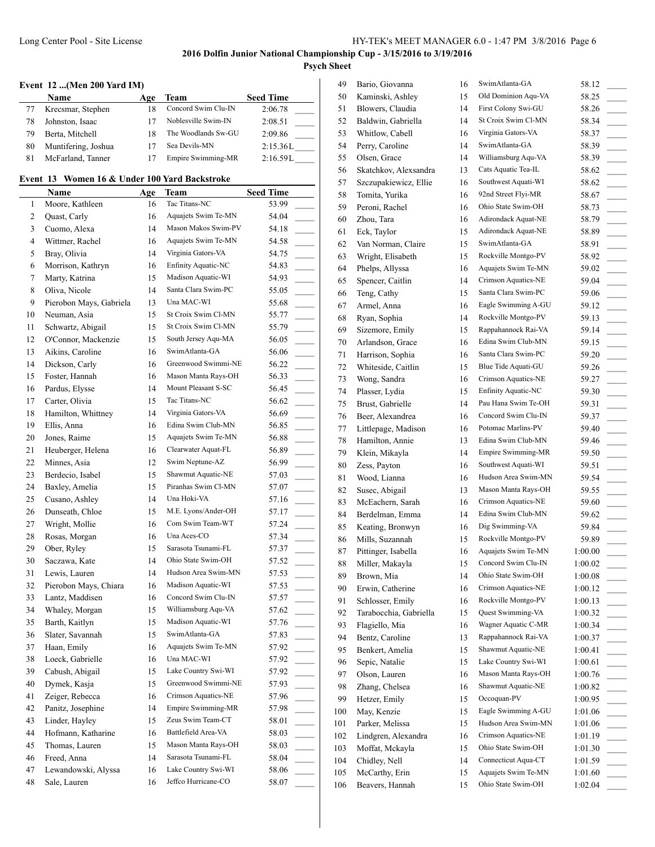#### **Event 12 ...(Men 200 Yard IM)**

 $\overline{\phantom{a}}$ 

|    | Name                | Age | Team                | <b>Seed Time</b> |
|----|---------------------|-----|---------------------|------------------|
|    | Krecsmar, Stephen   | 18  | Concord Swim Clu-IN | 2:06.78          |
| 78 | Johnston, Isaac     |     | Noblesville Swim-IN | 2:08.51          |
| 79 | Berta, Mitchell     | 18  | The Woodlands Sw-GU | 2:09.86          |
| 80 | Muntifering, Joshua |     | Sea Devils-MN       | 2:15.36L         |
| 81 | McFarland, Tanner   |     | Empire Swimming-MR  | 2:16.59L         |

# **Event 13 Women 16 & Under 100 Yard Backstroke**

|        | <b>Name</b>             | Age | <b>Team</b>         | <b>Seed Time</b>                    |
|--------|-------------------------|-----|---------------------|-------------------------------------|
| 1      | Moore, Kathleen         | 16  | Tac Titans-NC       | 53.99                               |
| 2      | Quast, Carly            | 16  | Aquajets Swim Te-MN | 54.04                               |
| 3      | Cuomo, Alexa            | 14  | Mason Makos Swim-PV | 54.18                               |
| 4      | Wittmer, Rachel         | 16  | Aquajets Swim Te-MN | 54.58                               |
| 5      | Bray, Olivia            | 14  | Virginia Gators-VA  | 54.75                               |
| 6      | Morrison, Kathryn       | 16  | Enfinity Aquatic-NC | 54.83                               |
| 7      | Marty, Katrina          | 15  | Madison Aquatic-WI  | 54.93                               |
| 8      | Oliva, Nicole           | 14  | Santa Clara Swim-PC | 55.05                               |
| 9      | Pierobon Mays, Gabriela | 13  | Una MAC-WI          | 55.68                               |
| 10     | Neuman, Asia            | 15  | St Croix Swim Cl-MN | 55.77                               |
| 11     | Schwartz, Abigail       | 15  | St Croix Swim Cl-MN | 55.79                               |
| 12     | O'Connor, Mackenzie     | 15  | South Jersey Aqu-MA | 56.05<br>$\sim$ 10 $\pm$            |
| 13     | Aikins, Caroline        | 16  | SwimAtlanta-GA      | 56.06<br>$\overline{\phantom{a}}$   |
| 14     | Dickson, Carly          | 16  | Greenwood Swimmi-NE | 56.22<br>$\overline{\phantom{a}}$   |
| 15     | Foster, Hannah          | 16  | Mason Manta Rays-OH | 56.33<br>$\mathcal{L}^{\text{max}}$ |
| 16     | Pardus, Elysse          | 14  | Mount Pleasant S-SC | 56.45                               |
| 17     | Carter, Olivia          | 15  | Tac Titans-NC       | 56.62                               |
| 18     | Hamilton, Whittney      | 14  | Virginia Gators-VA  | 56.69                               |
| 19     | Ellis, Anna             | 16  | Edina Swim Club-MN  | 56.85                               |
| 20     | Jones, Raime            | 15  | Aquajets Swim Te-MN | 56.88                               |
| 21     | Heuberger, Helena       | 16  | Clearwater Aquat-FL | 56.89                               |
| 22     | Minnes, Asia            | 12  | Swim Neptune-AZ     | 56.99                               |
| 23     | Berdecio, Isabel        | 15  | Shawmut Aquatic-NE  | 57.03                               |
| 24     | Baxley, Amelia          | 15  | Piranhas Swim Cl-MN | 57.07                               |
| 25     | Cusano, Ashley          | 14  | Una Hoki-VA         | 57.16<br>$\overline{\phantom{a}}$   |
| 26     | Dunseath, Chloe         | 15  | M.E. Lyons/Ander-OH | 57.17                               |
| 27     | Wright, Mollie          | 16  | Com Swim Team-WT    | 57.24                               |
| 28     | Rosas, Morgan           | 16  | Una Aces-CO         | 57.34                               |
| 29     | Ober, Ryley             | 15  | Sarasota Tsunami-FL | 57.37                               |
| 30     | Saczawa, Kate           | 14  | Ohio State Swim-OH  | 57.52                               |
| 31     | Lewis, Lauren           | 14  | Hudson Area Swim-MN | 57.53                               |
| 32     | Pierobon Mays, Chiara   | 16  | Madison Aquatic-WI  | 57.53                               |
| 33     | Lantz, Maddisen         | 16  | Concord Swim Clu-IN | 57.57                               |
| 34     | Whaley, Morgan          | 15  | Williamsburg Aqu-VA | 57.62                               |
| 35     | Barth, Kaitlyn          | 15  | Madison Aquatic-WI  | 57.76                               |
| 36     | Slater, Savannah        | 15  | SwimAtlanta-GA      | 57.83<br>$\sim$                     |
| 37     | Haan, Emily             | 16  | Aquajets Swim Te-MN | 57.92                               |
| 38     | Loeck, Gabrielle        | 16  | Una MAC-WI          | 57.92                               |
| 39     | Cabush, Abigail         | 15  | Lake Country Swi-WI | 57.92                               |
| 40     | Dymek, Kasja            | 15  | Greenwood Swimmi-NE | 57.93                               |
| 41     | Zeiger, Rebecca         | 16  | Crimson Aquatics-NE | 57.96                               |
| 42     | Panitz, Josephine       | 14  | Empire Swimming-MR  | 57.98                               |
| 43     | Linder, Hayley          | 15  | Zeus Swim Team-CT   | 58.01                               |
| $44\,$ | Hofmann, Katharine      | 16  | Battlefield Area-VA | 58.03                               |
| 45     | Thomas, Lauren          | 15  | Mason Manta Rays-OH | 58.03                               |
| 46     | Freed, Anna             | 14  | Sarasota Tsunami-FL | 58.04                               |
| 47     | Lewandowski, Alyssa     | 16  | Lake Country Swi-WI | 58.06                               |
| 48     | Sale, Lauren            | 16  | Jeffco Hurricane-CO | 58.07                               |
|        |                         |     |                     |                                     |

| 49  | Bario, Giovanna        | 16 | SwimAtlanta-GA                             | 58.12                               |
|-----|------------------------|----|--------------------------------------------|-------------------------------------|
| 50  | Kaminski, Ashley       | 15 | Old Dominion Aqu-VA                        | 58.25                               |
| 51  | Blowers, Claudia       | 14 | First Colony Swi-GU                        | 58.26<br>$\overline{\phantom{a}}$   |
| 52  | Baldwin, Gabriella     | 14 | St Croix Swim Cl-MN                        | 58.34                               |
| 53  | Whitlow, Cabell        | 16 | Virginia Gators-VA                         | 58.37                               |
| 54  | Perry, Caroline        | 14 | SwimAtlanta-GA                             | 58.39                               |
| 55  | Olsen, Grace           | 14 | Williamsburg Aqu-VA                        | 58.39                               |
| 56  | Skatchkov, Alexsandra  | 13 | Cats Aquatic Tea-IL                        | 58.62<br>$\sim$                     |
| 57  | Szczupakiewicz, Ellie  | 16 | Southwest Aquati-WI                        | 58.62<br>$\overline{\phantom{a}}$   |
| 58  | Tomita, Yurika         | 16 | 92nd Street Flyi-MR                        | 58.67<br>$\overline{\phantom{a}}$   |
| 59  | Peroni, Rachel         | 16 | Ohio State Swim-OH                         | 58.73<br>$\sim 10^{-11}$            |
| 60  | Zhou, Tara             | 16 | Adirondack Aquat-NE                        | 58.79                               |
| 61  | Eck, Taylor            | 15 | Adirondack Aquat-NE                        | 58.89                               |
| 62  | Van Norman, Claire     | 15 | SwimAtlanta-GA                             | 58.91<br>$\overline{\phantom{a}}$   |
| 63  | Wright, Elisabeth      | 15 | Rockville Montgo-PV                        | 58.92<br>$\overline{a}$             |
| 64  | Phelps, Allyssa        | 16 | Aquajets Swim Te-MN                        | 59.02                               |
| 65  | Spencer, Caitlin       | 14 | Crimson Aquatics-NE                        | 59.04                               |
| 66  | Teng, Cathy            | 15 | Santa Clara Swim-PC                        | 59.06                               |
| 67  | Armel, Anna            | 16 | Eagle Swimming A-GU                        | 59.12                               |
| 68  | Ryan, Sophia           | 14 | Rockville Montgo-PV                        | 59.13<br>$\overline{\phantom{a}}$   |
| 69  | Sizemore, Emily        | 15 | Rappahannock Rai-VA                        | 59.14<br>$\overline{\phantom{a}}$   |
| 70  | Arlandson, Grace       | 16 | Edina Swim Club-MN                         | 59.15<br>$\overline{\phantom{a}}$   |
| 71  | Harrison, Sophia       | 16 | Santa Clara Swim-PC                        | 59.20<br>$\overline{\phantom{a}}$   |
| 72  | Whiteside, Caitlin     | 15 | Blue Tide Aquati-GU                        | 59.26                               |
| 73  | Wong, Sandra           | 16 | Crimson Aquatics-NE                        | 59.27<br>$\overline{\phantom{a}}$   |
| 74  | Plasser, Lydia         | 15 | Enfinity Aquatic-NC                        | 59.30<br>$\overline{\phantom{a}}$   |
| 75  | Brust, Gabrielle       | 14 | Pau Hana Swim Te-OH                        | 59.31<br>$\sim$                     |
| 76  | Beer, Alexandrea       | 16 | Concord Swim Clu-IN                        | 59.37<br>$\overline{\phantom{a}}$   |
| 77  | Littlepage, Madison    | 16 | Potomac Marlins-PV                         | 59.40                               |
| 78  | Hamilton, Annie        | 13 | Edina Swim Club-MN                         | 59.46                               |
| 79  | Klein, Mikayla         | 14 | Empire Swimming-MR                         | 59.50                               |
| 80  | Zess, Payton           | 16 | Southwest Aquati-WI                        | 59.51<br>$\overline{\phantom{a}}$   |
| 81  | Wood, Lianna           | 16 | Hudson Area Swim-MN                        | 59.54<br>$\overline{\phantom{a}}$   |
| 82  | Susec, Abigail         | 13 | Mason Manta Rays-OH                        | 59.55<br>$\overline{\phantom{a}}$   |
| 83  | McEachern, Sarah       | 16 | Crimson Aquatics-NE                        | 59.60<br>$\sim$ 10 $\pm$            |
| 84  | Berdelman, Emma        | 14 | Edina Swim Club-MN                         | 59.62                               |
| 85  | Keating, Bronwyn       | 16 | Dig Swimming-VA                            | 59.84                               |
| 86  | Mills, Suzannah        | 15 | Rockville Montgo-PV                        | 59.89                               |
| 87  | Pittinger, Isabella    | 16 | Aquajets Swim Te-MN                        | 1:00.00                             |
| 88  | Miller, Makayla        | 15 | Concord Swim Clu-IN                        | 1:00.02                             |
| 89  | Brown, Mia             | 14 | Ohio State Swim-OH                         | 1:00.08                             |
| 90  | Erwin, Catherine       | 16 | Crimson Aquatics-NE                        | 1:00.12                             |
| 91  | Schlosser, Emily       | 16 | Rockville Montgo-PV                        | 1:00.13                             |
| 92  | Tarabocchia, Gabriella | 15 | Quest Swimming-VA                          | 1:00.32<br>$\sim$                   |
| 93  | Flagiello, Mia         | 16 | Wagner Aquatic C-MR                        | 1:00.34<br>$\frac{1}{2}$            |
| 94  | Bentz, Caroline        | 13 | Rappahannock Rai-VA                        | 1:00.37                             |
| 95  | Benkert, Amelia        | 15 | Shawmut Aquatic-NE                         | 1:00.41<br>$\sim$ $-$               |
| 96  | Sepic, Natalie         | 15 | Lake Country Swi-WI                        | 1:00.61                             |
| 97  | Olson, Lauren          | 16 | Mason Manta Rays-OH                        | 1:00.76                             |
| 98  | Zhang, Chelsea         | 16 | Shawmut Aquatic-NE                         | 1:00.82<br>$\overline{\phantom{a}}$ |
| 99  | Hetzer, Emily          | 15 | Occoquan-PV                                | 1:00.95                             |
| 100 | May, Kenzie            | 15 | Eagle Swimming A-GU                        | 1:01.06                             |
| 101 | Parker, Melissa        | 15 | Hudson Area Swim-MN                        | 1:01.06                             |
| 102 | Lindgren, Alexandra    | 16 | Crimson Aquatics-NE                        | 1:01.19                             |
| 103 | Moffat, Mckayla        | 15 | Ohio State Swim-OH                         | 1:01.30                             |
| 104 | Chidley, Nell          | 14 | Connecticut Aqua-CT<br>Aquajets Swim Te-MN | 1:01.59<br>$\overline{\phantom{a}}$ |
| 105 | McCarthy, Erin         | 15 | Ohio State Swim-OH                         | 1:01.60<br>$\overline{\phantom{a}}$ |
| 106 | Beavers, Hannah        | 15 |                                            | 1:02.04                             |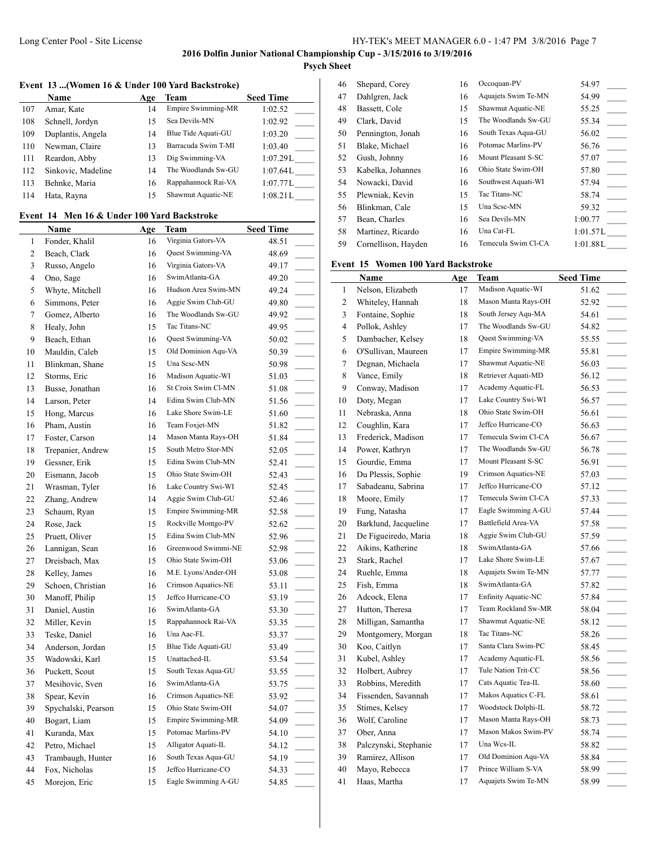# **Psych Sheet**

# **Event 13 ...(Women 16 & Under 100 Yard Backstroke)**

|     | Name               | Age | Team                | <b>Seed Time</b> |
|-----|--------------------|-----|---------------------|------------------|
| 107 | Amar, Kate         | 14  | Empire Swimming-MR  | 1:02.52          |
| 108 | Schnell, Jordyn    | 15  | Sea Devils-MN       | 1:02.92          |
| 109 | Duplantis, Angela  | 14  | Blue Tide Aquati-GU | 1:03.20          |
| 110 | Newman, Claire     | 13  | Barracuda Swim T-MI | 1:03.40          |
| 111 | Reardon, Abby      | 13  | Dig Swimming-VA     | 1:07.29L         |
| 112 | Sinkovic, Madeline | 14  | The Woodlands Sw-GU | 1:07.64L         |
| 113 | Behnke, Maria      | 16  | Rappahannock Rai-VA | 1:07.77L         |
| 114 | Hata, Rayna        | 15  | Shawmut Aquatic-NE  | 1:08.21L         |

# **Event 14 Men 16 & Under 100 Yard Backstroke**

|                | Name                | <u>Age</u> | Team                | <b>Seed Time</b>                  |
|----------------|---------------------|------------|---------------------|-----------------------------------|
| 1              | Fonder, Khalil      | 16         | Virginia Gators-VA  | 48.51                             |
| $\overline{c}$ | Beach, Clark        | 16         | Quest Swimming-VA   | 48.69                             |
| 3              | Russo, Angelo       | 16         | Virginia Gators-VA  | 49.17                             |
| $\overline{4}$ | Ono, Sage           | 16         | SwimAtlanta-GA      | 49.20                             |
| 5              | Whyte, Mitchell     | 16         | Hudson Area Swim-MN | 49.24                             |
| 6              | Simmons, Peter      | 16         | Aggie Swim Club-GU  | 49.80                             |
| 7              | Gomez, Alberto      | 16         | The Woodlands Sw-GU | 49.92                             |
| 8              | Healy, John         | 15         | Tac Titans-NC       | 49.95                             |
| 9              | Beach, Ethan        | 16         | Quest Swimming-VA   | 50.02                             |
| 10             | Mauldin, Caleb      | 15         | Old Dominion Aqu-VA | 50.39                             |
| 11             | Blinkman, Shane     | 15         | Una Scsc-MN         | 50.98                             |
| 12             | Storms, Eric        | 16         | Madison Aquatic-WI  | 51.03<br>$\overline{\phantom{a}}$ |
| 13             | Busse, Jonathan     | 16         | St Croix Swim Cl-MN | 51.08<br>$\overline{\phantom{a}}$ |
| 14             | Larson, Peter       | 14         | Edina Swim Club-MN  | 51.56                             |
| 15             | Hong, Marcus        | 16         | Lake Shore Swim-LE  | 51.60                             |
| 16             | Pham, Austin        | 16         | Team Foxjet-MN      | 51.82                             |
| 17             | Foster, Carson      | 14         | Mason Manta Rays-OH | 51.84                             |
| 18             | Trepanier, Andrew   | 15         | South Metro Stor-MN | 52.05                             |
| 19             | Gessner, Erik       | 15         | Edina Swim Club-MN  | 52.41                             |
| 20             | Eismann, Jacob      | 15         | Ohio State Swim-OH  | 52.43                             |
| 21             | Wrasman, Tyler      | 16         | Lake Country Swi-WI | 52.45                             |
| 22             | Zhang, Andrew       | 14         | Aggie Swim Club-GU  | 52.46                             |
| 23             | Schaum, Ryan        | 15         | Empire Swimming-MR  | 52.58                             |
| 24             | Rose, Jack          | 15         | Rockville Montgo-PV | 52.62                             |
| 25             | Pruett, Oliver      | 15         | Edina Swim Club-MN  | 52.96                             |
| 26             | Lannigan, Sean      | 16         | Greenwood Swimmi-NE | 52.98                             |
| 27             | Dreisbach, Max      | 15         | Ohio State Swim-OH  | 53.06                             |
| 28             | Kelley, James       | 16         | M.E. Lyons/Ander-OH | 53.08                             |
| 29             | Schoen, Christian   | 16         | Crimson Aquatics-NE | 53.11                             |
| 30             | Manoff, Philip      | 15         | Jeffco Hurricane-CO | 53.19                             |
| 31             | Daniel, Austin      | 16         | SwimAtlanta-GA      | 53.30                             |
| 32             | Miller, Kevin       | 15         | Rappahannock Rai-VA | 53.35                             |
| 33             | Teske, Daniel       | 16         | Una Aac-FL          | 53.37                             |
| 34             | Anderson, Jordan    | 15         | Blue Tide Aquati-GU | 53.49                             |
| 35             | Wadowski, Karl      | 15         | Unattached-IL       | 53.54                             |
| 36             | Puckett, Scout      | 15         | South Texas Aqua-GU | 53.55<br>$\sim$                   |
| 37             | Mesihovic, Sven     | 16         | SwimAtlanta-GA      | 53.75                             |
| 38             | Spear, Kevin        | 16         | Crimson Aquatics-NE | 53.92                             |
| 39             | Spychalski, Pearson | 15         | Ohio State Swim-OH  | 54.07                             |
| 40             | Bogart, Liam        | 15         | Empire Swimming-MR  | 54.09                             |
| 41             | Kuranda, Max        | 15         | Potomac Marlins-PV  | 54.10                             |
| 42             | Petro, Michael      | 15         | Alligator Aquati-IL | 54.12                             |
| 43             | Trambaugh, Hunter   | 16         | South Texas Aqua-GU | 54.19                             |
| 44             | Fox, Nicholas       | 15         | Jeffco Hurricane-CO | 54.33                             |
| 45             | Morejon, Eric       | 15         | Eagle Swimming A-GU | 54.85                             |
|                |                     |            |                     |                                   |

| 46 | Shepard, Corey      | 16 | Occoquan-PV         | 54.97    |
|----|---------------------|----|---------------------|----------|
| 47 | Dahlgren, Jack      | 16 | Aquajets Swim Te-MN | 54.99    |
| 48 | Bassett, Cole       | 15 | Shawmut Aquatic-NE  | 55.25    |
| 49 | Clark, David        | 15 | The Woodlands Sw-GU | 55.34    |
| 50 | Pennington, Jonah   | 16 | South Texas Aqua-GU | 56.02    |
| 51 | Blake, Michael      | 16 | Potomac Marlins-PV  | 56.76    |
| 52 | Gush, Johnny        | 16 | Mount Pleasant S-SC | 57.07    |
| 53 | Kabelka, Johannes   | 16 | Ohio State Swim-OH  | 57.80    |
| 54 | Nowacki, David      | 16 | Southwest Aquati-WI | 57.94    |
| 55 | Plewniak, Kevin     | 15 | Tac Titans-NC       | 58.74    |
| 56 | Blinkman, Cale      | 15 | Una Sesc-MN         | 59.32    |
| 57 | Bean, Charles       | 16 | Sea Devils-MN       | 1:00.77  |
| 58 | Martinez, Ricardo   | 16 | Una Cat-FL          | 1:01.57L |
| 59 | Cornellison, Hayden | 16 | Temecula Swim Cl-CA | 1:01.88L |
|    |                     |    |                     |          |

## **Event 15 Women 100 Yard Backstroke**

|    | Name                  | Age | <b>Team</b>                | <b>Seed Time</b>                    |
|----|-----------------------|-----|----------------------------|-------------------------------------|
| 1  | Nelson, Elizabeth     | 17  | Madison Aquatic-WI         | 51.62                               |
| 2  | Whiteley, Hannah      | 18  | Mason Manta Rays-OH        | 52.92                               |
| 3  | Fontaine, Sophie      | 18  | South Jersey Aqu-MA        | 54.61<br>$\overline{\phantom{a}}$   |
| 4  | Pollok, Ashley        | 17  | The Woodlands Sw-GU        | 54.82                               |
| 5  | Dambacher, Kelsey     | 18  | <b>Ouest Swimming-VA</b>   | 55.55<br>$\frac{1}{2}$              |
| 6  | O'Sullivan, Maureen   | 17  | <b>Empire Swimming-MR</b>  | 55.81<br>$\overline{\phantom{a}}$   |
| 7  | Degnan, Michaela      | 17  | Shawmut Aquatic-NE         | 56.03<br>$\overline{\phantom{a}}$   |
| 8  | Vance, Emily          | 18  | Retriever Aquati-MD        | 56.12<br>$\overline{\phantom{a}}$   |
| 9  | Conway, Madison       | 17  | Academy Aquatic-FL         | 56.53                               |
| 10 | Doty, Megan           | 17  | Lake Country Swi-WI        | 56.57<br>$\overline{\phantom{a}}$   |
| 11 | Nebraska, Anna        | 18  | Ohio State Swim-OH         | 56.61                               |
| 12 | Coughlin, Kara        | 17  | Jeffco Hurricane-CO        | 56.63<br>$\overline{\phantom{a}}$   |
| 13 | Frederick, Madison    | 17  | Temecula Swim Cl-CA        | 56.67                               |
| 14 | Power, Kathryn        | 17  | The Woodlands Sw-GU        | 56.78                               |
| 15 | Gourdie, Emma         | 17  | Mount Pleasant S-SC        | 56.91                               |
| 16 | Du Plessis, Sophie    | 19  | Crimson Aquatics-NE        | 57.03                               |
| 17 | Sabadeanu, Sabrina    | 17  | Jeffco Hurricane-CO        | 57.12<br>$\overline{\phantom{a}}$   |
| 18 | Moore, Emily          | 17  | Temecula Swim Cl-CA        | 57.33                               |
| 19 | Fung, Natasha         | 17  | Eagle Swimming A-GU        | 57.44<br>$\mathcal{L}_{\text{max}}$ |
| 20 | Barklund, Jacqueline  | 17  | Battlefield Area-VA        | 57.58<br>$\overline{\phantom{a}}$   |
| 21 | De Figueiredo, Maria  | 18  | Aggie Swim Club-GU         | 57.59                               |
| 22 | Aikins, Katherine     | 18  | SwimAtlanta-GA             | 57.66<br>$\overline{\phantom{a}}$   |
| 23 | Stark, Rachel         | 17  | Lake Shore Swim-LE         | 57.67                               |
| 24 | Ruehle, Emma          | 18  | Aquajets Swim Te-MN        | 57.77<br>$\overline{\phantom{a}}$   |
| 25 | Fish, Emma            | 18  | SwimAtlanta-GA             | 57.82                               |
| 26 | Adcock, Elena         | 17  | <b>Enfinity Aquatic-NC</b> | 57.84                               |
| 27 | Hutton, Theresa       | 17  | Team Rockland Sw-MR        | 58.04                               |
| 28 | Milligan, Samantha    | 17  | Shawmut Aquatic-NE         | 58.12                               |
| 29 | Montgomery, Morgan    | 18  | Tac Titans-NC              | 58.26                               |
| 30 | Koo, Caitlyn          | 17  | Santa Clara Swim-PC        | 58.45                               |
| 31 | Kubel, Ashley         | 17  | Academy Aquatic-FL         | 58.56<br>$\overline{\phantom{a}}$   |
| 32 | Holbert, Aubrey       | 17  | Tule Nation Trit-CC        | 58.56                               |
| 33 | Robbins, Meredith     | 17  | Cats Aquatic Tea-IL        | 58.60<br>$\overline{\phantom{a}}$   |
| 34 | Fissenden, Savannah   | 17  | Makos Aquatics C-FL        | 58.61<br>$\overline{\phantom{a}}$   |
| 35 | Stimes, Kelsey        | 17  | Woodstock Dolphi-IL        | 58.72                               |
| 36 | Wolf, Caroline        | 17  | Mason Manta Rays-OH        | 58.73<br>$\overline{\phantom{a}}$   |
| 37 | Ober, Anna            | 17  | Mason Makos Swim-PV        | 58.74                               |
| 38 | Palczynski, Stephanie | 17  | Una Wcs-IL                 | 58.82<br>$\overline{\phantom{a}}$   |
| 39 | Ramirez, Allison      | 17  | Old Dominion Aqu-VA        | 58.84                               |
| 40 | Mayo, Rebecca         | 17  | Prince William S-VA        | 58.99                               |
| 41 | Haas, Martha          | 17  | Aquajets Swim Te-MN        | 58.99                               |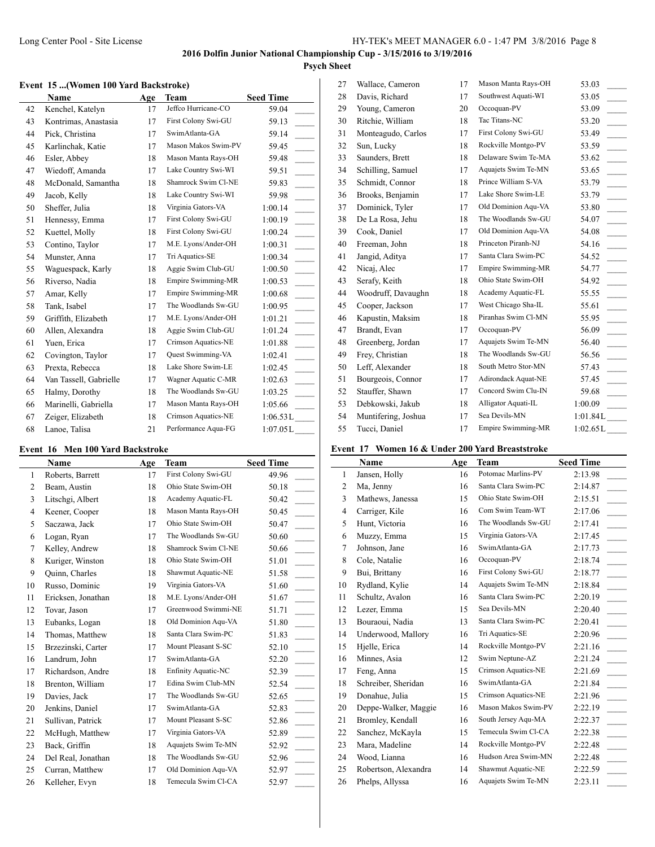$\overline{1}$ 

#### **Event 15 ...(Women 100 Yard Backstroke)**

|    | Name                   | Age | <b>Team</b>               | <b>Seed Time</b>          |
|----|------------------------|-----|---------------------------|---------------------------|
| 42 | Kenchel, Katelyn       | 17  | Jeffco Hurricane-CO       | 59.04                     |
| 43 | Kontrimas, Anastasia   | 17  | First Colony Swi-GU       | 59.13                     |
| 44 | Pick, Christina        | 17  | SwimAtlanta-GA            | 59.14                     |
| 45 | Karlinchak, Katie      | 17  | Mason Makos Swim-PV       | 59.45                     |
| 46 | Esler, Abbey           | 18  | Mason Manta Rays-OH       | 59.48                     |
| 47 | Wiedoff, Amanda        | 17  | Lake Country Swi-WI       | 59.51                     |
| 48 | McDonald, Samantha     | 18  | Shamrock Swim Cl-NE       | 59.83                     |
| 49 | Jacob, Kelly           | 18  | Lake Country Swi-WI       | 59.98                     |
| 50 | Sheffer, Julia         | 18  | Virginia Gators-VA        | $\overline{a}$<br>1:00.14 |
| 51 | Hennessy, Emma         | 17  | First Colony Swi-GU       | 1:00.19                   |
| 52 | Kuettel, Molly         | 18  | First Colony Swi-GU       | 1:00.24                   |
| 53 | Contino, Taylor        | 17  | M.E. Lyons/Ander-OH       | $\overline{a}$<br>1:00.31 |
| 54 | Munster, Anna          | 17  | Tri Aquatics-SE           | 1:00.34                   |
| 55 | Waguespack, Karly      | 18  | Aggie Swim Club-GU        | 1:00.50                   |
| 56 | Riverso, Nadia         | 18  | Empire Swimming-MR        | $\mathbb{R}^2$<br>1:00.53 |
| 57 | Amar, Kelly            | 17  | <b>Empire Swimming-MR</b> | 1:00.68                   |
| 58 | Tank, Isabel           | 17  | The Woodlands Sw-GU       | 1:00.95                   |
| 59 | Griffith, Elizabeth    | 17  | M.E. Lyons/Ander-OH       | 1:01.21                   |
| 60 | Allen, Alexandra       | 18  | Aggie Swim Club-GU        | 1:01.24                   |
| 61 | Yuen, Erica            | 17  | Crimson Aquatics-NE       | 1:01.88                   |
| 62 | Covington, Taylor      | 17  | <b>Ouest Swimming-VA</b>  | 1:02.41<br>$\frac{1}{2}$  |
| 63 | Prexta, Rebecca        | 18  | Lake Shore Swim-LE        | 1:02.45                   |
| 64 | Van Tassell, Gabrielle | 17  | Wagner Aquatic C-MR       | 1:02.63                   |
| 65 | Halmy, Dorothy         | 18  | The Woodlands Sw-GU       | 1:03.25                   |
| 66 | Marinelli, Gabriella   | 17  | Mason Manta Rays-OH       | 1:05.66                   |
| 67 | Zeiger, Elizabeth      | 18  | Crimson Aquatics-NE       | 1:06.53L                  |
| 68 | Lanoe, Talisa          | 21  | Performance Aqua-FG       | 1:07.05L                  |

# **Event 16 Men 100 Yard Backstroke**

 $\overline{a}$ 

|                | Name               | Age | Team                       | <b>Seed Time</b> |
|----------------|--------------------|-----|----------------------------|------------------|
| 1              | Roberts, Barrett   | 17  | First Colony Swi-GU        | 49.96            |
| 2              | Beam, Austin       | 18  | Ohio State Swim-OH         | 50.18            |
| 3              | Litschgi, Albert   | 18  | Academy Aquatic-FL         | 50.42            |
| $\overline{4}$ | Keener, Cooper     | 18  | Mason Manta Rays-OH        | 50.45            |
| 5              | Saczawa, Jack      | 17  | Ohio State Swim-OH         | 50.47            |
| 6              | Logan, Ryan        | 17  | The Woodlands Sw-GU        | 50.60            |
| 7              | Kelley, Andrew     | 18  | Shamrock Swim Cl-NE        | 50.66            |
| 8              | Kuriger, Winston   | 18  | Ohio State Swim-OH         | 51.01            |
| 9              | Quinn, Charles     | 18  | Shawmut Aquatic-NE         | 51.58            |
| 10             | Russo, Dominic     | 19  | Virginia Gators-VA         | 51.60            |
| 11             | Ericksen, Jonathan | 18  | M.E. Lyons/Ander-OH        | 51.67            |
| 12             | Tovar, Jason       | 17  | Greenwood Swimmi-NE        | 51.71            |
| 13             | Eubanks, Logan     | 18  | Old Dominion Agu-VA        | 51.80            |
| 14             | Thomas, Matthew    | 18  | Santa Clara Swim-PC        | 51.83            |
| 15             | Brzezinski, Carter | 17  | Mount Pleasant S-SC        | 52.10            |
| 16             | Landrum, John      | 17  | SwimAtlanta-GA             | 52.20            |
| 17             | Richardson, Andre  | 18  | <b>Enfinity Aquatic-NC</b> | 52.39            |
| 18             | Brenton, William   | 17  | Edina Swim Club-MN         | 52.54            |
| 19             | Davies, Jack       | 17  | The Woodlands Sw-GU        | 52.65            |
| 20             | Jenkins, Daniel    | 17  | SwimAtlanta-GA             | 52.83            |
| 21             | Sullivan, Patrick  | 17  | Mount Pleasant S-SC        | 52.86            |
| 22             | McHugh, Matthew    | 17  | Virginia Gators-VA         | 52.89            |
| 23             | Back, Griffin      | 18  | Aquajets Swim Te-MN        | 52.92            |
| 24             | Del Real, Jonathan | 18  | The Woodlands Sw-GU        | 52.96            |
| 25             | Curran, Matthew    | 17  | Old Dominion Aqu-VA        | 52.97            |
| 26             | Kelleher, Evyn     | 18  | Temecula Swim Cl-CA        | 52.97            |

| 27 | Wallace, Cameron    | 17 | Mason Manta Rays-OH       | 53.03                             |
|----|---------------------|----|---------------------------|-----------------------------------|
| 28 | Davis, Richard      | 17 | Southwest Aquati-WI       | 53.05                             |
| 29 | Young, Cameron      | 20 | Occoquan-PV               | 53.09                             |
| 30 | Ritchie, William    | 18 | Tac Titans-NC             | 53.20                             |
| 31 | Monteagudo, Carlos  | 17 | First Colony Swi-GU       | 53.49                             |
| 32 | Sun, Lucky          | 18 | Rockville Montgo-PV       | 53.59                             |
| 33 | Saunders, Brett     | 18 | Delaware Swim Te-MA       | 53.62                             |
| 34 | Schilling, Samuel   | 17 | Aquajets Swim Te-MN       | 53.65                             |
| 35 | Schmidt, Connor     | 18 | Prince William S-VA       | 53.79                             |
| 36 | Brooks, Benjamin    | 17 | Lake Shore Swim-LE        | 53.79                             |
| 37 | Dominick, Tyler     | 17 | Old Dominion Aqu-VA       | 53.80                             |
| 38 | De La Rosa, Jehu    | 18 | The Woodlands Sw-GU       | 54.07                             |
| 39 | Cook, Daniel        | 17 | Old Dominion Aqu-VA       | 54.08                             |
| 40 | Freeman, John       | 18 | Princeton Piranh-NJ       | 54.16                             |
| 41 | Jangid, Aditya      | 17 | Santa Clara Swim-PC       | 54.52                             |
| 42 | Nicaj, Alec         | 17 | Empire Swimming-MR        | 54.77                             |
| 43 | Serafy, Keith       | 18 | Ohio State Swim-OH        | 54.92                             |
| 44 | Woodruff, Davaughn  | 18 | Academy Aquatic-FL        | 55.55                             |
| 45 | Cooper, Jackson     | 17 | West Chicago Sha-IL       | 55.61                             |
| 46 | Kapustin, Maksim    | 18 | Piranhas Swim Cl-MN       | 55.95                             |
| 47 | Brandt, Evan        | 17 | Occoquan-PV               | 56.09                             |
| 48 | Greenberg, Jordan   | 17 | Aquajets Swim Te-MN       | 56.40<br>$\overline{\phantom{a}}$ |
| 49 | Frey, Christian     | 18 | The Woodlands Sw-GU       | 56.56<br>$\sim$                   |
| 50 | Leff, Alexander     | 18 | South Metro Stor-MN       | 57.43                             |
| 51 | Bourgeois, Connor   | 17 | Adirondack Aquat-NE       | 57.45                             |
| 52 | Stauffer, Shawn     | 17 | Concord Swim Clu-IN       | 59.68                             |
| 53 | Debkowski, Jakub    | 18 | Alligator Aquati-IL       | 1:00.09                           |
| 54 | Muntifering, Joshua | 17 | Sea Devils-MN             | 1:01.84L                          |
| 55 | Tucci, Daniel       | 17 | <b>Empire Swimming-MR</b> | 1:02.65L                          |
|    |                     |    |                           |                                   |

# **Event 17 Women 16 & Under 200 Yard Breaststroke**

|                | Name                 | Age | <b>Team</b>         | <b>Seed Time</b> |
|----------------|----------------------|-----|---------------------|------------------|
| 1              | Jansen, Holly        | 16  | Potomac Marlins-PV  | 2:13.98          |
| 2              | Ma, Jenny            | 16  | Santa Clara Swim-PC | 2:14.87          |
| 3              | Mathews, Janessa     | 15  | Ohio State Swim-OH  | 2:15.51          |
| $\overline{4}$ | Carriger, Kile       | 16  | Com Swim Team-WT    | 2:17.06          |
| 5              | Hunt, Victoria       | 16  | The Woodlands Sw-GU | 2:17.41          |
| 6              | Muzzy, Emma          | 15  | Virginia Gators-VA  | 2:17.45          |
| 7              | Johnson, Jane        | 16  | SwimAtlanta-GA      | 2:17.73          |
| 8              | Cole, Natalie        | 16  | Occoquan-PV         | 2:18.74          |
| 9              | Bui, Brittany        | 16  | First Colony Swi-GU | 2:18.77          |
| 10             | Rydland, Kylie       | 14  | Aquajets Swim Te-MN | 2:18.84          |
| 11             | Schultz, Avalon      | 16  | Santa Clara Swim-PC | 2:20.19          |
| 12             | Lezer, Emma          | 15  | Sea Devils-MN       | 2:20.40          |
| 13             | Bouraoui, Nadia      | 13  | Santa Clara Swim-PC | 2:20.41          |
| 14             | Underwood, Mallory   | 16  | Tri Aquatics-SE     | 2:20.96          |
| 15             | Hjelle, Erica        | 14  | Rockville Montgo-PV | 2:21.16          |
| 16             | Minnes, Asia         | 12  | Swim Neptune-AZ     | 2:21.24          |
| 17             | Feng, Anna           | 15  | Crimson Aquatics-NE | 2:21.69          |
| 18             | Schreiber, Sheridan  | 16  | SwimAtlanta-GA      | 2:21.84          |
| 19             | Donahue, Julia       | 15  | Crimson Aquatics-NE | 2:21.96          |
| 20             | Deppe-Walker, Maggie | 16  | Mason Makos Swim-PV | 2:22.19          |
| 21             | Bromley, Kendall     | 16  | South Jersey Aqu-MA | 2:22.37          |
| 22             | Sanchez, McKayla     | 15  | Temecula Swim Cl-CA | 2:22.38          |
| 23             | Mara, Madeline       | 14  | Rockville Montgo-PV | 2:22.48          |
| 24             | Wood, Lianna         | 16  | Hudson Area Swim-MN | 2:22.48          |
| 25             | Robertson, Alexandra | 14  | Shawmut Aquatic-NE  | 2:22.59          |
| 26             | Phelps, Allyssa      | 16  | Aquajets Swim Te-MN | 2:23.11          |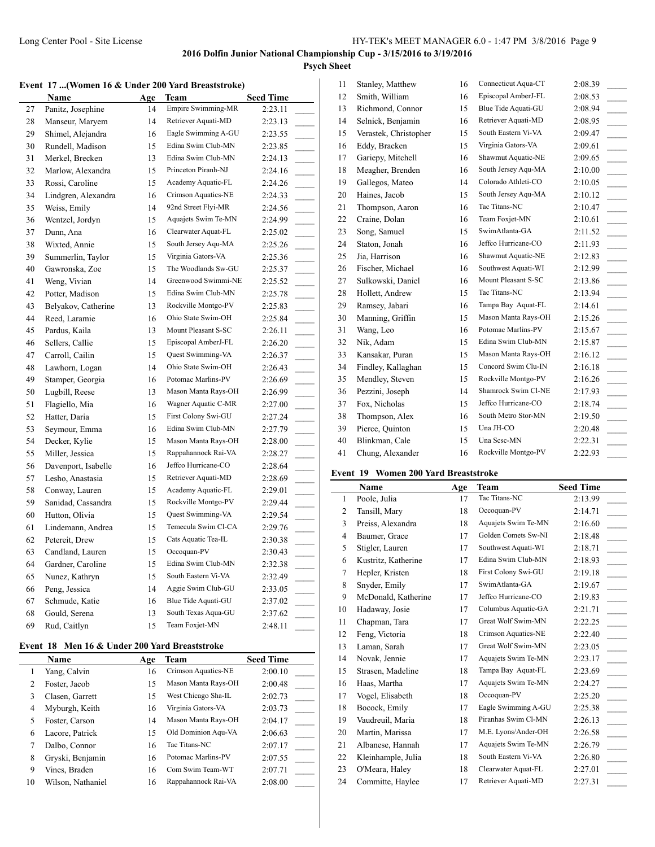# **Psych Sheet**

#### **Event 17 ...(Women 16 & Under 200 Yard Breaststroke)**

| LYVIIL | $17$ (WOMEN TO & UNUCL 200 Tar a Di Caststrone) |     |                     |                                     |
|--------|-------------------------------------------------|-----|---------------------|-------------------------------------|
|        | Name                                            | Age | Team                | <b>Seed Time</b>                    |
| 27     | Panitz, Josephine                               | 14  | Empire Swimming-MR  | 2:23.11                             |
| 28     | Manseur, Maryem                                 | 14  | Retriever Aquati-MD | 2:23.13                             |
| 29     | Shimel, Alejandra                               | 16  | Eagle Swimming A-GU | 2:23.55                             |
| 30     | Rundell, Madison                                | 15  | Edina Swim Club-MN  | 2:23.85                             |
| 31     | Merkel, Brecken                                 | 13  | Edina Swim Club-MN  | 2:24.13                             |
| 32     | Marlow, Alexandra                               | 15  | Princeton Piranh-NJ | 2:24.16                             |
| 33     | Rossi, Caroline                                 | 15  | Academy Aquatic-FL  | 2:24.26<br>$\overline{a}$           |
| 34     | Lindgren, Alexandra                             | 16  | Crimson Aquatics-NE | 2:24.33                             |
| 35     | Weiss, Emily                                    | 14  | 92nd Street Flyi-MR | 2:24.56                             |
| 36     | Wentzel, Jordyn                                 | 15  | Aquajets Swim Te-MN | 2:24.99                             |
| 37     | Dunn, Ana                                       | 16  | Clearwater Aquat-FL | 2:25.02                             |
| 38     | Wixted, Annie                                   | 15  | South Jersey Aqu-MA | 2:25.26                             |
| 39     | Summerlin, Taylor                               | 15  | Virginia Gators-VA  | 2:25.36                             |
| 40     | Gawronska, Zoe                                  | 15  | The Woodlands Sw-GU | 2:25.37                             |
| 41     | Weng, Vivian                                    | 14  | Greenwood Swimmi-NE | 2:25.52                             |
| 42     | Potter, Madison                                 | 15  | Edina Swim Club-MN  | 2:25.78                             |
| 43     | Belyakov, Catherine                             | 13  | Rockville Montgo-PV | 2:25.83                             |
| 44     | Reed, Laramie                                   | 16  | Ohio State Swim-OH  | 2:25.84                             |
| 45     | Pardus, Kaila                                   | 13  | Mount Pleasant S-SC | 2:26.11                             |
| 46     | Sellers, Callie                                 | 15  | Episcopal AmberJ-FL | 2:26.20<br>$\overline{\phantom{a}}$ |
| 47     | Carroll, Cailin                                 | 15  | Quest Swimming-VA   | 2:26.37                             |
| 48     | Lawhorn, Logan                                  | 14  | Ohio State Swim-OH  | 2:26.43                             |
| 49     | Stamper, Georgia                                | 16  | Potomac Marlins-PV  | 2:26.69                             |
| 50     | Lugbill, Reese                                  | 13  | Mason Manta Rays-OH | 2:26.99                             |
| 51     | Flagiello, Mia                                  | 16  | Wagner Aquatic C-MR | 2:27.00                             |
| 52     | Hatter, Daria                                   | 15  | First Colony Swi-GU | 2:27.24                             |
| 53     | Seymour, Emma                                   | 16  | Edina Swim Club-MN  | 2:27.79                             |
| 54     | Decker, Kylie                                   | 15  | Mason Manta Rays-OH | 2:28.00                             |
| 55     | Miller, Jessica                                 | 15  | Rappahannock Rai-VA | 2:28.27                             |
| 56     | Davenport, Isabelle                             | 16  | Jeffco Hurricane-CO | 2:28.64                             |
| 57     | Lesho, Anastasia                                | 15  | Retriever Aquati-MD | 2:28.69                             |
| 58     | Conway, Lauren                                  | 15  | Academy Aquatic-FL  | 2:29.01                             |
| 59     | Sanidad, Cassandra                              | 15  | Rockville Montgo-PV | 2:29.44                             |
| 60     | Hutton, Olivia                                  | 15  | Quest Swimming-VA   | 2:29.54                             |
| 61     | Lindemann, Andrea                               | 15  | Temecula Swim Cl-CA | 2:29.76                             |
| 62     | Petereit, Drew                                  | 15  | Cats Aquatic Tea-IL | 2:30.38                             |
| 63     | Candland, Lauren                                | 15  | Occoquan-PV         | 2:30.43                             |
| 64     | Gardner, Caroline                               | 15  | Edina Swim Club-MN  | 2:32.38                             |
| 65     | Nunez, Kathryn                                  | 15  | South Eastern Vi-VA | 2:32.49<br>$\frac{1}{2}$            |
| 66     | Peng, Jessica                                   | 14  | Aggie Swim Club-GU  | 2:33.05                             |
| 67     | Schmude, Katie                                  | 16  | Blue Tide Aquati-GU | 2:37.02                             |
| 68     | Gould, Serena                                   | 13  | South Texas Aqua-GU | 2:37.62                             |
| 69     | Rud, Caitlyn                                    | 15  | Team Foxjet-MN      | 2:48.11                             |
|        |                                                 |     |                     |                                     |

#### **Event 18 Men 16 & Under 200 Yard Breaststroke**

 $\overline{a}$ 

|    | Name              | Age | Team                | <b>Seed Time</b> |
|----|-------------------|-----|---------------------|------------------|
|    | Yang, Calvin      | 16  | Crimson Aquatics-NE | 2:00.10          |
| 2  | Foster, Jacob     | 15  | Mason Manta Rays-OH | 2:00.48          |
| 3  | Clasen, Garrett   | 15  | West Chicago Sha-IL | 2:02.73          |
| 4  | Myburgh, Keith    | 16  | Virginia Gators-VA  | 2:03.73          |
| 5  | Foster, Carson    | 14  | Mason Manta Rays-OH | 2:04.17          |
| 6  | Lacore, Patrick   | 15  | Old Dominion Agu-VA | 2:06.63          |
| 7  | Dalbo, Connor     | 16  | Tac Titans-NC       | 2:07.17          |
| 8  | Gryski, Benjamin  | 16  | Potomac Marlins-PV  | 2:07.55          |
| 9  | Vines, Braden     | 16  | Com Swim Team-WT    | 2:07.71          |
| 10 | Wilson, Nathaniel | 16  | Rappahannock Rai-VA | 2:08.00          |

| 11 | Stanley, Matthew      | 16 | Connecticut Aqua-CT | 2:08.39              |
|----|-----------------------|----|---------------------|----------------------|
| 12 | Smith, William        | 16 | Episcopal AmberJ-FL | 2:08.53              |
| 13 | Richmond, Connor      | 15 | Blue Tide Aquati-GU | 2:08.94              |
| 14 | Selnick, Benjamin     | 16 | Retriever Aquati-MD | 2:08.95              |
| 15 | Verastek, Christopher | 15 | South Eastern Vi-VA | 2:09.47              |
| 16 | Eddy, Bracken         | 15 | Virginia Gators-VA  | 2:09.61              |
| 17 | Gariepy, Mitchell     | 16 | Shawmut Aquatic-NE  | 2:09.65              |
| 18 | Meagher, Brenden      | 16 | South Jersey Aqu-MA | 2:10.00              |
| 19 | Gallegos, Mateo       | 14 | Colorado Athleti-CO | 2:10.05              |
| 20 | Haines, Jacob         | 15 | South Jersey Aqu-MA | 2:10.12              |
| 21 | Thompson, Aaron       | 16 | Tac Titans-NC       | 2:10.47              |
| 22 | Craine, Dolan         | 16 | Team Foxjet-MN      | 2:10.61<br>$\sim 10$ |
| 23 | Song, Samuel          | 15 | SwimAtlanta-GA      | 2:11.52              |
| 24 | Staton, Jonah         | 16 | Jeffco Hurricane-CO | 2:11.93              |
| 25 | Jia, Harrison         | 16 | Shawmut Aquatic-NE  | 2:12.83              |
| 26 | Fischer, Michael      | 16 | Southwest Aquati-WI | 2:12.99              |
| 27 | Sulkowski, Daniel     | 16 | Mount Pleasant S-SC | 2:13.86              |
| 28 | Hollett, Andrew       | 15 | Tac Titans-NC       | 2:13.94              |
| 29 | Ramsey, Jabari        | 16 | Tampa Bay Aquat-FL  | 2:14.61              |
| 30 | Manning, Griffin      | 15 | Mason Manta Rays-OH | 2:15.26              |
| 31 | Wang, Leo             | 16 | Potomac Marlins-PV  | 2:15.67              |
| 32 | Nik, Adam             | 15 | Edina Swim Club-MN  | 2:15.87              |
| 33 | Kansakar, Puran       | 15 | Mason Manta Rays-OH | 2:16.12              |
| 34 | Findley, Kallaghan    | 15 | Concord Swim Clu-IN | 2:16.18              |
| 35 | Mendley, Steven       | 15 | Rockville Montgo-PV | 2:16.26              |
| 36 | Pezzini, Joseph       | 14 | Shamrock Swim Cl-NE | 2:17.93              |
| 37 | Fox, Nicholas         | 15 | Jeffco Hurricane-CO | 2:18.74              |
| 38 | Thompson, Alex        | 16 | South Metro Stor-MN | 2:19.50              |
| 39 | Pierce, Quinton       | 15 | Una JH-CO           | 2:20.48              |
| 40 | Blinkman, Cale        | 15 | Una Sese-MN         | 2:22.31              |
| 41 | Chung, Alexander      | 16 | Rockville Montgo-PV | 2:22.93              |
|    |                       |    |                     |                      |

# **Event 19 Women 200 Yard Breaststroke**

|                | Name                | Age | Team                | <b>Seed Time</b>         |
|----------------|---------------------|-----|---------------------|--------------------------|
| $\mathbf{1}$   | Poole, Julia        | 17  | Tac Titans-NC       | 2:13.99                  |
| $\overline{2}$ | Tansill, Mary       | 18  | Occoquan-PV         | 2:14.71                  |
| 3              | Preiss, Alexandra   | 18  | Aquajets Swim Te-MN | 2:16.60                  |
| 4              | Baumer, Grace       | 17  | Golden Comets Sw-NI | 2:18.48                  |
| 5              | Stigler, Lauren     | 17  | Southwest Aquati-WI | 2:18.71                  |
| 6              | Kustritz, Katherine | 17  | Edina Swim Club-MN  | 2:18.93                  |
| 7              | Hepler, Kristen     | 18  | First Colony Swi-GU | 2:19.18                  |
| 8              | Snyder, Emily       | 17  | SwimAtlanta-GA      | 2:19.67                  |
| 9              | McDonald, Katherine | 17  | Jeffco Hurricane-CO | 2:19.83                  |
| 10             | Hadaway, Josie      | 17  | Columbus Aquatic-GA | 2:21.71                  |
| 11             | Chapman, Tara       | 17  | Great Wolf Swim-MN  | 2:22.25                  |
| 12             | Feng, Victoria      | 18  | Crimson Aquatics-NE | 2:22.40                  |
| 13             | Laman, Sarah        | 17  | Great Wolf Swim-MN  | 2:23.05                  |
| 14             | Novak, Jennie       | 17  | Aquajets Swim Te-MN | 2:23.17                  |
| 15             | Strasen, Madeline   | 18  | Tampa Bay Aquat-FL  | 2:23.69                  |
| 16             | Haas, Martha        | 17  | Aquajets Swim Te-MN | 2:24.27                  |
| 17             | Vogel, Elisabeth    | 18  | Occoquan-PV         | 2:25.20                  |
| 18             | Bocock, Emily       | 17  | Eagle Swimming A-GU | 2:25.38                  |
| 19             | Vaudreuil, Maria    | 18  | Piranhas Swim Cl-MN | 2:26.13<br>$\frac{1}{2}$ |
| 20             | Martin, Marissa     | 17  | M.E. Lyons/Ander-OH | 2:26.58                  |
| 21             | Albanese, Hannah    | 17  | Aquajets Swim Te-MN | 2:26.79                  |
| 22             | Kleinhample, Julia  | 18  | South Eastern Vi-VA | 2:26.80                  |
| 23             | O'Meara, Haley      | 18  | Clearwater Aquat-FL | 2:27.01                  |
| 24             | Committe, Haylee    | 17  | Retriever Aquati-MD | 2:27.31                  |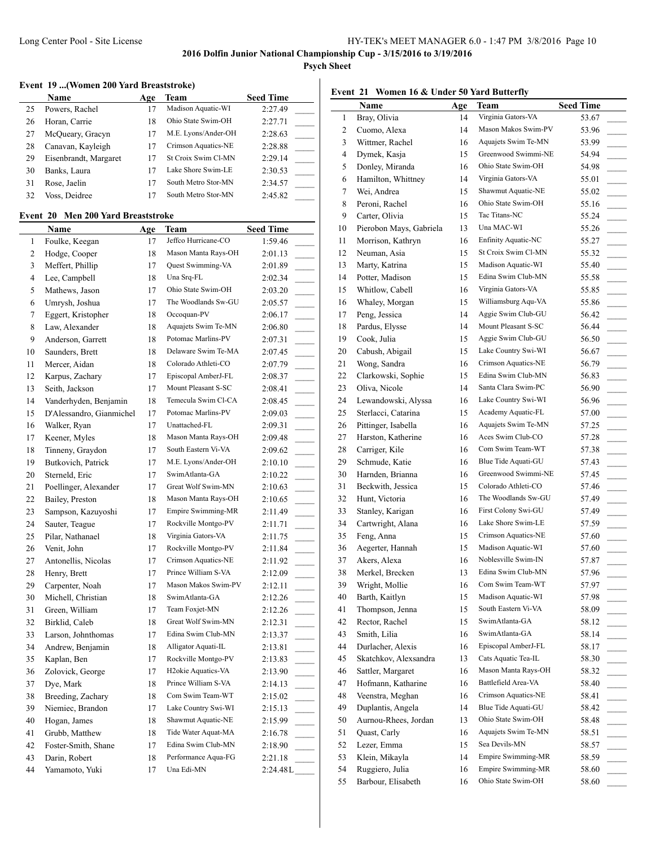**Psych Sheet**

#### **Event 19 ...(Women 200 Yard Breaststroke)**

|    | <b>Name</b>           | Age | Team                | <b>Seed Time</b> |
|----|-----------------------|-----|---------------------|------------------|
| 25 | Powers, Rachel        |     | Madison Aquatic-WI  | 2:27.49          |
| 26 | Horan, Carrie         | 18  | Ohio State Swim-OH  | 2:27.71          |
| 27 | McQueary, Gracyn      | 17  | M.E. Lyons/Ander-OH | 2:28.63          |
| 28 | Canavan, Kayleigh     |     | Crimson Aquatics-NE | 2:28.88          |
| 29 | Eisenbrandt, Margaret |     | St Croix Swim Cl-MN | 2:29.14          |
| 30 | Banks, Laura          |     | Lake Shore Swim-LE  | 2:30.53          |
| 31 | Rose, Jaelin          | 17  | South Metro Stor-MN | 2:34.57          |
| 32 | Voss, Deidree         | 17  | South Metro Stor-MN | 2:45.82          |

# **Event 20 Men 200 Yard Breaststroke**

 $\overline{a}$ 

|                         | Name                     | <u>Age</u> | Team                            | <b>Seed Time</b>                    |
|-------------------------|--------------------------|------------|---------------------------------|-------------------------------------|
| 1                       | Foulke, Keegan           | 17         | Jeffco Hurricane-CO             | 1:59.46                             |
| $\overline{\mathbf{c}}$ | Hodge, Cooper            | 18         | Mason Manta Rays-OH             | 2:01.13                             |
| 3                       | Meffert, Phillip         | 17         | Quest Swimming-VA               | 2:01.89                             |
| $\overline{4}$          | Lee, Campbell            | 18         | Una Srq-FL                      | 2:02.34                             |
| 5                       | Mathews, Jason           | 17         | Ohio State Swim-OH              | 2:03.20                             |
| 6                       | Umrysh, Joshua           | 17         | The Woodlands Sw-GU             | 2:05.57                             |
| 7                       | Eggert, Kristopher       | 18         | Occoquan-PV                     | 2:06.17                             |
| 8                       | Law, Alexander           | 18         | Aquajets Swim Te-MN             | 2:06.80                             |
| 9                       | Anderson, Garrett        | 18         | Potomac Marlins-PV              | 2:07.31                             |
| 10                      | Saunders, Brett          | 18         | Delaware Swim Te-MA             | 2:07.45                             |
| 11                      | Mercer, Aidan            | 18         | Colorado Athleti-CO             | 2:07.79                             |
| 12                      | Karpus, Zachary          | 17         | Episcopal AmberJ-FL             | 2:08.37                             |
| 13                      | Seith, Jackson           | 17         | Mount Pleasant S-SC             | 2:08.41                             |
| 14                      | Vanderhyden, Benjamin    | 18         | Temecula Swim Cl-CA             | 2:08.45                             |
| 15                      | D'Alessandro, Gianmichel | 17         | Potomac Marlins-PV              | 2:09.03                             |
| 16                      | Walker, Ryan             | 17         | Unattached-FL                   | 2:09.31                             |
| 17                      | Keener, Myles            | 18         | Mason Manta Rays-OH             | 2:09.48                             |
| 18                      | Tinneny, Graydon         | 17         | South Eastern Vi-VA             | 2:09.62                             |
| 19                      | Butkovich, Patrick       | 17         | M.E. Lyons/Ander-OH             | 2:10.10                             |
| 20                      | Sterneld, Eric           | 17         | SwimAtlanta-GA                  | 2:10.22                             |
| 21                      | Poellinger, Alexander    | 17         | Great Wolf Swim-MN              | 2:10.63                             |
| 22                      | Bailey, Preston          | 18         | Mason Manta Rays-OH             | 2:10.65                             |
| 23                      | Sampson, Kazuyoshi       | 17         | Empire Swimming-MR              | 2:11.49                             |
| 24                      | Sauter, Teague           | 17         | Rockville Montgo-PV             | 2:11.71                             |
| 25                      | Pilar, Nathanael         | 18         | Virginia Gators-VA              | 2:11.75                             |
| 26                      | Venit, John              | 17         | Rockville Montgo-PV             | 2:11.84                             |
| 27                      | Antonellis, Nicolas      | 17         | Crimson Aquatics-NE             | 2:11.92                             |
| 28                      | Henry, Brett             | 17         | Prince William S-VA             | 2:12.09                             |
| 29                      | Carpenter, Noah          | 17         | Mason Makos Swim-PV             | 2:12.11                             |
| 30                      | Michell, Christian       | 18         | SwimAtlanta-GA                  | 2:12.26                             |
| 31                      | Green, William           | 17         | Team Foxjet-MN                  | 2:12.26                             |
| 32                      | Birklid, Caleb           | 18         | Great Wolf Swim-MN              | 2:12.31                             |
| 33                      | Larson, Johnthomas       | 17         | Edina Swim Club-MN              | 2:13.37                             |
| 34                      | Andrew, Benjamin         | 18         | Alligator Aquati-IL             | 2:13.81                             |
| 35                      | Kaplan, Ben              | 17         | Rockville Montgo-PV             | 2:13.83<br>$\overline{\phantom{a}}$ |
| 36                      | Zolovick, George         | 17         | H <sub>2</sub> okie Aquatics-VA | 2:13.90                             |
| 37                      | Dye, Mark                | 18         | Prince William S-VA             | 2:14.13                             |
| 38                      | Breeding, Zachary        | 18         | Com Swim Team-WT                | 2:15.02                             |
| 39                      | Niemiec, Brandon         | 17         | Lake Country Swi-WI             | 2:15.13                             |
| 40                      | Hogan, James             | 18         | Shawmut Aquatic-NE              | 2:15.99                             |
| 41                      | Grubb, Matthew           | 18         | Tide Water Aquat-MA             | 2:16.78                             |
| 42                      | Foster-Smith, Shane      | 17         | Edina Swim Club-MN              | 2:18.90                             |
| 43                      | Darin, Robert            | 18         | Performance Aqua-FG             | 2:21.18                             |
| 44                      | Yamamoto, Yuki           | 17         | Una Edi-MN                      | 2:24.48L                            |

# **Event 21 Women 16 & Under 50 Yard Butterfly**

|    | Name                    | Age      | Team                      | <b>Seed Time</b>                     |
|----|-------------------------|----------|---------------------------|--------------------------------------|
| 1  | Bray, Olivia            | 14       | Virginia Gators-VA        | 53.67                                |
| 2  | Cuomo, Alexa            | 14       | Mason Makos Swim-PV       | 53.96                                |
| 3  | Wittmer, Rachel         | 16       | Aquajets Swim Te-MN       | 53.99                                |
| 4  | Dymek, Kasja            | 15       | Greenwood Swimmi-NE       | 54.94                                |
| 5  | Donley, Miranda         | 16       | Ohio State Swim-OH        | 54.98                                |
| 6  | Hamilton, Whittney      | 14       | Virginia Gators-VA        | 55.01<br>$\sim 10^{-1}$              |
| 7  | Wei, Andrea             | 15       | Shawmut Aquatic-NE        | 55.02<br>$\overline{\phantom{a}}$    |
| 8  | Peroni, Rachel          | 16       | Ohio State Swim-OH        | 55.16<br>$\overline{\phantom{a}}$    |
| 9  | Carter, Olivia          | 15       | Tac Titans-NC             | 55.24<br>$\sim$ 10 $\pm$             |
| 10 | Pierobon Mays, Gabriela | 13       | Una MAC-WI                | 55.26<br>$\overline{\phantom{a}}$    |
| 11 | Morrison, Kathryn       | 16       | Enfinity Aquatic-NC       | 55.27                                |
| 12 | Neuman, Asia            | 15       | St Croix Swim Cl-MN       | 55.32<br>$\sim$                      |
| 13 | Marty, Katrina          | 15       | Madison Aquatic-WI        | 55.40                                |
| 14 | Potter, Madison         | 15       | Edina Swim Club-MN        | 55.58                                |
| 15 | Whitlow, Cabell         | 16       | Virginia Gators-VA        | 55.85                                |
| 16 | Whaley, Morgan          | 15       | Williamsburg Aqu-VA       | 55.86                                |
| 17 | Peng, Jessica           | 14       | Aggie Swim Club-GU        | 56.42                                |
| 18 | Pardus, Elysse          | 14       | Mount Pleasant S-SC       | 56.44                                |
| 19 | Cook, Julia             | 15       | Aggie Swim Club-GU        | 56.50<br>$\overline{\phantom{a}}$    |
| 20 | Cabush, Abigail         | 15       | Lake Country Swi-WI       | 56.67<br>$\overline{\phantom{a}}$    |
| 21 | Wong, Sandra            | 16       | Crimson Aquatics-NE       | 56.79<br>$\mathcal{L}^{\mathcal{L}}$ |
| 22 | Clarkowski, Sophie      | 15       | Edina Swim Club-MN        | 56.83                                |
| 23 | Oliva, Nicole           | 14       | Santa Clara Swim-PC       | 56.90                                |
| 24 | Lewandowski, Alyssa     | 16       | Lake Country Swi-WI       | 56.96<br>$\sim$                      |
| 25 | Sterlacci, Catarina     | 15       | Academy Aquatic-FL        | 57.00                                |
| 26 | Pittinger, Isabella     | 16       | Aquajets Swim Te-MN       | 57.25<br>$\overline{\phantom{a}}$    |
| 27 | Harston, Katherine      | 16       | Aces Swim Club-CO         | 57.28                                |
| 28 | Carriger, Kile          | 16       | Com Swim Team-WT          | 57.38                                |
| 29 | Schmude, Katie          | 16       | Blue Tide Aquati-GU       | 57.43                                |
| 30 | Harnden, Brianna        | 16       | Greenwood Swimmi-NE       | 57.45<br>$\sim$ 100 $\mu$            |
| 31 | Beckwith, Jessica       | 15       | Colorado Athleti-CO       | 57.46<br>$\sim$                      |
| 32 | Hunt, Victoria          | 16       | The Woodlands Sw-GU       | 57.49                                |
| 33 | Stanley, Karigan        | 16       | First Colony Swi-GU       | 57.49<br>$\mathbb{R}^n$              |
| 34 | Cartwright, Alana       | 16       | Lake Shore Swim-LE        | 57.59                                |
| 35 | Feng, Anna              | 15       | Crimson Aquatics-NE       | 57.60                                |
| 36 | Aegerter, Hannah        | 15       | Madison Aquatic-WI        | 57.60<br>$\sim$                      |
| 37 | Akers, Alexa            | 16       | Noblesville Swim-IN       | 57.87                                |
| 38 | Merkel, Brecken         | 13       | Edina Swim Club-MN        | 57.96                                |
| 39 | Wright, Mollie          | 16       | Com Swim Team-WT          | 57.97                                |
| 40 | Barth, Kaitlyn          | 15       | Madison Aquatic-WI        | 57.98                                |
| 41 | Thompson, Jenna         | 15       | South Eastern Vi-VA       | 58.09                                |
| 42 | Rector, Rachel          | 15       | SwimAtlanta-GA            | 58.12                                |
| 43 | Smith, Lilia            | 16       | SwimAtlanta-GA            | 58.14                                |
| 44 | Durlacher, Alexis       | 16       | Episcopal AmberJ-FL       | 58.17                                |
| 45 | Skatchkov, Alexsandra   | 13       | Cats Aquatic Tea-IL       | 58.30                                |
|    | Sattler, Margaret       |          | Mason Manta Rays-OH       |                                      |
| 46 |                         | 16<br>16 | Battlefield Area-VA       | 58.32                                |
| 47 | Hofmann, Katharine      |          | Crimson Aquatics-NE       | 58.40                                |
| 48 | Veenstra, Meghan        | 16       | Blue Tide Aquati-GU       | 58.41<br>$\sim$                      |
| 49 | Duplantis, Angela       | 14       | Ohio State Swim-OH        | 58.42                                |
| 50 | Aurnou-Rhees, Jordan    | 13       |                           | 58.48                                |
| 51 | Quast, Carly            | 16       | Aquajets Swim Te-MN       | 58.51                                |
| 52 | Lezer, Emma             | 15       | Sea Devils-MN             | 58.57                                |
| 53 | Klein, Mikayla          | 14       | Empire Swimming-MR        | 58.59                                |
| 54 | Ruggiero, Julia         | 16       | <b>Empire Swimming-MR</b> | 58.60                                |
| 55 | Barbour, Elisabeth      | 16       | Ohio State Swim-OH        | 58.60                                |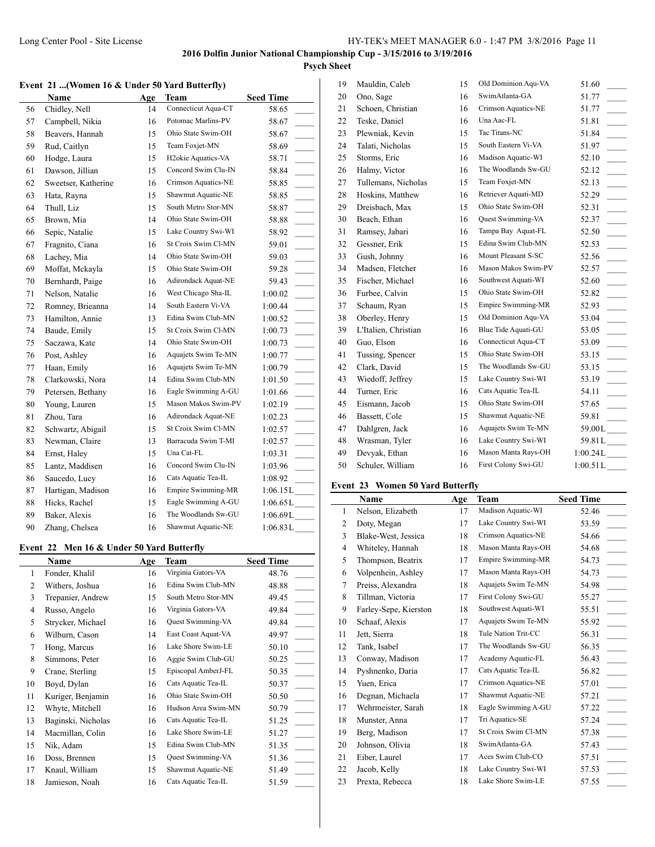# **Psych Sheet**

## **Event 21 ...(Women 16 & Under 50 Yard Butterfly)**

|    | Name                | Age | <b>Team</b>                     | <b>Seed Time</b>                       |
|----|---------------------|-----|---------------------------------|----------------------------------------|
| 56 | Chidley, Nell       | 14  | Connecticut Aqua-CT             | 58.65                                  |
| 57 | Campbell, Nikia     | 16  | Potomac Marlins-PV              | 58.67                                  |
| 58 | Beavers, Hannah     | 15  | Ohio State Swim-OH              | 58.67                                  |
| 59 | Rud, Caitlyn        | 15  | Team Foxjet-MN                  | 58.69<br>$\overline{\phantom{a}}$      |
| 60 | Hodge, Laura        | 15  | H <sub>2</sub> okie Aquatics-VA | 58.71<br>$\mathcal{L}^{\text{max}}$    |
| 61 | Dawson, Jillian     | 15  | Concord Swim Clu-IN             | 58.84<br>$\sim 10$                     |
| 62 | Sweetser, Katherine | 16  | Crimson Aquatics-NE             | 58.85<br>$\overline{\phantom{a}}$      |
| 63 | Hata, Rayna         | 15  | Shawmut Aquatic-NE              | 58.85                                  |
| 64 | Thull, Liz          | 15  | South Metro Stor-MN             | 58.87                                  |
| 65 | Brown, Mia          | 14  | Ohio State Swim-OH              | 58.88                                  |
| 66 | Sepic, Natalie      | 15  | Lake Country Swi-WI             | 58.92                                  |
| 67 | Fragnito, Ciana     | 16  | St Croix Swim Cl-MN             | 59.01                                  |
| 68 | Lachey, Mia         | 14  | Ohio State Swim-OH              | 59.03                                  |
| 69 | Moffat, Mckayla     | 15  | Ohio State Swim-OH              | 59.28                                  |
| 70 | Bernhardt, Paige    | 16  | Adirondack Aquat-NE             | 59.43<br>$\overline{\phantom{a}}$      |
| 71 | Nelson, Natalie     | 16  | West Chicago Sha-IL             | 1:00.02<br>$\overline{\phantom{a}}$    |
| 72 | Romney, Brieanna    | 14  | South Eastern Vi-VA             | 1:00.44                                |
| 73 | Hamilton, Annie     | 13  | Edina Swim Club-MN              | 1:00.52<br>$\mathcal{L}^{\mathcal{L}}$ |
| 74 | Baude, Emily        | 15  | St Croix Swim Cl-MN             | 1:00.73<br>$\sim$                      |
| 75 | Saczawa, Kate       | 14  | Ohio State Swim-OH              | 1:00.73<br>$\mathbb{R}^2$              |
| 76 | Post, Ashley        | 16  | Aquajets Swim Te-MN             | 1:00.77<br>$\overline{\phantom{a}}$    |
| 77 | Haan, Emily         | 16  | Aquajets Swim Te-MN             | 1:00.79<br>$\sim 10$                   |
| 78 | Clarkowski, Nora    | 14  | Edina Swim Club-MN              | 1:01.50                                |
| 79 | Petersen, Bethany   | 16  | Eagle Swimming A-GU             | 1:01.66                                |
| 80 | Young, Lauren       | 15  | Mason Makos Swim-PV             | 1:02.19                                |
| 81 | Zhou, Tara          | 16  | Adirondack Aquat-NE             | 1:02.23                                |
| 82 | Schwartz, Abigail   | 15  | St Croix Swim Cl-MN             | 1:02.57<br>$\overline{\phantom{a}}$    |
| 83 | Newman, Claire      | 13  | Barracuda Swim T-MI             | 1:02.57<br>$\overline{\phantom{a}}$    |
| 84 | Ernst, Haley        | 15  | Una Cat-FL                      | 1:03.31                                |
| 85 | Lantz, Maddisen     | 16  | Concord Swim Clu-IN             | 1:03.96                                |
| 86 | Saucedo, Lucy       | 16  | Cats Aquatic Tea-IL             | 1:08.92                                |
| 87 | Hartigan, Madison   | 16  | Empire Swimming-MR              | $1:06.15L$ <sub>____</sub>             |
| 88 | Hicks, Rachel       | 15  | Eagle Swimming A-GU             | $1:06.65L$ <sub>____</sub>             |
| 89 | Baker, Alexis       | 16  | The Woodlands Sw-GU             | $1:06.69L$ <sub>____</sub>             |
| 90 | Zhang, Chelsea      | 16  | Shawmut Aquatic-NE              | 1:06.83L                               |

### **Event 22 Men 16 & Under 50 Yard Butterfly**

| Name               | Age | Team                | <b>Seed Time</b> |
|--------------------|-----|---------------------|------------------|
| Fonder, Khalil     | 16  | Virginia Gators-VA  | 48.76            |
| Withers, Joshua    | 16  | Edina Swim Club-MN  | 48.88            |
| Trepanier, Andrew  | 15  | South Metro Stor-MN | 49.45            |
| Russo, Angelo      | 16  | Virginia Gators-VA  | 49.84            |
| Strycker, Michael  | 16  | Quest Swimming-VA   | 49.84            |
| Wilburn, Cason     | 14  | East Coast Aquat-VA | 49.97            |
| Hong, Marcus       | 16  | Lake Shore Swim-LE  | 50.10            |
| Simmons, Peter     | 16  | Aggie Swim Club-GU  | 50.25            |
| Crane, Sterling    | 15  | Episcopal AmberJ-FL | 50.35            |
| Boyd, Dylan        | 16  | Cats Aquatic Tea-IL | 50.37            |
| Kuriger, Benjamin  | 16  | Ohio State Swim-OH  | 50.50            |
| Whyte, Mitchell    | 16  | Hudson Area Swim-MN | 50.79            |
| Baginski, Nicholas | 16  | Cats Aquatic Tea-IL | 51.25            |
| Macmillan, Colin   | 16  | Lake Shore Swim-LE  | 51.27            |
| Nik, Adam          | 15  | Edina Swim Club-MN  | 51.35            |
| Doss, Brennen      | 15  | Quest Swimming-VA   | 51.36            |
| Knaul, William     | 15  | Shawmut Aquatic-NE  | 51.49            |
| Jamieson, Noah     | 16  | Cats Aquatic Tea-IL | 51.59            |
|                    |     |                     |                  |

| 19 | Mauldin, Caleb       | 15 | Old Dominion Aqu-VA | 51.60                                |
|----|----------------------|----|---------------------|--------------------------------------|
| 20 | Ono, Sage            | 16 | SwimAtlanta-GA      | 51.77                                |
| 21 | Schoen, Christian    | 16 | Crimson Aquatics-NE | 51.77                                |
| 22 | Teske, Daniel        | 16 | Una Aac-FL          | 51.81                                |
| 23 | Plewniak, Kevin      | 15 | Tac Titans-NC       | 51.84<br>$\sim$                      |
| 24 | Talati, Nicholas     | 15 | South Eastern Vi-VA | 51.97                                |
| 25 | Storms, Eric         | 16 | Madison Aquatic-WI  | 52.10<br>$\sim 10^{-1}$              |
| 26 | Halmy, Victor        | 16 | The Woodlands Sw-GU | 52.12                                |
| 27 | Tullemans, Nicholas  | 15 | Team Foxjet-MN      | 52.13                                |
| 28 | Hoskins, Matthew     | 16 | Retriever Aquati-MD | 52.29                                |
| 29 | Dreisbach, Max       | 15 | Ohio State Swim-OH  | 52.31                                |
| 30 | Beach, Ethan         | 16 | Quest Swimming-VA   | 52.37                                |
| 31 | Ramsey, Jabari       | 16 | Tampa Bay Aquat-FL  | 52.50                                |
| 32 | Gessner, Erik        | 15 | Edina Swim Club-MN  | 52.53<br>$\sim$ 10 $\mu$             |
| 33 | Gush, Johnny         | 16 | Mount Pleasant S-SC | 52.56<br>$\sim$                      |
| 34 | Madsen, Fletcher     | 16 | Mason Makos Swim-PV | 52.57                                |
| 35 | Fischer, Michael     | 16 | Southwest Aquati-WI | 52.60                                |
| 36 | Furbee, Calvin       | 15 | Ohio State Swim-OH  | 52.82                                |
| 37 | Schaum, Ryan         | 15 | Empire Swimming-MR  | 52.93<br>$\mathcal{L}^{\mathcal{L}}$ |
| 38 | Oberley, Henry       | 15 | Old Dominion Aqu-VA | 53.04<br>$\overline{\phantom{a}}$    |
| 39 | L'Italien, Christian | 16 | Blue Tide Aquati-GU | 53.05                                |
| 40 | Guo, Elson           | 16 | Connecticut Aqua-CT | 53.09<br>$\sim$ 10 $\pm$             |
| 41 | Tussing, Spencer     | 15 | Ohio State Swim-OH  | 53.15<br>$\mathcal{L}(\mathcal{L})$  |
| 42 | Clark, David         | 15 | The Woodlands Sw-GU | 53.15                                |
| 43 | Wiedoff, Jeffrey     | 15 | Lake Country Swi-WI | 53.19<br>$\sim$                      |
| 44 | Turner, Eric         | 16 | Cats Aquatic Tea-IL | 54.11                                |
| 45 | Eismann, Jacob       | 15 | Ohio State Swim-OH  | 57.65<br>$\frac{1}{2}$               |
| 46 | Bassett, Cole        | 15 | Shawmut Aquatic-NE  | 59.81                                |
| 47 | Dahlgren, Jack       | 16 | Aquajets Swim Te-MN | 59.00L                               |
| 48 | Wrasman, Tyler       | 16 | Lake Country Swi-WI | 59.81L                               |
| 49 | Devyak, Ethan        | 16 | Mason Manta Rays-OH | $1:00.24L$ <sub>____</sub>           |
| 50 | Schuler, William     | 16 | First Colony Swi-GU | $1:00.51L$ <sub>____</sub>           |
|    |                      |    |                     |                                      |

#### **Event 23 Women 50 Yard Butterfly**

|    | Name                  | Age | Team                | <b>Seed Time</b> |
|----|-----------------------|-----|---------------------|------------------|
| 1  | Nelson, Elizabeth     | 17  | Madison Aquatic-WI  | 52.46            |
| 2  | Doty, Megan           | 17  | Lake Country Swi-WI | 53.59            |
| 3  | Blake-West, Jessica   | 18  | Crimson Aquatics-NE | 54.66            |
| 4  | Whiteley, Hannah      | 18  | Mason Manta Rays-OH | 54.68            |
| 5  | Thompson, Beatrix     | 17  | Empire Swimming-MR  | 54.73            |
| 6  | Volpenhein, Ashley    | 17  | Mason Manta Rays-OH | 54.73            |
| 7  | Preiss, Alexandra     | 18  | Aquajets Swim Te-MN | 54.98            |
| 8  | Tillman, Victoria     | 17  | First Colony Swi-GU | 55.27            |
| 9  | Farley-Sepe, Kierston | 18  | Southwest Aquati-WI | 55.51            |
| 10 | Schaaf, Alexis        | 17  | Aquajets Swim Te-MN | 55.92            |
| 11 | Jett, Sierra          | 18  | Tule Nation Trit-CC | 56.31            |
| 12 | Tank, Isabel          | 17  | The Woodlands Sw-GU | 56.35            |
| 13 | Conway, Madison       | 17  | Academy Aquatic-FL  | 56.43            |
| 14 | Pyshnenko, Daria      | 17  | Cats Aquatic Tea-IL | 56.82            |
| 15 | Yuen, Erica           | 17  | Crimson Aquatics-NE | 57.01            |
| 16 | Degnan, Michaela      | 17  | Shawmut Aquatic-NE  | 57.21            |
| 17 | Wehrmeister, Sarah    | 18  | Eagle Swimming A-GU | 57.22            |
| 18 | Munster, Anna         | 17  | Tri Aquatics-SE     | 57.24            |
| 19 | Berg, Madison         | 17  | St Croix Swim Cl-MN | 57.38            |
| 20 | Johnson, Olivia       | 18  | SwimAtlanta-GA      | 57.43            |
| 21 | Eiber, Laurel         | 17  | Aces Swim Club-CO   | 57.51            |
| 22 | Jacob, Kelly          | 18  | Lake Country Swi-WI | 57.53            |
| 23 | Prexta, Rebecca       | 18  | Lake Shore Swim-LE  | 57.55            |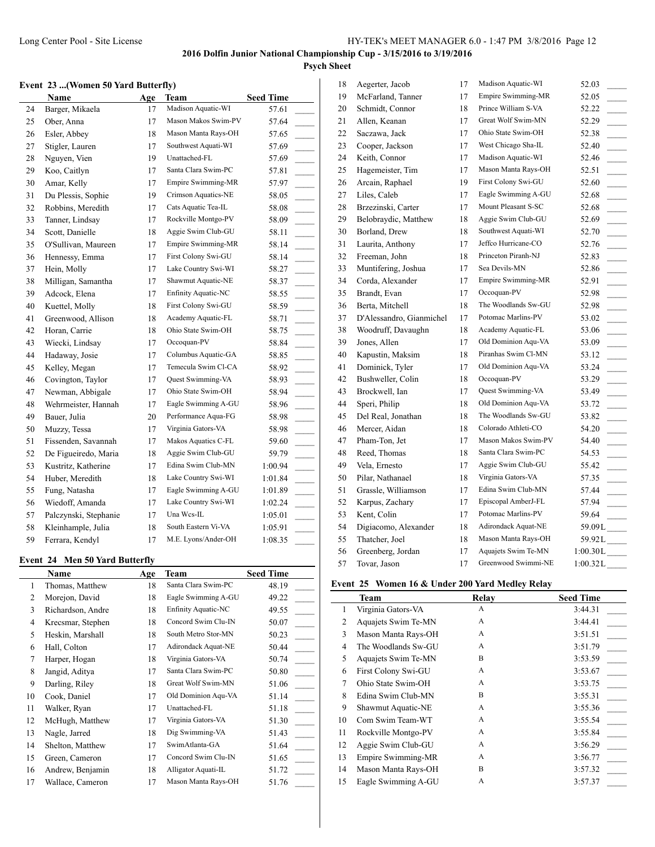# **Psych Sheet**

#### **Event 23 ...(Women 50 Yard Butterfly)**

|    | Name                  | Age | Team                | <b>Seed Time</b>                  |
|----|-----------------------|-----|---------------------|-----------------------------------|
| 24 | Barger, Mikaela       | 17  | Madison Aquatic-WI  | 57.61                             |
| 25 | Ober, Anna            | 17  | Mason Makos Swim-PV | 57.64                             |
| 26 | Esler, Abbey          | 18  | Mason Manta Rays-OH | 57.65                             |
| 27 | Stigler, Lauren       | 17  | Southwest Aquati-WI | 57.69                             |
| 28 | Nguyen, Vien          | 19  | Unattached-FL       | 57.69                             |
| 29 | Koo, Caitlyn          | 17  | Santa Clara Swim-PC | 57.81                             |
| 30 | Amar, Kelly           | 17  | Empire Swimming-MR  | 57.97                             |
| 31 | Du Plessis, Sophie    | 19  | Crimson Aquatics-NE | 58.05                             |
| 32 | Robbins, Meredith     | 17  | Cats Aquatic Tea-IL | 58.08                             |
| 33 | Tanner, Lindsay       | 17  | Rockville Montgo-PV | 58.09                             |
| 34 | Scott, Danielle       | 18  | Aggie Swim Club-GU  | 58.11                             |
| 35 | O'Sullivan, Maureen   | 17  | Empire Swimming-MR  | 58.14                             |
| 36 | Hennessy, Emma        | 17  | First Colony Swi-GU | 58.14<br>$\overline{\phantom{a}}$ |
| 37 | Hein, Molly           | 17  | Lake Country Swi-WI | 58.27<br>$\overline{\phantom{a}}$ |
| 38 | Milligan, Samantha    | 17  | Shawmut Aquatic-NE  | 58.37<br>$\overline{\phantom{a}}$ |
| 39 | Adcock, Elena         | 17  | Enfinity Aquatic-NC | 58.55<br>$\overline{\phantom{a}}$ |
| 40 | Kuettel, Molly        | 18  | First Colony Swi-GU | 58.59                             |
| 41 | Greenwood, Allison    | 18  | Academy Aquatic-FL  | 58.71                             |
| 42 | Horan, Carrie         | 18  | Ohio State Swim-OH  | 58.75                             |
| 43 | Wiecki, Lindsay       | 17  | Occoquan-PV         | 58.84                             |
| 44 | Hadaway, Josie        | 17  | Columbus Aquatic-GA | 58.85                             |
| 45 | Kelley, Megan         | 17  | Temecula Swim Cl-CA | 58.92                             |
| 46 | Covington, Taylor     | 17  | Quest Swimming-VA   | 58.93                             |
| 47 | Newman, Abbigale      | 17  | Ohio State Swim-OH  | 58.94                             |
| 48 | Wehrmeister, Hannah   | 17  | Eagle Swimming A-GU | 58.96                             |
| 49 | Bauer, Julia          | 20  | Performance Aqua-FG | 58.98                             |
| 50 | Muzzy, Tessa          | 17  | Virginia Gators-VA  | 58.98                             |
| 51 | Fissenden, Savannah   | 17  | Makos Aquatics C-FL | 59.60                             |
| 52 | De Figueiredo, Maria  | 18  | Aggie Swim Club-GU  | 59.79                             |
| 53 | Kustritz, Katherine   | 17  | Edina Swim Club-MN  | 1:00.94                           |
| 54 | Huber, Meredith       | 18  | Lake Country Swi-WI | 1:01.84                           |
| 55 | Fung, Natasha         | 17  | Eagle Swimming A-GU | 1:01.89                           |
| 56 | Wiedoff, Amanda       | 17  | Lake Country Swi-WI | 1:02.24                           |
| 57 | Palczynski, Stephanie | 17  | Una Wcs-IL          | 1:05.01                           |
| 58 | Kleinhample, Julia    | 18  | South Eastern Vi-VA | 1:05.91                           |
| 59 | Ferrara, Kendyl       | 17  | M.E. Lyons/Ander-OH | 1:08.35                           |

### **Event 24 Men 50 Yard Butterfly**

|                | <b>Name</b>       | Age | Team                       | <b>Seed Time</b> |
|----------------|-------------------|-----|----------------------------|------------------|
| 1              | Thomas, Matthew   | 18  | Santa Clara Swim-PC        | 48.19            |
| 2              | Morejon, David    | 18  | Eagle Swimming A-GU        | 49.22            |
| 3              | Richardson, Andre | 18  | <b>Enfinity Aquatic-NC</b> | 49.55            |
| $\overline{4}$ | Krecsmar, Stephen | 18  | Concord Swim Clu-IN        | 50.07            |
| 5              | Heskin, Marshall  | 18  | South Metro Stor-MN        | 50.23            |
| 6              | Hall, Colton      | 17  | Adirondack Aquat-NE        | 50.44            |
| 7              | Harper, Hogan     | 18  | Virginia Gators-VA         | 50.74            |
| 8              | Jangid, Aditya    | 17  | Santa Clara Swim-PC        | 50.80            |
| 9              | Darling, Riley    | 18  | Great Wolf Swim-MN         | 51.06            |
| 10             | Cook, Daniel      | 17  | Old Dominion Aqu-VA        | 51.14            |
| 11             | Walker, Ryan      | 17  | Unattached-FL              | 51.18            |
| 12             | McHugh, Matthew   | 17  | Virginia Gators-VA         | 51.30            |
| 13             | Nagle, Jarred     | 18  | Dig Swimming-VA            | 51.43            |
| 14             | Shelton, Matthew  | 17  | SwimAtlanta-GA             | 51.64            |
| 15             | Green, Cameron    | 17  | Concord Swim Clu-IN        | 51.65            |
| 16             | Andrew, Benjamin  | 18  | Alligator Aquati-IL        | 51.72            |
| 17             | Wallace, Cameron  | 17  | Mason Manta Rays-OH        | 51.76            |

| 18 | Aegerter, Jacob          | 17 | Madison Aquatic-WI  | 52.03                             |
|----|--------------------------|----|---------------------|-----------------------------------|
| 19 | McFarland, Tanner        | 17 | Empire Swimming-MR  | 52.05                             |
| 20 | Schmidt, Connor          | 18 | Prince William S-VA | 52.22                             |
| 21 | Allen, Keanan            | 17 | Great Wolf Swim-MN  | 52.29<br>$\overline{\phantom{a}}$ |
| 22 | Saczawa, Jack            | 17 | Ohio State Swim-OH  | 52.38                             |
| 23 | Cooper, Jackson          | 17 | West Chicago Sha-IL | 52.40<br>$\sim$                   |
| 24 | Keith, Connor            | 17 | Madison Aquatic-WI  | 52.46<br>$\sim 10^{-1}$           |
| 25 | Hagemeister, Tim         | 17 | Mason Manta Rays-OH | 52.51<br>$\overline{\phantom{a}}$ |
| 26 | Arcain, Raphael          | 19 | First Colony Swi-GU | 52.60                             |
| 27 | Liles, Caleb             | 17 | Eagle Swimming A-GU | 52.68<br>$\overline{\phantom{a}}$ |
| 28 | Brzezinski, Carter       | 17 | Mount Pleasant S-SC | 52.68<br>$\overline{\phantom{a}}$ |
| 29 | Belobraydic, Matthew     | 18 | Aggie Swim Club-GU  | 52.69<br>$\overline{\phantom{a}}$ |
| 30 | Borland, Drew            | 18 | Southwest Aquati-WI | 52.70                             |
| 31 | Laurita, Anthony         | 17 | Jeffco Hurricane-CO | 52.76                             |
| 32 | Freeman, John            | 18 | Princeton Piranh-NJ | 52.83<br>$\overline{\phantom{a}}$ |
| 33 | Muntifering, Joshua      | 17 | Sea Devils-MN       | 52.86<br>$\overline{\phantom{a}}$ |
| 34 | Corda, Alexander         | 17 | Empire Swimming-MR  | 52.91<br>$\overline{\phantom{a}}$ |
| 35 | Brandt, Evan             | 17 | Occoquan-PV         | 52.98<br>$\overline{\phantom{a}}$ |
| 36 | Berta, Mitchell          | 18 | The Woodlands Sw-GU | 52.98<br>$\overline{\phantom{a}}$ |
| 37 | D'Alessandro, Gianmichel | 17 | Potomac Marlins-PV  | 53.02                             |
| 38 | Woodruff, Davaughn       | 18 | Academy Aquatic-FL  | 53.06                             |
| 39 | Jones, Allen             | 17 | Old Dominion Aqu-VA | 53.09<br>$\overline{\phantom{a}}$ |
| 40 | Kapustin, Maksim         | 18 | Piranhas Swim Cl-MN | 53.12<br>$\overline{\phantom{a}}$ |
| 41 | Dominick, Tyler          | 17 | Old Dominion Aqu-VA | 53.24                             |
| 42 | Bushweller, Colin        | 18 | Occoquan-PV         | 53.29                             |
| 43 | Brockwell, Ian           | 17 | Quest Swimming-VA   | 53.49<br>$\overline{\phantom{a}}$ |
| 44 | Speri, Philip            | 18 | Old Dominion Aqu-VA | 53.72<br>$\overline{\phantom{a}}$ |
| 45 | Del Real, Jonathan       | 18 | The Woodlands Sw-GU | 53.82<br>$\overline{a}$           |
| 46 | Mercer, Aidan            | 18 | Colorado Athleti-CO | 54.20<br>$\frac{1}{2}$            |
| 47 | Pham-Ton, Jet            | 17 | Mason Makos Swim-PV | 54.40                             |
| 48 | Reed, Thomas             | 18 | Santa Clara Swim-PC | 54.53                             |
| 49 | Vela, Ernesto            | 17 | Aggie Swim Club-GU  | 55.42<br>$\overline{\phantom{a}}$ |
| 50 | Pilar, Nathanael         | 18 | Virginia Gators-VA  | 57.35<br>$\overline{\phantom{a}}$ |
| 51 | Grassle, Williamson      | 17 | Edina Swim Club-MN  | 57.44<br>$\overline{\phantom{a}}$ |
| 52 | Karpus, Zachary          | 17 | Episcopal AmberJ-FL | 57.94                             |
| 53 | Kent, Colin              | 17 | Potomac Marlins-PV  | 59.64                             |
| 54 | Digiacomo, Alexander     | 18 | Adirondack Aquat-NE | 59.09L____                        |
| 55 | Thatcher, Joel           | 18 | Mason Manta Rays-OH | $59.92L$ <sub>____</sub>          |
| 56 | Greenberg, Jordan        | 17 | Aquajets Swim Te-MN | $1:00.30L$ <sub>____</sub>        |
| 57 | Tovar. Jason             | 17 | Greenwood Swimmi-NE | 1:00.32L                          |

### **Event 25 Women 16 & Under 200 Yard Medley Relay**

|    | <b>Team</b>         | Relay | <b>Seed Time</b> |
|----|---------------------|-------|------------------|
| 1  | Virginia Gators-VA  | A     | 3:44.31          |
| 2  | Aquajets Swim Te-MN | A     | 3:44.41          |
| 3  | Mason Manta Rays-OH | A     | 3:51.51          |
| 4  | The Woodlands Sw-GU | A     | 3:51.79          |
| 5  | Aquajets Swim Te-MN | B     | 3:53.59          |
| 6  | First Colony Swi-GU | A     | 3:53.67          |
| 7  | Ohio State Swim-OH  | A     | 3:53.75          |
| 8  | Edina Swim Club-MN  | B     | 3:55.31          |
| 9  | Shawmut Aquatic-NE  | A     | 3:55.36          |
| 10 | Com Swim Team-WT    | A     | 3:55.54          |
| 11 | Rockville Montgo-PV | A     | 3:55.84          |
| 12 | Aggie Swim Club-GU  | A     | 3:56.29          |
| 13 | Empire Swimming-MR  | A     | 3:56.77          |
| 14 | Mason Manta Rays-OH | B     | 3:57.32          |
| 15 | Eagle Swimming A-GU | A     | 3:57.37          |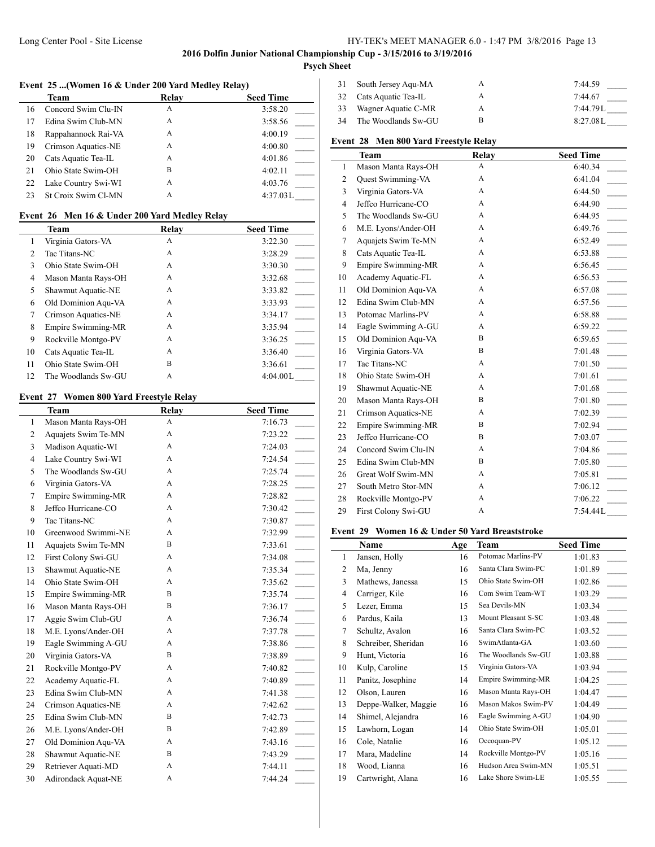## Long Center Pool - Site License HY-TEK's MEET MANAGER 6.0 - 1:47 PM 3/8/2016 Page 13

# **2016 Dolfin Junior National Championship Cup - 3/15/2016 to 3/19/2016**

# **Psych Sheet**

 $\overline{\phantom{a}}$ 

### **Event 25 ...(Women 16 & Under 200 Yard Medley Relay)**

|    | Team                       | <b>Relay</b> | <b>Seed Time</b> |
|----|----------------------------|--------------|------------------|
| 16 | Concord Swim Clu-IN        | А            | 3:58.20          |
| 17 | Edina Swim Club-MN         | А            | 3:58.56          |
| 18 | Rappahannock Rai-VA        | А            | 4:00.19          |
| 19 | Crimson Aquatics-NE        | А            | 4:00.80          |
| 20 | Cats Aquatic Tea-IL        | А            | 4:01.86          |
| 21 | Ohio State Swim-OH         | B            | 4:02.11          |
| 22 | Lake Country Swi-WI        | А            | 4:03.76          |
| 23 | <b>St Croix Swim CI-MN</b> | А            | 4:37.03L         |

# **Event 26 Men 16 & Under 200 Yard Medley Relay**

|    | <b>Team</b>         | Relay | <b>Seed Time</b> |
|----|---------------------|-------|------------------|
|    | Virginia Gators-VA  | A     | 3:22.30          |
| 2  | Tac Titans-NC       | A     | 3:28.29          |
| 3  | Ohio State Swim-OH  | A     | 3:30.30          |
| 4  | Mason Manta Rays-OH | A     | 3:32.68          |
| 5  | Shawmut Aquatic-NE  | A     | 3:33.82          |
| 6  | Old Dominion Agu-VA | A     | 3:33.93          |
| 7  | Crimson Aquatics-NE | A     | 3:34.17          |
| 8  | Empire Swimming-MR  | A     | 3:35.94          |
| 9  | Rockville Montgo-PV | A     | 3:36.25          |
| 10 | Cats Aquatic Tea-IL | A     | 3:36.40          |
| 11 | Ohio State Swim-OH  | B     | 3:36.61          |
| 12 | The Woodlands Sw-GU | A     | 4:04.00L         |

## **Event 27 Women 800 Yard Freestyle Relay**

 $\overline{a}$ 

|                | Team                | Relay | <b>Seed Time</b>                    |
|----------------|---------------------|-------|-------------------------------------|
| $\mathbf{1}$   | Mason Manta Rays-OH | A     | 7:16.73                             |
| $\overline{c}$ | Aquajets Swim Te-MN | A     | 7:23.22                             |
| 3              | Madison Aquatic-WI  | A     | 7:24.03                             |
| $\overline{4}$ | Lake Country Swi-WI | A     | 7:24.54<br>$\ddot{\phantom{a}}$     |
| 5              | The Woodlands Sw-GU | A     | 7:25.74<br>$\mathbf{r}$             |
| 6              | Virginia Gators-VA  | A     | $\overline{\phantom{a}}$<br>7:28.25 |
| 7              | Empire Swimming-MR  | A     | 7:28.82                             |
| 8              | Jeffco Hurricane-CO | A     | 7:30.42                             |
| 9              | Tac Titans-NC       | A     | $\overline{\phantom{a}}$<br>7:30.87 |
| 10             | Greenwood Swimmi-NE | A     | $\overline{a}$<br>7:32.99           |
| 11             | Aquajets Swim Te-MN | B     | $\overline{\phantom{a}}$<br>7:33.61 |
| 12             | First Colony Swi-GU | A     | 7:34.08<br>$\mathbf{r}$             |
| 13             | Shawmut Aquatic-NE  | A     | 7:35.34                             |
| 14             | Ohio State Swim-OH  | A     | $\overline{\phantom{a}}$<br>7:35.62 |
| 15             | Empire Swimming-MR  | B     | $\ddot{\phantom{a}}$<br>7:35.74     |
| 16             | Mason Manta Rays-OH | B     | $\overline{\phantom{a}}$<br>7:36.17 |
| 17             | Aggie Swim Club-GU  | A     | $\mathcal{L}$<br>7:36.74            |
| 18             | M.E. Lyons/Ander-OH | A     | $\overline{\phantom{a}}$<br>7:37.78 |
| 19             | Eagle Swimming A-GU | A     | $\overline{\phantom{a}}$<br>7:38.86 |
| 20             | Virginia Gators-VA  | B     | 7:38.89                             |
| 21             | Rockville Montgo-PV | A     | $\overline{\phantom{a}}$<br>7:40.82 |
| 22             | Academy Aquatic-FL  | A     | $\overline{\phantom{a}}$<br>7:40.89 |
| 23             | Edina Swim Club-MN  | A     | $\overline{a}$<br>7:41.38           |
| 24             | Crimson Aquatics-NE | A     | 7:42.62<br>$\overline{a}$           |
| 25             | Edina Swim Club-MN  | B     | 7:42.73                             |
| 26             | M.E. Lyons/Ander-OH | B     | 7:42.89                             |
| 27             | Old Dominion Aqu-VA | A     | 7:43.16                             |
| 28             | Shawmut Aquatic-NE  | B     | 7:43.29                             |
| 29             | Retriever Aquati-MD | A     | 7:44.11                             |
| 30             | Adirondack Aquat-NE | A     | 7:44.24                             |

| 31 | South Jersey Agu-MA    | А | 7:44.59     |
|----|------------------------|---|-------------|
|    | 32 Cats Aquatic Tea-IL | А | 7:44.67     |
| 33 | Wagner Aquatic C-MR    | А | $7:44.79$ L |
| 34 | The Woodlands Sw-GU    |   | 8:27.08L    |

# **Event 28 Men 800 Yard Freestyle Relay**

|                | <b>Team</b>         | Relay | <b>Seed Time</b>                      |
|----------------|---------------------|-------|---------------------------------------|
| $\mathbf{1}$   | Mason Manta Rays-OH | A     | 6:40.34                               |
| $\overline{c}$ | Quest Swimming-VA   | A     | 6:41.04                               |
| 3              | Virginia Gators-VA  | A     | 6:44.50<br>$\overline{\phantom{a}}$   |
| 4              | Jeffco Hurricane-CO | A     | 6:44.90<br>$\overline{\phantom{a}}$   |
| 5              | The Woodlands Sw-GU | A     | 6:44.95                               |
| 6              | M.E. Lyons/Ander-OH | A     | 6:49.76<br>$\mathcal{L}(\mathcal{L})$ |
| 7              | Aquajets Swim Te-MN | A     | $\overline{\phantom{a}}$<br>6:52.49   |
| 8              | Cats Aquatic Tea-IL | A     | 6:53.88<br>$\mathbb{R}$               |
| 9              | Empire Swimming-MR  | A     | $\overline{\phantom{0}}$<br>6:56.45   |
| 10             | Academy Aquatic-FL  | A     | 6:56.53<br>$\mathcal{L}(\mathcal{L})$ |
| 11             | Old Dominion Aqu-VA | A     | $\overline{\phantom{a}}$<br>6:57.08   |
| 12             | Edina Swim Club-MN  | A     | 6:57.56<br>$\sim 10^{-1}$             |
| 13             | Potomac Marlins-PV  | A     | $\overline{\phantom{a}}$<br>6:58.88   |
| 14             | Eagle Swimming A-GU | A     | 6:59.22<br>$\sim$ 10 $\pm$            |
| 15             | Old Dominion Agu-VA | B     | $\overline{\phantom{a}}$<br>6:59.65   |
| 16             | Virginia Gators-VA  | B     | $\overline{\phantom{a}}$<br>7:01.48   |
| 17             | Tac Titans-NC       | A     | $\overline{\phantom{a}}$<br>7:01.50   |
| 18             | Ohio State Swim-OH  | A     | 7:01.61<br>$\overline{\phantom{a}}$   |
| 19             | Shawmut Aquatic-NE  | A     | $\overline{a}$<br>7:01.68             |
| 20             | Mason Manta Rays-OH | B     | $\overline{\phantom{a}}$<br>7:01.80   |
| 21             | Crimson Aquatics-NE | A     | $\overline{\phantom{a}}$<br>7:02.39   |
| 22             | Empire Swimming-MR  | B     | $\overline{a}$<br>7:02.94             |
| 23             | Jeffco Hurricane-CO | B     | $\overline{a}$<br>7:03.07             |
| 24             | Concord Swim Clu-IN | A     | 7:04.86<br>$\mathbb{R}$               |
| 25             | Edina Swim Club-MN  | B     | $\mathbf{r}$<br>7:05.80               |
| 26             | Great Wolf Swim-MN  | A     | 7:05.81                               |
| 27             | South Metro Stor-MN | A     | 7:06.12                               |
| 28             | Rockville Montgo-PV | A     | 7:06.22                               |
| 29             | First Colony Swi-GU | A     | 7:54.44L                              |

#### **Event 29 Women 16 & Under 50 Yard Breaststroke**

|                | Name                 | Age | Team                | <b>Seed Time</b> |
|----------------|----------------------|-----|---------------------|------------------|
| 1              | Jansen, Holly        | 16  | Potomac Marlins-PV  | 1:01.83          |
| $\overline{2}$ | Ma, Jenny            | 16  | Santa Clara Swim-PC | 1:01.89          |
| 3              | Mathews, Janessa     | 15  | Ohio State Swim-OH  | 1:02.86          |
| 4              | Carriger, Kile       | 16  | Com Swim Team-WT    | 1:03.29          |
| 5              | Lezer, Emma          | 15  | Sea Devils-MN       | 1:03.34          |
| 6              | Pardus, Kaila        | 13  | Mount Pleasant S-SC | 1:03.48          |
| 7              | Schultz, Avalon      | 16  | Santa Clara Swim-PC | 1:03.52          |
| 8              | Schreiber, Sheridan  | 16  | SwimAtlanta-GA      | 1:03.60          |
| 9              | Hunt, Victoria       | 16  | The Woodlands Sw-GU | 1:03.88          |
| 10             | Kulp, Caroline       | 15  | Virginia Gators-VA  | 1:03.94          |
| 11             | Panitz, Josephine    | 14  | Empire Swimming-MR  | 1:04.25          |
| 12             | Olson, Lauren        | 16  | Mason Manta Rays-OH | 1:04.47          |
| 13             | Deppe-Walker, Maggie | 16  | Mason Makos Swim-PV | 1:04.49          |
| 14             | Shimel, Alejandra    | 16  | Eagle Swimming A-GU | 1:04.90          |
| 15             | Lawhorn, Logan       | 14  | Ohio State Swim-OH  | 1:05.01          |
| 16             | Cole, Natalie        | 16  | Occoquan-PV         | 1:05.12          |
| 17             | Mara, Madeline       | 14  | Rockville Montgo-PV | 1:05.16          |
| 18             | Wood, Lianna         | 16  | Hudson Area Swim-MN | 1:05.51          |
| 19             | Cartwright, Alana    | 16  | Lake Shore Swim-LE  | 1:05.55          |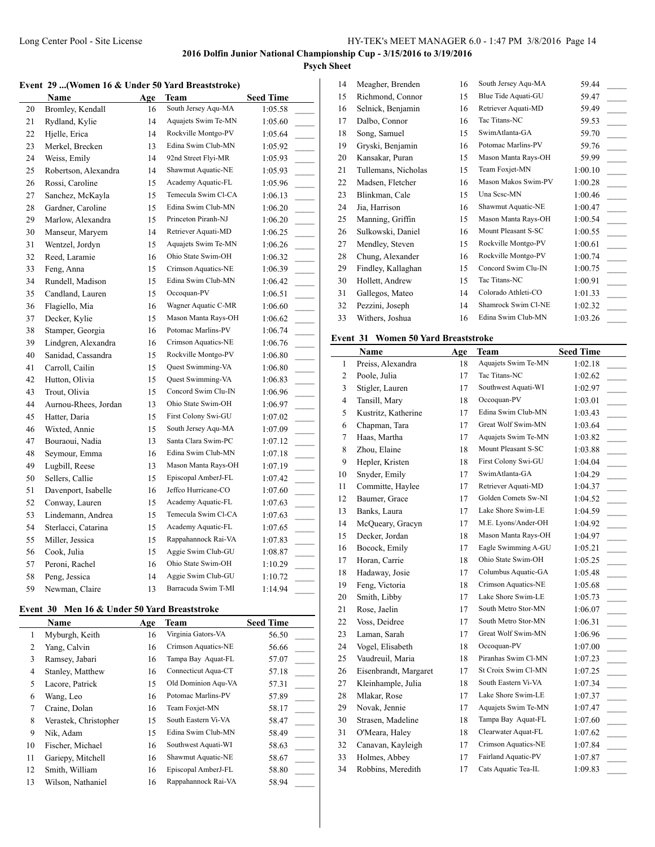# **Psych Sheet**

|                      |  | Event 29  (Women 16 & Under 50 Yard Breaststroke) |
|----------------------|--|---------------------------------------------------|
| $N_{\alpha m\alpha}$ |  | $A_{\alpha\alpha}$ Tham                           |

|    | Name                 | <u>Age</u> | Team                | <b>Seed Time</b>                    |
|----|----------------------|------------|---------------------|-------------------------------------|
| 20 | Bromley, Kendall     | 16         | South Jersey Aqu-MA | 1:05.58                             |
| 21 | Rydland, Kylie       | 14         | Aquajets Swim Te-MN | 1:05.60                             |
| 22 | Hjelle, Erica        | 14         | Rockville Montgo-PV | 1:05.64                             |
| 23 | Merkel, Brecken      | 13         | Edina Swim Club-MN  | 1:05.92                             |
| 24 | Weiss, Emily         | 14         | 92nd Street Flyi-MR | 1:05.93                             |
| 25 | Robertson, Alexandra | 14         | Shawmut Aquatic-NE  | 1:05.93                             |
| 26 | Rossi, Caroline      | 15         | Academy Aquatic-FL  | 1:05.96                             |
| 27 | Sanchez, McKayla     | 15         | Temecula Swim Cl-CA | 1:06.13<br>$\sim$                   |
| 28 | Gardner, Caroline    | 15         | Edina Swim Club-MN  | 1:06.20<br>$\overline{a}$           |
| 29 | Marlow, Alexandra    | 15         | Princeton Piranh-NJ | 1:06.20                             |
| 30 | Manseur, Maryem      | 14         | Retriever Aquati-MD | 1:06.25<br>$\sim$ 10 $\mu$          |
| 31 | Wentzel, Jordyn      | 15         | Aquajets Swim Te-MN | 1:06.26<br>$\overline{\phantom{a}}$ |
| 32 | Reed, Laramie        | 16         | Ohio State Swim-OH  | 1:06.32                             |
| 33 | Feng, Anna           | 15         | Crimson Aquatics-NE | 1:06.39                             |
| 34 | Rundell, Madison     | 15         | Edina Swim Club-MN  | 1:06.42                             |
| 35 | Candland, Lauren     | 15         | Occoquan-PV         | 1:06.51<br>$\overline{\phantom{a}}$ |
| 36 | Flagiello, Mia       | 16         | Wagner Aquatic C-MR | 1:06.60                             |
| 37 | Decker, Kylie        | 15         | Mason Manta Rays-OH | 1:06.62                             |
| 38 | Stamper, Georgia     | 16         | Potomac Marlins-PV  | 1:06.74                             |
| 39 | Lindgren, Alexandra  | 16         | Crimson Aquatics-NE | 1:06.76<br>$\overline{\phantom{a}}$ |
| 40 | Sanidad, Cassandra   | 15         | Rockville Montgo-PV | 1:06.80                             |
| 41 | Carroll, Cailin      | 15         | Quest Swimming-VA   | 1:06.80                             |
| 42 | Hutton, Olivia       | 15         | Quest Swimming-VA   | 1:06.83<br>$\overline{\phantom{a}}$ |
| 43 | Trout, Olivia        | 15         | Concord Swim Clu-IN | 1:06.96                             |
| 44 | Aurnou-Rhees, Jordan | 13         | Ohio State Swim-OH  | 1:06.97                             |
| 45 | Hatter, Daria        | 15         | First Colony Swi-GU | 1:07.02<br>$\overline{\phantom{a}}$ |
| 46 | Wixted, Annie        | 15         | South Jersey Aqu-MA | 1:07.09                             |
| 47 | Bouraoui, Nadia      | 13         | Santa Clara Swim-PC | 1:07.12<br>$\overline{\phantom{a}}$ |
| 48 | Seymour, Emma        | 16         | Edina Swim Club-MN  | 1:07.18                             |
| 49 | Lugbill, Reese       | 13         | Mason Manta Rays-OH | 1:07.19                             |
| 50 | Sellers, Callie      | 15         | Episcopal AmberJ-FL | 1:07.42                             |
| 51 | Davenport, Isabelle  | 16         | Jeffco Hurricane-CO | 1:07.60<br>$\overline{\phantom{a}}$ |
| 52 | Conway, Lauren       | 15         | Academy Aquatic-FL  | 1:07.63                             |
| 53 | Lindemann, Andrea    | 15         | Temecula Swim Cl-CA | 1:07.63<br>$\frac{1}{2}$            |
| 54 | Sterlacci, Catarina  | 15         | Academy Aquatic-FL  | 1:07.65<br>$\overline{\phantom{a}}$ |
| 55 | Miller, Jessica      | 15         | Rappahannock Rai-VA | 1:07.83                             |
| 56 | Cook, Julia          | 15         | Aggie Swim Club-GU  | 1:08.87                             |
| 57 | Peroni, Rachel       | 16         | Ohio State Swim-OH  | 1:10.29                             |
| 58 | Peng, Jessica        | 14         | Aggie Swim Club-GU  | 1:10.72                             |
| 59 | Newman, Claire       | 13         | Barracuda Swim T-MI | 1:14.94                             |

# **Event 30 Men 16 & Under 50 Yard Breaststroke**

|    | Name                  | Age | Team                | <b>Seed Time</b> |
|----|-----------------------|-----|---------------------|------------------|
| 1  | Myburgh, Keith        | 16  | Virginia Gators-VA  | 56.50            |
| 2  | Yang, Calvin          | 16  | Crimson Aquatics-NE | 56.66            |
| 3  | Ramsey, Jabari        | 16  | Tampa Bay Aquat-FL  | 57.07            |
| 4  | Stanley, Matthew      | 16  | Connecticut Aqua-CT | 57.18            |
| 5  | Lacore, Patrick       | 15  | Old Dominion Agu-VA | 57.31            |
| 6  | Wang, Leo             | 16  | Potomac Marlins-PV  | 57.89            |
| 7  | Craine, Dolan         | 16  | Team Foxjet-MN      | 58.17            |
| 8  | Verastek, Christopher | 15  | South Eastern Vi-VA | 58.47            |
| 9  | Nik, Adam             | 15  | Edina Swim Club-MN  | 58.49            |
| 10 | Fischer, Michael      | 16  | Southwest Aquati-WI | 58.63            |
| 11 | Gariepy, Mitchell     | 16  | Shawmut Aquatic-NE  | 58.67            |
| 12 | Smith, William        | 16  | Episcopal AmberJ-FL | 58.80            |
| 13 | Wilson, Nathaniel     | 16  | Rappahannock Rai-VA | 58.94            |

| 14 | Meagher, Brenden    | 16 | South Jersey Aqu-MA | 59.44   |  |
|----|---------------------|----|---------------------|---------|--|
| 15 | Richmond, Connor    | 15 | Blue Tide Aquati-GU | 59.47   |  |
| 16 | Selnick, Benjamin   | 16 | Retriever Aquati-MD | 59.49   |  |
| 17 | Dalbo, Connor       | 16 | Tac Titans-NC       | 59.53   |  |
| 18 | Song, Samuel        | 15 | SwimAtlanta-GA      | 59.70   |  |
| 19 | Gryski, Benjamin    | 16 | Potomac Marlins-PV  | 59.76   |  |
| 20 | Kansakar, Puran     | 15 | Mason Manta Rays-OH | 59.99   |  |
| 21 | Tullemans, Nicholas | 15 | Team Foxjet-MN      | 1:00.10 |  |
| 22 | Madsen, Fletcher    | 16 | Mason Makos Swim-PV | 1:00.28 |  |
| 23 | Blinkman, Cale      | 15 | Una Sese-MN         | 1:00.46 |  |
| 24 | Jia, Harrison       | 16 | Shawmut Aquatic-NE  | 1:00.47 |  |
| 25 | Manning, Griffin    | 15 | Mason Manta Rays-OH | 1:00.54 |  |
| 26 | Sulkowski, Daniel   | 16 | Mount Pleasant S-SC | 1:00.55 |  |
| 27 | Mendley, Steven     | 15 | Rockville Montgo-PV | 1:00.61 |  |
| 28 | Chung, Alexander    | 16 | Rockville Montgo-PV | 1:00.74 |  |
| 29 | Findley, Kallaghan  | 15 | Concord Swim Clu-IN | 1:00.75 |  |
| 30 | Hollett, Andrew     | 15 | Tac Titans-NC       | 1:00.91 |  |
| 31 | Gallegos, Mateo     | 14 | Colorado Athleti-CO | 1:01.33 |  |
| 32 | Pezzini, Joseph     | 14 | Shamrock Swim Cl-NE | 1:02.32 |  |
| 33 | Withers, Joshua     | 16 | Edina Swim Club-MN  | 1:03.26 |  |
|    |                     |    |                     |         |  |

# **Event 31 Women 50 Yard Breaststroke**

|                | <b>Name</b>           | Age | Team                       | <b>Seed Time</b>          |
|----------------|-----------------------|-----|----------------------------|---------------------------|
| 1              | Preiss, Alexandra     | 18  | Aquajets Swim Te-MN        | 1:02.18                   |
| $\overline{c}$ | Poole, Julia          | 17  | Tac Titans-NC              | 1:02.62                   |
| 3              | Stigler, Lauren       | 17  | Southwest Aquati-WI        | 1:02.97                   |
| $\overline{4}$ | Tansill, Mary         | 18  | Occoquan-PV                | 1:03.01                   |
| 5              | Kustritz, Katherine   | 17  | Edina Swim Club-MN         | 1:03.43                   |
| 6              | Chapman, Tara         | 17  | Great Wolf Swim-MN         | 1:03.64                   |
| 7              | Haas, Martha          | 17  | Aquajets Swim Te-MN        | 1:03.82                   |
| $\,$ $\,$      | Zhou, Elaine          | 18  | Mount Pleasant S-SC        | 1:03.88                   |
| 9              | Hepler, Kristen       | 18  | First Colony Swi-GU        | 1:04.04                   |
| 10             | Snyder, Emily         | 17  | SwimAtlanta-GA             | 1:04.29                   |
| 11             | Committe, Haylee      | 17  | Retriever Aquati-MD        | 1:04.37                   |
| 12             | Baumer, Grace         | 17  | Golden Comets Sw-NI        | 1:04.52                   |
| 13             | Banks, Laura          | 17  | Lake Shore Swim-LE         | 1:04.59                   |
| 14             | McQueary, Gracyn      | 17  | M.E. Lyons/Ander-OH        | 1:04.92                   |
| 15             | Decker, Jordan        | 18  | Mason Manta Rays-OH        | 1:04.97                   |
| 16             | Bocock, Emily         | 17  | Eagle Swimming A-GU        | 1:05.21<br>$\sim 10^{-1}$ |
| 17             | Horan, Carrie         | 18  | Ohio State Swim-OH         | 1:05.25                   |
| 18             | Hadaway, Josie        | 17  | Columbus Aquatic-GA        | 1:05.48                   |
| 19             | Feng, Victoria        | 18  | Crimson Aquatics-NE        | 1:05.68                   |
| 20             | Smith, Libby          | 17  | Lake Shore Swim-LE         | 1:05.73                   |
| 21             | Rose, Jaelin          | 17  | South Metro Stor-MN        | 1:06.07                   |
| 22             | Voss, Deidree         | 17  | South Metro Stor-MN        | 1:06.31<br>$\sim$         |
| 23             | Laman, Sarah          | 17  | Great Wolf Swim-MN         | 1:06.96                   |
| 24             | Vogel, Elisabeth      | 18  | Occoquan-PV                | 1:07.00                   |
| 25             | Vaudreuil, Maria      | 18  | Piranhas Swim Cl-MN        | 1:07.23                   |
| 26             | Eisenbrandt, Margaret | 17  | <b>St Croix Swim Cl-MN</b> | 1:07.25                   |
| 27             | Kleinhample, Julia    | 18  | South Eastern Vi-VA        | 1:07.34                   |
| 28             | Mlakar, Rose          | 17  | Lake Shore Swim-LE         | 1:07.37                   |
| 29             | Novak, Jennie         | 17  | Aquajets Swim Te-MN        | 1:07.47                   |
| 30             | Strasen, Madeline     | 18  | Tampa Bay Aquat-FL         | 1:07.60<br>$\sim 10$      |
| 31             | O'Meara, Haley        | 18  | Clearwater Aquat-FL        | 1:07.62                   |
| 32             | Canavan, Kayleigh     | 17  | Crimson Aquatics-NE        | 1:07.84                   |
| 33             | Holmes, Abbey         | 17  | Fairland Aquatic-PV        | 1:07.87                   |
| 34             | Robbins, Meredith     | 17  | Cats Aquatic Tea-IL        | 1:09.83                   |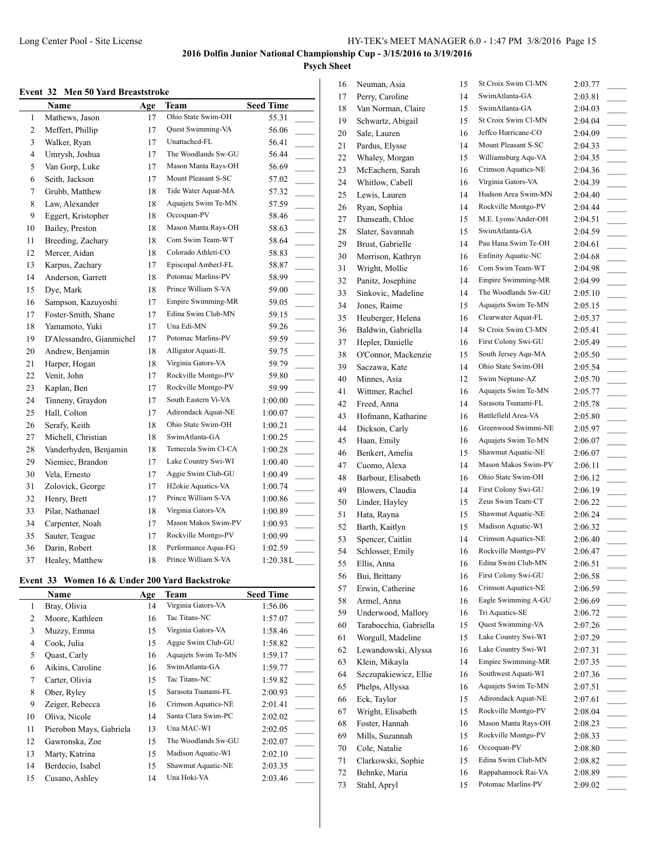#### **Event 32 Men 50 Yard Breaststroke**

|    | Name                     | Age | Team                            | <b>Seed Time</b>                     |
|----|--------------------------|-----|---------------------------------|--------------------------------------|
| 1  | Mathews, Jason           | 17  | Ohio State Swim-OH              | 55.31                                |
| 2  | Meffert, Phillip         | 17  | Quest Swimming-VA               | 56.06                                |
| 3  | Walker, Ryan             | 17  | Unattached-FL                   | 56.41                                |
| 4  | Umrysh, Joshua           | 17  | The Woodlands Sw-GU             | 56.44                                |
| 5  | Van Gorp, Luke           | 17  | Mason Manta Rays-OH             | 56.69                                |
| 6  | Seith, Jackson           | 17  | Mount Pleasant S-SC             | 57.02<br>$\overline{\phantom{a}}$    |
| 7  | Grubb, Matthew           | 18  | Tide Water Aquat-MA             | 57.32<br>$\overline{\phantom{a}}$    |
| 8  | Law, Alexander           | 18  | Aquajets Swim Te-MN             | 57.59<br>$\mathcal{L}$               |
| 9  | Eggert, Kristopher       | 18  | Occoquan-PV                     | 58.46<br>$\overline{\phantom{a}}$    |
| 10 | Bailey, Preston          | 18  | Mason Manta Rays-OH             | 58.63<br>$\mathcal{L}^{\mathcal{L}}$ |
| 11 | Breeding, Zachary        | 18  | Com Swim Team-WT                | 58.64<br>$\sim$ 10 $\pm$             |
| 12 | Mercer, Aidan            | 18  | Colorado Athleti-CO             | 58.83<br>$\overline{\phantom{a}}$    |
| 13 | Karpus, Zachary          | 17  | Episcopal AmberJ-FL             | 58.87<br>$\sim 10^{-1}$              |
| 14 | Anderson, Garrett        | 18  | Potomac Marlins-PV              | 58.99<br>$\overline{\phantom{a}}$    |
| 15 | Dye, Mark                | 18  | Prince William S-VA             | 59.00<br>$\overline{\phantom{a}}$    |
| 16 | Sampson, Kazuyoshi       | 17  | Empire Swimming-MR              | 59.05<br>$\overline{\phantom{a}}$    |
| 17 | Foster-Smith, Shane      | 17  | Edina Swim Club-MN              | 59.15                                |
| 18 | Yamamoto, Yuki           | 17  | Una Edi-MN                      | 59.26<br>$\sim 10$                   |
| 19 | D'Alessandro, Gianmichel | 17  | Potomac Marlins-PV              | 59.59                                |
| 20 | Andrew, Benjamin         | 18  | Alligator Aquati-IL             | 59.75                                |
| 21 | Harper, Hogan            | 18  | Virginia Gators-VA              | 59.79                                |
| 22 | Venit, John              | 17  | Rockville Montgo-PV             | 59.80                                |
| 23 | Kaplan, Ben              | 17  | Rockville Montgo-PV             | 59.99<br>$\sim$                      |
| 24 | Tinneny, Graydon         | 17  | South Eastern Vi-VA             | 1:00.00<br>$\overline{\phantom{a}}$  |
| 25 | Hall, Colton             | 17  | Adirondack Aquat-NE             | 1:00.07                              |
| 26 | Serafy, Keith            | 18  | Ohio State Swim-OH              | 1:00.21                              |
| 27 | Michell, Christian       | 18  | SwimAtlanta-GA                  | 1:00.25                              |
| 28 | Vanderhyden, Benjamin    | 18  | Temecula Swim Cl-CA             | 1:00.28                              |
| 29 | Niemiec, Brandon         | 17  | Lake Country Swi-WI             | 1:00.40                              |
| 30 | Vela, Ernesto            | 17  | Aggie Swim Club-GU              | 1:00.49                              |
| 31 | Zolovick, George         | 17  | H <sub>2</sub> okie Aquatics-VA | 1:00.74                              |
| 32 | Henry, Brett             | 17  | Prince William S-VA             | 1:00.86<br>$\overline{\phantom{a}}$  |
| 33 | Pilar, Nathanael         | 18  | Virginia Gators-VA              | 1:00.89                              |
| 34 | Carpenter, Noah          | 17  | Mason Makos Swim-PV             | 1:00.93                              |
| 35 | Sauter, Teague           | 17  | Rockville Montgo-PV             | 1:00.99                              |
| 36 | Darin, Robert            | 18  | Performance Aqua-FG             | 1:02.59                              |
| 37 | Healey, Matthew          | 18  | Prince William S-VA             | 1:20.38L                             |

#### **Event 33 Women 16 & Under 200 Yard Backstroke**

|    | Name                    | Age | Team                | <b>Seed Time</b> |
|----|-------------------------|-----|---------------------|------------------|
| 1  | Bray, Olivia            | 14  | Virginia Gators-VA  | 1:56.06          |
| 2  | Moore, Kathleen         | 16  | Tac Titans-NC       | 1:57.07          |
| 3  | Muzzy, Emma             | 15  | Virginia Gators-VA  | 1:58.46          |
| 4  | Cook, Julia             | 15  | Aggie Swim Club-GU  | 1:58.82          |
| 5  | Quast, Carly            | 16  | Aquajets Swim Te-MN | 1:59.17          |
| 6  | Aikins, Caroline        | 16  | SwimAtlanta-GA      | 1:59.77          |
| 7  | Carter, Olivia          | 15  | Tac Titans-NC       | 1:59.82          |
| 8  | Ober, Ryley             | 15  | Sarasota Tsunami-FL | 2:00.93          |
| 9  | Zeiger, Rebecca         | 16  | Crimson Aquatics-NE | 2:01.41          |
| 10 | Oliva, Nicole           | 14  | Santa Clara Swim-PC | 2:02.02          |
| 11 | Pierobon Mays, Gabriela | 13  | Una MAC-WI          | 2:02.05          |
| 12 | Gawronska, Zoe          | 15  | The Woodlands Sw-GU | 2:02.07          |
| 13 | Marty, Katrina          | 15  | Madison Aquatic-WI  | 2:02.10          |
| 14 | Berdecio, Isabel        | 15  | Shawmut Aquatic-NE  | 2:03.35          |
| 15 | Cusano, Ashley          | 14  | Una Hoki-VA         | 2:03.46          |

| 16 | Neuman, Asia           | 15 | St Croix Swim Cl-MN        | 2:03.77                             |
|----|------------------------|----|----------------------------|-------------------------------------|
| 17 | Perry, Caroline        | 14 | SwimAtlanta-GA             | 2:03.81                             |
| 18 | Van Norman, Claire     | 15 | SwimAtlanta-GA             | 2:04.03<br>$\overline{\phantom{a}}$ |
| 19 | Schwartz, Abigail      | 15 | St Croix Swim Cl-MN        | 2:04.04                             |
| 20 | Sale, Lauren           | 16 | Jeffco Hurricane-CO        | 2:04.09                             |
| 21 | Pardus, Elysse         | 14 | Mount Pleasant S-SC        | 2:04.33                             |
| 22 | Whaley, Morgan         | 15 | Williamsburg Aqu-VA        | 2:04.35                             |
| 23 | McEachern, Sarah       | 16 | Crimson Aquatics-NE        | 2:04.36<br>$\sim 10^{-1}$           |
| 24 | Whitlow, Cabell        | 16 | Virginia Gators-VA         | 2:04.39<br>$\sim$                   |
| 25 | Lewis, Lauren          | 14 | Hudson Area Swim-MN        | 2:04.40                             |
| 26 | Ryan, Sophia           | 14 | Rockville Montgo-PV        | 2:04.44<br>$\sim$ 10 $\mu$          |
| 27 | Dunseath, Chloe        | 15 | M.E. Lyons/Ander-OH        | 2:04.51                             |
| 28 | Slater, Savannah       | 15 | SwimAtlanta-GA             | 2:04.59                             |
| 29 | Brust, Gabrielle       | 14 | Pau Hana Swim Te-OH        | 2:04.61<br>$\sim$                   |
| 30 | Morrison, Kathryn      | 16 | <b>Enfinity Aquatic-NC</b> | 2:04.68<br>$\overline{a}$           |
| 31 | Wright, Mollie         | 16 | Com Swim Team-WT           | 2:04.98                             |
| 32 | Panitz, Josephine      | 14 | Empire Swimming-MR         | 2:04.99                             |
| 33 | Sinkovic, Madeline     | 14 | The Woodlands Sw-GU        | 2:05.10                             |
| 34 | Jones, Raime           | 15 | Aquajets Swim Te-MN        | 2:05.15                             |
| 35 | Heuberger, Helena      | 16 | Clearwater Aquat-FL        | 2:05.37<br>$\frac{1}{2}$            |
| 36 | Baldwin, Gabriella     | 14 | St Croix Swim Cl-MN        | 2:05.41<br>$\overline{\phantom{a}}$ |
| 37 | Hepler, Danielle       | 16 | First Colony Swi-GU        | 2:05.49                             |
| 38 | O'Connor, Mackenzie    | 15 | South Jersey Aqu-MA        | 2:05.50<br>$\overline{\phantom{a}}$ |
| 39 | Saczawa, Kate          | 14 | Ohio State Swim-OH         | 2:05.54                             |
| 40 | Minnes, Asia           | 12 | Swim Neptune-AZ            | 2:05.70                             |
| 41 | Wittmer, Rachel        | 16 | Aquajets Swim Te-MN        | 2:05.77<br>$\sim$                   |
| 42 | Freed, Anna            | 14 | Sarasota Tsunami-FL        | 2:05.78<br>$\overline{\phantom{a}}$ |
| 43 | Hofmann, Katharine     | 16 | Battlefield Area-VA        | 2:05.80                             |
| 44 | Dickson, Carly         | 16 | Greenwood Swimmi-NE        | 2:05.97                             |
| 45 | Haan, Emily            | 16 | Aquajets Swim Te-MN        | 2:06.07                             |
| 46 | Benkert, Amelia        | 15 | Shawmut Aquatic-NE         | 2:06.07                             |
| 47 | Cuomo, Alexa           | 14 | Mason Makos Swim-PV        | 2:06.11<br>$\sim$                   |
| 48 | Barbour, Elisabeth     | 16 | Ohio State Swim-OH         | 2:06.12<br>$\sim$                   |
| 49 | Blowers, Claudia       | 14 | First Colony Swi-GU        | 2:06.19                             |
| 50 | Linder, Hayley         | 15 | Zeus Swim Team-CT          | 2:06.22<br>$\sim$ 100 $\mu$         |
| 51 | Hata, Rayna            | 15 | Shawmut Aquatic-NE         | 2:06.24                             |
| 52 | Barth, Kaitlyn         | 15 | Madison Aquatic-WI         | 2:06.32                             |
| 53 | Spencer, Caitlin       | 14 | Crimson Aquatics-NE        | 2:06.40                             |
| 54 | Schlosser, Emily       | 16 | Rockville Montgo-PV        | 2:06.47                             |
| 55 | Ellis, Anna            | 16 | Edina Swim Club-MN         | 2:06.51                             |
| 56 | Bui, Brittany          | 16 | First Colony Swi-GU        | 2:06.58                             |
| 57 | Erwin, Catherine       | 16 | Crimson Aquatics-NE        | 2:06.59                             |
| 58 | Armel, Anna            | 16 | Eagle Swimming A-GU        | 2:06.69                             |
| 59 | Underwood, Mallory     | 16 | Tri Aquatics-SE            | 2:06.72<br>$\sim$                   |
| 60 | Tarabocchia, Gabriella | 15 | Quest Swimming-VA          | 2:07.26<br>$\sim$                   |
| 61 | Worgull, Madeline      | 15 | Lake Country Swi-WI        | 2:07.29                             |
| 62 | Lewandowski, Alyssa    | 16 | Lake Country Swi-WI        | 2:07.31                             |
| 63 | Klein, Mikayla         | 14 | <b>Empire Swimming-MR</b>  | 2:07.35                             |
| 64 | Szczupakiewicz, Ellie  | 16 | Southwest Aquati-WI        | 2:07.36                             |
| 65 | Phelps, Allyssa        | 16 | Aquajets Swim Te-MN        | 2:07.51<br>$\overline{\phantom{a}}$ |
| 66 | Eck, Taylor            | 15 | Adirondack Aquat-NE        | 2:07.61                             |
| 67 | Wright, Elisabeth      | 15 | Rockville Montgo-PV        | 2:08.04                             |
| 68 | Foster, Hannah         | 16 | Mason Manta Rays-OH        | 2:08.23                             |
| 69 | Mills, Suzannah        | 15 | Rockville Montgo-PV        | 2:08.33                             |
| 70 | Cole, Natalie          | 16 | Occoquan-PV                | 2:08.80                             |
| 71 | Clarkowski, Sophie     | 15 | Edina Swim Club-MN         | 2:08.82<br>$\sim$                   |
| 72 | Behnke, Maria          | 16 | Rappahannock Rai-VA        | 2:08.89<br>$\overline{\phantom{a}}$ |
| 73 | Stahl, Apryl           | 15 | Potomac Marlins-PV         | 2:09.02                             |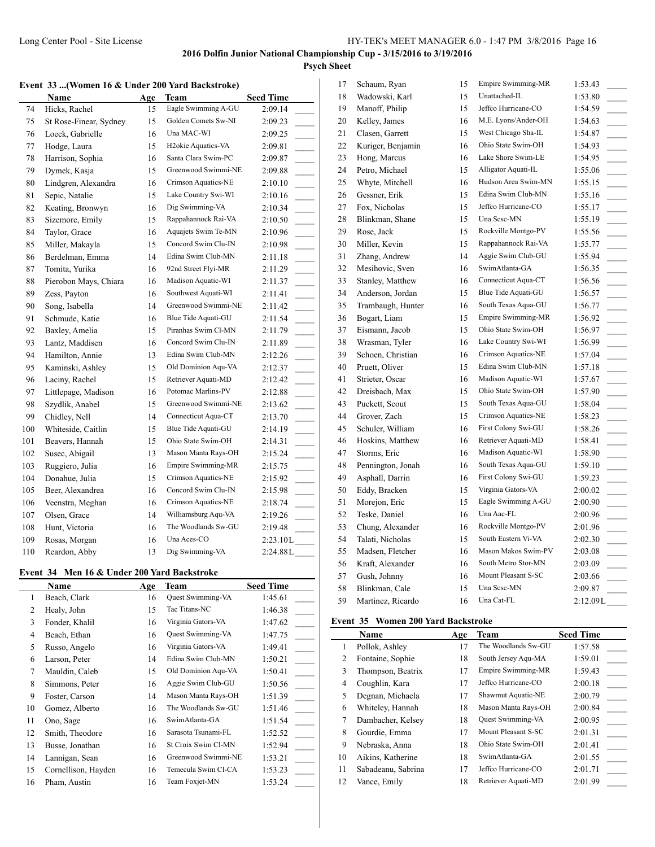# **Psych Sheet**

## **Event 33 ...(Women 16 & Under 200 Yard Backstroke)**

|     | Name                   | Age | Team                            | <b>Seed Time</b>                       |
|-----|------------------------|-----|---------------------------------|----------------------------------------|
| 74  | Hicks, Rachel          | 15  | Eagle Swimming A-GU             | 2:09.14                                |
| 75  | St Rose-Finear, Sydney | 15  | Golden Comets Sw-NI             | 2:09.23                                |
| 76  | Loeck, Gabrielle       | 16  | Una MAC-WI                      | 2:09.25                                |
| 77  | Hodge, Laura           | 15  | H <sub>2</sub> okie Aquatics-VA | 2:09.81                                |
| 78  | Harrison, Sophia       | 16  | Santa Clara Swim-PC             | 2:09.87                                |
| 79  | Dymek, Kasja           | 15  | Greenwood Swimmi-NE             | 2:09.88                                |
| 80  | Lindgren, Alexandra    | 16  | Crimson Aquatics-NE             | 2:10.10<br>$\overline{\phantom{a}}$    |
| 81  | Sepic, Natalie         | 15  | Lake Country Swi-WI             | 2:10.16<br>$\overline{\phantom{a}}$    |
| 82  | Keating, Bronwyn       | 16  | Dig Swimming-VA                 | 2:10.34                                |
| 83  | Sizemore, Emily        | 15  | Rappahannock Rai-VA             | 2:10.50                                |
| 84  | Taylor, Grace          | 16  | Aquajets Swim Te-MN             | 2:10.96                                |
| 85  | Miller, Makayla        | 15  | Concord Swim Clu-IN             | 2:10.98                                |
| 86  | Berdelman, Emma        | 14  | Edina Swim Club-MN              | 2:11.18                                |
| 87  | Tomita, Yurika         | 16  | 92nd Street Flyi-MR             | 2:11.29                                |
| 88  | Pierobon Mays, Chiara  | 16  | Madison Aquatic-WI              | 2:11.37                                |
| 89  | Zess, Payton           | 16  | Southwest Aquati-WI             | 2:11.41<br>$\mathcal{L}^{\mathcal{L}}$ |
| 90  | Song, Isabella         | 14  | Greenwood Swimmi-NE             | 2:11.42                                |
| 91  | Schmude, Katie         | 16  | Blue Tide Aquati-GU             | 2:11.54                                |
| 92  | Baxley, Amelia         | 15  | Piranhas Swim Cl-MN             | 2:11.79                                |
| 93  | Lantz, Maddisen        | 16  | Concord Swim Clu-IN             | 2:11.89<br>$\sim$                      |
| 94  | Hamilton, Annie        | 13  | Edina Swim Club-MN              | 2:12.26                                |
| 95  | Kaminski, Ashley       | 15  | Old Dominion Aqu-VA             | 2:12.37                                |
| 96  | Laciny, Rachel         | 15  | Retriever Aquati-MD             | 2:12.42                                |
| 97  | Littlepage, Madison    | 16  | Potomac Marlins-PV              | 2:12.88<br>$\overline{\phantom{a}}$    |
| 98  | Szydlik, Anabel        | 15  | Greenwood Swimmi-NE             | 2:13.62<br>$\sim$                      |
| 99  | Chidley, Nell          | 14  | Connecticut Aqua-CT             | 2:13.70<br>$\sim$                      |
| 100 | Whiteside, Caitlin     | 15  | Blue Tide Aquati-GU             | 2:14.19<br>$\overline{\phantom{a}}$    |
| 101 | Beavers, Hannah        | 15  | Ohio State Swim-OH              | 2:14.31<br>$\overline{\phantom{a}}$    |
| 102 | Susec, Abigail         | 13  | Mason Manta Rays-OH             | 2:15.24<br>$\overline{\phantom{a}}$    |
| 103 | Ruggiero, Julia        | 16  | Empire Swimming-MR              | 2:15.75                                |
| 104 | Donahue, Julia         | 15  | Crimson Aquatics-NE             | 2:15.92                                |
| 105 | Beer, Alexandrea       | 16  | Concord Swim Clu-IN             | 2:15.98                                |
| 106 | Veenstra, Meghan       | 16  | Crimson Aquatics-NE             | 2:18.74                                |
| 107 | Olsen, Grace           | 14  | Williamsburg Aqu-VA             | 2:19.26                                |
| 108 | Hunt, Victoria         | 16  | The Woodlands Sw-GU             | 2:19.48                                |
| 109 | Rosas, Morgan          | 16  | Una Aces-CO                     | 2:23.10L                               |
| 110 | Reardon, Abby          | 13  | Dig Swimming-VA                 | 2:24.88L                               |

# **Event 34 Men 16 & Under 200 Yard Backstroke**

|                | Name                | Age | Team                | <b>Seed Time</b> |
|----------------|---------------------|-----|---------------------|------------------|
| 1              | Beach, Clark        | 16  | Quest Swimming-VA   | 1:45.61          |
| 2              | Healy, John         | 15  | Tac Titans-NC       | 1:46.38          |
| 3              | Fonder, Khalil      | 16  | Virginia Gators-VA  | 1:47.62          |
| $\overline{4}$ | Beach, Ethan        | 16  | Quest Swimming-VA   | 1:47.75          |
| 5              | Russo, Angelo       | 16  | Virginia Gators-VA  | 1:49.41          |
| 6              | Larson, Peter       | 14  | Edina Swim Club-MN  | 1:50.21          |
| 7              | Mauldin, Caleb      | 15  | Old Dominion Aqu-VA | 1:50.41          |
| 8              | Simmons, Peter      | 16  | Aggie Swim Club-GU  | 1:50.56          |
| 9              | Foster, Carson      | 14  | Mason Manta Rays-OH | 1:51.39          |
| 10             | Gomez, Alberto      | 16  | The Woodlands Sw-GU | 1:51.46          |
| 11             | Ono, Sage           | 16  | SwimAtlanta-GA      | 1:51.54          |
| 12             | Smith, Theodore     | 16  | Sarasota Tsunami-FL | 1:52.52          |
| 13             | Busse, Jonathan     | 16  | St Croix Swim Cl-MN | 1:52.94          |
| 14             | Lannigan, Sean      | 16  | Greenwood Swimmi-NE | 1:53.21          |
| 15             | Cornellison, Hayden | 16  | Temecula Swim Cl-CA | 1:53.23          |
| 16             | Pham, Austin        | 16  | Team Foxjet-MN      | 1:53.24          |

| 17 | Schaum, Ryan      | 15 | Empire Swimming-MR  | 1:53.43                             |
|----|-------------------|----|---------------------|-------------------------------------|
| 18 | Wadowski, Karl    | 15 | Unattached-IL       | 1:53.80                             |
| 19 | Manoff, Philip    | 15 | Jeffco Hurricane-CO | 1:54.59                             |
| 20 | Kelley, James     | 16 | M.E. Lyons/Ander-OH | 1:54.63                             |
| 21 | Clasen, Garrett   | 15 | West Chicago Sha-IL | 1:54.87<br>$\overline{\phantom{a}}$ |
| 22 | Kuriger, Benjamin | 16 | Ohio State Swim-OH  | 1:54.93<br>$\overline{\phantom{a}}$ |
| 23 | Hong, Marcus      | 16 | Lake Shore Swim-LE  | 1:54.95                             |
| 24 | Petro, Michael    | 15 | Alligator Aquati-IL | 1:55.06<br>$\sim$                   |
| 25 | Whyte, Mitchell   | 16 | Hudson Area Swim-MN | 1:55.15                             |
| 26 | Gessner, Erik     | 15 | Edina Swim Club-MN  | 1:55.16                             |
| 27 | Fox, Nicholas     | 15 | Jeffco Hurricane-CO | 1:55.17<br>$\overline{\phantom{a}}$ |
| 28 | Blinkman, Shane   | 15 | Una Scsc-MN         | 1:55.19                             |
| 29 | Rose, Jack        | 15 | Rockville Montgo-PV | 1:55.56<br>$\overline{\phantom{a}}$ |
| 30 | Miller, Kevin     | 15 | Rappahannock Rai-VA | 1:55.77                             |
| 31 | Zhang, Andrew     | 14 | Aggie Swim Club-GU  | 1:55.94                             |
| 32 | Mesihovic, Sven   | 16 | SwimAtlanta-GA      | 1:56.35                             |
| 33 | Stanley, Matthew  | 16 | Connecticut Aqua-CT | 1:56.56                             |
| 34 | Anderson, Jordan  | 15 | Blue Tide Aquati-GU | 1:56.57                             |
| 35 | Trambaugh, Hunter | 16 | South Texas Aqua-GU | 1:56.77                             |
| 36 | Bogart, Liam      | 15 | Empire Swimming-MR  | 1:56.92                             |
| 37 | Eismann, Jacob    | 15 | Ohio State Swim-OH  | 1:56.97<br>$\overline{\phantom{a}}$ |
| 38 | Wrasman, Tyler    | 16 | Lake Country Swi-WI | 1:56.99                             |
| 39 | Schoen, Christian | 16 | Crimson Aquatics-NE | 1:57.04<br>$\overline{\phantom{0}}$ |
| 40 | Pruett, Oliver    | 15 | Edina Swim Club-MN  | 1:57.18                             |
| 41 | Strieter, Oscar   | 16 | Madison Aquatic-WI  | 1:57.67                             |
| 42 | Dreisbach, Max    | 15 | Ohio State Swim-OH  | 1:57.90                             |
| 43 | Puckett, Scout    | 15 | South Texas Aqua-GU | 1:58.04<br>$\overline{\phantom{a}}$ |
| 44 | Grover, Zach      | 15 | Crimson Aquatics-NE | 1:58.23                             |
| 45 | Schuler, William  | 16 | First Colony Swi-GU | 1:58.26<br>$\overline{\phantom{a}}$ |
| 46 | Hoskins, Matthew  | 16 | Retriever Aquati-MD | 1:58.41                             |
| 47 | Storms, Eric      | 16 | Madison Aquatic-WI  | 1:58.90<br>$\overline{\phantom{a}}$ |
| 48 | Pennington, Jonah | 16 | South Texas Aqua-GU | 1:59.10                             |
| 49 | Asphall, Darrin   | 16 | First Colony Swi-GU | 1:59.23                             |
| 50 | Eddy, Bracken     | 15 | Virginia Gators-VA  | 2:00.02                             |
| 51 | Morejon, Eric     | 15 | Eagle Swimming A-GU | 2:00.90<br>$\overline{\phantom{0}}$ |
| 52 | Teske, Daniel     | 16 | Una Aac-FL          | 2:00.96                             |
| 53 | Chung, Alexander  | 16 | Rockville Montgo-PV | 2:01.96<br>$\overline{a}$           |
| 54 | Talati, Nicholas  | 15 | South Eastern Vi-VA | 2:02.30                             |
| 55 | Madsen, Fletcher  | 16 | Mason Makos Swim-PV | 2:03.08<br>$\overline{\phantom{a}}$ |
| 56 | Kraft, Alexander  | 16 | South Metro Stor-MN | 2:03.09                             |
| 57 | Gush, Johnny      | 16 | Mount Pleasant S-SC | 2:03.66                             |
| 58 | Blinkman, Cale    | 15 | Una Scsc-MN         | 2:09.87                             |
| 59 | Martinez, Ricardo | 16 | Una Cat-FL          | 2:12.09L                            |

### **Event 35 Women 200 Yard Backstroke**

|    | Name               | Age | Team                     | <b>Seed Time</b> |
|----|--------------------|-----|--------------------------|------------------|
| 1  | Pollok, Ashley     | 17  | The Woodlands Sw-GU      | 1:57.58          |
| 2  | Fontaine, Sophie   | 18  | South Jersey Agu-MA      | 1:59.01          |
| 3  | Thompson, Beatrix  | 17  | Empire Swimming-MR       | 1:59.43          |
| 4  | Coughlin, Kara     | 17  | Jeffco Hurricane-CO      | 2:00.18          |
| 5  | Degnan, Michaela   | 17  | Shawmut Aquatic-NE       | 2:00.79          |
| 6  | Whiteley, Hannah   | 18  | Mason Manta Rays-OH      | 2:00.84          |
| 7  | Dambacher, Kelsey  | 18  | <b>Ouest Swimming-VA</b> | 2:00.95          |
| 8  | Gourdie, Emma      | 17  | Mount Pleasant S-SC      | 2:01.31          |
| 9  | Nebraska, Anna     | 18  | Ohio State Swim-OH       | 2:01.41          |
| 10 | Aikins, Katherine  | 18  | SwimAtlanta-GA           | 2:01.55          |
| 11 | Sabadeanu, Sabrina | 17  | Jeffco Hurricane-CO      | 2:01.71          |
| 12 | Vance, Emily       | 18  | Retriever Aquati-MD      | 2:01.99          |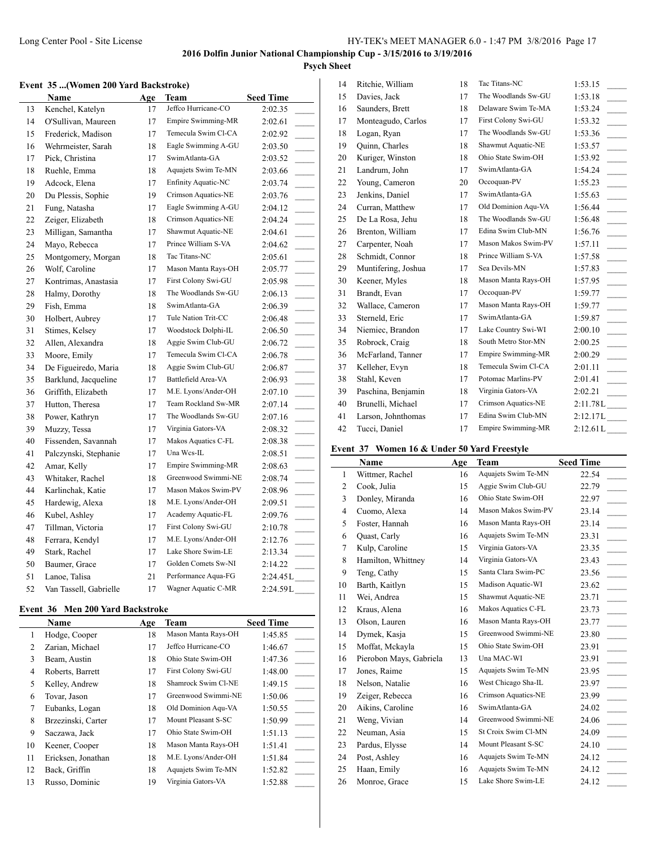#### **Event 35 ...(Women 200 Yard Backstroke)**

|    | Name                   | Age | Team                | <b>Seed Time</b>                    |
|----|------------------------|-----|---------------------|-------------------------------------|
| 13 | Kenchel, Katelyn       | 17  | Jeffco Hurricane-CO | 2:02.35                             |
| 14 | O'Sullivan, Maureen    | 17  | Empire Swimming-MR  | 2:02.61                             |
| 15 | Frederick, Madison     | 17  | Temecula Swim Cl-CA | 2:02.92                             |
| 16 | Wehrmeister, Sarah     | 18  | Eagle Swimming A-GU | 2:03.50                             |
| 17 | Pick, Christina        | 17  | SwimAtlanta-GA      | 2:03.52<br>$\overline{\phantom{a}}$ |
| 18 | Ruehle, Emma           | 18  | Aquajets Swim Te-MN | 2:03.66                             |
| 19 | Adcock, Elena          | 17  | Enfinity Aquatic-NC | 2:03.74                             |
| 20 | Du Plessis, Sophie     | 19  | Crimson Aquatics-NE | 2:03.76<br>$\overline{\phantom{a}}$ |
| 21 | Fung, Natasha          | 17  | Eagle Swimming A-GU | 2:04.12                             |
| 22 | Zeiger, Elizabeth      | 18  | Crimson Aquatics-NE | 2:04.24                             |
| 23 | Milligan, Samantha     | 17  | Shawmut Aquatic-NE  | 2:04.61<br>$\overline{\phantom{a}}$ |
| 24 | Mayo, Rebecca          | 17  | Prince William S-VA | 2:04.62                             |
| 25 | Montgomery, Morgan     | 18  | Tac Titans-NC       | 2:05.61<br>$\overline{\phantom{a}}$ |
| 26 | Wolf, Caroline         | 17  | Mason Manta Rays-OH | 2:05.77                             |
| 27 | Kontrimas, Anastasia   | 17  | First Colony Swi-GU | 2:05.98                             |
| 28 | Halmy, Dorothy         | 18  | The Woodlands Sw-GU | 2:06.13<br>$\sim$                   |
| 29 | Fish, Emma             | 18  | SwimAtlanta-GA      | 2:06.39                             |
| 30 | Holbert, Aubrey        | 17  | Tule Nation Trit-CC | 2:06.48                             |
| 31 | Stimes, Kelsey         | 17  | Woodstock Dolphi-IL | 2:06.50<br>$\overline{\phantom{a}}$ |
| 32 | Allen, Alexandra       | 18  | Aggie Swim Club-GU  | 2:06.72                             |
| 33 | Moore, Emily           | 17  | Temecula Swim Cl-CA | 2:06.78                             |
| 34 | De Figueiredo, Maria   | 18  | Aggie Swim Club-GU  | 2:06.87                             |
| 35 | Barklund, Jacqueline   | 17  | Battlefield Area-VA | 2:06.93                             |
| 36 | Griffith, Elizabeth    | 17  | M.E. Lyons/Ander-OH | 2:07.10<br>$\overline{\phantom{a}}$ |
| 37 | Hutton, Theresa        | 17  | Team Rockland Sw-MR | 2:07.14<br>$\overline{\phantom{a}}$ |
| 38 | Power, Kathryn         | 17  | The Woodlands Sw-GU | 2:07.16                             |
| 39 | Muzzy, Tessa           | 17  | Virginia Gators-VA  | 2:08.32                             |
| 40 | Fissenden, Savannah    | 17  | Makos Aquatics C-FL | 2:08.38<br>$\sim$ 10 $\pm$          |
| 41 | Palczynski, Stephanie  | 17  | Una Wcs-IL          | 2:08.51                             |
| 42 | Amar, Kelly            | 17  | Empire Swimming-MR  | 2:08.63                             |
| 43 | Whitaker, Rachel       | 18  | Greenwood Swimmi-NE | 2:08.74                             |
| 44 | Karlinchak, Katie      | 17  | Mason Makos Swim-PV | 2:08.96                             |
| 45 | Hardewig, Alexa        | 18  | M.E. Lyons/Ander-OH | 2:09.51                             |
| 46 | Kubel, Ashley          | 17  | Academy Aquatic-FL  | 2:09.76                             |
| 47 | Tillman, Victoria      | 17  | First Colony Swi-GU | 2:10.78                             |
| 48 | Ferrara, Kendyl        | 17  | M.E. Lyons/Ander-OH | 2:12.76<br>$\overline{\phantom{a}}$ |
| 49 | Stark, Rachel          | 17  | Lake Shore Swim-LE  | 2:13.34                             |
| 50 | Baumer, Grace          | 17  | Golden Comets Sw-NI | 2:14.22                             |
| 51 | Lanoe, Talisa          | 21  | Performance Aqua-FG | 2:24.45L                            |
| 52 | Van Tassell, Gabrielle | 17  | Wagner Aquatic C-MR | 2:24.59L                            |

## **Event 36 Men 200 Yard Backstroke**

|    | Name               | Age | Team                | <b>Seed Time</b> |
|----|--------------------|-----|---------------------|------------------|
| 1  | Hodge, Cooper      | 18  | Mason Manta Rays-OH | 1:45.85          |
| 2  | Zarian, Michael    | 17  | Jeffco Hurricane-CO | 1:46.67          |
| 3  | Beam, Austin       | 18  | Ohio State Swim-OH  | 1:47.36          |
| 4  | Roberts, Barrett   | 17  | First Colony Swi-GU | 1:48.00          |
| 5  | Kelley, Andrew     | 18  | Shamrock Swim Cl-NE | 1:49.15          |
| 6  | Tovar, Jason       | 17  | Greenwood Swimmi-NE | 1:50.06          |
| 7  | Eubanks, Logan     | 18  | Old Dominion Agu-VA | 1:50.55          |
| 8  | Brzezinski, Carter | 17  | Mount Pleasant S-SC | 1:50.99          |
| 9  | Saczawa, Jack      | 17  | Ohio State Swim-OH  | 1:51.13          |
| 10 | Keener, Cooper     | 18  | Mason Manta Rays-OH | 1:51.41          |
| 11 | Ericksen, Jonathan | 18  | M.E. Lyons/Ander-OH | 1:51.84          |
| 12 | Back, Griffin      | 18  | Aquajets Swim Te-MN | 1:52.82          |
| 13 | Russo, Dominic     | 19  | Virginia Gators-VA  | 1:52.88          |

| 14 | Ritchie, William    | 18 | Tac Titans-NC             | 1:53.15                             |
|----|---------------------|----|---------------------------|-------------------------------------|
| 15 | Davies, Jack        | 17 | The Woodlands Sw-GU       | 1:53.18                             |
| 16 | Saunders, Brett     | 18 | Delaware Swim Te-MA       | 1:53.24                             |
| 17 | Monteagudo, Carlos  | 17 | First Colony Swi-GU       | 1:53.32                             |
| 18 | Logan, Ryan         | 17 | The Woodlands Sw-GU       | 1:53.36<br>$\sim 10$                |
| 19 | Quinn, Charles      | 18 | Shawmut Aquatic-NE        | 1:53.57                             |
| 20 | Kuriger, Winston    | 18 | Ohio State Swim-OH        | 1:53.92                             |
| 21 | Landrum, John       | 17 | SwimAtlanta-GA            | 1:54.24                             |
| 22 | Young, Cameron      | 20 | Occoquan-PV               | 1:55.23                             |
| 23 | Jenkins, Daniel     | 17 | SwimAtlanta-GA            | 1:55.63                             |
| 24 | Curran, Matthew     | 17 | Old Dominion Aqu-VA       | 1:56.44<br>$\overline{a}$           |
| 25 | De La Rosa, Jehu    | 18 | The Woodlands Sw-GU       | 1:56.48                             |
| 26 | Brenton, William    | 17 | Edina Swim Club-MN        | 1:56.76                             |
| 27 | Carpenter, Noah     | 17 | Mason Makos Swim-PV       | 1:57.11<br>$\overline{a}$           |
| 28 | Schmidt, Connor     | 18 | Prince William S-VA       | 1:57.58                             |
| 29 | Muntifering, Joshua | 17 | Sea Devils-MN             | 1:57.83                             |
| 30 | Keener, Myles       | 18 | Mason Manta Rays-OH       | 1:57.95                             |
| 31 | Brandt, Evan        | 17 | Occoquan-PV               | 1:59.77                             |
| 32 | Wallace, Cameron    | 17 | Mason Manta Rays-OH       | 1:59.77                             |
| 33 | Sterneld, Eric      | 17 | SwimAtlanta-GA            | 1:59.87<br>$\sim$                   |
| 34 | Niemiec, Brandon    | 17 | Lake Country Swi-WI       | 2:00.10                             |
| 35 | Robrock, Craig      | 18 | South Metro Stor-MN       | 2:00.25<br>$\overline{\phantom{a}}$ |
| 36 | McFarland, Tanner   | 17 | Empire Swimming-MR        | 2:00.29                             |
| 37 | Kelleher, Evyn      | 18 | Temecula Swim Cl-CA       | 2:01.11                             |
| 38 | Stahl, Keven        | 17 | Potomac Marlins-PV        | 2:01.41                             |
| 39 | Paschina, Benjamin  | 18 | Virginia Gators-VA        | 2:02.21                             |
| 40 | Brunelli, Michael   | 17 | Crimson Aquatics-NE       | 2:11.78L                            |
| 41 | Larson, Johnthomas  | 17 | Edina Swim Club-MN        | 2:12.17L                            |
| 42 | Tucci, Daniel       | 17 | <b>Empire Swimming-MR</b> | 2:12.61L                            |

# **Event 37 Women 16 & Under 50 Yard Freestyle**

|              | Name                    | Age | Team                | <b>Seed Time</b> |
|--------------|-------------------------|-----|---------------------|------------------|
| $\mathbf{1}$ | Wittmer, Rachel         | 16  | Aquajets Swim Te-MN | 22.54            |
| 2            | Cook, Julia             | 15  | Aggie Swim Club-GU  | 22.79            |
| 3            | Donley, Miranda         | 16  | Ohio State Swim-OH  | 22.97            |
| 4            | Cuomo, Alexa            | 14  | Mason Makos Swim-PV | 23.14            |
| 5            | Foster, Hannah          | 16  | Mason Manta Rays-OH | 23.14            |
| 6            | Quast, Carly            | 16  | Aquajets Swim Te-MN | 23.31            |
| 7            | Kulp, Caroline          | 15  | Virginia Gators-VA  | 23.35            |
| 8            | Hamilton, Whittney      | 14  | Virginia Gators-VA  | 23.43            |
| 9            | Teng, Cathy             | 15  | Santa Clara Swim-PC | 23.56            |
| 10           | Barth, Kaitlyn          | 15  | Madison Aquatic-WI  | 23.62            |
| 11           | Wei, Andrea             | 15  | Shawmut Aquatic-NE  | 23.71            |
| 12           | Kraus, Alena            | 16  | Makos Aquatics C-FL | 23.73            |
| 13           | Olson, Lauren           | 16  | Mason Manta Rays-OH | 23.77            |
| 14           | Dymek, Kasja            | 15  | Greenwood Swimmi-NE | 23.80            |
| 15           | Moffat, Mckayla         | 15  | Ohio State Swim-OH  | 23.91            |
| 16           | Pierobon Mays, Gabriela | 13  | Una MAC-WI          | 23.91            |
| 17           | Jones, Raime            | 15  | Aquajets Swim Te-MN | 23.95            |
| 18           | Nelson, Natalie         | 16  | West Chicago Sha-IL | 23.97            |
| 19           | Zeiger, Rebecca         | 16  | Crimson Aquatics-NE | 23.99            |
| 20           | Aikins, Caroline        | 16  | SwimAtlanta-GA      | 24.02            |
| 21           | Weng, Vivian            | 14  | Greenwood Swimmi-NE | 24.06            |
| 22           | Neuman, Asia            | 15  | St Croix Swim Cl-MN | 24.09            |
| 23           | Pardus, Elysse          | 14  | Mount Pleasant S-SC | 24.10            |
| 24           | Post, Ashley            | 16  | Aquajets Swim Te-MN | 24.12            |
| 25           | Haan, Emily             | 16  | Aquajets Swim Te-MN | 24.12            |
| 26           | Monroe, Grace           | 15  | Lake Shore Swim-LE  | 24.12            |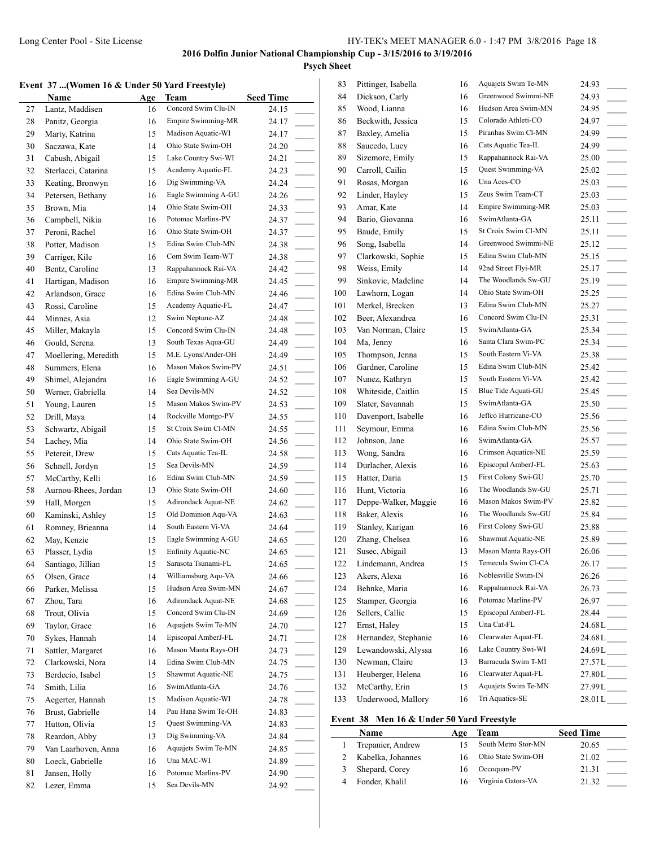**Psych Sheet**

|  |  | Event 37 (Women 16 & Under 50 Yard Freestyle) |  |  |  |  |  |  |  |  |
|--|--|-----------------------------------------------|--|--|--|--|--|--|--|--|
|--|--|-----------------------------------------------|--|--|--|--|--|--|--|--|

|        | vent 37 (Women 16 & Under 50 Yard Freestyle) |     |                     |                                     |
|--------|----------------------------------------------|-----|---------------------|-------------------------------------|
|        | Name                                         | Age | Team                | <b>Seed Time</b>                    |
| 27     | Lantz, Maddisen                              | 16  | Concord Swim Clu-IN | 24.15                               |
| 28     | Panitz, Georgia                              | 16  | Empire Swimming-MR  | 24.17                               |
| 29     | Marty, Katrina                               | 15  | Madison Aquatic-WI  | 24.17                               |
| 30     | Saczawa, Kate                                | 14  | Ohio State Swim-OH  | 24.20                               |
| 31     | Cabush, Abigail                              | 15  | Lake Country Swi-WI | 24.21                               |
| 32     | Sterlacci, Catarina                          | 15  | Academy Aquatic-FL  | 24.23                               |
| 33     | Keating, Bronwyn                             | 16  | Dig Swimming-VA     | 24.24                               |
| 34     | Petersen, Bethany                            | 16  | Eagle Swimming A-GU | 24.26                               |
| 35     | Brown, Mia                                   | 14  | Ohio State Swim-OH  | 24.33                               |
| 36     | Campbell, Nikia                              | 16  | Potomac Marlins-PV  | 24.37                               |
| 37     | Peroni, Rachel                               | 16  | Ohio State Swim-OH  | 24.37<br>$\sim$                     |
| 38     | Potter, Madison                              | 15  | Edina Swim Club-MN  | 24.38                               |
| 39     | Carriger, Kile                               | 16  | Com Swim Team-WT    | 24.38                               |
| 40     | Bentz, Caroline                              | 13  | Rappahannock Rai-VA | 24.42                               |
| 41     | Hartigan, Madison                            | 16  | Empire Swimming-MR  | 24.45                               |
| 42     | Arlandson, Grace                             | 16  | Edina Swim Club-MN  |                                     |
|        | Rossi, Caroline                              |     | Academy Aquatic-FL  | 24.46                               |
| 43     |                                              | 15  | Swim Neptune-AZ     | 24.47                               |
| 44     | Minnes, Asia                                 | 12  | Concord Swim Clu-IN | 24.48                               |
| 45     | Miller, Makayla                              | 15  |                     | 24.48                               |
| 46     | Gould, Serena                                | 13  | South Texas Aqua-GU | 24.49                               |
| 47     | Moellering, Meredith                         | 15  | M.E. Lyons/Ander-OH | 24.49                               |
| 48     | Summers, Elena                               | 16  | Mason Makos Swim-PV | 24.51<br>$\sim$ 10 $\pm$            |
| 49     | Shimel, Alejandra                            | 16  | Eagle Swimming A-GU | 24.52<br>$\overline{\phantom{a}}$   |
| 50     | Werner, Gabriella                            | 14  | Sea Devils-MN       | 24.52                               |
| 51     | Young, Lauren                                | 15  | Mason Makos Swim-PV | 24.53<br>$\mathcal{L}^{\text{max}}$ |
| 52     | Drill, Maya                                  | 14  | Rockville Montgo-PV | 24.55                               |
| 53     | Schwartz, Abigail                            | 15  | St Croix Swim Cl-MN | 24.55                               |
| 54     | Lachey, Mia                                  | 14  | Ohio State Swim-OH  | 24.56                               |
| 55     | Petereit, Drew                               | 15  | Cats Aquatic Tea-IL | 24.58                               |
| 56     | Schnell, Jordyn                              | 15  | Sea Devils-MN       | 24.59                               |
| 57     | McCarthy, Kelli                              | 16  | Edina Swim Club-MN  | 24.59                               |
| 58     | Aurnou-Rhees, Jordan                         | 13  | Ohio State Swim-OH  | 24.60                               |
| 59     | Hall, Morgen                                 | 15  | Adirondack Aquat-NE | 24.62                               |
| 60     | Kaminski, Ashley                             | 15  | Old Dominion Aqu-VA | 24.63<br>$\sim$ 100 $\mu$           |
| 61     | Romney, Brieanna                             | 14  | South Eastern Vi-VA | 24.64<br>$\sim$ 10 $\pm$            |
| 62     | May, Kenzie                                  | 15  | Eagle Swimming A-GU | 24.65                               |
| 63     | Plasser, Lydia                               | 15  | Enfinity Aquatic-NC | 24.65                               |
| 64     | Santiago, Jillian                            | 15  | Sarasota Tsunami-FL | 24.65                               |
| 65     | Olsen, Grace                                 | 14  | Williamsburg Aqu-VA | 24.66                               |
| 66     | Parker, Melissa                              | 15  | Hudson Area Swim-MN | 24.67                               |
| 67     | Zhou, Tara                                   | 16  | Adirondack Aquat-NE | 24.68                               |
| 68     | Trout, Olivia                                | 15  | Concord Swim Clu-IN | 24.69                               |
| 69     | Taylor, Grace                                | 16  | Aquajets Swim Te-MN | 24.70                               |
| 70     | Sykes, Hannah                                | 14  | Episcopal AmberJ-FL | 24.71                               |
| 71     | Sattler, Margaret                            | 16  | Mason Manta Rays-OH | 24.73                               |
| 72     | Clarkowski, Nora                             | 14  | Edina Swim Club-MN  | 24.75                               |
|        | Berdecio, Isabel                             |     | Shawmut Aquatic-NE  |                                     |
| 73     |                                              | 15  | SwimAtlanta-GA      | 24.75                               |
| 74     | Smith, Lilia                                 | 16  |                     | 24.76                               |
| 75     | Aegerter, Hannah                             | 15  | Madison Aquatic-WI  | 24.78                               |
| 76     | Brust, Gabrielle                             | 14  | Pau Hana Swim Te-OH | 24.83                               |
| 77     | Hutton, Olivia                               | 15  | Quest Swimming-VA   | 24.83                               |
| 78     | Reardon, Abby                                | 13  | Dig Swimming-VA     | 24.84                               |
| 79     | Van Laarhoven, Anna                          | 16  | Aquajets Swim Te-MN | 24.85                               |
| $80\,$ | Loeck, Gabrielle                             | 16  | Una MAC-WI          | 24.89                               |
| 81     | Jansen, Holly                                | 16  | Potomac Marlins-PV  | 24.90                               |
| 82     | Lezer, Emma                                  | 15  | Sea Devils-MN       | 24.92                               |

| 84         |                      |    |                           |                                    |
|------------|----------------------|----|---------------------------|------------------------------------|
|            | Dickson, Carly       | 16 | Greenwood Swimmi-NE       | 24.93                              |
| 85         | Wood, Lianna         | 16 | Hudson Area Swim-MN       | 24.95                              |
| 86         | Beckwith, Jessica    | 15 | Colorado Athleti-CO       | 24.97                              |
| 87         | Baxley, Amelia       | 15 | Piranhas Swim Cl-MN       | 24.99                              |
| 88         | Saucedo, Lucy        | 16 | Cats Aquatic Tea-IL       | 24.99                              |
| 89         | Sizemore, Emily      | 15 | Rappahannock Rai-VA       | 25.00                              |
| 90         | Carroll, Cailin      | 15 | Quest Swimming-VA         | 25.02                              |
| 91         | Rosas, Morgan        | 16 | Una Aces-CO               | 25.03                              |
| 92         | Linder, Hayley       | 15 | Zeus Swim Team-CT         | 25.03                              |
| 93         | Amar, Kate           | 14 | <b>Empire Swimming-MR</b> | 25.03                              |
| 94         | Bario, Giovanna      | 16 | SwimAtlanta-GA            | 25.11                              |
| 95         | Baude, Emily         | 15 | St Croix Swim Cl-MN       | 25.11<br>$\frac{1}{2}$             |
| 96         | Song, Isabella       | 14 | Greenwood Swimmi-NE       | 25.12<br>$\sim$                    |
| 97         | Clarkowski, Sophie   | 15 | Edina Swim Club-MN        | 25.15                              |
| 98         | Weiss, Emily         | 14 | 92nd Street Flyi-MR       | 25.17                              |
| 99         | Sinkovic, Madeline   | 14 | The Woodlands Sw-GU       | 25.19<br>$\sim 10^{-1}$            |
| 100        | Lawhorn, Logan       | 14 | Ohio State Swim-OH        | 25.25                              |
| 101        | Merkel, Brecken      | 13 | Edina Swim Club-MN        | 25.27<br>$\overline{\phantom{a}}$  |
| 102        | Beer, Alexandrea     | 16 | Concord Swim Clu-IN       | 25.31                              |
| 103        | Van Norman, Claire   | 15 | SwimAtlanta-GA            | 25.34                              |
| 104        | Ma, Jenny            | 16 | Santa Clara Swim-PC       | 25.34                              |
| 105        | Thompson, Jenna      | 15 | South Eastern Vi-VA       | 25.38                              |
| 106        | Gardner, Caroline    | 15 | Edina Swim Club-MN        | 25.42                              |
| 107        | Nunez, Kathryn       | 15 | South Eastern Vi-VA       | 25.42                              |
| 108        | Whiteside, Caitlin   | 15 | Blue Tide Aquati-GU       | 25.45<br>$\sim$                    |
| 109        | Slater, Savannah     | 15 | SwimAtlanta-GA            | 25.50                              |
| 110        | Davenport, Isabelle  | 16 | Jeffco Hurricane-CO       | 25.56                              |
| 111        | Seymour, Emma        | 16 | Edina Swim Club-MN        | 25.56<br>$\sim 10^{-11}$           |
| 112        | Johnson, Jane        | 16 | SwimAtlanta-GA            | 25.57                              |
| 113        | Wong, Sandra         | 16 | Crimson Aquatics-NE       | 25.59                              |
| 114        | Durlacher, Alexis    | 16 | Episcopal AmberJ-FL       | 25.63                              |
| 115        | Hatter, Daria        | 15 | First Colony Swi-GU       | 25.70                              |
| 116        | Hunt, Victoria       | 16 | The Woodlands Sw-GU       | 25.71                              |
| 117        | Deppe-Walker, Maggie | 16 | Mason Makos Swim-PV       | 25.82                              |
| 118        | Baker, Alexis        | 16 | The Woodlands Sw-GU       | 25.84                              |
| 119        | Stanley, Karigan     | 16 | First Colony Swi-GU       | 25.88                              |
| 120        | Zhang, Chelsea       | 16 | Shawmut Aquatic-NE        | 25.89                              |
| 121        | Susec, Abigail       | 13 | Mason Manta Rays-OH       | 26.06                              |
| 122        | Lindemann, Andrea    | 15 | Temecula Swim Cl-CA       | 26.17                              |
| 123        | Akers, Alexa         | 16 | Noblesville Swim-IN       | 26.26                              |
| 124        | Behnke, Maria        | 16 | Rappahannock Rai-VA       | 26.73                              |
| 125        | Stamper, Georgia     | 16 | Potomac Marlins-PV        | 26.97<br>$\overline{\phantom{a}}$  |
| 126        | Sellers, Callie      | 15 | Episcopal AmberJ-FL       | 28.44                              |
| 127        | Ernst, Haley         | 15 | Una Cat-FL                | $\overline{\phantom{a}}$<br>24.68L |
| 128        | Hernandez, Stephanie | 16 | Clearwater Aquat-FL       | 24.68L                             |
| 129        | Lewandowski, Alyssa  | 16 | Lake Country Swi-WI       | 24.69L                             |
| 130        | Newman, Claire       | 13 | Barracuda Swim T-MI       | $27.57L$ <sub>_____</sub>          |
| 131        | Heuberger, Helena    | 16 | Clearwater Aquat-FL       | $27.80L$ <sub>_____</sub>          |
|            | McCarthy, Erin       | 15 | Aquajets Swim Te-MN       | $27.99L$ <sub>---</sub>            |
|            |                      |    |                           |                                    |
| 132<br>133 | Underwood, Mallory   | 16 | Tri Aquatics-SE           | $28.01 L$ <sub>____</sub>          |

#### **Event 38 Men 16 & Under 50 Yard Freestyle**

| Name              | Age | Team                | <b>Seed Time</b> |
|-------------------|-----|---------------------|------------------|
| Trepanier, Andrew |     | South Metro Stor-MN | 20.65            |
| Kabelka, Johannes |     | Ohio State Swim-OH  | 21.02            |
| Shepard, Corey    |     | Occoquan-PV         | 21.31            |
| Fonder, Khalil    |     | Virginia Gators-VA  | 21.32            |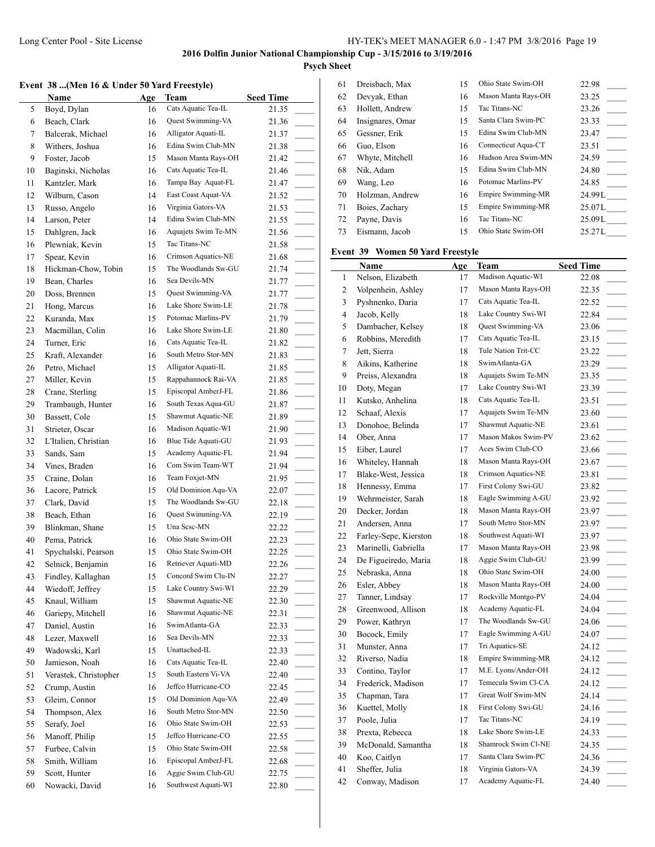**Psych Sheet**

### **Event 38 ...(Men 16 & Under 50 Yard Freestyle)**

|    | Event 38 (Men 16 & Under 50 Yard Freestyle) |     |                     |                                   |
|----|---------------------------------------------|-----|---------------------|-----------------------------------|
|    | Name                                        | Age | Team                | <b>Seed Time</b>                  |
| 5  | Boyd, Dylan                                 | 16  | Cats Aquatic Tea-IL | 21.35                             |
| 6  | Beach, Clark                                | 16  | Quest Swimming-VA   | 21.36                             |
| 7  | Balcerak, Michael                           | 16  | Alligator Aquati-IL | 21.37                             |
| 8  | Withers, Joshua                             | 16  | Edina Swim Club-MN  | 21.38                             |
| 9  | Foster, Jacob                               | 15  | Mason Manta Rays-OH | 21.42                             |
| 10 | Baginski, Nicholas                          | 16  | Cats Aquatic Tea-IL | 21.46                             |
| 11 | Kantzler, Mark                              | 16  | Tampa Bay Aquat-FL  | 21.47                             |
| 12 | Wilburn, Cason                              | 14  | East Coast Aquat-VA | 21.52                             |
| 13 | Russo, Angelo                               | 16  | Virginia Gators-VA  | 21.53<br>$\overline{\phantom{a}}$ |
| 14 | Larson, Peter                               | 14  | Edina Swim Club-MN  | 21.55<br>$\overline{\phantom{a}}$ |
| 15 | Dahlgren, Jack                              | 16  | Aquajets Swim Te-MN | 21.56                             |
| 16 | Plewniak, Kevin                             | 15  | Tac Titans-NC       | 21.58                             |
| 17 | Spear, Kevin                                | 16  | Crimson Aquatics-NE | 21.68<br>$\sim$                   |
| 18 | Hickman-Chow, Tobin                         | 15  | The Woodlands Sw-GU | 21.74                             |
| 19 | Bean, Charles                               | 16  | Sea Devils-MN       | 21.77                             |
| 20 | Doss, Brennen                               | 15  | Quest Swimming-VA   | $\overline{\phantom{a}}$<br>21.77 |
| 21 | Hong, Marcus                                | 16  | Lake Shore Swim-LE  | $\overline{\phantom{a}}$<br>21.78 |
| 22 | Kuranda, Max                                | 15  | Potomac Marlins-PV  | 21.79                             |
| 23 |                                             |     | Lake Shore Swim-LE  |                                   |
|    | Macmillan, Colin                            | 16  | Cats Aquatic Tea-IL | 21.80<br>$\overline{\phantom{a}}$ |
| 24 | Turner, Eric                                | 16  | South Metro Stor-MN | 21.82                             |
| 25 | Kraft, Alexander                            | 16  |                     | 21.83<br>$\overline{\phantom{a}}$ |
| 26 | Petro, Michael                              | 15  | Alligator Aquati-IL | 21.85<br>$\overline{\phantom{a}}$ |
| 27 | Miller, Kevin                               | 15  | Rappahannock Rai-VA | 21.85                             |
| 28 | Crane, Sterling                             | 15  | Episcopal AmberJ-FL | 21.86                             |
| 29 | Trambaugh, Hunter                           | 16  | South Texas Aqua-GU | 21.87<br>$\mathbb{R}^2$           |
| 30 | Bassett, Cole                               | 15  | Shawmut Aquatic-NE  | 21.89                             |
| 31 | Strieter, Oscar                             | 16  | Madison Aquatic-WI  | 21.90                             |
| 32 | L'Italien, Christian                        | 16  | Blue Tide Aquati-GU | 21.93<br>$\sim$                   |
| 33 | Sands, Sam                                  | 15  | Academy Aquatic-FL  | 21.94                             |
| 34 | Vines, Braden                               | 16  | Com Swim Team-WT    | 21.94                             |
| 35 | Craine, Dolan                               | 16  | Team Foxjet-MN      | 21.95<br>$\mathbb{R}$             |
| 36 | Lacore, Patrick                             | 15  | Old Dominion Aqu-VA | 22.07                             |
| 37 | Clark, David                                | 15  | The Woodlands Sw-GU | 22.18<br>$\sim$                   |
| 38 | Beach, Ethan                                | 16  | Quest Swimming-VA   | 22.19<br>$\sim$                   |
| 39 | Blinkman, Shane                             | 15  | Una Scsc-MN         | 22.22                             |
| 40 | Pema, Patrick                               | 16  | Ohio State Swim-OH  | 22.23                             |
| 41 | Spychalski, Pearson                         | 15  | Ohio State Swim-OH  | 22.25                             |
| 42 | Selnick, Benjamin                           | 16  | Retriever Aquati-MD | 22.26                             |
| 43 | Findley, Kallaghan                          | 15  | Concord Swim Clu-IN | 22.27                             |
| 44 | Wiedoff, Jeffrey                            | 15  | Lake Country Swi-WI | 22.29                             |
| 45 | Knaul, William                              | 15  | Shawmut Aquatic-NE  | 22.30                             |
| 46 | Gariepy, Mitchell                           | 16  | Shawmut Aquatic-NE  | 22.31                             |
| 47 | Daniel, Austin                              | 16  | SwimAtlanta-GA      | 22.33                             |
| 48 | Lezer, Maxwell                              | 16  | Sea Devils-MN       | 22.33                             |
| 49 | Wadowski, Karl                              | 15  | Unattached-IL       | 22.33                             |
| 50 | Jamieson, Noah                              | 16  | Cats Aquatic Tea-IL | 22.40                             |
| 51 | Verastek, Christopher                       | 15  | South Eastern Vi-VA | 22.40                             |
| 52 | Crump, Austin                               | 16  | Jeffco Hurricane-CO | 22.45                             |
| 53 | Gleim, Connor                               | 15  | Old Dominion Aqu-VA | 22.49                             |
| 54 | Thompson, Alex                              | 16  | South Metro Stor-MN | 22.50                             |
| 55 | Serafy, Joel                                | 16  | Ohio State Swim-OH  | 22.53                             |
| 56 |                                             | 15  | Jeffco Hurricane-CO |                                   |
|    | Manoff, Philip                              |     | Ohio State Swim-OH  | 22.55                             |
| 57 | Furbee, Calvin                              | 15  |                     | 22.58                             |
| 58 | Smith, William                              | 16  | Episcopal AmberJ-FL | 22.68                             |
| 59 | Scott, Hunter                               | 16  | Aggie Swim Club-GU  | 22.75                             |
| 60 | Nowacki, David                              | 16  | Southwest Aquati-WI | 22.80                             |
|    |                                             |     |                     |                                   |

| 61 | Dreisbach, Max   | 15 | Ohio State Swim-OH  | 22.98  |
|----|------------------|----|---------------------|--------|
| 62 | Devyak, Ethan    | 16 | Mason Manta Rays-OH | 23.25  |
| 63 | Hollett, Andrew  | 15 | Tac Titans-NC       | 23.26  |
| 64 | Insignares, Omar | 15 | Santa Clara Swim-PC | 23.33  |
| 65 | Gessner, Erik    | 15 | Edina Swim Club-MN  | 23.47  |
| 66 | Guo, Elson       | 16 | Connecticut Aqua-CT | 23.51  |
| 67 | Whyte, Mitchell  | 16 | Hudson Area Swim-MN | 24.59  |
| 68 | Nik, Adam        | 15 | Edina Swim Club-MN  | 24.80  |
| 69 | Wang, Leo        | 16 | Potomac Marlins-PV  | 24.85  |
| 70 | Holzman, Andrew  | 16 | Empire Swimming-MR  | 24.99L |
| 71 | Boies, Zachary   | 15 | Empire Swimming-MR  | 25.07L |
| 72 | Payne, Davis     | 16 | Tac Titans-NC       | 25.09L |
| 73 | Eismann, Jacob   | 15 | Ohio State Swim-OH  | 25.27L |
|    |                  |    |                     |        |

## **Event 39 Women 50 Yard Freestyle**

|                | Name                  | Age | Team                | <b>Seed Time</b>                    |
|----------------|-----------------------|-----|---------------------|-------------------------------------|
| 1              | Nelson, Elizabeth     | 17  | Madison Aquatic-WI  | 22.08                               |
| $\overline{c}$ | Volpenhein, Ashley    | 17  | Mason Manta Rays-OH | 22.35                               |
| 3              | Pyshnenko, Daria      | 17  | Cats Aquatic Tea-IL | 22.52                               |
| $\overline{4}$ | Jacob, Kelly          | 18  | Lake Country Swi-WI | 22.84<br>$\overline{\phantom{0}}$   |
| 5              | Dambacher, Kelsey     | 18  | Quest Swimming-VA   | 23.06                               |
| 6              | Robbins, Meredith     | 17  | Cats Aquatic Tea-IL | 23.15<br>$\overline{\phantom{a}}$   |
| $\overline{7}$ | Jett, Sierra          | 18  | Tule Nation Trit-CC | 23.22<br>$\overline{\phantom{a}}$   |
| 8              | Aikins, Katherine     | 18  | SwimAtlanta-GA      | 23.29<br>$\overline{a}$             |
| 9              | Preiss, Alexandra     | 18  | Aquajets Swim Te-MN | 23.35                               |
| 10             | Doty, Megan           | 17  | Lake Country Swi-WI | 23.39                               |
| 11             | Kutsko, Anhelina      | 18  | Cats Aquatic Tea-IL | 23.51<br>$\overline{\phantom{a}}$   |
| 12             | Schaaf, Alexis        | 17  | Aquajets Swim Te-MN | 23.60                               |
| 13             | Donohoe, Belinda      | 17  | Shawmut Aquatic-NE  | 23.61                               |
| 14             | Ober, Anna            | 17  | Mason Makos Swim-PV | 23.62                               |
| 15             | Eiber, Laurel         | 17  | Aces Swim Club-CO   | 23.66<br>$\overline{\phantom{a}}$   |
| 16             | Whiteley, Hannah      | 18  | Mason Manta Rays-OH | 23.67<br>$\overline{\phantom{a}}$   |
| 17             | Blake-West, Jessica   | 18  | Crimson Aquatics-NE | 23.81<br>$\overline{\phantom{a}}$   |
| 18             | Hennessy, Emma        | 17  | First Colony Swi-GU | 23.82                               |
| 19             | Wehrmeister, Sarah    | 18  | Eagle Swimming A-GU | 23.92<br>$\overline{\phantom{a}}$   |
| 20             | Decker, Jordan        | 18  | Mason Manta Rays-OH | 23.97                               |
| 21             | Andersen, Anna        | 17  | South Metro Stor-MN | 23.97<br>$\overline{\phantom{a}}$   |
| 22             | Farley-Sepe, Kierston | 18  | Southwest Aquati-WI | 23.97                               |
| 23             | Marinelli, Gabriella  | 17  | Mason Manta Rays-OH | 23.98<br>$\sim$                     |
| 24             | De Figueiredo, Maria  | 18  | Aggie Swim Club-GU  | 23.99                               |
| 25             | Nebraska, Anna        | 18  | Ohio State Swim-OH  | 24.00<br>$\overline{\phantom{a}}$   |
| 26             | Esler, Abbey          | 18  | Mason Manta Rays-OH | 24.00<br>$\overline{\phantom{a}}$   |
| 27             | Tanner, Lindsay       | 17  | Rockville Montgo-PV | 24.04<br>$\sim$                     |
| 28             | Greenwood, Allison    | 18  | Academy Aquatic-FL  | 24.04<br>$\overline{\phantom{a}}$   |
| 29             | Power, Kathryn        | 17  | The Woodlands Sw-GU | 24.06<br>$\mathcal{L}^{\text{max}}$ |
| 30             | Bocock, Emily         | 17  | Eagle Swimming A-GU | 24.07<br>$\overline{\phantom{a}}$   |
| 31             | Munster, Anna         | 17  | Tri Aquatics-SE     | 24.12                               |
| 32             | Riverso, Nadia        | 18  | Empire Swimming-MR  | 24.12                               |
| 33             | Contino, Taylor       | 17  | M.E. Lyons/Ander-OH | 24.12                               |
| 34             | Frederick, Madison    | 17  | Temecula Swim Cl-CA | 24.12<br>$\overline{\phantom{a}}$   |
| 35             | Chapman, Tara         | 17  | Great Wolf Swim-MN  | 24.14                               |
| 36             | Kuettel, Molly        | 18  | First Colony Swi-GU | 24.16<br>$\overline{\phantom{a}}$   |
| 37             | Poole, Julia          | 17  | Tac Titans-NC       | 24.19<br>$\overline{\phantom{a}}$   |
| 38             | Prexta, Rebecca       | 18  | Lake Shore Swim-LE  | 24.33<br>$\overline{\phantom{a}}$   |
| 39             | McDonald, Samantha    | 18  | Shamrock Swim Cl-NE | 24.35                               |
| 40             | Koo, Caitlyn          | 17  | Santa Clara Swim-PC | 24.36                               |
| 41             | Sheffer, Julia        | 18  | Virginia Gators-VA  | 24.39                               |
| 42             | Conway, Madison       | 17  | Academy Aquatic-FL  | 24.40                               |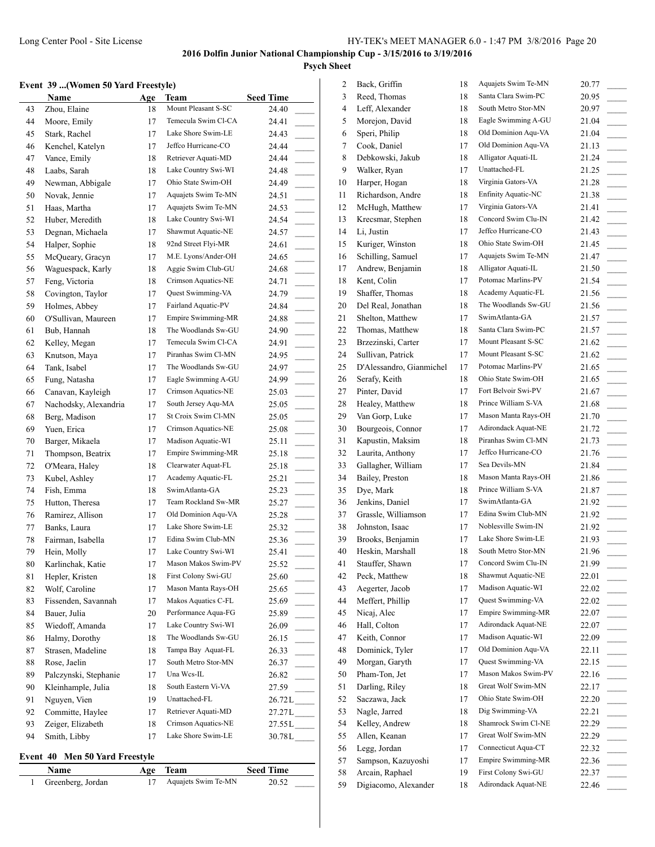### **Event 39 ...(Women 50 Yard Freestyle)**

|    | <b>Name</b>           | Age | Team                | <b>Seed Time</b>                     |
|----|-----------------------|-----|---------------------|--------------------------------------|
| 43 | Zhou, Elaine          | 18  | Mount Pleasant S-SC | 24.40                                |
| 44 | Moore, Emily          | 17  | Temecula Swim Cl-CA | 24.41                                |
| 45 | Stark, Rachel         | 17  | Lake Shore Swim-LE  | 24.43                                |
| 46 | Kenchel, Katelyn      | 17  | Jeffco Hurricane-CO | 24.44                                |
| 47 | Vance, Emily          | 18  | Retriever Aquati-MD | 24.44                                |
| 48 | Laabs, Sarah          | 18  | Lake Country Swi-WI | 24.48                                |
| 49 | Newman, Abbigale      | 17  | Ohio State Swim-OH  | 24.49                                |
| 50 | Novak, Jennie         | 17  | Aquajets Swim Te-MN | 24.51                                |
| 51 | Haas, Martha          | 17  | Aquajets Swim Te-MN | 24.53<br>$\sim$                      |
| 52 | Huber, Meredith       | 18  | Lake Country Swi-WI | 24.54<br>$\sim 10^{-1}$              |
| 53 | Degnan, Michaela      | 17  | Shawmut Aquatic-NE  | 24.57                                |
| 54 | Halper, Sophie        | 18  | 92nd Street Flyi-MR | 24.61                                |
| 55 | McQueary, Gracyn      | 17  | M.E. Lyons/Ander-OH | 24.65<br>$\mathcal{L}^{\mathcal{L}}$ |
| 56 | Waguespack, Karly     | 18  | Aggie Swim Club-GU  | 24.68                                |
| 57 | Feng, Victoria        | 18  | Crimson Aquatics-NE | 24.71<br>$\overline{\phantom{a}}$    |
| 58 | Covington, Taylor     | 17  | Quest Swimming-VA   | 24.79                                |
| 59 | Holmes, Abbey         | 17  | Fairland Aquatic-PV | 24.84                                |
| 60 | O'Sullivan, Maureen   | 17  | Empire Swimming-MR  | 24.88                                |
| 61 | Bub, Hannah           | 18  | The Woodlands Sw-GU | 24.90<br>$\sim$                      |
| 62 | Kelley, Megan         | 17  | Temecula Swim Cl-CA | 24.91                                |
| 63 | Knutson, Maya         | 17  | Piranhas Swim Cl-MN | 24.95<br>$\sim$                      |
| 64 | Tank, Isabel          | 17  | The Woodlands Sw-GU | 24.97<br>$\sim$                      |
| 65 | Fung, Natasha         | 17  | Eagle Swimming A-GU | 24.99                                |
| 66 | Canavan, Kayleigh     | 17  | Crimson Aquatics-NE | 25.03                                |
| 67 | Nachodsky, Alexandria | 17  | South Jersey Aqu-MA | 25.05<br>$\mathcal{L}^{\mathcal{L}}$ |
| 68 | Berg, Madison         | 17  | St Croix Swim Cl-MN | 25.05                                |
| 69 | Yuen, Erica           | 17  | Crimson Aquatics-NE | 25.08                                |
| 70 | Barger, Mikaela       | 17  | Madison Aquatic-WI  | a.<br>25.11                          |
| 71 | Thompson, Beatrix     | 17  | Empire Swimming-MR  | $\sim$<br>25.18                      |
| 72 | O'Meara, Haley        | 18  | Clearwater Aquat-FL | 25.18                                |
| 73 | Kubel, Ashley         | 17  | Academy Aquatic-FL  | 25.21<br>$\sim$                      |
| 74 | Fish, Emma            | 18  | SwimAtlanta-GA      | 25.23                                |
| 75 | Hutton, Theresa       | 17  | Team Rockland Sw-MR | 25.27<br>$\overline{\phantom{a}}$    |
| 76 | Ramirez, Allison      | 17  | Old Dominion Aqu-VA | 25.28                                |
| 77 | Banks, Laura          | 17  | Lake Shore Swim-LE  | $\overline{\phantom{a}}$<br>25.32    |
| 78 | Fairman, Isabella     | 17  | Edina Swim Club-MN  | 25.36                                |
| 79 | Hein, Molly           | 17  | Lake Country Swi-WI | 25.41                                |
| 80 | Karlinchak, Katie     | 17  | Mason Makos Swim-PV | 25.52                                |
| 81 | Hepler, Kristen       | 18  | First Colony Swi-GU | 25.60                                |
| 82 | Wolf, Caroline        | 17  | Mason Manta Rays-OH | 25.65                                |
| 83 | Fissenden, Savannah   | 17  | Makos Aquatics C-FL | 25.69                                |
| 84 | Bauer, Julia          | 20  | Performance Aqua-FG | 25.89                                |
| 85 | Wiedoff, Amanda       | 17  | Lake Country Swi-WI | 26.09<br>$\mathcal{L}^{\text{max}}$  |
| 86 | Halmy, Dorothy        | 18  | The Woodlands Sw-GU | 26.15                                |
| 87 | Strasen, Madeline     | 18  | Tampa Bay Aquat-FL  | 26.33<br>$\sim 10^{-1}$              |
| 88 | Rose, Jaelin          | 17  | South Metro Stor-MN | 26.37<br>$\sim$                      |
| 89 | Palczynski, Stephanie | 17  | Una Wcs-IL          | 26.82                                |
| 90 | Kleinhample, Julia    | 18  | South Eastern Vi-VA | 27.59                                |
| 91 | Nguyen, Vien          | 19  | Unattached-FL       | 26.72L                               |
| 92 | Committe, Haylee      | 17  | Retriever Aquati-MD | $27.27L$ <sub>____</sub>             |
| 93 | Zeiger, Elizabeth     | 18  | Crimson Aquatics-NE | 27.55L                               |
| 94 | Smith, Libby          | 17  | Lake Shore Swim-LE  | 30.78L                               |
|    |                       |     |                     |                                      |

#### **Event 40 Men 50 Yard Freestyle**

| <b>Name</b>       | Age Team            | <b>Seed Time</b> |
|-------------------|---------------------|------------------|
| Greenberg, Jordan | Aquajets Swim Te-MN | 20.52            |

| 2  | Back, Griffin            | 18 | Aquajets Swim Te-MN                              | 20.77 |                          |
|----|--------------------------|----|--------------------------------------------------|-------|--------------------------|
| 3  | Reed, Thomas             | 18 | Santa Clara Swim-PC                              | 20.95 |                          |
| 4  | Leff, Alexander          | 18 | South Metro Stor-MN                              | 20.97 |                          |
| 5  | Morejon, David           | 18 | Eagle Swimming A-GU                              | 21.04 |                          |
| 6  | Speri, Philip            | 18 | Old Dominion Aqu-VA                              | 21.04 | $\overline{\phantom{a}}$ |
| 7  | Cook, Daniel             | 17 | Old Dominion Aqu-VA                              | 21.13 | $\overline{\phantom{a}}$ |
| 8  | Debkowski, Jakub         | 18 | Alligator Aquati-IL                              | 21.24 |                          |
| 9  | Walker, Ryan             | 17 | Unattached-FL                                    | 21.25 | $\sim 10^{-11}$          |
| 10 | Harper, Hogan            | 18 | Virginia Gators-VA                               | 21.28 |                          |
| 11 | Richardson, Andre        | 18 | Enfinity Aquatic-NC                              | 21.38 |                          |
| 12 | McHugh, Matthew          | 17 | Virginia Gators-VA                               | 21.41 | $\overline{a}$           |
| 13 | Krecsmar, Stephen        | 18 | Concord Swim Clu-IN                              | 21.42 |                          |
| 14 | Li, Justin               | 17 | Jeffco Hurricane-CO                              | 21.43 |                          |
| 15 | Kuriger, Winston         | 18 | Ohio State Swim-OH                               | 21.45 |                          |
| 16 | Schilling, Samuel        | 17 | Aquajets Swim Te-MN                              | 21.47 |                          |
| 17 | Andrew, Benjamin         | 18 | Alligator Aquati-IL                              | 21.50 |                          |
| 18 | Kent, Colin              | 17 | Potomac Marlins-PV                               | 21.54 |                          |
| 19 | Shaffer, Thomas          | 18 | Academy Aquatic-FL                               | 21.56 | $\overline{\phantom{a}}$ |
| 20 | Del Real, Jonathan       | 18 | The Woodlands Sw-GU                              | 21.56 | $\overline{\phantom{a}}$ |
|    | Shelton, Matthew         | 17 | SwimAtlanta-GA                                   |       |                          |
| 21 |                          |    | Santa Clara Swim-PC                              | 21.57 | $\sim 10^{-11}$          |
| 22 | Thomas, Matthew          | 18 | Mount Pleasant S-SC                              | 21.57 |                          |
| 23 | Brzezinski, Carter       | 17 |                                                  | 21.62 | $\overline{a}$           |
| 24 | Sullivan, Patrick        | 17 | Mount Pleasant S-SC                              | 21.62 | $\overline{\phantom{a}}$ |
| 25 | D'Alessandro, Gianmichel | 17 | Potomac Marlins-PV                               | 21.65 |                          |
| 26 | Serafy, Keith            | 18 | Ohio State Swim-OH                               | 21.65 |                          |
| 27 | Pinter, David            | 17 | Fort Belvoir Swi-PV                              | 21.67 |                          |
| 28 | Healey, Matthew          | 18 | Prince William S-VA                              | 21.68 |                          |
| 29 | Van Gorp, Luke           | 17 | Mason Manta Rays-OH                              | 21.70 | $\overline{\phantom{a}}$ |
| 30 | Bourgeois, Connor        | 17 | Adirondack Aquat-NE                              | 21.72 | $\overline{\phantom{a}}$ |
| 31 | Kapustin, Maksim         | 18 | Piranhas Swim Cl-MN                              | 21.73 | $\overline{\phantom{a}}$ |
| 32 | Laurita, Anthony         | 17 | Jeffco Hurricane-CO                              | 21.76 |                          |
| 33 | Gallagher, William       | 17 | Sea Devils-MN                                    | 21.84 | $\sim 10^{-11}$          |
| 34 | Bailey, Preston          | 18 | Mason Manta Rays-OH                              | 21.86 |                          |
| 35 | Dye, Mark                | 18 | Prince William S-VA                              | 21.87 |                          |
| 36 | Jenkins, Daniel          | 17 | SwimAtlanta-GA                                   | 21.92 | $\overline{a}$           |
| 37 | Grassle, Williamson      | 17 | Edina Swim Club-MN                               | 21.92 |                          |
| 38 | Johnston, Isaac          | 17 | Noblesville Swim-IN                              | 21.92 |                          |
| 39 | Brooks, Benjamin         | 17 | Lake Shore Swim-LE                               | 21.93 |                          |
| 40 | Heskin, Marshall         | 18 | South Metro Stor-MN                              | 21.96 |                          |
| 41 | Stauffer, Shawn          | 17 | Concord Swim Clu-IN                              | 21.99 |                          |
| 42 | Peck, Matthew            | 18 | Shawmut Aquatic-NE                               | 22.01 |                          |
| 43 | Aegerter, Jacob          | 17 | Madison Aquatic-WI                               | 22.02 |                          |
| 44 | Meffert, Phillip         | 17 | Quest Swimming-VA                                | 22.02 |                          |
| 45 | Nicaj, Alec              | 17 | <b>Empire Swimming-MR</b>                        | 22.07 |                          |
| 46 | Hall, Colton             | 17 | Adirondack Aquat-NE                              | 22.07 |                          |
| 47 | Keith, Connor            | 17 | Madison Aquatic-WI                               | 22.09 |                          |
| 48 | Dominick, Tyler          | 17 | Old Dominion Aqu-VA                              | 22.11 | $\overline{\phantom{a}}$ |
| 49 | Morgan, Garyth           | 17 | Quest Swimming-VA                                | 22.15 |                          |
| 50 | Pham-Ton, Jet            | 17 | Mason Makos Swim-PV                              | 22.16 |                          |
| 51 | Darling, Riley           | 18 | Great Wolf Swim-MN                               | 22.17 |                          |
| 52 | Saczawa, Jack            | 17 | Ohio State Swim-OH                               | 22.20 |                          |
| 53 | Nagle, Jarred            | 18 | Dig Swimming-VA                                  | 22.21 |                          |
| 54 | Kelley, Andrew           | 18 | Shamrock Swim Cl-NE                              |       |                          |
|    |                          |    | Great Wolf Swim-MN                               | 22.29 | $\overline{\phantom{a}}$ |
| 55 | Allen, Keanan            | 17 |                                                  | 22.29 |                          |
| 56 | Legg, Jordan             | 17 | Connecticut Aqua-CT<br><b>Empire Swimming-MR</b> | 22.32 |                          |
| 57 | Sampson, Kazuyoshi       | 17 | First Colony Swi-GU                              | 22.36 |                          |
| 58 | Arcain, Raphael          | 19 |                                                  | 22.37 |                          |
| 59 | Digiacomo, Alexander     | 18 | Adirondack Aquat-NE                              | 22.46 |                          |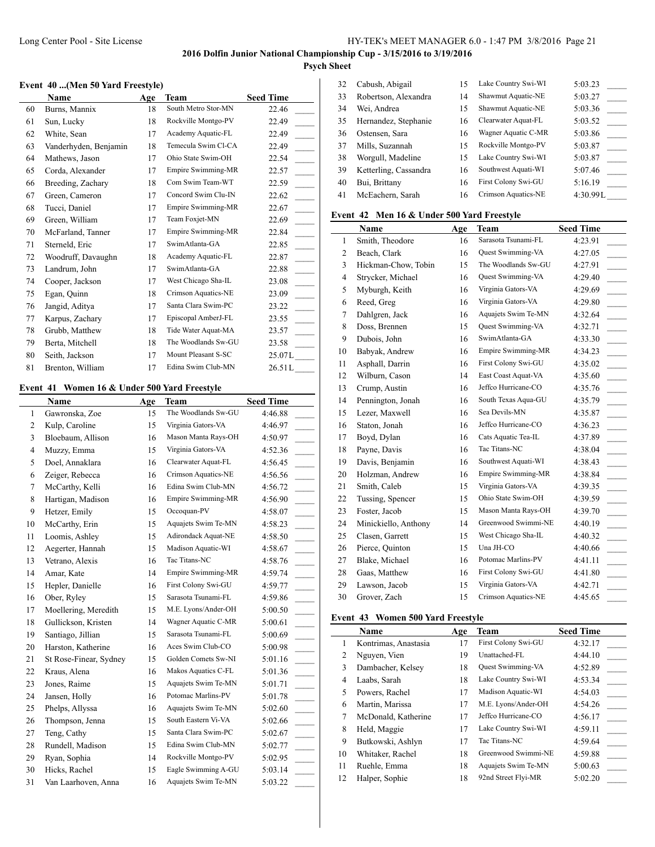#### **Event 40 ...(Men 50 Yard Freestyle)**

|    | Name                  | Age | Team                      | <b>Seed Time</b>      |
|----|-----------------------|-----|---------------------------|-----------------------|
| 60 | Burns, Mannix         | 18  | South Metro Stor-MN       | 22.46                 |
| 61 | Sun, Lucky            | 18  | Rockville Montgo-PV       | 22.49                 |
| 62 | White, Sean           | 17  | Academy Aquatic-FL        | 22.49                 |
| 63 | Vanderhyden, Benjamin | 18  | Temecula Swim Cl-CA       | 22.49                 |
| 64 | Mathews, Jason        | 17  | Ohio State Swim-OH        | 22.54                 |
| 65 | Corda, Alexander      | 17  | Empire Swimming-MR        | 22.57                 |
| 66 | Breeding, Zachary     | 18  | Com Swim Team-WT          | 22.59                 |
| 67 | Green, Cameron        | 17  | Concord Swim Clu-IN       | 22.62                 |
| 68 | Tucci, Daniel         | 17  | Empire Swimming-MR        | 22.67<br>$\sim$       |
| 69 | Green, William        | 17  | Team Foxjet-MN            | 22.69                 |
| 70 | McFarland, Tanner     | 17  | <b>Empire Swimming-MR</b> | 22.84                 |
| 71 | Sterneld, Eric        | 17  | SwimAtlanta-GA            | 22.85                 |
| 72 | Woodruff, Davaughn    | 18  | Academy Aquatic-FL        | 22.87                 |
| 73 | Landrum, John         | 17  | SwimAtlanta-GA            | 22.88                 |
| 74 | Cooper, Jackson       | 17  | West Chicago Sha-IL       | 23.08<br><b>START</b> |
| 75 | Egan, Quinn           | 18  | Crimson Aquatics-NE       | 23.09                 |
| 76 | Jangid, Aditya        | 17  | Santa Clara Swim-PC       | 23.22                 |
| 77 | Karpus, Zachary       | 17  | Episcopal AmberJ-FL       | 23.55                 |
| 78 | Grubb, Matthew        | 18  | Tide Water Aquat-MA       | 23.57                 |
| 79 | Berta, Mitchell       | 18  | The Woodlands Sw-GU       | 23.58                 |
| 80 | Seith, Jackson        | 17  | Mount Pleasant S-SC       | 25.07L                |
| 81 | Brenton, William      | 17  | Edina Swim Club-MN        | 26.51L                |

# **Event 41 Women 16 & Under 500 Yard Freestyle**

| The Woodlands Sw-GU<br>4:46.88<br>$\mathbf{1}$<br>Gawronska, Zoe<br>15<br>Virginia Gators-VA<br>2<br>Kulp, Caroline<br>15<br>4:46.97<br>3<br>Bloebaum, Allison<br>Mason Manta Rays-OH<br>16<br>4:50.97<br>Virginia Gators-VA<br>$\overline{4}$<br>Muzzy, Emma<br>15<br>4:52.36<br>Clearwater Aquat-FL<br>5<br>Doel, Annaklara<br>4:56.45<br>16<br>Crimson Aquatics-NE<br>Zeiger, Rebecca<br>16<br>4:56.56<br>6<br>Edina Swim Club-MN<br>$\overline{7}$<br>4:56.72<br>McCarthy, Kelli<br>16<br>Empire Swimming-MR<br>8<br>Hartigan, Madison<br>16<br>4:56.90<br>9<br>Occoquan-PV<br>Hetzer, Emily<br>15<br>4:58.07<br>Aquajets Swim Te-MN<br>10<br>McCarthy, Erin<br>15<br>4:58.23<br>Adirondack Aquat-NE<br>11<br>Loomis, Ashley<br>15<br>4:58.50<br>Madison Aquatic-WI<br>12<br>Aegerter, Hannah<br>15<br>4:58.67<br>Tac Titans-NC<br>13<br>Vetrano, Alexis<br>16<br>4:58.76<br>Empire Swimming-MR<br>14<br>Amar, Kate<br>14<br>4:59.74<br>First Colony Swi-GU<br>15<br>Hepler, Danielle<br>16<br>4:59.77<br>Sarasota Tsunami-FL<br>16<br>Ober, Ryley<br>15<br>4:59.86<br>M.E. Lyons/Ander-OH<br>17<br>Moellering, Meredith<br>15<br>5:00.50<br>Wagner Aquatic C-MR<br>18<br>Gullickson, Kristen<br>14<br>5:00.61<br>Sarasota Tsunami-FL<br>Santiago, Jillian<br>19<br>15<br>5:00.69<br>Aces Swim Club-CO<br>20<br>Harston, Katherine<br>16<br>5:00.98<br>Golden Comets Sw-NI<br>21<br>15<br>St Rose-Finear, Sydney<br>5:01.16<br>Makos Aquatics C-FL<br>22<br>Kraus, Alena<br>16<br>5:01.36<br>Aquajets Swim Te-MN<br>Jones, Raime<br>23<br>15<br>5:01.71<br>24<br>Potomac Marlins-PV<br>Jansen, Holly<br>16<br>5:01.78<br>Aquajets Swim Te-MN<br>25<br>Phelps, Allyssa<br>16<br>5:02.60<br>South Eastern Vi-VA<br>26<br>Thompson, Jenna<br>15<br>5:02.66<br>27<br>Santa Clara Swim-PC<br>15<br>5:02.67 | Name        | Age | Team | <b>Seed Time</b> |
|-----------------------------------------------------------------------------------------------------------------------------------------------------------------------------------------------------------------------------------------------------------------------------------------------------------------------------------------------------------------------------------------------------------------------------------------------------------------------------------------------------------------------------------------------------------------------------------------------------------------------------------------------------------------------------------------------------------------------------------------------------------------------------------------------------------------------------------------------------------------------------------------------------------------------------------------------------------------------------------------------------------------------------------------------------------------------------------------------------------------------------------------------------------------------------------------------------------------------------------------------------------------------------------------------------------------------------------------------------------------------------------------------------------------------------------------------------------------------------------------------------------------------------------------------------------------------------------------------------------------------------------------------------------------------------------------------------------------------------------------------------------------------------------------------------------|-------------|-----|------|------------------|
|                                                                                                                                                                                                                                                                                                                                                                                                                                                                                                                                                                                                                                                                                                                                                                                                                                                                                                                                                                                                                                                                                                                                                                                                                                                                                                                                                                                                                                                                                                                                                                                                                                                                                                                                                                                                           |             |     |      |                  |
|                                                                                                                                                                                                                                                                                                                                                                                                                                                                                                                                                                                                                                                                                                                                                                                                                                                                                                                                                                                                                                                                                                                                                                                                                                                                                                                                                                                                                                                                                                                                                                                                                                                                                                                                                                                                           |             |     |      |                  |
|                                                                                                                                                                                                                                                                                                                                                                                                                                                                                                                                                                                                                                                                                                                                                                                                                                                                                                                                                                                                                                                                                                                                                                                                                                                                                                                                                                                                                                                                                                                                                                                                                                                                                                                                                                                                           |             |     |      |                  |
|                                                                                                                                                                                                                                                                                                                                                                                                                                                                                                                                                                                                                                                                                                                                                                                                                                                                                                                                                                                                                                                                                                                                                                                                                                                                                                                                                                                                                                                                                                                                                                                                                                                                                                                                                                                                           |             |     |      |                  |
|                                                                                                                                                                                                                                                                                                                                                                                                                                                                                                                                                                                                                                                                                                                                                                                                                                                                                                                                                                                                                                                                                                                                                                                                                                                                                                                                                                                                                                                                                                                                                                                                                                                                                                                                                                                                           |             |     |      |                  |
|                                                                                                                                                                                                                                                                                                                                                                                                                                                                                                                                                                                                                                                                                                                                                                                                                                                                                                                                                                                                                                                                                                                                                                                                                                                                                                                                                                                                                                                                                                                                                                                                                                                                                                                                                                                                           |             |     |      |                  |
|                                                                                                                                                                                                                                                                                                                                                                                                                                                                                                                                                                                                                                                                                                                                                                                                                                                                                                                                                                                                                                                                                                                                                                                                                                                                                                                                                                                                                                                                                                                                                                                                                                                                                                                                                                                                           |             |     |      |                  |
|                                                                                                                                                                                                                                                                                                                                                                                                                                                                                                                                                                                                                                                                                                                                                                                                                                                                                                                                                                                                                                                                                                                                                                                                                                                                                                                                                                                                                                                                                                                                                                                                                                                                                                                                                                                                           |             |     |      |                  |
|                                                                                                                                                                                                                                                                                                                                                                                                                                                                                                                                                                                                                                                                                                                                                                                                                                                                                                                                                                                                                                                                                                                                                                                                                                                                                                                                                                                                                                                                                                                                                                                                                                                                                                                                                                                                           |             |     |      |                  |
|                                                                                                                                                                                                                                                                                                                                                                                                                                                                                                                                                                                                                                                                                                                                                                                                                                                                                                                                                                                                                                                                                                                                                                                                                                                                                                                                                                                                                                                                                                                                                                                                                                                                                                                                                                                                           |             |     |      |                  |
|                                                                                                                                                                                                                                                                                                                                                                                                                                                                                                                                                                                                                                                                                                                                                                                                                                                                                                                                                                                                                                                                                                                                                                                                                                                                                                                                                                                                                                                                                                                                                                                                                                                                                                                                                                                                           |             |     |      |                  |
|                                                                                                                                                                                                                                                                                                                                                                                                                                                                                                                                                                                                                                                                                                                                                                                                                                                                                                                                                                                                                                                                                                                                                                                                                                                                                                                                                                                                                                                                                                                                                                                                                                                                                                                                                                                                           |             |     |      |                  |
|                                                                                                                                                                                                                                                                                                                                                                                                                                                                                                                                                                                                                                                                                                                                                                                                                                                                                                                                                                                                                                                                                                                                                                                                                                                                                                                                                                                                                                                                                                                                                                                                                                                                                                                                                                                                           |             |     |      |                  |
|                                                                                                                                                                                                                                                                                                                                                                                                                                                                                                                                                                                                                                                                                                                                                                                                                                                                                                                                                                                                                                                                                                                                                                                                                                                                                                                                                                                                                                                                                                                                                                                                                                                                                                                                                                                                           |             |     |      |                  |
|                                                                                                                                                                                                                                                                                                                                                                                                                                                                                                                                                                                                                                                                                                                                                                                                                                                                                                                                                                                                                                                                                                                                                                                                                                                                                                                                                                                                                                                                                                                                                                                                                                                                                                                                                                                                           |             |     |      |                  |
|                                                                                                                                                                                                                                                                                                                                                                                                                                                                                                                                                                                                                                                                                                                                                                                                                                                                                                                                                                                                                                                                                                                                                                                                                                                                                                                                                                                                                                                                                                                                                                                                                                                                                                                                                                                                           |             |     |      | $\sim$           |
|                                                                                                                                                                                                                                                                                                                                                                                                                                                                                                                                                                                                                                                                                                                                                                                                                                                                                                                                                                                                                                                                                                                                                                                                                                                                                                                                                                                                                                                                                                                                                                                                                                                                                                                                                                                                           |             |     |      |                  |
|                                                                                                                                                                                                                                                                                                                                                                                                                                                                                                                                                                                                                                                                                                                                                                                                                                                                                                                                                                                                                                                                                                                                                                                                                                                                                                                                                                                                                                                                                                                                                                                                                                                                                                                                                                                                           |             |     |      |                  |
|                                                                                                                                                                                                                                                                                                                                                                                                                                                                                                                                                                                                                                                                                                                                                                                                                                                                                                                                                                                                                                                                                                                                                                                                                                                                                                                                                                                                                                                                                                                                                                                                                                                                                                                                                                                                           |             |     |      |                  |
|                                                                                                                                                                                                                                                                                                                                                                                                                                                                                                                                                                                                                                                                                                                                                                                                                                                                                                                                                                                                                                                                                                                                                                                                                                                                                                                                                                                                                                                                                                                                                                                                                                                                                                                                                                                                           |             |     |      |                  |
|                                                                                                                                                                                                                                                                                                                                                                                                                                                                                                                                                                                                                                                                                                                                                                                                                                                                                                                                                                                                                                                                                                                                                                                                                                                                                                                                                                                                                                                                                                                                                                                                                                                                                                                                                                                                           |             |     |      |                  |
|                                                                                                                                                                                                                                                                                                                                                                                                                                                                                                                                                                                                                                                                                                                                                                                                                                                                                                                                                                                                                                                                                                                                                                                                                                                                                                                                                                                                                                                                                                                                                                                                                                                                                                                                                                                                           |             |     |      |                  |
|                                                                                                                                                                                                                                                                                                                                                                                                                                                                                                                                                                                                                                                                                                                                                                                                                                                                                                                                                                                                                                                                                                                                                                                                                                                                                                                                                                                                                                                                                                                                                                                                                                                                                                                                                                                                           |             |     |      |                  |
|                                                                                                                                                                                                                                                                                                                                                                                                                                                                                                                                                                                                                                                                                                                                                                                                                                                                                                                                                                                                                                                                                                                                                                                                                                                                                                                                                                                                                                                                                                                                                                                                                                                                                                                                                                                                           |             |     |      |                  |
|                                                                                                                                                                                                                                                                                                                                                                                                                                                                                                                                                                                                                                                                                                                                                                                                                                                                                                                                                                                                                                                                                                                                                                                                                                                                                                                                                                                                                                                                                                                                                                                                                                                                                                                                                                                                           |             |     |      |                  |
|                                                                                                                                                                                                                                                                                                                                                                                                                                                                                                                                                                                                                                                                                                                                                                                                                                                                                                                                                                                                                                                                                                                                                                                                                                                                                                                                                                                                                                                                                                                                                                                                                                                                                                                                                                                                           |             |     |      |                  |
|                                                                                                                                                                                                                                                                                                                                                                                                                                                                                                                                                                                                                                                                                                                                                                                                                                                                                                                                                                                                                                                                                                                                                                                                                                                                                                                                                                                                                                                                                                                                                                                                                                                                                                                                                                                                           | Teng, Cathy |     |      |                  |
| Edina Swim Club-MN<br>28<br>Rundell, Madison<br>15<br>5:02.77                                                                                                                                                                                                                                                                                                                                                                                                                                                                                                                                                                                                                                                                                                                                                                                                                                                                                                                                                                                                                                                                                                                                                                                                                                                                                                                                                                                                                                                                                                                                                                                                                                                                                                                                             |             |     |      |                  |
| Rockville Montgo-PV<br>29<br>Ryan, Sophia<br>14<br>5:02.95                                                                                                                                                                                                                                                                                                                                                                                                                                                                                                                                                                                                                                                                                                                                                                                                                                                                                                                                                                                                                                                                                                                                                                                                                                                                                                                                                                                                                                                                                                                                                                                                                                                                                                                                                |             |     |      |                  |
| 30<br>Eagle Swimming A-GU<br>Hicks, Rachel<br>15<br>5:03.14                                                                                                                                                                                                                                                                                                                                                                                                                                                                                                                                                                                                                                                                                                                                                                                                                                                                                                                                                                                                                                                                                                                                                                                                                                                                                                                                                                                                                                                                                                                                                                                                                                                                                                                                               |             |     |      |                  |
| Aquajets Swim Te-MN<br>31<br>Van Laarhoven, Anna<br>16<br>5:03.22                                                                                                                                                                                                                                                                                                                                                                                                                                                                                                                                                                                                                                                                                                                                                                                                                                                                                                                                                                                                                                                                                                                                                                                                                                                                                                                                                                                                                                                                                                                                                                                                                                                                                                                                         |             |     |      |                  |

| 32 | Cabush, Abigail       | 15 | Lake Country Swi-WI | 5:03.23  |
|----|-----------------------|----|---------------------|----------|
| 33 | Robertson, Alexandra  | 14 | Shawmut Aquatic-NE  | 5:03.27  |
| 34 | Wei, Andrea           | 15 | Shawmut Aquatic-NE  | 5:03.36  |
| 35 | Hernandez, Stephanie  | 16 | Clearwater Aquat-FL | 5:03.52  |
| 36 | Ostensen, Sara        | 16 | Wagner Aquatic C-MR | 5:03.86  |
| 37 | Mills, Suzannah       | 15 | Rockville Montgo-PV | 5:03.87  |
| 38 | Worgull, Madeline     | 15 | Lake Country Swi-WI | 5:03.87  |
| 39 | Ketterling, Cassandra | 16 | Southwest Aquati-WI | 5:07.46  |
| 40 | Bui, Brittany         | 16 | First Colony Swi-GU | 5:16.19  |
| 41 | McEachern, Sarah      | 16 | Crimson Aquatics-NE | 4:30.99L |

#### **Event 42 Men 16 & Under 500 Yard Freestyle**

|                | <b>Name</b>          | Age | <b>Team</b>         | <b>Seed Time</b> |
|----------------|----------------------|-----|---------------------|------------------|
| 1              | Smith, Theodore      | 16  | Sarasota Tsunami-FL | 4:23.91          |
| 2              | Beach, Clark         | 16  | Quest Swimming-VA   | 4:27.05          |
| 3              | Hickman-Chow, Tobin  | 15  | The Woodlands Sw-GU | 4:27.91          |
| $\overline{4}$ | Strycker, Michael    | 16  | Quest Swimming-VA   | 4:29.40          |
| 5              | Myburgh, Keith       | 16  | Virginia Gators-VA  | 4:29.69          |
| 6              | Reed, Greg           | 16  | Virginia Gators-VA  | 4:29.80          |
| 7              | Dahlgren, Jack       | 16  | Aquajets Swim Te-MN | 4:32.64          |
| 8              | Doss, Brennen        | 15  | Quest Swimming-VA   | 4:32.71          |
| 9              | Dubois, John         | 16  | SwimAtlanta-GA      | 4:33.30          |
| 10             | Babyak, Andrew       | 16  | Empire Swimming-MR  | 4:34.23          |
| 11             | Asphall, Darrin      | 16  | First Colony Swi-GU | 4:35.02          |
| 12             | Wilburn, Cason       | 14  | East Coast Aquat-VA | 4:35.60          |
| 13             | Crump, Austin        | 16  | Jeffco Hurricane-CO | 4:35.76          |
| 14             | Pennington, Jonah    | 16  | South Texas Aqua-GU | 4:35.79          |
| 15             | Lezer, Maxwell       | 16  | Sea Devils-MN       | 4:35.87          |
| 16             | Staton, Jonah        | 16  | Jeffco Hurricane-CO | 4:36.23          |
| 17             | Boyd, Dylan          | 16  | Cats Aquatic Tea-IL | 4:37.89          |
| 18             | Payne, Davis         | 16  | Tac Titans-NC       | 4:38.04          |
| 19             | Davis, Benjamin      | 16  | Southwest Aquati-WI | 4:38.43          |
| 20             | Holzman, Andrew      | 16  | Empire Swimming-MR  | 4:38.84          |
| 21             | Smith, Caleb         | 15  | Virginia Gators-VA  | 4:39.35          |
| 22             | Tussing, Spencer     | 15  | Ohio State Swim-OH  | 4:39.59          |
| 23             | Foster, Jacob        | 15  | Mason Manta Rays-OH | 4:39.70          |
| 24             | Minickiello, Anthony | 14  | Greenwood Swimmi-NE | 4:40.19          |
| 25             | Clasen, Garrett      | 15  | West Chicago Sha-IL | 4:40.32          |
| 26             | Pierce, Quinton      | 15  | Una JH-CO           | 4:40.66          |
| 27             | Blake, Michael       | 16  | Potomac Marlins-PV  | 4:41.11          |
| 28             | Gaas, Matthew        | 16  | First Colony Swi-GU | 4:41.80          |
| 29             | Lawson, Jacob        | 15  | Virginia Gators-VA  | 4:42.71          |
| 30             | Grover, Zach         | 15  | Crimson Aquatics-NE | 4:45.65          |

## **Event 43 Women 500 Yard Freestyle**

|        | Name                 | Age | Team                | <b>Seed Time</b> |
|--------|----------------------|-----|---------------------|------------------|
|        | Kontrimas, Anastasia | 17  | First Colony Swi-GU | 4:32.17          |
| 2      | Nguyen, Vien         | 19  | Unattached-FL       | 4:44.10          |
| 3      | Dambacher, Kelsey    | 18  | Quest Swimming-VA   | 4:52.89          |
| 4      | Laabs, Sarah         | 18  | Lake Country Swi-WI | 4:53.34          |
| 5      | Powers, Rachel       | 17  | Madison Aquatic-WI  | 4:54.03          |
| 6      | Martin, Marissa      | 17  | M.E. Lyons/Ander-OH | 4:54.26          |
| $\tau$ | McDonald, Katherine  | 17  | Jeffco Hurricane-CO | 4:56.17          |
| 8      | Held, Maggie         | 17  | Lake Country Swi-WI | 4:59.11          |
| 9      | Butkowski, Ashlyn    | 17  | Tac Titans-NC       | 4:59.64          |
| 10     | Whitaker, Rachel     | 18  | Greenwood Swimmi-NE | 4:59.88          |
| 11     | Ruehle, Emma         | 18  | Aquajets Swim Te-MN | 5:00.63          |
| 12     | Halper, Sophie       | 18  | 92nd Street Flyi-MR | 5:02.20          |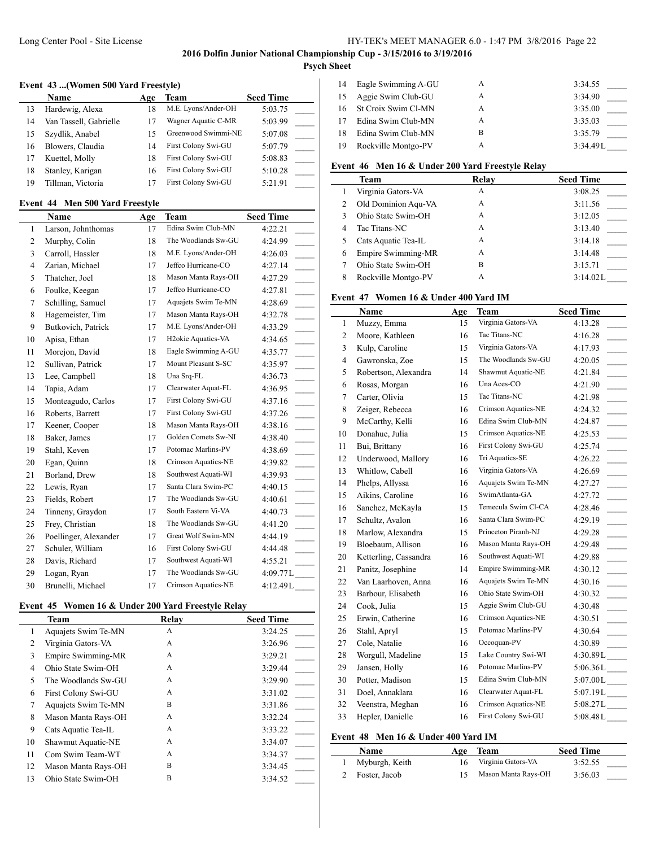## Long Center Pool - Site License HY-TEK's MEET MANAGER 6.0 - 1:47 PM 3/8/2016 Page 22

**2016 Dolfin Junior National Championship Cup - 3/15/2016 to 3/19/2016**

# **Psych Sheet**

#### **Event 43 ...(Women 500 Yard Freestyle)**

|    | <b>Name</b>            | Age | Team                | <b>Seed Time</b> |
|----|------------------------|-----|---------------------|------------------|
| 13 | Hardewig, Alexa        | 18  | M.E. Lyons/Ander-OH | 5:03.75          |
| 14 | Van Tassell, Gabrielle |     | Wagner Aquatic C-MR | 5:03.99          |
| 15 | Szydlik, Anabel        | 15  | Greenwood Swimmi-NE | 5:07.08          |
| 16 | Blowers, Claudia       | 14  | First Colony Swi-GU | 5:07.79          |
| 17 | Kuettel, Molly         | 18  | First Colony Swi-GU | 5:08.83          |
| 18 | Stanley, Karigan       | 16  | First Colony Swi-GU | 5:10.28          |
| 19 | Tillman, Victoria      |     | First Colony Swi-GU | 5:21.91          |

#### **Event 44 Men 500 Yard Freestyle**

|                | Name                  | Age | Team                            | <b>Seed Time</b>                      |
|----------------|-----------------------|-----|---------------------------------|---------------------------------------|
| $\mathbf{1}$   | Larson, Johnthomas    | 17  | Edina Swim Club-MN              | 4:22.21                               |
| 2              | Murphy, Colin         | 18  | The Woodlands Sw-GU             | 4:24.99                               |
| 3              | Carroll, Hassler      | 18  | M.E. Lyons/Ander-OH             | 4:26.03                               |
| $\overline{4}$ | Zarian, Michael       | 17  | Jeffco Hurricane-CO             | 4:27.14                               |
| 5              | Thatcher, Joel        | 18  | Mason Manta Rays-OH             | 4:27.29                               |
| 6              | Foulke, Keegan        | 17  | Jeffco Hurricane-CO             | 4:27.81                               |
| 7              | Schilling, Samuel     | 17  | Aquajets Swim Te-MN             | 4:28.69                               |
| 8              | Hagemeister, Tim      | 17  | Mason Manta Rays-OH             | 4:32.78                               |
| 9              | Butkovich, Patrick    | 17  | M.E. Lyons/Ander-OH             | 4:33.29                               |
| 10             | Apisa, Ethan          | 17  | H <sub>2</sub> okie Aquatics-VA | 4:34.65                               |
| 11             | Morejon, David        | 18  | Eagle Swimming A-GU             | 4:35.77                               |
| 12             | Sullivan, Patrick     | 17  | Mount Pleasant S-SC             | 4:35.97                               |
| 13             | Lee, Campbell         | 18  | Una Srq-FL                      | 4:36.73                               |
| 14             | Tapia, Adam           | 17  | Clearwater Aquat-FL             | 4:36.95                               |
| 15             | Monteagudo, Carlos    | 17  | First Colony Swi-GU             | 4:37.16<br>$\overline{\phantom{a}}$   |
| 16             | Roberts, Barrett      | 17  | First Colony Swi-GU             | 4:37.26<br>$\mathcal{L}^{\text{max}}$ |
| 17             | Keener, Cooper        | 18  | Mason Manta Rays-OH             | 4:38.16<br>$\mathcal{L}^{\text{max}}$ |
| 18             | Baker, James          | 17  | Golden Comets Sw-NI             | 4:38.40                               |
| 19             | Stahl, Keven          | 17  | Potomac Marlins-PV              | 4:38.69<br>$\sim 10$                  |
| 20             | Egan, Quinn           | 18  | Crimson Aquatics-NE             | 4:39.82                               |
| 21             | Borland, Drew         | 18  | Southwest Aquati-WI             | 4:39.93                               |
| 22             | Lewis, Ryan           | 17  | Santa Clara Swim-PC             | 4:40.15                               |
| 23             | Fields, Robert        | 17  | The Woodlands Sw-GU             | 4:40.61<br>$\sim$                     |
| 24             | Tinneny, Graydon      | 17  | South Eastern Vi-VA             | 4:40.73<br>$\sim$ 10 $\pm$            |
| 25             | Frey, Christian       | 18  | The Woodlands Sw-GU             | 4:41.20                               |
| 26             | Poellinger, Alexander | 17  | Great Wolf Swim-MN              | 4:44.19                               |
| 27             | Schuler, William      | 16  | First Colony Swi-GU             | 4:44.48                               |
| 28             | Davis, Richard        | 17  | Southwest Aquati-WI             | 4:55.21                               |
| 29             | Logan, Ryan           | 17  | The Woodlands Sw-GU             | 4:09.77L                              |
| 30             | Brunelli, Michael     | 17  | Crimson Aquatics-NE             | 4:12.49L                              |

## **Event 45 Women 16 & Under 200 Yard Freestyle Relay**

|                | <b>Team</b>         | Relay | <b>Seed Time</b> |
|----------------|---------------------|-------|------------------|
| 1              | Aquajets Swim Te-MN | A     | 3:24.25          |
| $\overline{c}$ | Virginia Gators-VA  | A     | 3:26.96          |
| 3              | Empire Swimming-MR  | A     | 3:29.21          |
| 4              | Ohio State Swim-OH  | A     | 3:29.44          |
| 5              | The Woodlands Sw-GU | A     | 3:29.90          |
| 6              | First Colony Swi-GU | A     | 3:31.02          |
| 7              | Aquajets Swim Te-MN | B     | 3:31.86          |
| 8              | Mason Manta Rays-OH | A     | 3:32.24          |
| 9              | Cats Aquatic Tea-IL | A     | 3:33.22          |
| 10             | Shawmut Aquatic-NE  | A     | 3:34.07          |
| 11             | Com Swim Team-WT    | A     | 3:34.37          |
| 12             | Mason Manta Rays-OH | B     | 3:34.45          |
| 13             | Ohio State Swim-OH  | B     | 3:34.52          |

| 14  | Eagle Swimming A-GU        | A | 3:34.55  |
|-----|----------------------------|---|----------|
| -15 | Aggie Swim Club-GU         | A | 3:34.90  |
| 16. | <b>St Croix Swim Cl-MN</b> | A | 3:35.00  |
| 17  | Edina Swim Club-MN         | А | 3:35.03  |
| 18  | Edina Swim Club-MN         | в | 3:35.79  |
| 19  | Rockville Montgo-PV        | А | 3:34.49L |

#### **Event 46 Men 16 & Under 200 Yard Freestyle Relay**

|   | Team                | Relay | <b>Seed Time</b> |
|---|---------------------|-------|------------------|
|   | Virginia Gators-VA  | А     | 3:08.25          |
| 2 | Old Dominion Aqu-VA | А     | 3:11.56          |
| ٦ | Ohio State Swim-OH  | A     | 3:12.05          |
| 4 | Tac Titans-NC       | А     | 3:13.40          |
|   | Cats Aquatic Tea-IL | A     | 3:14.18          |
| 6 | Empire Swimming-MR  | А     | 3:14.48          |
|   | Ohio State Swim-OH  | В     | 3:15.71          |
| 8 | Rockville Montgo-PV | А     | 3:14.02L         |

# **Event 47 Women 16 & Under 400 Yard IM**

|                | <b>Name</b>           | Age | <b>Team</b>               | <b>Seed Time</b>            |
|----------------|-----------------------|-----|---------------------------|-----------------------------|
| $\mathbf{1}$   | Muzzy, Emma           | 15  | Virginia Gators-VA        | 4:13.28                     |
| $\overline{2}$ | Moore, Kathleen       | 16  | Tac Titans-NC             | 4:16.28                     |
| 3              | Kulp, Caroline        | 15  | Virginia Gators-VA        | 4:17.93                     |
| $\overline{4}$ | Gawronska, Zoe        | 15  | The Woodlands Sw-GU       | 4:20.05                     |
| 5              | Robertson, Alexandra  | 14  | Shawmut Aquatic-NE        | 4:21.84                     |
| 6              | Rosas, Morgan         | 16  | Una Aces-CO               | 4:21.90<br>$\sim$ 10 $\mu$  |
| $\tau$         | Carter, Olivia        | 15  | Tac Titans-NC             | 4:21.98                     |
| 8              | Zeiger, Rebecca       | 16  | Crimson Aquatics-NE       | 4:24.32                     |
| 9              | McCarthy, Kelli       | 16  | Edina Swim Club-MN        | 4:24.87                     |
| 10             | Donahue, Julia        | 15  | Crimson Aquatics-NE       | 4:25.53                     |
| 11             | Bui, Brittany         | 16  | First Colony Swi-GU       | 4:25.74<br>$\mathcal{L}$    |
| 12             | Underwood, Mallory    | 16  | Tri Aquatics-SE           | 4:26.22<br>$\sim$ 10 $\pm$  |
| 13             | Whitlow, Cabell       | 16  | Virginia Gators-VA        | 4:26.69                     |
| 14             | Phelps, Allyssa       | 16  | Aquajets Swim Te-MN       | 4:27.27<br>$\sim$           |
| 15             | Aikins, Caroline      | 16  | SwimAtlanta-GA            | 4:27.72                     |
| 16             | Sanchez, McKayla      | 15  | Temecula Swim Cl-CA       | 4:28.46                     |
| 17             | Schultz, Avalon       | 16  | Santa Clara Swim-PC       | 4:29.19<br>$\sim 10^{-1}$   |
| 18             | Marlow, Alexandra     | 15  | Princeton Piranh-NJ       | 4:29.28                     |
| 19             | Bloebaum, Allison     | 16  | Mason Manta Rays-OH       | 4:29.48                     |
| 20             | Ketterling, Cassandra | 16  | Southwest Aquati-WI       | 4:29.88<br>$\sim 10^{-1}$   |
| 21             | Panitz, Josephine     | 14  | <b>Empire Swimming-MR</b> | 4:30.12                     |
| 22             | Van Laarhoven, Anna   | 16  | Aquajets Swim Te-MN       | 4:30.16<br>$\sim$           |
| 23             | Barbour, Elisabeth    | 16  | Ohio State Swim-OH        | 4:30.32<br>$\sim$ 10 $\pm$  |
| 24             | Cook, Julia           | 15  | Aggie Swim Club-GU        | 4:30.48                     |
| 25             | Erwin, Catherine      | 16  | Crimson Aquatics-NE       | 4:30.51                     |
| 26             | Stahl, Apryl          | 15  | Potomac Marlins-PV        | 4:30.64                     |
| 27             | Cole, Natalie         | 16  | Occoquan-PV               | 4:30.89                     |
| 28             | Worgull, Madeline     | 15  | Lake Country Swi-WI       | $4:30.89L$ <sub>----</sub>  |
| 29             | Jansen, Holly         | 16  | Potomac Marlins-PV        | 5:06.36L                    |
| 30             | Potter, Madison       | 15  | Edina Swim Club-MN        | $5:07.00L$ <sub>_____</sub> |
| 31             | Doel, Annaklara       | 16  | Clearwater Aquat-FL       | $5:07.19L$ <sub>____</sub>  |
| 32             | Veenstra, Meghan      | 16  | Crimson Aquatics-NE       | 5:08.27L                    |
| 33             | Hepler, Danielle      | 16  | First Colony Swi-GU       | 5:08.48L                    |

# **Event 48 Men 16 & Under 400 Yard IM**

| Name             |     | Age Team            | <b>Seed Time</b> |
|------------------|-----|---------------------|------------------|
| 1 Myburgh, Keith | 16. | Virginia Gators-VA  | 3:52.55          |
| 2 Foster, Jacob  |     | Mason Manta Rays-OH | 3:56.03          |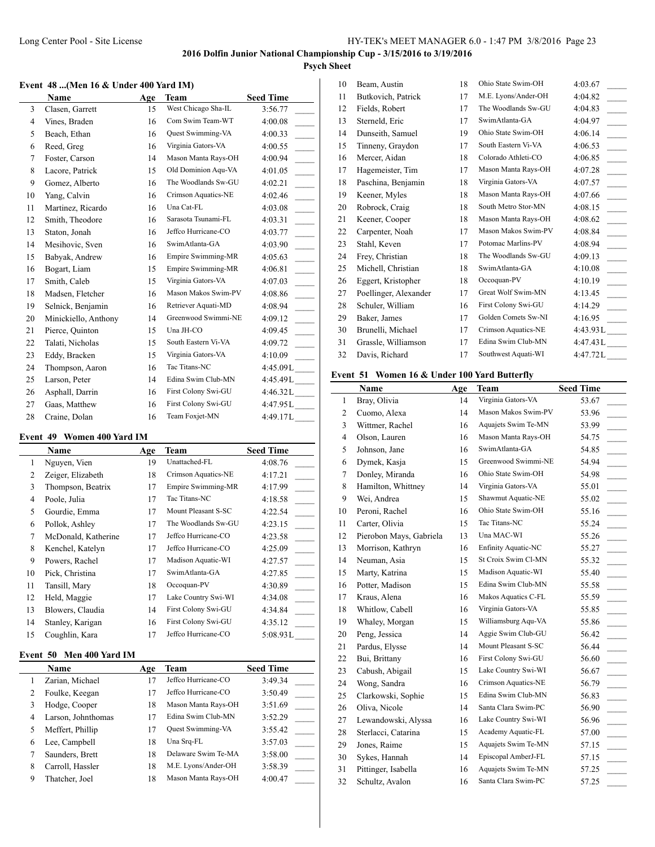# **Psych Sheet**

#### **Event 48 ...(Men 16 & Under 400 Yard IM)**

|    | Name                 | Age | Team                      | <b>Seed Time</b>                    |
|----|----------------------|-----|---------------------------|-------------------------------------|
| 3  | Clasen, Garrett      | 15  | West Chicago Sha-IL       | 3:56.77                             |
| 4  | Vines, Braden        | 16  | Com Swim Team-WT          | 4:00.08                             |
| 5  | Beach, Ethan         | 16  | Quest Swimming-VA         | 4:00.33                             |
| 6  | Reed, Greg           | 16  | Virginia Gators-VA        | 4:00.55<br>$\frac{1}{2}$            |
| 7  | Foster, Carson       | 14  | Mason Manta Rays-OH       | 4:00.94<br>$\overline{a}$           |
| 8  | Lacore, Patrick      | 15  | Old Dominion Agu-VA       | 4:01.05                             |
| 9  | Gomez, Alberto       | 16  | The Woodlands Sw-GU       | 4:02.21<br>$\overline{\phantom{0}}$ |
| 10 | Yang, Calvin         | 16  | Crimson Aquatics-NE       | 4:02.46<br>$\mathcal{L}$            |
| 11 | Martinez, Ricardo    | 16  | Una Cat-FL                | 4:03.08<br>$\mathbb{R}$             |
| 12 | Smith, Theodore      | 16  | Sarasota Tsunami-FL       | $\overline{a}$<br>4:03.31           |
| 13 | Staton, Jonah        | 16  | Jeffco Hurricane-CO       | 4:03.77                             |
| 14 | Mesihovic, Sven      | 16  | SwimAtlanta-GA            | 4:03.90<br>$\overline{\phantom{0}}$ |
| 15 | Babyak, Andrew       | 16  | <b>Empire Swimming-MR</b> | $\overline{a}$<br>4:05.63           |
| 16 | Bogart, Liam         | 15  | Empire Swimming-MR        | 4:06.81<br>$\overline{\phantom{a}}$ |
| 17 | Smith, Caleb         | 15  | Virginia Gators-VA        | $\overline{\phantom{a}}$<br>4:07.03 |
| 18 | Madsen, Fletcher     | 16  | Mason Makos Swim-PV       | 4:08.86                             |
| 19 | Selnick, Benjamin    | 16  | Retriever Aquati-MD       | 4:08.94<br>$\frac{1}{1}$            |
| 20 | Minickiello, Anthony | 14  | Greenwood Swimmi-NE       | 4:09.12                             |
| 21 | Pierce, Quinton      | 15  | Una JH-CO                 | 4:09.45                             |
| 22 | Talati, Nicholas     | 15  | South Eastern Vi-VA       | 4:09.72                             |
| 23 | Eddy, Bracken        | 15  | Virginia Gators-VA        | 4:10.09                             |
| 24 | Thompson, Aaron      | 16  | Tac Titans-NC             | 4:45.09L____                        |
| 25 | Larson, Peter        | 14  | Edina Swim Club-MN        | 4:45.49L                            |
| 26 | Asphall, Darrin      | 16  | First Colony Swi-GU       | 4:46.32L                            |
| 27 | Gaas, Matthew        | 16  | First Colony Swi-GU       | 4:47.95L_____                       |
| 28 | Craine, Dolan        | 16  | Team Foxjet-MN            | 4:49.17L                            |

#### **Event 49 Women 400 Yard IM**

|    | Name                | Age | Team                | <b>Seed Time</b> |
|----|---------------------|-----|---------------------|------------------|
| 1  | Nguyen, Vien        | 19  | Unattached-FL       | 4:08.76          |
| 2  | Zeiger, Elizabeth   | 18  | Crimson Aquatics-NE | 4:17.21          |
| 3  | Thompson, Beatrix   | 17  | Empire Swimming-MR  | 4:17.99          |
| 4  | Poole, Julia        | 17  | Tac Titans-NC       | 4:18.58          |
| 5  | Gourdie, Emma       | 17  | Mount Pleasant S-SC | 4:22.54          |
| 6  | Pollok, Ashley      | 17  | The Woodlands Sw-GU | 4:23.15          |
| 7  | McDonald, Katherine | 17  | Jeffco Hurricane-CO | 4:23.58          |
| 8  | Kenchel, Katelyn    | 17  | Jeffco Hurricane-CO | 4:25.09          |
| 9  | Powers, Rachel      | 17  | Madison Aquatic-WI  | 4:27.57          |
| 10 | Pick, Christina     | 17  | SwimAtlanta-GA      | 4:27.85          |
| 11 | Tansill, Mary       | 18  | Occoquan-PV         | 4:30.89          |
| 12 | Held, Maggie        | 17  | Lake Country Swi-WI | 4:34.08          |
| 13 | Blowers, Claudia    | 14  | First Colony Swi-GU | 4:34.84          |
| 14 | Stanley, Karigan    | 16  | First Colony Swi-GU | 4:35.12          |
| 15 | Coughlin, Kara      | 17  | Jeffco Hurricane-CO | 5:08.93L         |

#### **Event 50 Men 400 Yard IM**

|   | Name               | Age | Team                     | <b>Seed Time</b> |
|---|--------------------|-----|--------------------------|------------------|
|   | Zarian, Michael    | 17  | Jeffco Hurricane-CO      | 3:49.34          |
| 2 | Foulke, Keegan     | 17  | Jeffco Hurricane-CO      | 3:50.49          |
| 3 | Hodge, Cooper      | 18  | Mason Manta Rays-OH      | 3:51.69          |
| 4 | Larson, Johnthomas | 17  | Edina Swim Club-MN       | 3:52.29          |
| 5 | Meffert, Phillip   | 17  | <b>Ouest Swimming-VA</b> | 3:55.42          |
| 6 | Lee, Campbell      | 18  | Una Srq-FL               | 3:57.03          |
|   | Saunders, Brett    | 18  | Delaware Swim Te-MA      | 3:58.00          |
| 8 | Carroll, Hassler   | 18  | M.E. Lyons/Ander-OH      | 3:58.39          |
| 9 | Thatcher, Joel     | 18  | Mason Manta Rays-OH      | 4:00.47          |

| 10 | Beam, Austin          | 18 | Ohio State Swim-OH  | 4:03.67           |
|----|-----------------------|----|---------------------|-------------------|
| 11 | Butkovich, Patrick    | 17 | M.E. Lyons/Ander-OH | 4:04.82           |
| 12 | Fields, Robert        | 17 | The Woodlands Sw-GU | 4:04.83           |
| 13 | Sterneld, Eric        | 17 | SwimAtlanta-GA      | 4:04.97           |
| 14 | Dunseith, Samuel      | 19 | Ohio State Swim-OH  | 4:06.14           |
| 15 | Tinneny, Graydon      | 17 | South Eastern Vi-VA | 4:06.53           |
| 16 | Mercer, Aidan         | 18 | Colorado Athleti-CO | 4:06.85           |
| 17 | Hagemeister, Tim      | 17 | Mason Manta Rays-OH | 4:07.28           |
| 18 | Paschina, Benjamin    | 18 | Virginia Gators-VA  | 4:07.57           |
| 19 | Keener, Myles         | 18 | Mason Manta Rays-OH | 4:07.66           |
| 20 | Robrock, Craig        | 18 | South Metro Stor-MN | 4:08.15<br>$\sim$ |
| 21 | Keener, Cooper        | 18 | Mason Manta Rays-OH | 4:08.62           |
| 22 | Carpenter, Noah       | 17 | Mason Makos Swim-PV | 4:08.84           |
| 23 | Stahl, Keven          | 17 | Potomac Marlins-PV  | 4:08.94           |
| 24 | Frey, Christian       | 18 | The Woodlands Sw-GU | 4:09.13           |
| 25 | Michell, Christian    | 18 | SwimAtlanta-GA      | 4:10.08           |
| 26 | Eggert, Kristopher    | 18 | Occoquan-PV         | 4:10.19           |
| 27 | Poellinger, Alexander | 17 | Great Wolf Swim-MN  | 4:13.45           |
| 28 | Schuler, William      | 16 | First Colony Swi-GU | 4:14.29           |
| 29 | Baker, James          | 17 | Golden Comets Sw-NI | 4:16.95           |
| 30 | Brunelli, Michael     | 17 | Crimson Aquatics-NE | 4:43.93L          |
| 31 | Grassle, Williamson   | 17 | Edina Swim Club-MN  | 4:47.43 L         |
| 32 | Davis, Richard        | 17 | Southwest Aquati-WI | 4:47.72L          |
|    |                       |    |                     |                   |

## **Event 51 Women 16 & Under 100 Yard Butterfly**

|                | Name                    | Age | <b>Team</b>         | <b>Seed Time</b> |
|----------------|-------------------------|-----|---------------------|------------------|
| $\mathbf{1}$   | Bray, Olivia            | 14  | Virginia Gators-VA  | 53.67            |
| $\overline{c}$ | Cuomo, Alexa            | 14  | Mason Makos Swim-PV | 53.96            |
| 3              | Wittmer, Rachel         | 16  | Aquajets Swim Te-MN | 53.99            |
| $\overline{4}$ | Olson, Lauren           | 16  | Mason Manta Rays-OH | 54.75            |
| 5              | Johnson, Jane           | 16  | SwimAtlanta-GA      | 54.85            |
| 6              | Dymek, Kasja            | 15  | Greenwood Swimmi-NE | 54.94            |
| 7              | Donley, Miranda         | 16  | Ohio State Swim-OH  | 54.98            |
| 8              | Hamilton, Whittney      | 14  | Virginia Gators-VA  | 55.01            |
| 9              | Wei, Andrea             | 15  | Shawmut Aquatic-NE  | 55.02            |
| 10             | Peroni, Rachel          | 16  | Ohio State Swim-OH  | 55.16            |
| 11             | Carter, Olivia          | 15  | Tac Titans-NC       | 55.24            |
| 12             | Pierobon Mays, Gabriela | 13  | Una MAC-WI          | 55.26            |
| 13             | Morrison, Kathryn       | 16  | Enfinity Aquatic-NC | 55.27            |
| 14             | Neuman, Asia            | 15  | St Croix Swim Cl-MN | 55.32            |
| 15             | Marty, Katrina          | 15  | Madison Aquatic-WI  | 55.40            |
| 16             | Potter, Madison         | 15  | Edina Swim Club-MN  | 55.58            |
| 17             | Kraus, Alena            | 16  | Makos Aquatics C-FL | 55.59            |
| 18             | Whitlow, Cabell         | 16  | Virginia Gators-VA  | 55.85            |
| 19             | Whaley, Morgan          | 15  | Williamsburg Aqu-VA | 55.86            |
| 20             | Peng, Jessica           | 14  | Aggie Swim Club-GU  | 56.42            |
| 21             | Pardus, Elysse          | 14  | Mount Pleasant S-SC | 56.44            |
| 22             | Bui, Brittany           | 16  | First Colony Swi-GU | 56.60            |
| 23             | Cabush, Abigail         | 15  | Lake Country Swi-WI | 56.67            |
| 24             | Wong, Sandra            | 16  | Crimson Aquatics-NE | 56.79            |
| 25             | Clarkowski, Sophie      | 15  | Edina Swim Club-MN  | 56.83            |
| 26             | Oliva, Nicole           | 14  | Santa Clara Swim-PC | 56.90            |
| 27             | Lewandowski, Alyssa     | 16  | Lake Country Swi-WI | 56.96            |
| 28             | Sterlacci, Catarina     | 15  | Academy Aquatic-FL  | 57.00            |
| 29             | Jones, Raime            | 15  | Aquajets Swim Te-MN | 57.15            |
| 30             | Sykes, Hannah           | 14  | Episcopal AmberJ-FL | 57.15            |
| 31             | Pittinger, Isabella     | 16  | Aquajets Swim Te-MN | 57.25            |
| 32             | Schultz, Avalon         | 16  | Santa Clara Swim-PC | 57.25            |

- 
- 
- 
-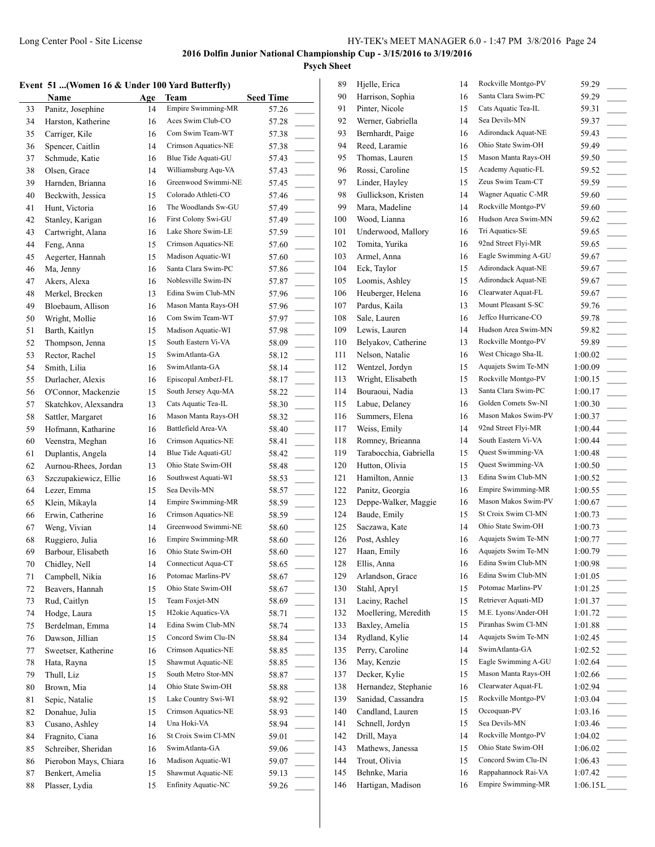**Psych Sheet**

|  |  | Event  51 …(Women 16 & Under 100 Yard Butterfly) |  |  |  |  |  |  |  |
|--|--|--------------------------------------------------|--|--|--|--|--|--|--|
|--|--|--------------------------------------------------|--|--|--|--|--|--|--|

|    | vent 51  (Women 16 & Under 100 Yard Butterfly)<br>Name | Age | Team                            | <b>Seed Time</b> | 89<br>90 | Hjelle, Erica<br>Harrison, Sophia | 14<br>16 |
|----|--------------------------------------------------------|-----|---------------------------------|------------------|----------|-----------------------------------|----------|
| 33 | Panitz, Josephine                                      | 14  | Empire Swimming-MR              | 57.26            | 91       | Pinter, Nicole                    | 15       |
| 34 | Harston, Katherine                                     | 16  | Aces Swim Club-CO               | 57.28            | 92       | Werner, Gabriella                 | 14       |
| 35 | Carriger, Kile                                         | 16  | Com Swim Team-WT                | 57.38            | 93       | Bernhardt, Paige                  | 16       |
| 36 | Spencer, Caitlin                                       | 14  | Crimson Aquatics-NE             | 57.38            | 94       | Reed, Laramie                     | 16       |
| 37 | Schmude, Katie                                         | 16  | Blue Tide Aquati-GU             | 57.43            | 95       | Thomas, Lauren                    | 15       |
| 38 | Olsen, Grace                                           | 14  | Williamsburg Aqu-VA             | 57.43            | 96       | Rossi, Caroline                   | 15       |
| 39 | Harnden, Brianna                                       | 16  | Greenwood Swimmi-NE             | 57.45            | 97       | Linder, Hayley                    | 15       |
| 40 | Beckwith, Jessica                                      | 15  | Colorado Athleti-CO             | 57.46            | 98       | Gullickson, Kristen               | 14       |
| 41 | Hunt, Victoria                                         | 16  | The Woodlands Sw-GU             | 57.49            | 99       | Mara, Madeline                    | 14       |
| 42 | Stanley, Karigan                                       | 16  | First Colony Swi-GU             | 57.49            | 100      | Wood, Lianna                      | 16       |
| 43 | Cartwright, Alana                                      | 16  | Lake Shore Swim-LE              | 57.59            | 101      | Underwood, Mallory                | 16       |
| 44 | Feng, Anna                                             | 15  | Crimson Aquatics-NE             | 57.60            | 102      | Tomita, Yurika                    | 16       |
| 45 | Aegerter, Hannah                                       | 15  | Madison Aquatic-WI              | 57.60            | 103      | Armel, Anna                       | 16       |
| 46 | Ma, Jenny                                              | 16  | Santa Clara Swim-PC             | 57.86            | 104      | Eck, Taylor                       | 15       |
| 47 | Akers, Alexa                                           | 16  | Noblesville Swim-IN             | 57.87            | 105      | Loomis, Ashley                    | 15       |
| 48 | Merkel, Brecken                                        | 13  | Edina Swim Club-MN              | 57.96            | 106      | Heuberger, Helena                 | 16       |
| 49 | Bloebaum, Allison                                      | 16  | Mason Manta Rays-OH             | 57.96            | 107      | Pardus, Kaila                     | 13       |
| 50 | Wright, Mollie                                         | 16  | Com Swim Team-WT                | 57.97            | 108      | Sale, Lauren                      | 16       |
| 51 | Barth, Kaitlyn                                         | 15  | Madison Aquatic-WI              | 57.98            | 109      | Lewis, Lauren                     | 14       |
| 52 | Thompson, Jenna                                        | 15  | South Eastern Vi-VA             | 58.09            | 110      | Belyakov, Catherine               | 13       |
| 53 | Rector, Rachel                                         | 15  | SwimAtlanta-GA                  | 58.12            | 111      | Nelson, Natalie                   | 16       |
| 54 | Smith, Lilia                                           | 16  | SwimAtlanta-GA                  | 58.14            | 112      | Wentzel, Jordyn                   | 15       |
| 55 | Durlacher, Alexis                                      | 16  | Episcopal AmberJ-FL             | 58.17            | 113      | Wright, Elisabeth                 | 15       |
| 56 | O'Connor, Mackenzie                                    | 15  | South Jersey Aqu-MA             | 58.22            | 114      | Bouraoui, Nadia                   | 13       |
| 57 | Skatchkov, Alexsandra                                  | 13  | Cats Aquatic Tea-IL             | 58.30            | 115      | Labue, Delaney                    | 16       |
| 58 | Sattler, Margaret                                      | 16  | Mason Manta Rays-OH             | 58.32            | 116      | Summers, Elena                    | 16       |
| 59 | Hofmann, Katharine                                     | 16  | Battlefield Area-VA             | 58.40            | 117      | Weiss, Emily                      | 14       |
| 60 | Veenstra, Meghan                                       | 16  | Crimson Aquatics-NE             | 58.41            | 118      | Romney, Brieanna                  | 14       |
| 61 | Duplantis, Angela                                      | 14  | Blue Tide Aquati-GU             | 58.42            | 119      | Tarabocchia, Gabriella            | 15       |
| 62 | Aurnou-Rhees, Jordan                                   | 13  | Ohio State Swim-OH              | 58.48            | 120      | Hutton, Olivia                    | 15       |
| 63 | Szczupakiewicz, Ellie                                  | 16  | Southwest Aquati-WI             | 58.53            | 121      | Hamilton, Annie                   | 13       |
| 64 | Lezer, Emma                                            | 15  | Sea Devils-MN                   | 58.57            | 122      | Panitz, Georgia                   | 16       |
| 65 | Klein, Mikayla                                         | 14  | Empire Swimming-MR              | 58.59            | 123      | Deppe-Walker, Maggie              | 16       |
| 66 | Erwin, Catherine                                       | 16  | Crimson Aquatics-NE             | 58.59            | 124      | Baude, Emily                      | 15       |
| 67 | Weng, Vivian                                           | 14  | Greenwood Swimmi-NE             | 58.60            | 125      | Saczawa, Kate                     | 14       |
| 68 | Ruggiero, Julia                                        | 16  | Empire Swimming-MR              | 58.60            | 126      | Post, Ashley                      | 16       |
| 69 | Barbour, Elisabeth                                     | 16  | Ohio State Swim-OH              | 58.60            | 127      | Haan, Emily                       | 16       |
| 70 | Chidley, Nell                                          | 14  | Connecticut Aqua-CT             | 58.65            | 128      | Ellis, Anna                       | 16       |
| 71 | Campbell, Nikia                                        | 16  | Potomac Marlins-PV              | 58.67            | 129      | Arlandson, Grace                  | 16       |
| 72 | Beavers, Hannah                                        | 15  | Ohio State Swim-OH              | 58.67            | 130      | Stahl, Apryl                      | 15       |
| 73 | Rud, Caitlyn                                           | 15  | Team Foxjet-MN                  | 58.69            | 131      | Laciny, Rachel                    | 15       |
| 74 | Hodge, Laura                                           | 15  | H <sub>2</sub> okie Aquatics-VA | 58.71            | 132      | Moellering, Meredith              | 15       |
| 75 | Berdelman, Emma                                        | 14  | Edina Swim Club-MN              | 58.74            | 133      | Baxley, Amelia                    | 15       |
| 76 | Dawson, Jillian                                        | 15  | Concord Swim Clu-IN             | 58.84            | 134      | Rydland, Kylie                    | 14       |
| 77 | Sweetser, Katherine                                    | 16  | Crimson Aquatics-NE             | 58.85            | 135      | Perry, Caroline                   | 14       |
| 78 | Hata, Rayna                                            | 15  | Shawmut Aquatic-NE              | 58.85            | 136      | May, Kenzie                       | 15       |
| 79 | Thull, Liz                                             | 15  | South Metro Stor-MN             | 58.87            | 137      | Decker, Kylie                     | 15       |
| 80 | Brown, Mia                                             | 14  | Ohio State Swim-OH              | 58.88            | 138      | Hernandez, Stephanie              | 16       |
| 81 | Sepic, Natalie                                         | 15  | Lake Country Swi-WI             | 58.92            | 139      | Sanidad, Cassandra                | 15       |
| 82 | Donahue, Julia                                         | 15  | Crimson Aquatics-NE             | 58.93            | 140      | Candland, Lauren                  | 15       |
| 83 | Cusano, Ashley                                         | 14  | Una Hoki-VA                     | 58.94            | 141      | Schnell, Jordyn                   | 15       |
| 84 | Fragnito, Ciana                                        | 16  | St Croix Swim Cl-MN             | 59.01            | 142      | Drill, Maya                       | 14       |
| 85 | Schreiber, Sheridan                                    | 16  | SwimAtlanta-GA                  | 59.06            | 143      | Mathews, Janessa                  | 15       |
| 86 | Pierobon Mays, Chiara                                  | 16  | Madison Aquatic-WI              | 59.07            | 144      | Trout, Olivia                     | 15       |
| 87 | Benkert, Amelia                                        | 15  | Shawmut Aquatic-NE              | 59.13            | 145      | Behnke, Maria                     | 16       |
| 88 | Plasser, Lydia                                         | 15  | Enfinity Aquatic-NC             | 59.26            | 146      | Hartigan, Madison                 | 16       |

| 89  | Hjelle, Erica          | 14 | Rockville Montgo-PV       | 59.29                               |
|-----|------------------------|----|---------------------------|-------------------------------------|
| 90  | Harrison, Sophia       | 16 | Santa Clara Swim-PC       | 59.29                               |
| 91  | Pinter, Nicole         | 15 | Cats Aquatic Tea-IL       | 59.31<br>$\sim$                     |
| 92  | Werner, Gabriella      | 14 | Sea Devils-MN             | 59.37                               |
| 93  | Bernhardt, Paige       | 16 | Adirondack Aquat-NE       | 59.43                               |
| 94  | Reed, Laramie          | 16 | Ohio State Swim-OH        | 59.49                               |
| 95  | Thomas, Lauren         | 15 | Mason Manta Rays-OH       | 59.50                               |
| 96  | Rossi, Caroline        | 15 | Academy Aquatic-FL        | 59.52                               |
| 97  | Linder, Hayley         | 15 | Zeus Swim Team-CT         | 59.59                               |
| 98  | Gullickson, Kristen    | 14 | Wagner Aquatic C-MR       | 59.60                               |
| 99  | Mara, Madeline         | 14 | Rockville Montgo-PV       | 59.60                               |
| 100 | Wood, Lianna           | 16 | Hudson Area Swim-MN       | 59.62                               |
| 101 | Underwood, Mallory     | 16 | Tri Aquatics-SE           | 59.65<br>$\sim$                     |
| 102 | Tomita, Yurika         | 16 | 92nd Street Flyi-MR       | 59.65<br>$\overline{\phantom{a}}$   |
| 103 | Armel, Anna            | 16 | Eagle Swimming A-GU       | 59.67<br>$\sim$                     |
| 104 | Eck, Taylor            | 15 | Adirondack Aquat-NE       | 59.67                               |
| 105 | Loomis, Ashley         | 15 | Adirondack Aquat-NE       | 59.67                               |
| 106 | Heuberger, Helena      | 16 | Clearwater Aquat-FL       | 59.67                               |
| 107 | Pardus, Kaila          | 13 | Mount Pleasant S-SC       | 59.76                               |
| 108 | Sale, Lauren           | 16 | Jeffco Hurricane-CO       | $\overline{\phantom{a}}$<br>59.78   |
| 109 | Lewis, Lauren          | 14 | Hudson Area Swim-MN       | $\overline{\phantom{a}}$<br>59.82   |
| 110 | Belyakov, Catherine    | 13 | Rockville Montgo-PV       | 59.89                               |
| 111 |                        | 16 | West Chicago Sha-IL       |                                     |
| 112 | Nelson, Natalie        |    | Aquajets Swim Te-MN       | 1:00.02                             |
|     | Wentzel, Jordyn        | 15 | Rockville Montgo-PV       | 1:00.09                             |
| 113 | Wright, Elisabeth      | 15 |                           | 1:00.15                             |
| 114 | Bouraoui, Nadia        | 13 | Santa Clara Swim-PC       | 1:00.17<br>$\sim$                   |
| 115 | Labue, Delaney         | 16 | Golden Comets Sw-NI       | 1:00.30<br>$\sim$                   |
| 116 | Summers, Elena         | 16 | Mason Makos Swim-PV       | 1:00.37                             |
| 117 | Weiss, Emily           | 14 | 92nd Street Flyi-MR       | 1:00.44                             |
| 118 | Romney, Brieanna       | 14 | South Eastern Vi-VA       | 1:00.44                             |
| 119 | Tarabocchia, Gabriella | 15 | Quest Swimming-VA         | 1:00.48                             |
| 120 | Hutton, Olivia         | 15 | Quest Swimming-VA         | 1:00.50                             |
| 121 | Hamilton, Annie        | 13 | Edina Swim Club-MN        | 1:00.52                             |
| 122 | Panitz, Georgia        | 16 | <b>Empire Swimming-MR</b> | 1:00.55                             |
| 123 | Deppe-Walker, Maggie   | 16 | Mason Makos Swim-PV       | 1:00.67                             |
| 124 | Baude, Emily           | 15 | St Croix Swim Cl-MN       | 1:00.73                             |
| 125 | Saczawa, Kate          | 14 | Ohio State Swim-OH        | 1:00.73<br>$\sim$                   |
| 126 | Post, Ashley           | 16 | Aquajets Swim Te-MN       | 1:00.77                             |
| 127 | Haan, Emily            | 16 | Aquajets Swim Te-MN       | 1:00.79                             |
| 128 | Ellis, Anna            | 16 | Edina Swim Club-MN        | 1:00.98                             |
| 129 | Arlandson, Grace       | 16 | Edina Swim Club-MN        | 1:01.05                             |
| 130 | Stahl, Apryl           | 15 | Potomac Marlins-PV        | 1:01.25                             |
| 131 | Laciny, Rachel         | 15 | Retriever Aquati-MD       | 1:01.37<br>$\sim$                   |
| 132 | Moellering, Meredith   | 15 | M.E. Lyons/Ander-OH       | 1:01.72                             |
| 133 | Baxley, Amelia         | 15 | Piranhas Swim Cl-MN       | 1:01.88                             |
| 134 | Rydland, Kylie         | 14 | Aquajets Swim Te-MN       | 1:02.45                             |
| 135 | Perry, Caroline        | 14 | SwimAtlanta-GA            | 1:02.52                             |
| 136 | May, Kenzie            | 15 | Eagle Swimming A-GU       | 1:02.64                             |
| 137 | Decker, Kylie          | 15 | Mason Manta Rays-OH       | 1:02.66<br>$\sim$                   |
| 138 | Hernandez, Stephanie   | 16 | Clearwater Aquat-FL       | 1:02.94<br>$\overline{\phantom{a}}$ |
| 139 | Sanidad, Cassandra     | 15 | Rockville Montgo-PV       | 1:03.04<br>$\sim$                   |
| 140 | Candland, Lauren       | 15 | Occoquan-PV               | 1:03.16                             |
| 141 | Schnell, Jordyn        | 15 | Sea Devils-MN             | 1:03.46                             |
| 142 | Drill, Maya            | 14 | Rockville Montgo-PV       | 1:04.02<br>$\sim 10^{-1}$           |
| 143 | Mathews, Janessa       | 15 | Ohio State Swim-OH        | 1:06.02<br>$\overline{\phantom{a}}$ |
| 144 | Trout, Olivia          | 15 | Concord Swim Clu-IN       | 1:06.43<br>$\overline{\phantom{a}}$ |
| 145 | Behnke, Maria          | 16 | Rappahannock Rai-VA       | 1:07.42                             |
| 146 | Hartigan, Madison      | 16 | Empire Swimming-MR        | 1:06.15L                            |
|     |                        |    |                           |                                     |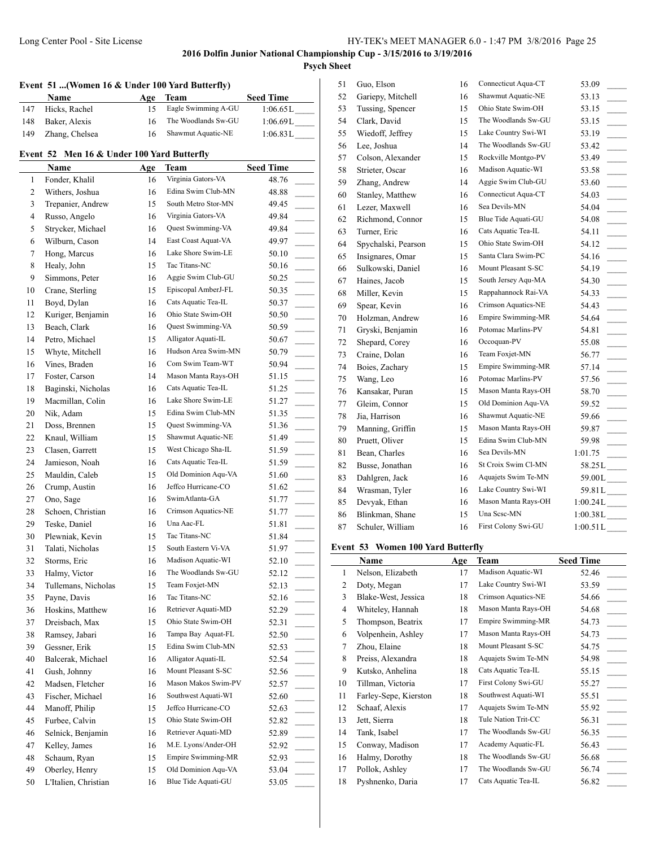# **Event 51 ...(Women 16 & Under 100 Yard Butterfly)**

|     | <b>Name</b>    | Age | Team                | <b>Seed Time</b> |
|-----|----------------|-----|---------------------|------------------|
| 147 | Hicks, Rachel  |     | Eagle Swimming A-GU | 1:06.65L         |
| 148 | Baker, Alexis  | 16  | The Woodlands Sw-GU | 1:06.69L         |
| 149 | Zhang, Chelsea | 16  | Shawmut Aquatic-NE  | 1:06.83L         |

#### **Event 52 Men 16 & Under 100 Yard Butterfly**

|    | Name                 | Age | Team                | <b>Seed Time</b> |
|----|----------------------|-----|---------------------|------------------|
| 1  | Fonder, Khalil       | 16  | Virginia Gators-VA  | 48.76            |
| 2  | Withers, Joshua      | 16  | Edina Swim Club-MN  | 48.88            |
| 3  | Trepanier, Andrew    | 15  | South Metro Stor-MN | 49.45            |
| 4  | Russo, Angelo        | 16  | Virginia Gators-VA  | 49.84            |
| 5  | Strycker, Michael    | 16  | Quest Swimming-VA   | 49.84            |
| 6  | Wilburn, Cason       | 14  | East Coast Aquat-VA | 49.97            |
| 7  | Hong, Marcus         | 16  | Lake Shore Swim-LE  | 50.10            |
| 8  | Healy, John          | 15  | Tac Titans-NC       | 50.16            |
| 9  | Simmons, Peter       | 16  | Aggie Swim Club-GU  | 50.25            |
| 10 | Crane, Sterling      | 15  | Episcopal AmberJ-FL | 50.35            |
| 11 | Boyd, Dylan          | 16  | Cats Aquatic Tea-IL | 50.37            |
| 12 | Kuriger, Benjamin    | 16  | Ohio State Swim-OH  | 50.50            |
| 13 | Beach, Clark         | 16  | Quest Swimming-VA   | 50.59            |
| 14 | Petro, Michael       | 15  | Alligator Aquati-IL | 50.67            |
| 15 | Whyte, Mitchell      | 16  | Hudson Area Swim-MN | 50.79            |
| 16 | Vines, Braden        | 16  | Com Swim Team-WT    | 50.94            |
| 17 | Foster, Carson       | 14  | Mason Manta Rays-OH | 51.15            |
| 18 | Baginski, Nicholas   | 16  | Cats Aquatic Tea-IL | 51.25            |
| 19 | Macmillan, Colin     | 16  | Lake Shore Swim-LE  | 51.27            |
| 20 | Nik, Adam            | 15  | Edina Swim Club-MN  | 51.35            |
| 21 | Doss, Brennen        | 15  | Quest Swimming-VA   | 51.36            |
| 22 | Knaul, William       | 15  | Shawmut Aquatic-NE  | 51.49            |
| 23 | Clasen, Garrett      | 15  | West Chicago Sha-IL | 51.59            |
| 24 | Jamieson, Noah       | 16  | Cats Aquatic Tea-IL | 51.59            |
| 25 | Mauldin, Caleb       | 15  | Old Dominion Aqu-VA | 51.60            |
| 26 | Crump, Austin        | 16  | Jeffco Hurricane-CO | 51.62            |
| 27 | Ono, Sage            | 16  | SwimAtlanta-GA      | 51.77            |
| 28 | Schoen, Christian    | 16  | Crimson Aquatics-NE | 51.77            |
| 29 | Teske, Daniel        | 16  | Una Aac-FL          | 51.81            |
| 30 | Plewniak, Kevin      | 15  | Tac Titans-NC       | 51.84            |
| 31 | Talati, Nicholas     | 15  | South Eastern Vi-VA | 51.97            |
| 32 | Storms, Eric         | 16  | Madison Aquatic-WI  | 52.10            |
| 33 | Halmy, Victor        | 16  | The Woodlands Sw-GU | 52.12            |
| 34 | Tullemans, Nicholas  | 15  | Team Foxjet-MN      | 52.13<br>$\sim$  |
| 35 | Payne, Davis         | 16  | Tac Titans-NC       | 52.16            |
| 36 | Hoskins, Matthew     | 16  | Retriever Aquati-MD | 52.29            |
| 37 | Dreisbach, Max       | 15  | Ohio State Swim-OH  | 52.31            |
| 38 | Ramsey, Jabari       | 16  | Tampa Bay Aquat-FL  | 52.50            |
| 39 | Gessner, Erik        | 15  | Edina Swim Club-MN  | 52.53            |
| 40 | Balcerak, Michael    | 16  | Alligator Aquati-IL | 52.54            |
| 41 | Gush, Johnny         | 16  | Mount Pleasant S-SC | 52.56            |
| 42 | Madsen, Fletcher     | 16  | Mason Makos Swim-PV | 52.57            |
| 43 | Fischer, Michael     | 16  | Southwest Aquati-WI | 52.60            |
| 44 | Manoff, Philip       | 15  | Jeffco Hurricane-CO | 52.63            |
| 45 | Furbee, Calvin       | 15  | Ohio State Swim-OH  | 52.82            |
| 46 | Selnick, Benjamin    | 16  | Retriever Aquati-MD | 52.89            |
| 47 | Kelley, James        | 16  | M.E. Lyons/Ander-OH | 52.92            |
| 48 | Schaum, Ryan         | 15  | Empire Swimming-MR  | 52.93            |
| 49 | Oberley, Henry       | 15  | Old Dominion Agu-VA | 53.04            |
| 50 | L'Italien, Christian | 16  | Blue Tide Aquati-GU | 53.05            |
|    |                      |     |                     |                  |

| 51 | Guo, Elson          | 16 | Connecticut Aqua-CT       | 53.09                                  |
|----|---------------------|----|---------------------------|----------------------------------------|
| 52 | Gariepy, Mitchell   | 16 | Shawmut Aquatic-NE        | 53.13                                  |
| 53 | Tussing, Spencer    | 15 | Ohio State Swim-OH        | 53.15                                  |
| 54 | Clark, David        | 15 | The Woodlands Sw-GU       | 53.15<br>$\overline{\phantom{a}}$      |
| 55 | Wiedoff, Jeffrey    | 15 | Lake Country Swi-WI       | 53.19<br>$\overline{\phantom{a}}$      |
| 56 | Lee, Joshua         | 14 | The Woodlands Sw-GU       | 53.42<br>$\overline{\phantom{a}}$      |
| 57 | Colson, Alexander   | 15 | Rockville Montgo-PV       | 53.49<br>$\overline{\phantom{a}}$      |
| 58 | Strieter, Oscar     | 16 | Madison Aquatic-WI        | 53.58<br>$\overline{\phantom{a}}$      |
| 59 | Zhang, Andrew       | 14 | Aggie Swim Club-GU        | 53.60<br>$\overline{\phantom{a}}$      |
| 60 | Stanley, Matthew    | 16 | Connecticut Aqua-CT       | 54.03<br>$\overline{\phantom{a}}$      |
| 61 | Lezer, Maxwell      | 16 | Sea Devils-MN             | 54.04<br>$\overline{\phantom{a}}$      |
| 62 | Richmond, Connor    | 15 | Blue Tide Aquati-GU       | 54.08<br>$\overline{\phantom{a}}$      |
| 63 | Turner, Eric        | 16 | Cats Aquatic Tea-IL       | 54.11<br>$\overline{\phantom{a}}$      |
| 64 | Spychalski, Pearson | 15 | Ohio State Swim-OH        | 54.12<br>$\overline{\phantom{a}}$      |
| 65 | Insignares, Omar    | 15 | Santa Clara Swim-PC       | 54.16<br>$\overline{\phantom{a}}$      |
| 66 | Sulkowski, Daniel   | 16 | Mount Pleasant S-SC       | 54.19<br>$\overline{\phantom{0}}$      |
| 67 | Haines, Jacob       | 15 | South Jersey Aqu-MA       | 54.30<br>$\overline{\phantom{a}}$      |
| 68 | Miller, Kevin       | 15 | Rappahannock Rai-VA       | 54.33<br>$\overline{\phantom{a}}$      |
| 69 | Spear, Kevin        | 16 | Crimson Aquatics-NE       | 54.43<br>$\overline{\phantom{a}}$      |
| 70 | Holzman, Andrew     | 16 | <b>Empire Swimming-MR</b> | 54.64<br>$\overline{\phantom{a}}$      |
| 71 | Gryski, Benjamin    | 16 | Potomac Marlins-PV        | 54.81<br>$\overline{\phantom{a}}$      |
| 72 | Shepard, Corey      | 16 | Occoquan-PV               | 55.08<br>$\overline{\phantom{a}}$      |
| 73 | Craine, Dolan       | 16 | Team Foxjet-MN            | 56.77<br>$\overline{\phantom{a}}$      |
| 74 | Boies, Zachary      | 15 | <b>Empire Swimming-MR</b> | 57.14<br>$\sim$                        |
| 75 | Wang, Leo           | 16 | Potomac Marlins-PV        | 57.56<br>$\overline{\phantom{a}}$      |
| 76 | Kansakar, Puran     | 15 | Mason Manta Rays-OH       | 58.70<br>$\mathcal{L}^{\mathcal{L}}$   |
| 77 | Gleim, Connor       | 15 | Old Dominion Aqu-VA       | 59.52<br>$\sim$                        |
| 78 | Jia, Harrison       | 16 | Shawmut Aquatic-NE        | 59.66<br>$\overline{\phantom{a}}$      |
| 79 | Manning, Griffin    | 15 | Mason Manta Rays-OH       | 59.87<br>$\overline{\phantom{a}}$      |
| 80 | Pruett, Oliver      | 15 | Edina Swim Club-MN        | 59.98<br>$\mathcal{L}^{\mathcal{L}}$   |
| 81 | Bean, Charles       | 16 | Sea Devils-MN             | 1:01.75<br>$\mathcal{L}^{\mathcal{L}}$ |
| 82 | Busse, Jonathan     | 16 | St Croix Swim Cl-MN       | $58.25L$ <sub>_____</sub>              |
| 83 | Dahlgren, Jack      | 16 | Aquajets Swim Te-MN       | 59.00L                                 |
| 84 | Wrasman, Tyler      | 16 | Lake Country Swi-WI       | 59.81L                                 |
| 85 | Devyak, Ethan       | 16 | Mason Manta Rays-OH       | $1:00.24L$ <sub>____</sub>             |
| 86 | Blinkman, Shane     | 15 | Una Sese-MN               | $1:00.38L$ <sub>____</sub>             |
| 87 | Schuler, William    | 16 | First Colony Swi-GU       | $1:00.51L$ <sub>____</sub>             |
|    |                     |    |                           |                                        |

# **Event 53 Women 100 Yard Butterfly**

|    | Name                  | Age | Team                | <b>Seed Time</b> |
|----|-----------------------|-----|---------------------|------------------|
| 1  | Nelson, Elizabeth     | 17  | Madison Aquatic-WI  | 52.46            |
| 2  | Doty, Megan           | 17  | Lake Country Swi-WI | 53.59            |
| 3  | Blake-West, Jessica   | 18  | Crimson Aquatics-NE | 54.66            |
| 4  | Whiteley, Hannah      | 18  | Mason Manta Rays-OH | 54.68            |
| 5  | Thompson, Beatrix     | 17  | Empire Swimming-MR  | 54.73            |
| 6  | Volpenhein, Ashley    | 17  | Mason Manta Rays-OH | 54.73            |
| 7  | Zhou, Elaine          | 18  | Mount Pleasant S-SC | 54.75            |
| 8  | Preiss, Alexandra     | 18  | Aquajets Swim Te-MN | 54.98            |
| 9  | Kutsko, Anhelina      | 18  | Cats Aquatic Tea-IL | 55.15            |
| 10 | Tillman, Victoria     | 17  | First Colony Swi-GU | 55.27            |
| 11 | Farley-Sepe, Kierston | 18  | Southwest Aquati-WI | 55.51            |
| 12 | Schaaf, Alexis        | 17  | Aquajets Swim Te-MN | 55.92            |
| 13 | Jett, Sierra          | 18  | Tule Nation Trit-CC | 56.31            |
| 14 | Tank, Isabel          | 17  | The Woodlands Sw-GU | 56.35            |
| 15 | Conway, Madison       | 17  | Academy Aquatic-FL  | 56.43            |
| 16 | Halmy, Dorothy        | 18  | The Woodlands Sw-GU | 56.68            |
| 17 | Pollok, Ashley        | 17  | The Woodlands Sw-GU | 56.74            |
| 18 | Pyshnenko, Daria      | 17  | Cats Aquatic Tea-IL | 56.82            |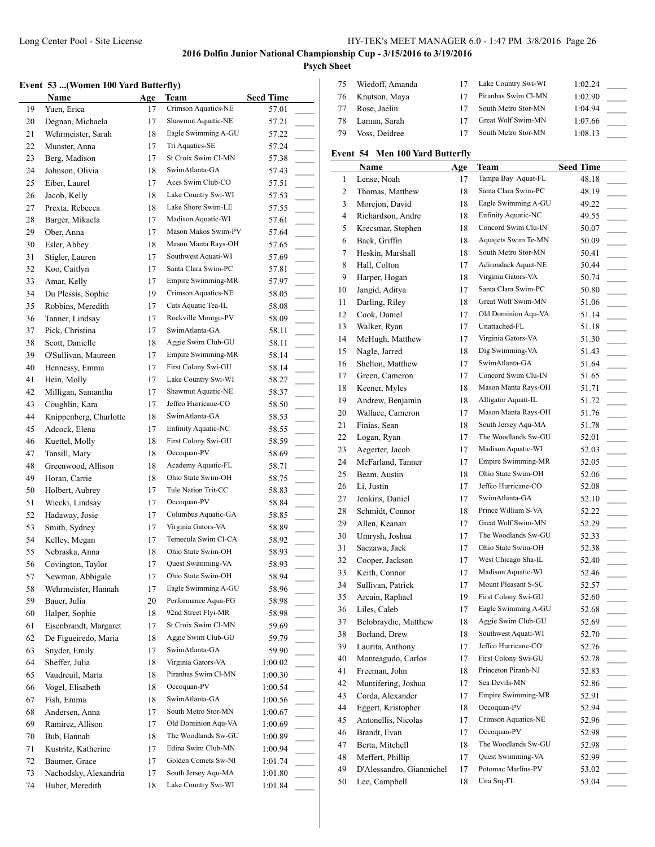# **Psych Sheet**

# **Event 53 ...(Women 100 Yard Butterfly)**

|    | vent 53 (Women 100 Yard Butterfly) |     |                           |                  | 75             | W                        |
|----|------------------------------------|-----|---------------------------|------------------|----------------|--------------------------|
|    | Name                               | Age | Team                      | <b>Seed Time</b> | 76             | K <sub>1</sub>           |
| 19 | Yuen, Erica                        | 17  | Crimson Aquatics-NE       | 57.01            | 77             | R.                       |
| 20 | Degnan, Michaela                   | 17  | Shawmut Aquatic-NE        | 57.21            | 78             | Lι                       |
| 21 | Wehrmeister, Sarah                 | 18  | Eagle Swimming A-GU       | 57.22            | 79             | V                        |
| 22 | Munster, Anna                      | 17  | Tri Aquatics-SE           | 57.24            |                |                          |
| 23 | Berg, Madison                      | 17  | St Croix Swim Cl-MN       | 57.38            | Event 5        |                          |
| 24 | Johnson, Olivia                    | 18  | SwimAtlanta-GA            | 57.43            |                | Ŋ                        |
| 25 | Eiber, Laurel                      | 17  | Aces Swim Club-CO         | 57.51            | 1              | Lς                       |
| 26 | Jacob, Kelly                       | 18  | Lake Country Swi-WI       | 57.53            | $\mathbf{2}$   | Tł                       |
| 27 | Prexta, Rebecca                    | 18  | Lake Shore Swim-LE        | 57.55            | 3              | M                        |
| 28 | Barger, Mikaela                    | 17  | Madison Aquatic-WI        | 57.61            | $\overline{4}$ | Ri                       |
| 29 | Ober, Anna                         | 17  | Mason Makos Swim-PV       | 57.64            | 5              | K                        |
| 30 | Esler, Abbey                       | 18  | Mason Manta Rays-OH       | 57.65            | 6              | B <sub>i</sub>           |
| 31 | Stigler, Lauren                    | 17  | Southwest Aquati-WI       | 57.69            | 7              | H                        |
| 32 | Koo, Caitlyn                       | 17  | Santa Clara Swim-PC       | 57.81            | 8              | H                        |
| 33 | Amar, Kelly                        | 17  | Empire Swimming-MR        | 57.97            | 9              | H                        |
| 34 | Du Plessis, Sophie                 | 19  | Crimson Aquatics-NE       | 58.05            | 10             | Ja                       |
| 35 | Robbins, Meredith                  | 17  | Cats Aquatic Tea-IL       | 58.08            | 11             | D.                       |
| 36 | Tanner, Lindsay                    | 17  | Rockville Montgo-PV       | 58.09            | 12             | C)                       |
| 37 | Pick, Christina                    | 17  | SwimAtlanta-GA            | 58.11            | 13             | W                        |
| 38 | Scott, Danielle                    | 18  | Aggie Swim Club-GU        | 58.11            | 14             | М                        |
| 39 | O'Sullivan, Maureen                | 17  | <b>Empire Swimming-MR</b> | 58.14            | 15             | N <sub>i</sub>           |
| 40 | Hennessy, Emma                     | 17  | First Colony Swi-GU       | 58.14            | 16             | Sł                       |
| 41 | Hein, Molly                        | 17  | Lake Country Swi-WI       | 58.27            | 17             | G                        |
| 42 | Milligan, Samantha                 | 17  | Shawmut Aquatic-NE        | 58.37            | 18             | K                        |
| 43 | Coughlin, Kara                     | 17  | Jeffco Hurricane-CO       | 58.50            | 19             | A                        |
| 44 | Knippenberg, Charlotte             | 18  | SwimAtlanta-GA            | 58.53            | 20             | W                        |
| 45 | Adcock, Elena                      | 17  | Enfinity Aquatic-NC       | 58.55            | 21             | Fi                       |
| 46 | Kuettel, Molly                     | 18  | First Colony Swi-GU       | 58.59            | 22             | L0                       |
| 47 | Tansill, Mary                      | 18  | Occoquan-PV               | 58.69            | 23             | A۱                       |
| 48 | Greenwood, Allison                 | 18  | Academy Aquatic-FL        | 58.71            | 24             | M                        |
| 49 | Horan, Carrie                      | 18  | Ohio State Swim-OH        | 58.75            | 25             | B٥                       |
| 50 | Holbert, Aubrey                    | 17  | Tule Nation Trit-CC       | 58.83            | 26             | Li                       |
| 51 | Wiecki, Lindsay                    | 17  | Occoquan-PV               | 58.84            | 27             | Je                       |
| 52 | Hadaway, Josie                     | 17  | Columbus Aquatic-GA       | 58.85            | 28             | Sc                       |
| 53 | Smith, Sydney                      | 17  | Virginia Gators-VA        | 58.89            | 29             | A.                       |
| 54 | Kelley, Megan                      | 17  | Temecula Swim Cl-CA       | 58.92            | 30             | $U_1$                    |
| 55 | Nebraska, Anna                     | 18  | Ohio State Swim-OH        | 58.93            | 31             | $\mathrm{S} \varepsilon$ |
| 56 | Covington, Taylor                  | 17  | Quest Swimming-VA         | 58.93            | 32             | C(                       |
| 57 | Newman, Abbigale                   | 17  | Ohio State Swim-OH        | 58.94            | 33             | K)                       |
| 58 | Wehrmeister, Hannah                | 17  | Eagle Swimming A-GU       | 58.96            | 34             | S <sub>l</sub>           |
| 59 | Bauer, Julia                       | 20  | Performance Aqua-FG       | 58.98            | 35             | A                        |
| 60 | Halper, Sophie                     | 18  | 92nd Street Flyi-MR       | 58.98            | 36             | Li                       |
| 61 | Eisenbrandt, Margaret              | 17  | St Croix Swim Cl-MN       | 59.69            | 37             | B(                       |
| 62 | De Figueiredo, Maria               | 18  | Aggie Swim Club-GU        | 59.79            | 38             | B                        |
| 63 | Snyder, Emily                      | 17  | SwimAtlanta-GA            | 59.90            | 39             | Lι                       |
| 64 | Sheffer, Julia                     | 18  | Virginia Gators-VA        | 1:00.02          | 40             | М                        |
| 65 | Vaudreuil, Maria                   | 18  | Piranhas Swim Cl-MN       | 1:00.30          | 41             | Fr                       |
| 66 | Vogel, Elisabeth                   | 18  | Occoquan-PV               | 1:00.54          | 42             | М                        |
| 67 | Fish, Emma                         | 18  | SwimAtlanta-GA            | 1:00.56          | 43             | $\mathcal{C}$            |
| 68 | Andersen, Anna                     | 17  | South Metro Stor-MN       | 1:00.67          | 44             | Εg                       |
| 69 | Ramirez, Allison                   | 17  | Old Dominion Aqu-VA       | 1:00.69          | 45             | A                        |
| 70 | Bub, Hannah                        | 18  | The Woodlands Sw-GU       | 1:00.89          | 46             | B <sub>1</sub>           |
| 71 | Kustritz, Katherine                | 17  | Edina Swim Club-MN        | 1:00.94          | 47             | B٥                       |
| 72 | Baumer, Grace                      | 17  | Golden Comets Sw-NI       | 1:01.74          | 48             | М                        |
| 73 | Nachodsky, Alexandria              | 17  | South Jersey Aqu-MA       | 1:01.80          | 49             | D'                       |
| 74 | Huber, Meredith                    | 18  | Lake Country Swi-WI       | 1:01.84          | 50             | L <sub>6</sub>           |

| 75 | Wiedoff, Amanda |    | Lake Country Swi-WI | 1:02.24 |  |
|----|-----------------|----|---------------------|---------|--|
| 76 | Knutson, Maya   |    | Piranhas Swim Cl-MN | 1:02.90 |  |
| 77 | Rose, Jaelin    | 17 | South Metro Stor-MN | 1:04.94 |  |
| 78 | Laman, Sarah    | 17 | Great Wolf Swim-MN  | 1:07.66 |  |
| 79 | Voss, Deidree   | 17 | South Metro Stor-MN | 1:08.13 |  |

# **Example 34 Men 100 Yard Butterfly**

| Tampa Bay Aquat-FL<br>1<br>Lense, Noah<br>48.18<br>17<br>Santa Clara Swim-PC<br>$\overline{c}$<br>Thomas, Matthew<br>18<br>48.19<br>3<br>Morejon, David<br>Eagle Swimming A-GU<br>18<br>49.22<br><b>Enfinity Aquatic-NC</b><br>4<br>Richardson, Andre<br>18<br>49.55<br>Concord Swim Clu-IN<br>5<br>Krecsmar, Stephen<br>18<br>50.07<br>Back, Griffin<br>Aquajets Swim Te-MN<br>6<br>18<br>50.09<br>South Metro Stor-MN<br>7<br>Heskin, Marshall<br>18<br>50.41<br>$\sim$<br>Adirondack Aquat-NE<br>8<br>Hall, Colton<br>17<br>50.44<br>$\sim$<br>Virginia Gators-VA<br>9<br>Harper, Hogan<br>18<br>50.74<br>$\sim$<br>Santa Clara Swim-PC<br>Jangid, Aditya<br>10<br>17<br>50.80<br>Great Wolf Swim-MN<br>Darling, Riley<br>11<br>18<br>51.06<br>$\sim$ 10 $\pm$<br>Old Dominion Aqu-VA<br>Cook, Daniel<br>12<br>17<br>51.14<br>Unattached-FL<br>13<br>Walker, Ryan<br>17<br>51.18<br>$\overline{a}$<br>Virginia Gators-VA<br>McHugh, Matthew<br>14<br>17<br>51.30<br>$\overline{\phantom{a}}$<br>Dig Swimming-VA<br>15<br>Nagle, Jarred<br>18<br>51.43<br>SwimAtlanta-GA<br>16<br>Shelton, Matthew<br>17<br>51.64<br>Concord Swim Clu-IN<br>17<br>Green, Cameron<br>51.65<br>17<br>Keener, Myles<br>Mason Manta Rays-OH<br>18<br>18<br>51.71<br>$\sim$<br>Alligator Aquati-IL<br>Andrew, Benjamin<br>19<br>18<br>51.72<br>$\overline{\phantom{a}}$<br>Mason Manta Rays-OH<br>Wallace, Cameron<br>20<br>17<br>51.76<br>$\overline{\phantom{a}}$<br>21<br>South Jersey Aqu-MA<br>Finias, Sean<br>18<br>51.78<br>The Woodlands Sw-GU<br>Logan, Ryan<br>22<br>17<br>52.01<br>Madison Aquatic-WI<br>Aegerter, Jacob<br>23<br>17<br>52.03<br>$\sim$<br>McFarland, Tanner<br>Empire Swimming-MR<br>24<br>17<br>52.05<br>Ohio State Swim-OH<br>25<br>Beam, Austin<br>18<br>52.06<br>$\overline{\phantom{a}}$<br>Jeffco Hurricane-CO<br>26<br>Li, Justin<br>17<br>52.08<br>Jenkins, Daniel<br>SwimAtlanta-GA<br>27<br>17<br>52.10<br>Prince William S-VA<br>28<br>Schmidt, Connor<br>18<br>52.22<br>Great Wolf Swim-MN<br>Allen, Keanan<br>29<br>17<br>52.29<br>Umrysh, Joshua<br>The Woodlands Sw-GU<br>30<br>17<br>52.33<br>Ohio State Swim-OH<br>Saczawa, Jack<br>31<br>17<br>52.38<br>West Chicago Sha-IL<br>Cooper, Jackson<br>32<br>17<br>52.40<br>Madison Aquatic-WI<br>33<br>Keith, Connor<br>17<br>52.46<br>$\sim$<br>Mount Pleasant S-SC<br>34<br>Sullivan, Patrick<br>17<br>52.57<br>First Colony Swi-GU<br>Arcain, Raphael<br>35<br>19<br>52.60<br>$\sim$ 10 $\pm$<br>Eagle Swimming A-GU<br>36<br>Liles, Caleb<br>17<br>52.68<br>Aggie Swim Club-GU<br>Belobraydic, Matthew<br>37<br>18<br>52.69<br>Southwest Aquati-WI<br>38<br>Borland, Drew<br>18<br>52.70<br>Jeffco Hurricane-CO<br>39<br>Laurita, Anthony<br>17<br>52.76<br>First Colony Swi-GU<br>40<br>Monteagudo, Carlos<br>52.78<br>17<br>Princeton Piranh-NJ<br>Freeman, John<br>41<br>18<br>52.83<br>Sea Devils-MN<br>42<br>Muntifering, Joshua<br>17<br>52.86<br>Empire Swimming-MR<br>43<br>Corda, Alexander<br>17<br>52.91<br>Occoquan-PV<br>Eggert, Kristopher<br>44<br>18<br>52.94<br>Crimson Aquatics-NE<br>45<br>Antonellis, Nicolas<br>17<br>52.96<br>Occoquan-PV<br>46<br>Brandt, Evan<br>17<br>52.98<br>The Woodlands Sw-GU<br>47<br>Berta, Mitchell<br>18<br>52.98<br>Quest Swimming-VA<br>48<br>Meffert, Phillip<br>17<br>52.99<br>Potomac Marlins-PV<br>49<br>D'Alessandro, Gianmichel<br>17<br>53.02<br>Una Srq-FL<br>50<br>Lee, Campbell<br>18<br>53.04 | Name | Age | <b>Team</b> | <b>Seed Time</b> |
|-----------------------------------------------------------------------------------------------------------------------------------------------------------------------------------------------------------------------------------------------------------------------------------------------------------------------------------------------------------------------------------------------------------------------------------------------------------------------------------------------------------------------------------------------------------------------------------------------------------------------------------------------------------------------------------------------------------------------------------------------------------------------------------------------------------------------------------------------------------------------------------------------------------------------------------------------------------------------------------------------------------------------------------------------------------------------------------------------------------------------------------------------------------------------------------------------------------------------------------------------------------------------------------------------------------------------------------------------------------------------------------------------------------------------------------------------------------------------------------------------------------------------------------------------------------------------------------------------------------------------------------------------------------------------------------------------------------------------------------------------------------------------------------------------------------------------------------------------------------------------------------------------------------------------------------------------------------------------------------------------------------------------------------------------------------------------------------------------------------------------------------------------------------------------------------------------------------------------------------------------------------------------------------------------------------------------------------------------------------------------------------------------------------------------------------------------------------------------------------------------------------------------------------------------------------------------------------------------------------------------------------------------------------------------------------------------------------------------------------------------------------------------------------------------------------------------------------------------------------------------------------------------------------------------------------------------------------------------------------------------------------------------------------------------------------------------------------------------------------------------------------------------------------------------------------------------------------------------------------------------------------------------------------------------------------------------------------------------------------------------------------------------------------------------------------------|------|-----|-------------|------------------|
| $\sim$<br>$\overline{\phantom{a}}$<br>$\sim$<br>$\overline{\phantom{a}}$                                                                                                                                                                                                                                                                                                                                                                                                                                                                                                                                                                                                                                                                                                                                                                                                                                                                                                                                                                                                                                                                                                                                                                                                                                                                                                                                                                                                                                                                                                                                                                                                                                                                                                                                                                                                                                                                                                                                                                                                                                                                                                                                                                                                                                                                                                                                                                                                                                                                                                                                                                                                                                                                                                                                                                                                                                                                                                                                                                                                                                                                                                                                                                                                                                                                                                                                                                |      |     |             |                  |
|                                                                                                                                                                                                                                                                                                                                                                                                                                                                                                                                                                                                                                                                                                                                                                                                                                                                                                                                                                                                                                                                                                                                                                                                                                                                                                                                                                                                                                                                                                                                                                                                                                                                                                                                                                                                                                                                                                                                                                                                                                                                                                                                                                                                                                                                                                                                                                                                                                                                                                                                                                                                                                                                                                                                                                                                                                                                                                                                                                                                                                                                                                                                                                                                                                                                                                                                                                                                                                         |      |     |             |                  |
|                                                                                                                                                                                                                                                                                                                                                                                                                                                                                                                                                                                                                                                                                                                                                                                                                                                                                                                                                                                                                                                                                                                                                                                                                                                                                                                                                                                                                                                                                                                                                                                                                                                                                                                                                                                                                                                                                                                                                                                                                                                                                                                                                                                                                                                                                                                                                                                                                                                                                                                                                                                                                                                                                                                                                                                                                                                                                                                                                                                                                                                                                                                                                                                                                                                                                                                                                                                                                                         |      |     |             |                  |
|                                                                                                                                                                                                                                                                                                                                                                                                                                                                                                                                                                                                                                                                                                                                                                                                                                                                                                                                                                                                                                                                                                                                                                                                                                                                                                                                                                                                                                                                                                                                                                                                                                                                                                                                                                                                                                                                                                                                                                                                                                                                                                                                                                                                                                                                                                                                                                                                                                                                                                                                                                                                                                                                                                                                                                                                                                                                                                                                                                                                                                                                                                                                                                                                                                                                                                                                                                                                                                         |      |     |             |                  |
|                                                                                                                                                                                                                                                                                                                                                                                                                                                                                                                                                                                                                                                                                                                                                                                                                                                                                                                                                                                                                                                                                                                                                                                                                                                                                                                                                                                                                                                                                                                                                                                                                                                                                                                                                                                                                                                                                                                                                                                                                                                                                                                                                                                                                                                                                                                                                                                                                                                                                                                                                                                                                                                                                                                                                                                                                                                                                                                                                                                                                                                                                                                                                                                                                                                                                                                                                                                                                                         |      |     |             |                  |
|                                                                                                                                                                                                                                                                                                                                                                                                                                                                                                                                                                                                                                                                                                                                                                                                                                                                                                                                                                                                                                                                                                                                                                                                                                                                                                                                                                                                                                                                                                                                                                                                                                                                                                                                                                                                                                                                                                                                                                                                                                                                                                                                                                                                                                                                                                                                                                                                                                                                                                                                                                                                                                                                                                                                                                                                                                                                                                                                                                                                                                                                                                                                                                                                                                                                                                                                                                                                                                         |      |     |             |                  |
|                                                                                                                                                                                                                                                                                                                                                                                                                                                                                                                                                                                                                                                                                                                                                                                                                                                                                                                                                                                                                                                                                                                                                                                                                                                                                                                                                                                                                                                                                                                                                                                                                                                                                                                                                                                                                                                                                                                                                                                                                                                                                                                                                                                                                                                                                                                                                                                                                                                                                                                                                                                                                                                                                                                                                                                                                                                                                                                                                                                                                                                                                                                                                                                                                                                                                                                                                                                                                                         |      |     |             |                  |
|                                                                                                                                                                                                                                                                                                                                                                                                                                                                                                                                                                                                                                                                                                                                                                                                                                                                                                                                                                                                                                                                                                                                                                                                                                                                                                                                                                                                                                                                                                                                                                                                                                                                                                                                                                                                                                                                                                                                                                                                                                                                                                                                                                                                                                                                                                                                                                                                                                                                                                                                                                                                                                                                                                                                                                                                                                                                                                                                                                                                                                                                                                                                                                                                                                                                                                                                                                                                                                         |      |     |             |                  |
|                                                                                                                                                                                                                                                                                                                                                                                                                                                                                                                                                                                                                                                                                                                                                                                                                                                                                                                                                                                                                                                                                                                                                                                                                                                                                                                                                                                                                                                                                                                                                                                                                                                                                                                                                                                                                                                                                                                                                                                                                                                                                                                                                                                                                                                                                                                                                                                                                                                                                                                                                                                                                                                                                                                                                                                                                                                                                                                                                                                                                                                                                                                                                                                                                                                                                                                                                                                                                                         |      |     |             |                  |
|                                                                                                                                                                                                                                                                                                                                                                                                                                                                                                                                                                                                                                                                                                                                                                                                                                                                                                                                                                                                                                                                                                                                                                                                                                                                                                                                                                                                                                                                                                                                                                                                                                                                                                                                                                                                                                                                                                                                                                                                                                                                                                                                                                                                                                                                                                                                                                                                                                                                                                                                                                                                                                                                                                                                                                                                                                                                                                                                                                                                                                                                                                                                                                                                                                                                                                                                                                                                                                         |      |     |             |                  |
|                                                                                                                                                                                                                                                                                                                                                                                                                                                                                                                                                                                                                                                                                                                                                                                                                                                                                                                                                                                                                                                                                                                                                                                                                                                                                                                                                                                                                                                                                                                                                                                                                                                                                                                                                                                                                                                                                                                                                                                                                                                                                                                                                                                                                                                                                                                                                                                                                                                                                                                                                                                                                                                                                                                                                                                                                                                                                                                                                                                                                                                                                                                                                                                                                                                                                                                                                                                                                                         |      |     |             |                  |
|                                                                                                                                                                                                                                                                                                                                                                                                                                                                                                                                                                                                                                                                                                                                                                                                                                                                                                                                                                                                                                                                                                                                                                                                                                                                                                                                                                                                                                                                                                                                                                                                                                                                                                                                                                                                                                                                                                                                                                                                                                                                                                                                                                                                                                                                                                                                                                                                                                                                                                                                                                                                                                                                                                                                                                                                                                                                                                                                                                                                                                                                                                                                                                                                                                                                                                                                                                                                                                         |      |     |             |                  |
|                                                                                                                                                                                                                                                                                                                                                                                                                                                                                                                                                                                                                                                                                                                                                                                                                                                                                                                                                                                                                                                                                                                                                                                                                                                                                                                                                                                                                                                                                                                                                                                                                                                                                                                                                                                                                                                                                                                                                                                                                                                                                                                                                                                                                                                                                                                                                                                                                                                                                                                                                                                                                                                                                                                                                                                                                                                                                                                                                                                                                                                                                                                                                                                                                                                                                                                                                                                                                                         |      |     |             |                  |
|                                                                                                                                                                                                                                                                                                                                                                                                                                                                                                                                                                                                                                                                                                                                                                                                                                                                                                                                                                                                                                                                                                                                                                                                                                                                                                                                                                                                                                                                                                                                                                                                                                                                                                                                                                                                                                                                                                                                                                                                                                                                                                                                                                                                                                                                                                                                                                                                                                                                                                                                                                                                                                                                                                                                                                                                                                                                                                                                                                                                                                                                                                                                                                                                                                                                                                                                                                                                                                         |      |     |             |                  |
|                                                                                                                                                                                                                                                                                                                                                                                                                                                                                                                                                                                                                                                                                                                                                                                                                                                                                                                                                                                                                                                                                                                                                                                                                                                                                                                                                                                                                                                                                                                                                                                                                                                                                                                                                                                                                                                                                                                                                                                                                                                                                                                                                                                                                                                                                                                                                                                                                                                                                                                                                                                                                                                                                                                                                                                                                                                                                                                                                                                                                                                                                                                                                                                                                                                                                                                                                                                                                                         |      |     |             |                  |
|                                                                                                                                                                                                                                                                                                                                                                                                                                                                                                                                                                                                                                                                                                                                                                                                                                                                                                                                                                                                                                                                                                                                                                                                                                                                                                                                                                                                                                                                                                                                                                                                                                                                                                                                                                                                                                                                                                                                                                                                                                                                                                                                                                                                                                                                                                                                                                                                                                                                                                                                                                                                                                                                                                                                                                                                                                                                                                                                                                                                                                                                                                                                                                                                                                                                                                                                                                                                                                         |      |     |             |                  |
|                                                                                                                                                                                                                                                                                                                                                                                                                                                                                                                                                                                                                                                                                                                                                                                                                                                                                                                                                                                                                                                                                                                                                                                                                                                                                                                                                                                                                                                                                                                                                                                                                                                                                                                                                                                                                                                                                                                                                                                                                                                                                                                                                                                                                                                                                                                                                                                                                                                                                                                                                                                                                                                                                                                                                                                                                                                                                                                                                                                                                                                                                                                                                                                                                                                                                                                                                                                                                                         |      |     |             |                  |
|                                                                                                                                                                                                                                                                                                                                                                                                                                                                                                                                                                                                                                                                                                                                                                                                                                                                                                                                                                                                                                                                                                                                                                                                                                                                                                                                                                                                                                                                                                                                                                                                                                                                                                                                                                                                                                                                                                                                                                                                                                                                                                                                                                                                                                                                                                                                                                                                                                                                                                                                                                                                                                                                                                                                                                                                                                                                                                                                                                                                                                                                                                                                                                                                                                                                                                                                                                                                                                         |      |     |             |                  |
|                                                                                                                                                                                                                                                                                                                                                                                                                                                                                                                                                                                                                                                                                                                                                                                                                                                                                                                                                                                                                                                                                                                                                                                                                                                                                                                                                                                                                                                                                                                                                                                                                                                                                                                                                                                                                                                                                                                                                                                                                                                                                                                                                                                                                                                                                                                                                                                                                                                                                                                                                                                                                                                                                                                                                                                                                                                                                                                                                                                                                                                                                                                                                                                                                                                                                                                                                                                                                                         |      |     |             |                  |
|                                                                                                                                                                                                                                                                                                                                                                                                                                                                                                                                                                                                                                                                                                                                                                                                                                                                                                                                                                                                                                                                                                                                                                                                                                                                                                                                                                                                                                                                                                                                                                                                                                                                                                                                                                                                                                                                                                                                                                                                                                                                                                                                                                                                                                                                                                                                                                                                                                                                                                                                                                                                                                                                                                                                                                                                                                                                                                                                                                                                                                                                                                                                                                                                                                                                                                                                                                                                                                         |      |     |             |                  |
|                                                                                                                                                                                                                                                                                                                                                                                                                                                                                                                                                                                                                                                                                                                                                                                                                                                                                                                                                                                                                                                                                                                                                                                                                                                                                                                                                                                                                                                                                                                                                                                                                                                                                                                                                                                                                                                                                                                                                                                                                                                                                                                                                                                                                                                                                                                                                                                                                                                                                                                                                                                                                                                                                                                                                                                                                                                                                                                                                                                                                                                                                                                                                                                                                                                                                                                                                                                                                                         |      |     |             |                  |
|                                                                                                                                                                                                                                                                                                                                                                                                                                                                                                                                                                                                                                                                                                                                                                                                                                                                                                                                                                                                                                                                                                                                                                                                                                                                                                                                                                                                                                                                                                                                                                                                                                                                                                                                                                                                                                                                                                                                                                                                                                                                                                                                                                                                                                                                                                                                                                                                                                                                                                                                                                                                                                                                                                                                                                                                                                                                                                                                                                                                                                                                                                                                                                                                                                                                                                                                                                                                                                         |      |     |             |                  |
|                                                                                                                                                                                                                                                                                                                                                                                                                                                                                                                                                                                                                                                                                                                                                                                                                                                                                                                                                                                                                                                                                                                                                                                                                                                                                                                                                                                                                                                                                                                                                                                                                                                                                                                                                                                                                                                                                                                                                                                                                                                                                                                                                                                                                                                                                                                                                                                                                                                                                                                                                                                                                                                                                                                                                                                                                                                                                                                                                                                                                                                                                                                                                                                                                                                                                                                                                                                                                                         |      |     |             |                  |
|                                                                                                                                                                                                                                                                                                                                                                                                                                                                                                                                                                                                                                                                                                                                                                                                                                                                                                                                                                                                                                                                                                                                                                                                                                                                                                                                                                                                                                                                                                                                                                                                                                                                                                                                                                                                                                                                                                                                                                                                                                                                                                                                                                                                                                                                                                                                                                                                                                                                                                                                                                                                                                                                                                                                                                                                                                                                                                                                                                                                                                                                                                                                                                                                                                                                                                                                                                                                                                         |      |     |             |                  |
|                                                                                                                                                                                                                                                                                                                                                                                                                                                                                                                                                                                                                                                                                                                                                                                                                                                                                                                                                                                                                                                                                                                                                                                                                                                                                                                                                                                                                                                                                                                                                                                                                                                                                                                                                                                                                                                                                                                                                                                                                                                                                                                                                                                                                                                                                                                                                                                                                                                                                                                                                                                                                                                                                                                                                                                                                                                                                                                                                                                                                                                                                                                                                                                                                                                                                                                                                                                                                                         |      |     |             |                  |
|                                                                                                                                                                                                                                                                                                                                                                                                                                                                                                                                                                                                                                                                                                                                                                                                                                                                                                                                                                                                                                                                                                                                                                                                                                                                                                                                                                                                                                                                                                                                                                                                                                                                                                                                                                                                                                                                                                                                                                                                                                                                                                                                                                                                                                                                                                                                                                                                                                                                                                                                                                                                                                                                                                                                                                                                                                                                                                                                                                                                                                                                                                                                                                                                                                                                                                                                                                                                                                         |      |     |             |                  |
|                                                                                                                                                                                                                                                                                                                                                                                                                                                                                                                                                                                                                                                                                                                                                                                                                                                                                                                                                                                                                                                                                                                                                                                                                                                                                                                                                                                                                                                                                                                                                                                                                                                                                                                                                                                                                                                                                                                                                                                                                                                                                                                                                                                                                                                                                                                                                                                                                                                                                                                                                                                                                                                                                                                                                                                                                                                                                                                                                                                                                                                                                                                                                                                                                                                                                                                                                                                                                                         |      |     |             |                  |
|                                                                                                                                                                                                                                                                                                                                                                                                                                                                                                                                                                                                                                                                                                                                                                                                                                                                                                                                                                                                                                                                                                                                                                                                                                                                                                                                                                                                                                                                                                                                                                                                                                                                                                                                                                                                                                                                                                                                                                                                                                                                                                                                                                                                                                                                                                                                                                                                                                                                                                                                                                                                                                                                                                                                                                                                                                                                                                                                                                                                                                                                                                                                                                                                                                                                                                                                                                                                                                         |      |     |             |                  |
|                                                                                                                                                                                                                                                                                                                                                                                                                                                                                                                                                                                                                                                                                                                                                                                                                                                                                                                                                                                                                                                                                                                                                                                                                                                                                                                                                                                                                                                                                                                                                                                                                                                                                                                                                                                                                                                                                                                                                                                                                                                                                                                                                                                                                                                                                                                                                                                                                                                                                                                                                                                                                                                                                                                                                                                                                                                                                                                                                                                                                                                                                                                                                                                                                                                                                                                                                                                                                                         |      |     |             |                  |
|                                                                                                                                                                                                                                                                                                                                                                                                                                                                                                                                                                                                                                                                                                                                                                                                                                                                                                                                                                                                                                                                                                                                                                                                                                                                                                                                                                                                                                                                                                                                                                                                                                                                                                                                                                                                                                                                                                                                                                                                                                                                                                                                                                                                                                                                                                                                                                                                                                                                                                                                                                                                                                                                                                                                                                                                                                                                                                                                                                                                                                                                                                                                                                                                                                                                                                                                                                                                                                         |      |     |             |                  |
|                                                                                                                                                                                                                                                                                                                                                                                                                                                                                                                                                                                                                                                                                                                                                                                                                                                                                                                                                                                                                                                                                                                                                                                                                                                                                                                                                                                                                                                                                                                                                                                                                                                                                                                                                                                                                                                                                                                                                                                                                                                                                                                                                                                                                                                                                                                                                                                                                                                                                                                                                                                                                                                                                                                                                                                                                                                                                                                                                                                                                                                                                                                                                                                                                                                                                                                                                                                                                                         |      |     |             |                  |
|                                                                                                                                                                                                                                                                                                                                                                                                                                                                                                                                                                                                                                                                                                                                                                                                                                                                                                                                                                                                                                                                                                                                                                                                                                                                                                                                                                                                                                                                                                                                                                                                                                                                                                                                                                                                                                                                                                                                                                                                                                                                                                                                                                                                                                                                                                                                                                                                                                                                                                                                                                                                                                                                                                                                                                                                                                                                                                                                                                                                                                                                                                                                                                                                                                                                                                                                                                                                                                         |      |     |             |                  |
|                                                                                                                                                                                                                                                                                                                                                                                                                                                                                                                                                                                                                                                                                                                                                                                                                                                                                                                                                                                                                                                                                                                                                                                                                                                                                                                                                                                                                                                                                                                                                                                                                                                                                                                                                                                                                                                                                                                                                                                                                                                                                                                                                                                                                                                                                                                                                                                                                                                                                                                                                                                                                                                                                                                                                                                                                                                                                                                                                                                                                                                                                                                                                                                                                                                                                                                                                                                                                                         |      |     |             |                  |
|                                                                                                                                                                                                                                                                                                                                                                                                                                                                                                                                                                                                                                                                                                                                                                                                                                                                                                                                                                                                                                                                                                                                                                                                                                                                                                                                                                                                                                                                                                                                                                                                                                                                                                                                                                                                                                                                                                                                                                                                                                                                                                                                                                                                                                                                                                                                                                                                                                                                                                                                                                                                                                                                                                                                                                                                                                                                                                                                                                                                                                                                                                                                                                                                                                                                                                                                                                                                                                         |      |     |             |                  |
|                                                                                                                                                                                                                                                                                                                                                                                                                                                                                                                                                                                                                                                                                                                                                                                                                                                                                                                                                                                                                                                                                                                                                                                                                                                                                                                                                                                                                                                                                                                                                                                                                                                                                                                                                                                                                                                                                                                                                                                                                                                                                                                                                                                                                                                                                                                                                                                                                                                                                                                                                                                                                                                                                                                                                                                                                                                                                                                                                                                                                                                                                                                                                                                                                                                                                                                                                                                                                                         |      |     |             |                  |
|                                                                                                                                                                                                                                                                                                                                                                                                                                                                                                                                                                                                                                                                                                                                                                                                                                                                                                                                                                                                                                                                                                                                                                                                                                                                                                                                                                                                                                                                                                                                                                                                                                                                                                                                                                                                                                                                                                                                                                                                                                                                                                                                                                                                                                                                                                                                                                                                                                                                                                                                                                                                                                                                                                                                                                                                                                                                                                                                                                                                                                                                                                                                                                                                                                                                                                                                                                                                                                         |      |     |             |                  |
|                                                                                                                                                                                                                                                                                                                                                                                                                                                                                                                                                                                                                                                                                                                                                                                                                                                                                                                                                                                                                                                                                                                                                                                                                                                                                                                                                                                                                                                                                                                                                                                                                                                                                                                                                                                                                                                                                                                                                                                                                                                                                                                                                                                                                                                                                                                                                                                                                                                                                                                                                                                                                                                                                                                                                                                                                                                                                                                                                                                                                                                                                                                                                                                                                                                                                                                                                                                                                                         |      |     |             |                  |
|                                                                                                                                                                                                                                                                                                                                                                                                                                                                                                                                                                                                                                                                                                                                                                                                                                                                                                                                                                                                                                                                                                                                                                                                                                                                                                                                                                                                                                                                                                                                                                                                                                                                                                                                                                                                                                                                                                                                                                                                                                                                                                                                                                                                                                                                                                                                                                                                                                                                                                                                                                                                                                                                                                                                                                                                                                                                                                                                                                                                                                                                                                                                                                                                                                                                                                                                                                                                                                         |      |     |             |                  |
|                                                                                                                                                                                                                                                                                                                                                                                                                                                                                                                                                                                                                                                                                                                                                                                                                                                                                                                                                                                                                                                                                                                                                                                                                                                                                                                                                                                                                                                                                                                                                                                                                                                                                                                                                                                                                                                                                                                                                                                                                                                                                                                                                                                                                                                                                                                                                                                                                                                                                                                                                                                                                                                                                                                                                                                                                                                                                                                                                                                                                                                                                                                                                                                                                                                                                                                                                                                                                                         |      |     |             |                  |
|                                                                                                                                                                                                                                                                                                                                                                                                                                                                                                                                                                                                                                                                                                                                                                                                                                                                                                                                                                                                                                                                                                                                                                                                                                                                                                                                                                                                                                                                                                                                                                                                                                                                                                                                                                                                                                                                                                                                                                                                                                                                                                                                                                                                                                                                                                                                                                                                                                                                                                                                                                                                                                                                                                                                                                                                                                                                                                                                                                                                                                                                                                                                                                                                                                                                                                                                                                                                                                         |      |     |             |                  |
|                                                                                                                                                                                                                                                                                                                                                                                                                                                                                                                                                                                                                                                                                                                                                                                                                                                                                                                                                                                                                                                                                                                                                                                                                                                                                                                                                                                                                                                                                                                                                                                                                                                                                                                                                                                                                                                                                                                                                                                                                                                                                                                                                                                                                                                                                                                                                                                                                                                                                                                                                                                                                                                                                                                                                                                                                                                                                                                                                                                                                                                                                                                                                                                                                                                                                                                                                                                                                                         |      |     |             |                  |
|                                                                                                                                                                                                                                                                                                                                                                                                                                                                                                                                                                                                                                                                                                                                                                                                                                                                                                                                                                                                                                                                                                                                                                                                                                                                                                                                                                                                                                                                                                                                                                                                                                                                                                                                                                                                                                                                                                                                                                                                                                                                                                                                                                                                                                                                                                                                                                                                                                                                                                                                                                                                                                                                                                                                                                                                                                                                                                                                                                                                                                                                                                                                                                                                                                                                                                                                                                                                                                         |      |     |             |                  |
|                                                                                                                                                                                                                                                                                                                                                                                                                                                                                                                                                                                                                                                                                                                                                                                                                                                                                                                                                                                                                                                                                                                                                                                                                                                                                                                                                                                                                                                                                                                                                                                                                                                                                                                                                                                                                                                                                                                                                                                                                                                                                                                                                                                                                                                                                                                                                                                                                                                                                                                                                                                                                                                                                                                                                                                                                                                                                                                                                                                                                                                                                                                                                                                                                                                                                                                                                                                                                                         |      |     |             |                  |
|                                                                                                                                                                                                                                                                                                                                                                                                                                                                                                                                                                                                                                                                                                                                                                                                                                                                                                                                                                                                                                                                                                                                                                                                                                                                                                                                                                                                                                                                                                                                                                                                                                                                                                                                                                                                                                                                                                                                                                                                                                                                                                                                                                                                                                                                                                                                                                                                                                                                                                                                                                                                                                                                                                                                                                                                                                                                                                                                                                                                                                                                                                                                                                                                                                                                                                                                                                                                                                         |      |     |             |                  |
|                                                                                                                                                                                                                                                                                                                                                                                                                                                                                                                                                                                                                                                                                                                                                                                                                                                                                                                                                                                                                                                                                                                                                                                                                                                                                                                                                                                                                                                                                                                                                                                                                                                                                                                                                                                                                                                                                                                                                                                                                                                                                                                                                                                                                                                                                                                                                                                                                                                                                                                                                                                                                                                                                                                                                                                                                                                                                                                                                                                                                                                                                                                                                                                                                                                                                                                                                                                                                                         |      |     |             |                  |
|                                                                                                                                                                                                                                                                                                                                                                                                                                                                                                                                                                                                                                                                                                                                                                                                                                                                                                                                                                                                                                                                                                                                                                                                                                                                                                                                                                                                                                                                                                                                                                                                                                                                                                                                                                                                                                                                                                                                                                                                                                                                                                                                                                                                                                                                                                                                                                                                                                                                                                                                                                                                                                                                                                                                                                                                                                                                                                                                                                                                                                                                                                                                                                                                                                                                                                                                                                                                                                         |      |     |             |                  |
|                                                                                                                                                                                                                                                                                                                                                                                                                                                                                                                                                                                                                                                                                                                                                                                                                                                                                                                                                                                                                                                                                                                                                                                                                                                                                                                                                                                                                                                                                                                                                                                                                                                                                                                                                                                                                                                                                                                                                                                                                                                                                                                                                                                                                                                                                                                                                                                                                                                                                                                                                                                                                                                                                                                                                                                                                                                                                                                                                                                                                                                                                                                                                                                                                                                                                                                                                                                                                                         |      |     |             |                  |
|                                                                                                                                                                                                                                                                                                                                                                                                                                                                                                                                                                                                                                                                                                                                                                                                                                                                                                                                                                                                                                                                                                                                                                                                                                                                                                                                                                                                                                                                                                                                                                                                                                                                                                                                                                                                                                                                                                                                                                                                                                                                                                                                                                                                                                                                                                                                                                                                                                                                                                                                                                                                                                                                                                                                                                                                                                                                                                                                                                                                                                                                                                                                                                                                                                                                                                                                                                                                                                         |      |     |             |                  |
|                                                                                                                                                                                                                                                                                                                                                                                                                                                                                                                                                                                                                                                                                                                                                                                                                                                                                                                                                                                                                                                                                                                                                                                                                                                                                                                                                                                                                                                                                                                                                                                                                                                                                                                                                                                                                                                                                                                                                                                                                                                                                                                                                                                                                                                                                                                                                                                                                                                                                                                                                                                                                                                                                                                                                                                                                                                                                                                                                                                                                                                                                                                                                                                                                                                                                                                                                                                                                                         |      |     |             |                  |
|                                                                                                                                                                                                                                                                                                                                                                                                                                                                                                                                                                                                                                                                                                                                                                                                                                                                                                                                                                                                                                                                                                                                                                                                                                                                                                                                                                                                                                                                                                                                                                                                                                                                                                                                                                                                                                                                                                                                                                                                                                                                                                                                                                                                                                                                                                                                                                                                                                                                                                                                                                                                                                                                                                                                                                                                                                                                                                                                                                                                                                                                                                                                                                                                                                                                                                                                                                                                                                         |      |     |             |                  |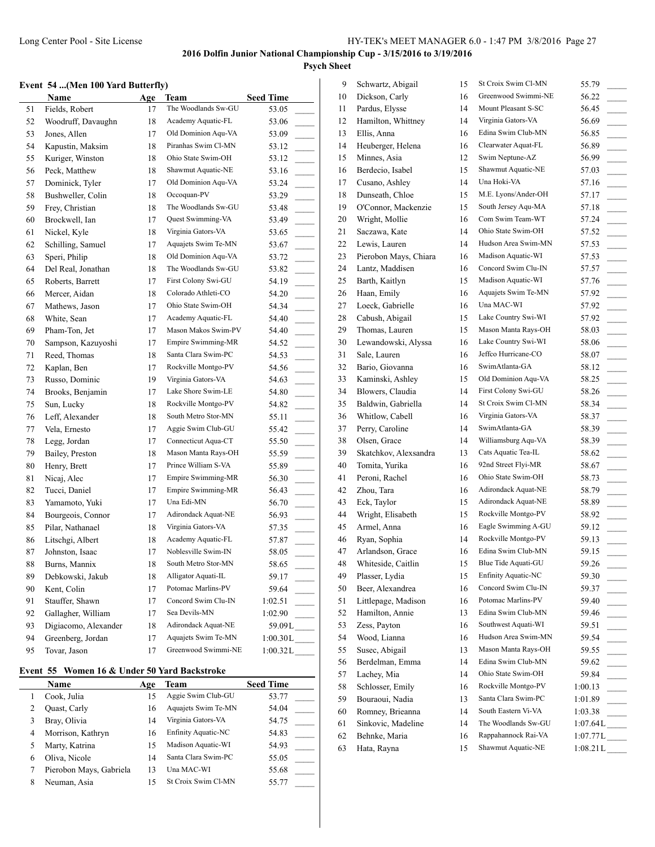#### **Event 54 ...(Men 100 Yard Butterfly)**

|    | Name                 | Age | Team                | <b>Seed Time</b>           |
|----|----------------------|-----|---------------------|----------------------------|
| 51 | Fields, Robert       | 17  | The Woodlands Sw-GU | 53.05                      |
| 52 | Woodruff, Davaughn   | 18  | Academy Aquatic-FL  | 53.06                      |
| 53 | Jones, Allen         | 17  | Old Dominion Aqu-VA | 53.09                      |
| 54 | Kapustin, Maksim     | 18  | Piranhas Swim Cl-MN | 53.12                      |
| 55 | Kuriger, Winston     | 18  | Ohio State Swim-OH  | 53.12<br>$\sim$            |
| 56 | Peck, Matthew        | 18  | Shawmut Aquatic-NE  | 53.16                      |
| 57 | Dominick, Tyler      | 17  | Old Dominion Aqu-VA | 53.24                      |
| 58 | Bushweller, Colin    | 18  | Occoquan-PV         | 53.29                      |
| 59 | Frey, Christian      | 18  | The Woodlands Sw-GU | 53.48                      |
| 60 | Brockwell, Ian       | 17  | Quest Swimming-VA   | 53.49                      |
| 61 | Nickel, Kyle         | 18  | Virginia Gators-VA  | 53.65<br>$\sim 10^{-11}$   |
| 62 | Schilling, Samuel    | 17  | Aquajets Swim Te-MN | 53.67                      |
| 63 | Speri, Philip        | 18  | Old Dominion Aqu-VA | 53.72                      |
| 64 | Del Real, Jonathan   | 18  | The Woodlands Sw-GU | 53.82                      |
| 65 | Roberts, Barrett     | 17  | First Colony Swi-GU | 54.19                      |
| 66 | Mercer, Aidan        | 18  | Colorado Athleti-CO | 54.20                      |
| 67 | Mathews, Jason       | 17  | Ohio State Swim-OH  | 54.34                      |
| 68 | White, Sean          | 17  | Academy Aquatic-FL  | 54.40                      |
| 69 | Pham-Ton, Jet        | 17  | Mason Makos Swim-PV | 54.40                      |
| 70 | Sampson, Kazuyoshi   | 17  | Empire Swimming-MR  | 54.52                      |
| 71 | Reed, Thomas         | 18  | Santa Clara Swim-PC | 54.53                      |
| 72 | Kaplan, Ben          | 17  | Rockville Montgo-PV | 54.56<br>$\sim$            |
| 73 | Russo, Dominic       | 19  | Virginia Gators-VA  | 54.63<br>$\sim$            |
| 74 | Brooks, Benjamin     | 17  | Lake Shore Swim-LE  | 54.80                      |
| 75 | Sun, Lucky           | 18  | Rockville Montgo-PV | 54.82                      |
| 76 | Leff, Alexander      | 18  | South Metro Stor-MN | 55.11<br>$\sim 10^{-1}$    |
| 77 | Vela, Ernesto        | 17  | Aggie Swim Club-GU  | 55.42                      |
| 78 | Legg, Jordan         | 17  | Connecticut Aqua-CT | 55.50                      |
| 79 | Bailey, Preston      | 18  | Mason Manta Rays-OH | 55.59                      |
| 80 | Henry, Brett         | 17  | Prince William S-VA | 55.89                      |
| 81 | Nicaj, Alec          | 17  | Empire Swimming-MR  | 56.30                      |
| 82 | Tucci, Daniel        | 17  | Empire Swimming-MR  | 56.43                      |
| 83 | Yamamoto, Yuki       | 17  | Una Edi-MN          | 56.70                      |
| 84 | Bourgeois, Connor    | 17  | Adirondack Aquat-NE | 56.93<br>$\sim 10^{-1}$    |
| 85 | Pilar, Nathanael     | 18  | Virginia Gators-VA  | 57.35<br>$\sim$            |
| 86 | Litschgi, Albert     | 18  | Academy Aquatic-FL  | 57.87                      |
| 87 | Johnston, Isaac      | 17  | Noblesville Swim-IN | 58.05                      |
| 88 | Burns, Mannix        | 18  | South Metro Stor-MN | 58.65                      |
| 89 | Debkowski, Jakub     | 18  | Alligator Aquati-IL | 59.17                      |
| 90 | Kent, Colin          | 17  | Potomac Marlins-PV  | 59.64                      |
| 91 | Stauffer, Shawn      | 17  | Concord Swim Clu-IN | 1:02.51                    |
| 92 | Gallagher, William   | 17  | Sea Devils-MN       | 1:02.90                    |
| 93 | Digiacomo, Alexander | 18  | Adirondack Aquat-NE | $59.09L$ <sub>---</sub>    |
| 94 | Greenberg, Jordan    | 17  | Aquajets Swim Te-MN | $1:00.30L$ <sub>____</sub> |
| 95 | Tovar, Jason         | 17  | Greenwood Swimmi-NE | 1:00.32L                   |

## **Event 55 Women 16 & Under 50 Yard Backstroke**

|   | Name                    | Age | Team                | <b>Seed Time</b> |
|---|-------------------------|-----|---------------------|------------------|
|   | Cook, Julia             | 15  | Aggie Swim Club-GU  | 53.77            |
|   | Quast, Carly            | 16  | Aquajets Swim Te-MN | 54.04            |
|   | Bray, Olivia            | 14  | Virginia Gators-VA  | 54.75            |
| 4 | Morrison, Kathryn       | 16  | Enfinity Aquatic-NC | 54.83            |
|   | Marty, Katrina          | 15  | Madison Aquatic-WI  | 54.93            |
| 6 | Oliva, Nicole           | 14  | Santa Clara Swim-PC | 55.05            |
|   | Pierobon Mays, Gabriela | 13  | Una MAC-WI          | 55.68            |
| 8 | Neuman, Asia            | 15  | St Croix Swim Cl-MN | 55.77            |

| 9  | Schwartz, Abigail     | 15 | St Croix Swim Cl-MN | 55.79                               |
|----|-----------------------|----|---------------------|-------------------------------------|
| 10 | Dickson, Carly        | 16 | Greenwood Swimmi-NE | 56.22                               |
| 11 | Pardus, Elysse        | 14 | Mount Pleasant S-SC | 56.45                               |
| 12 | Hamilton, Whittney    | 14 | Virginia Gators-VA  | 56.69                               |
| 13 | Ellis, Anna           | 16 | Edina Swim Club-MN  | 56.85                               |
| 14 | Heuberger, Helena     | 16 | Clearwater Aquat-FL | 56.89                               |
| 15 | Minnes, Asia          | 12 | Swim Neptune-AZ     | 56.99                               |
| 16 | Berdecio, Isabel      | 15 | Shawmut Aquatic-NE  | 57.03<br>$\sim$                     |
| 17 | Cusano, Ashley        | 14 | Una Hoki-VA         | 57.16<br>$\overline{\phantom{a}}$   |
| 18 | Dunseath, Chloe       | 15 | M.E. Lyons/Ander-OH | 57.17<br>$\overline{\phantom{a}}$   |
| 19 | O'Connor, Mackenzie   | 15 | South Jersey Aqu-MA | 57.18<br>$\mathbb{R}^n$             |
| 20 | Wright, Mollie        | 16 | Com Swim Team-WT    | 57.24<br>$\overline{\phantom{a}}$   |
| 21 | Saczawa, Kate         | 14 | Ohio State Swim-OH  | 57.52                               |
| 22 | Lewis, Lauren         | 14 | Hudson Area Swim-MN | 57.53<br>$\overline{\phantom{a}}$   |
| 23 | Pierobon Mays, Chiara | 16 | Madison Aquatic-WI  | 57.53                               |
| 24 | Lantz, Maddisen       | 16 | Concord Swim Clu-IN | 57.57<br>$\overline{\phantom{a}}$   |
| 25 | Barth, Kaitlyn        | 15 | Madison Aquatic-WI  | 57.76                               |
| 26 | Haan, Emily           | 16 | Aquajets Swim Te-MN | 57.92                               |
| 27 | Loeck, Gabrielle      | 16 | Una MAC-WI          | 57.92                               |
| 28 | Cabush, Abigail       | 15 | Lake Country Swi-WI | 57.92                               |
| 29 | Thomas, Lauren        | 15 | Mason Manta Rays-OH | 58.03                               |
| 30 | Lewandowski, Alyssa   | 16 | Lake Country Swi-WI | 58.06<br>$\overline{\phantom{a}}$   |
| 31 | Sale, Lauren          | 16 | Jeffco Hurricane-CO | 58.07<br>$\mathcal{L}^{\text{max}}$ |
| 32 | Bario, Giovanna       | 16 | SwimAtlanta-GA      | 58.12                               |
| 33 | Kaminski, Ashley      | 15 | Old Dominion Aqu-VA | 58.25<br>$\overline{\phantom{a}}$   |
| 34 | Blowers, Claudia      | 14 | First Colony Swi-GU | 58.26<br>$\overline{\phantom{a}}$   |
| 35 | Baldwin, Gabriella    | 14 | St Croix Swim Cl-MN | 58.34                               |
| 36 | Whitlow, Cabell       | 16 | Virginia Gators-VA  | 58.37<br>$\overline{\phantom{a}}$   |
| 37 | Perry, Caroline       | 14 | SwimAtlanta-GA      | 58.39                               |
| 38 | Olsen, Grace          | 14 | Williamsburg Aqu-VA | 58.39                               |
| 39 | Skatchkov, Alexsandra | 13 | Cats Aquatic Tea-IL | 58.62                               |
| 40 | Tomita, Yurika        | 16 | 92nd Street Flyi-MR | 58.67<br>$\sim 10^{-11}$            |
| 41 | Peroni, Rachel        | 16 | Ohio State Swim-OH  | 58.73<br>$\overline{\phantom{a}}$   |
| 42 | Zhou, Tara            | 16 | Adirondack Aquat-NE | 58.79<br>$\sim$                     |
| 43 | Eck, Taylor           | 15 | Adirondack Aquat-NE | 58.89<br>$\sim 10^{-1}$             |
| 44 | Wright, Elisabeth     | 15 | Rockville Montgo-PV | 58.92                               |
| 45 | Armel, Anna           | 16 | Eagle Swimming A-GU | 59.12                               |
| 46 | Ryan, Sophia          | 14 | Rockville Montgo-PV | 59.13                               |
| 47 | Arlandson, Grace      | 16 | Edina Swim Club-MN  | 59.15                               |
| 48 | Whiteside, Caitlin    | 15 | Blue Tide Aquati-GU | 59.26                               |
| 49 | Plasser, Lydia        | 15 | Enfinity Aquatic-NC | 59.30                               |
| 50 | Beer, Alexandrea      | 16 | Concord Swim Clu-IN | 59.37                               |
| 51 | Littlepage, Madison   | 16 | Potomac Marlins-PV  | 59.40                               |
| 52 | Hamilton, Annie       | 13 | Edina Swim Club-MN  | 59.46<br>$\frac{1}{2}$              |
| 53 | Zess, Payton          | 16 | Southwest Aquati-WI | 59.51<br>$\sim$                     |
| 54 | Wood, Lianna          | 16 | Hudson Area Swim-MN | 59.54                               |
| 55 | Susec, Abigail        | 13 | Mason Manta Rays-OH | 59.55<br>$\sim$ 10 $\pm$            |
| 56 | Berdelman, Emma       | 14 | Edina Swim Club-MN  | 59.62                               |
| 57 | Lachey, Mia           | 14 | Ohio State Swim-OH  | 59.84                               |
| 58 | Schlosser, Emily      | 16 | Rockville Montgo-PV | 1:00.13<br>$\overline{\phantom{a}}$ |
| 59 | Bouraoui, Nadia       | 13 | Santa Clara Swim-PC | 1:01.89<br>$\overline{\phantom{a}}$ |
| 60 | Romney, Brieanna      | 14 | South Eastern Vi-VA | 1:03.38                             |
| 61 | Sinkovic, Madeline    | 14 | The Woodlands Sw-GU | 1:07.64L                            |
| 62 | Behnke, Maria         | 16 | Rappahannock Rai-VA | $1:07.77L$ <sub>____</sub>          |
| 63 | Hata, Rayna           | 15 | Shawmut Aquatic-NE  | 1:08.21L                            |
|    |                       |    |                     |                                     |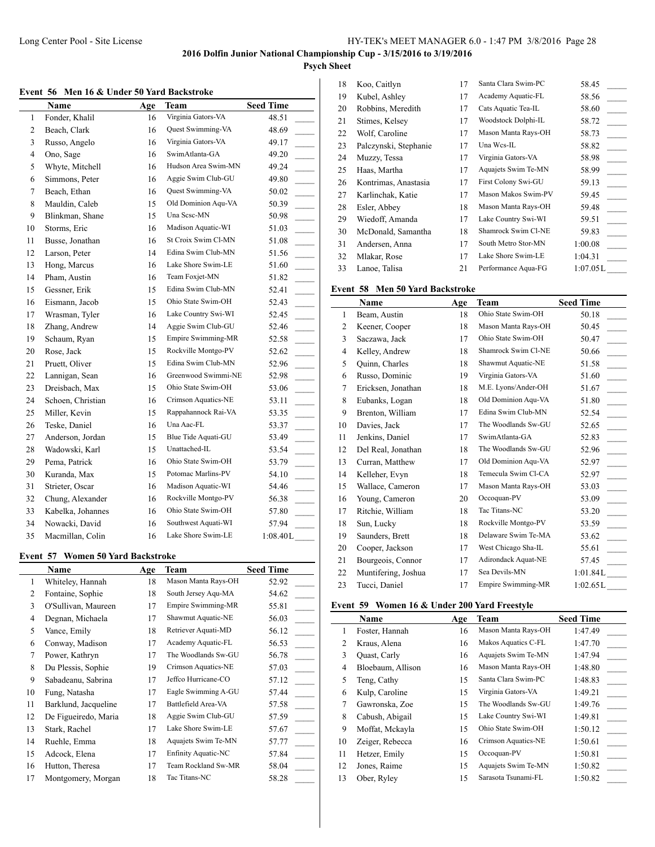# **Psych Sheet**

|  |  | Event 56 Men 16 & Under 50 Yard Backstroke |
|--|--|--------------------------------------------|
|  |  |                                            |

|                | Name              | Age | Team                | <b>Seed Time</b>                     |
|----------------|-------------------|-----|---------------------|--------------------------------------|
| $\mathbf{1}$   | Fonder, Khalil    | 16  | Virginia Gators-VA  | 48.51                                |
| 2              | Beach, Clark      | 16  | Quest Swimming-VA   | 48.69                                |
| 3              | Russo, Angelo     | 16  | Virginia Gators-VA  | 49.17<br>$\sim 10^{-1}$              |
| $\overline{4}$ | Ono, Sage         | 16  | SwimAtlanta-GA      | 49.20                                |
| 5              | Whyte, Mitchell   | 16  | Hudson Area Swim-MN | 49.24                                |
| 6              | Simmons, Peter    | 16  | Aggie Swim Club-GU  | 49.80                                |
| 7              | Beach, Ethan      | 16  | Quest Swimming-VA   | 50.02                                |
| 8              | Mauldin, Caleb    | 15  | Old Dominion Agu-VA | 50.39                                |
| 9              | Blinkman, Shane   | 15  | Una Sesc-MN         | 50.98                                |
| 10             | Storms, Eric      | 16  | Madison Aquatic-WI  | 51.03                                |
| 11             | Busse, Jonathan   | 16  | St Croix Swim Cl-MN | 51.08<br>$\overline{\phantom{a}}$    |
| 12             | Larson, Peter     | 14  | Edina Swim Club-MN  | 51.56<br>$\overline{\phantom{a}}$    |
| 13             | Hong, Marcus      | 16  | Lake Shore Swim-LE  | 51.60                                |
| 14             | Pham, Austin      | 16  | Team Foxjet-MN      | 51.82<br>$\overline{\phantom{a}}$    |
| 15             | Gessner, Erik     | 15  | Edina Swim Club-MN  | 52.41<br>$\mathcal{L}$               |
| 16             | Eismann, Jacob    | 15  | Ohio State Swim-OH  | 52.43                                |
| 17             | Wrasman, Tyler    | 16  | Lake Country Swi-WI | 52.45                                |
| 18             | Zhang, Andrew     | 14  | Aggie Swim Club-GU  | 52.46<br>$\sim 10^{-1}$              |
| 19             | Schaum, Ryan      | 15  | Empire Swimming-MR  | 52.58<br>$\overline{\phantom{a}}$    |
| 20             | Rose, Jack        | 15  | Rockville Montgo-PV | 52.62                                |
| 21             | Pruett, Oliver    | 15  | Edina Swim Club-MN  | 52.96                                |
| 22             | Lannigan, Sean    | 16  | Greenwood Swimmi-NE | 52.98<br>$\mathbb{R}$                |
| 23             | Dreisbach, Max    | 15  | Ohio State Swim-OH  | 53.06                                |
| 24             | Schoen, Christian | 16  | Crimson Aquatics-NE | 53.11                                |
| 25             | Miller, Kevin     | 15  | Rappahannock Rai-VA | 53.35                                |
| 26             | Teske, Daniel     | 16  | Una Aac-FL          | 53.37                                |
| 27             | Anderson, Jordan  | 15  | Blue Tide Aquati-GU | 53.49                                |
| 28             | Wadowski, Karl    | 15  | Unattached-IL       | 53.54                                |
| 29             | Pema, Patrick     | 16  | Ohio State Swim-OH  | 53.79<br>$\mathcal{L}^{\mathcal{L}}$ |
| 30             | Kuranda, Max      | 15  | Potomac Marlins-PV  | 54.10<br>$\sim 10^{-1}$              |
| 31             | Strieter, Oscar   | 16  | Madison Aquatic-WI  | 54.46<br>$\mathcal{L}^{\mathcal{L}}$ |
| 32             | Chung, Alexander  | 16  | Rockville Montgo-PV | 56.38<br>$\sim 10^{-1}$              |
| 33             | Kabelka, Johannes | 16  | Ohio State Swim-OH  | 57.80<br>$\mathcal{L}^{\text{max}}$  |
| 34             | Nowacki, David    | 16  | Southwest Aquati-WI | 57.94                                |
| 35             | Macmillan, Colin  | 16  | Lake Shore Swim-LE  | 1:08.40L                             |

#### **Event 57 Women 50 Yard Backstroke**

|    | Name                 | Age | Team                       | <b>Seed Time</b> |
|----|----------------------|-----|----------------------------|------------------|
| 1  | Whiteley, Hannah     | 18  | Mason Manta Rays-OH        | 52.92            |
| 2  | Fontaine, Sophie     | 18  | South Jersey Aqu-MA        | 54.62            |
| 3  | O'Sullivan, Maureen  | 17  | <b>Empire Swimming-MR</b>  | 55.81            |
| 4  | Degnan, Michaela     | 17  | Shawmut Aquatic-NE         | 56.03            |
| 5  | Vance, Emily         | 18  | Retriever Aquati-MD        | 56.12            |
| 6  | Conway, Madison      | 17  | Academy Aquatic-FL         | 56.53            |
| 7  | Power, Kathryn       | 17  | The Woodlands Sw-GU        | 56.78            |
| 8  | Du Plessis, Sophie   | 19  | Crimson Aquatics-NE        | 57.03            |
| 9  | Sabadeanu, Sabrina   | 17  | Jeffco Hurricane-CO        | 57.12            |
| 10 | Fung, Natasha        | 17  | Eagle Swimming A-GU        | 57.44            |
| 11 | Barklund, Jacqueline | 17  | Battlefield Area-VA        | 57.58            |
| 12 | De Figueiredo, Maria | 18  | Aggie Swim Club-GU         | 57.59            |
| 13 | Stark, Rachel        | 17  | Lake Shore Swim-LE         | 57.67            |
| 14 | Ruehle, Emma         | 18  | Aquajets Swim Te-MN        | 57.77            |
| 15 | Adcock, Elena        | 17  | <b>Enfinity Aquatic-NC</b> | 57.84            |
| 16 | Hutton, Theresa      | 17  | Team Rockland Sw-MR        | 58.04            |
| 17 | Montgomery, Morgan   | 18  | Tac Titans-NC              | 58.28            |

| 18 | Koo, Caitlyn          | 17 | Santa Clara Swim-PC | 58.45    |
|----|-----------------------|----|---------------------|----------|
| 19 | Kubel, Ashley         | 17 | Academy Aquatic-FL  | 58.56    |
| 20 | Robbins, Meredith     | 17 | Cats Aquatic Tea-IL | 58.60    |
| 21 | Stimes, Kelsey        | 17 | Woodstock Dolphi-IL | 58.72    |
| 22 | Wolf, Caroline        | 17 | Mason Manta Rays-OH | 58.73    |
| 23 | Palczynski, Stephanie | 17 | Una Wcs-IL          | 58.82    |
| 24 | Muzzy, Tessa          | 17 | Virginia Gators-VA  | 58.98    |
| 25 | Haas, Martha          | 17 | Aquajets Swim Te-MN | 58.99    |
| 26 | Kontrimas, Anastasia  | 17 | First Colony Swi-GU | 59.13    |
| 27 | Karlinchak, Katie     | 17 | Mason Makos Swim-PV | 59.45    |
| 28 | Esler, Abbey          | 18 | Mason Manta Rays-OH | 59.48    |
| 29 | Wiedoff, Amanda       | 17 | Lake Country Swi-WI | 59.51    |
| 30 | McDonald, Samantha    | 18 | Shamrock Swim Cl-NE | 59.83    |
| 31 | Andersen, Anna        | 17 | South Metro Stor-MN | 1:00.08  |
| 32 | Mlakar, Rose          | 17 | Lake Shore Swim-LE  | 1:04.31  |
| 33 | Lanoe, Talisa         | 21 | Performance Aqua-FG | 1:07.05L |

# **Event 58 Men 50 Yard Backstroke**

|              | Name                | Age | Team                      | <b>Seed Time</b> |
|--------------|---------------------|-----|---------------------------|------------------|
| $\mathbf{1}$ | Beam, Austin        | 18  | Ohio State Swim-OH        | 50.18            |
| 2            | Keener, Cooper      | 18  | Mason Manta Rays-OH       | 50.45            |
| 3            | Saczawa, Jack       | 17  | Ohio State Swim-OH        | 50.47            |
| 4            | Kelley, Andrew      | 18  | Shamrock Swim Cl-NE       | 50.66            |
| 5            | Quinn, Charles      | 18  | Shawmut Aquatic-NE        | 51.58            |
| 6            | Russo, Dominic      | 19  | Virginia Gators-VA        | 51.60            |
| 7            | Ericksen, Jonathan  | 18  | M.E. Lyons/Ander-OH       | 51.67            |
| 8            | Eubanks, Logan      | 18  | Old Dominion Aqu-VA       | 51.80            |
| 9            | Brenton, William    | 17  | Edina Swim Club-MN        | 52.54            |
| 10           | Davies, Jack        | 17  | The Woodlands Sw-GU       | 52.65            |
| 11           | Jenkins, Daniel     | 17  | SwimAtlanta-GA            | 52.83            |
| 12           | Del Real, Jonathan  | 18  | The Woodlands Sw-GU       | 52.96            |
| 13           | Curran, Matthew     | 17  | Old Dominion Aqu-VA       | 52.97            |
| 14           | Kelleher, Evyn      | 18  | Temecula Swim Cl-CA       | 52.97            |
| 15           | Wallace, Cameron    | 17  | Mason Manta Rays-OH       | 53.03            |
| 16           | Young, Cameron      | 20  | Occoquan-PV               | 53.09            |
| 17           | Ritchie, William    | 18  | Tac Titans-NC             | 53.20            |
| 18           | Sun, Lucky          | 18  | Rockville Montgo-PV       | 53.59            |
| 19           | Saunders, Brett     | 18  | Delaware Swim Te-MA       | 53.62            |
| 20           | Cooper, Jackson     | 17  | West Chicago Sha-IL       | 55.61            |
| 21           | Bourgeois, Connor   | 17  | Adirondack Aquat-NE       | 57.45            |
| 22           | Muntifering, Joshua | 17  | Sea Devils-MN             | 1:01.84L         |
| 23           | Tucci, Daniel       | 17  | <b>Empire Swimming-MR</b> | 1:02.65L         |

## **Event 59 Women 16 & Under 200 Yard Freestyle**

|    | Name              | Age | Team                | <b>Seed Time</b> |
|----|-------------------|-----|---------------------|------------------|
| 1  | Foster, Hannah    | 16  | Mason Manta Rays-OH | 1:47.49          |
| 2  | Kraus, Alena      | 16  | Makos Aquatics C-FL | 1:47.70          |
| 3  | Quast, Carly      | 16  | Aquajets Swim Te-MN | 1:47.94          |
| 4  | Bloebaum, Allison | 16  | Mason Manta Rays-OH | 1:48.80          |
| 5  | Teng, Cathy       | 15  | Santa Clara Swim-PC | 1:48.83          |
| 6  | Kulp, Caroline    | 15  | Virginia Gators-VA  | 1:49.21          |
| 7  | Gawronska, Zoe    | 15  | The Woodlands Sw-GU | 1:49.76          |
| 8  | Cabush, Abigail   | 15  | Lake Country Swi-WI | 1:49.81          |
| 9  | Moffat, Mckayla   | 15  | Ohio State Swim-OH  | 1:50.12          |
| 10 | Zeiger, Rebecca   | 16  | Crimson Aquatics-NE | 1:50.61          |
| 11 | Hetzer, Emily     | 15  | Occoquan-PV         | 1:50.81          |
| 12 | Jones, Raime      | 15  | Aquajets Swim Te-MN | 1:50.82          |
| 13 | Ober, Ryley       | 15  | Sarasota Tsunami-FL | 1:50.82          |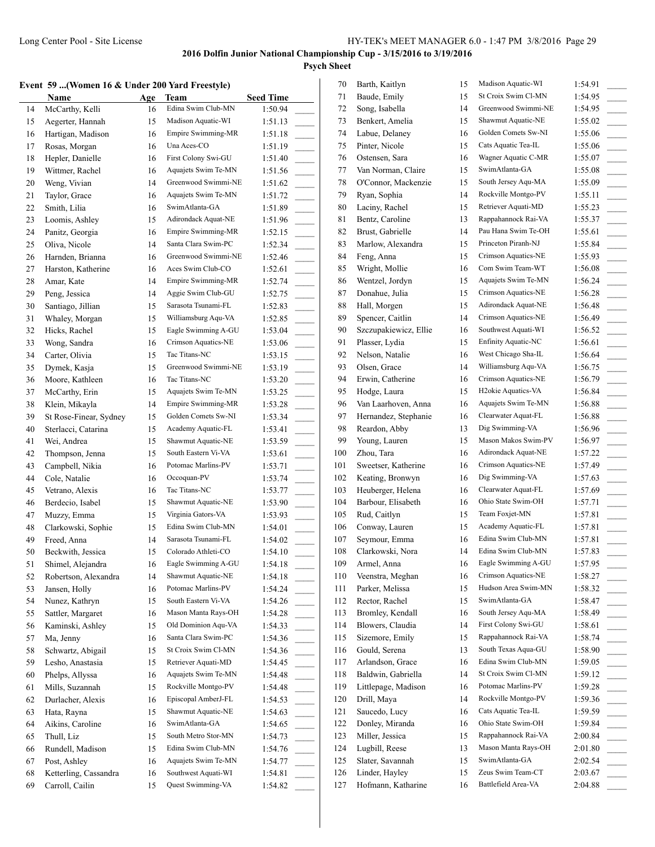#### **Event 59 ...(Women 16 & Under 200 Yard Freestyle)**

|    | vent 59  (Women 16 & Under 200 Yard Freestyle) |     |                     |                                        | 70  | Barth, Kaitlyn  |
|----|------------------------------------------------|-----|---------------------|----------------------------------------|-----|-----------------|
|    | Name                                           | Age | Team                | <b>Seed Time</b>                       | 71  | Baude, Emily    |
| 14 | McCarthy, Kelli                                | 16  | Edina Swim Club-MN  | 1:50.94                                | 72  | Song, Isabella  |
| 15 | Aegerter, Hannah                               | 15  | Madison Aquatic-WI  | 1:51.13                                | 73  | Benkert, Ameli  |
| 16 | Hartigan, Madison                              | 16  | Empire Swimming-MR  | 1:51.18                                | 74  | Labue, Delaney  |
| 17 | Rosas, Morgan                                  | 16  | Una Aces-CO         | 1:51.19                                | 75  | Pinter, Nicole  |
| 18 | Hepler, Danielle                               | 16  | First Colony Swi-GU | 1:51.40                                | 76  | Ostensen, Sara  |
| 19 | Wittmer, Rachel                                | 16  | Aquajets Swim Te-MN | 1:51.56                                | 77  | Van Norman, C   |
| 20 | Weng, Vivian                                   | 14  | Greenwood Swimmi-NE | 1:51.62                                | 78  | O'Connor, Mac   |
| 21 | Taylor, Grace                                  | 16  | Aquajets Swim Te-MN | 1:51.72                                | 79  | Ryan, Sophia    |
| 22 | Smith, Lilia                                   | 16  | SwimAtlanta-GA      | 1:51.89<br>$\mathcal{L}^{\mathcal{L}}$ | 80  | Laciny, Rachel  |
| 23 | Loomis, Ashley                                 | 15  | Adirondack Aquat-NE | 1:51.96<br>$\overline{\phantom{a}}$    | 81  | Bentz, Caroline |
| 24 | Panitz, Georgia                                | 16  | Empire Swimming-MR  | 1:52.15                                | 82  | Brust, Gabriell |
| 25 | Oliva, Nicole                                  | 14  | Santa Clara Swim-PC | 1:52.34                                | 83  | Marlow, Alexa   |
| 26 | Harnden, Brianna                               | 16  | Greenwood Swimmi-NE | 1:52.46<br>$\mathcal{L}^{\mathcal{L}}$ | 84  | Feng, Anna      |
| 27 | Harston, Katherine                             | 16  | Aces Swim Club-CO   | 1:52.61                                | 85  | Wright, Mollie  |
| 28 | Amar, Kate                                     | 14  | Empire Swimming-MR  | 1:52.74                                | 86  | Wentzel, Jordy  |
| 29 | Peng, Jessica                                  | 14  | Aggie Swim Club-GU  | 1:52.75                                | 87  | Donahue, Julia  |
| 30 | Santiago, Jillian                              | 15  | Sarasota Tsunami-FL | 1:52.83                                | 88  | Hall, Morgen    |
| 31 | Whaley, Morgan                                 | 15  | Williamsburg Aqu-VA | 1:52.85                                | 89  | Spencer, Caitli |
| 32 | Hicks, Rachel                                  | 15  | Eagle Swimming A-GU | 1:53.04                                | 90  | Szczupakiewic   |
| 33 | Wong, Sandra                                   | 16  | Crimson Aquatics-NE | 1:53.06                                | 91  | Plasser, Lydia  |
| 34 | Carter, Olivia                                 | 15  | Tac Titans-NC       | 1:53.15<br>$\mathcal{L}^{\text{max}}$  | 92  | Nelson, Natalie |
| 35 | Dymek, Kasja                                   | 15  | Greenwood Swimmi-NE | 1:53.19<br>$\overline{\phantom{a}}$    | 93  | Olsen, Grace    |
| 36 | Moore, Kathleen                                | 16  | Tac Titans-NC       | 1:53.20                                | 94  | Erwin, Catheri  |
| 37 | McCarthy, Erin                                 | 15  | Aquajets Swim Te-MN | 1:53.25                                | 95  | Hodge, Laura    |
| 38 | Klein, Mikayla                                 | 14  | Empire Swimming-MR  | 1:53.28<br>$\mathbb{R}^n$              | 96  | Van Laarhoven   |
| 39 | St Rose-Finear, Sydney                         | 15  | Golden Comets Sw-NI | 1:53.34                                | 97  | Hernandez, Ste  |
| 40 | Sterlacci, Catarina                            | 15  | Academy Aquatic-FL  | 1:53.41                                | 98  | Reardon, Abby   |
| 41 | Wei, Andrea                                    | 15  | Shawmut Aquatic-NE  | 1:53.59                                | 99  | Young, Lauren   |
| 42 | Thompson, Jenna                                | 15  | South Eastern Vi-VA | 1:53.61                                | 100 | Zhou, Tara      |
| 43 | Campbell, Nikia                                | 16  | Potomac Marlins-PV  | 1:53.71                                | 101 | Sweetser, Kath  |
| 44 | Cole, Natalie                                  | 16  | Occoquan-PV         | $\mathbb{R}^2$<br>1:53.74              | 102 | Keating, Bronv  |
| 45 | Vetrano, Alexis                                | 16  | Tac Titans-NC       | 1:53.77                                | 103 | Heuberger, Hel  |
| 46 | Berdecio, Isabel                               | 15  | Shawmut Aquatic-NE  | 1:53.90<br>$\mathcal{L}^{\text{max}}$  | 104 | Barbour, Elisal |
| 47 | Muzzy, Emma                                    | 15  | Virginia Gators-VA  | 1:53.93<br>$\overline{\phantom{a}}$    | 105 | Rud, Caitlyn    |
| 48 | Clarkowski, Sophie                             | 15  | Edina Swim Club-MN  | 1:54.01                                | 106 | Conway, Laure   |
| 49 | Freed, Anna                                    | 14  | Sarasota Tsunami-FL | 1:54.02                                | 107 | Seymour, Emn    |
| 50 | Beckwith, Jessica                              | 15  | Colorado Athleti-CO | 1:54.10                                | 108 | Clarkowski, No  |
| 51 | Shimel, Alejandra                              | 16  | Eagle Swimming A-GU | 1:54.18                                | 109 | Armel, Anna     |
| 52 | Robertson, Alexandra                           | 14  | Shawmut Aquatic-NE  | 1:54.18                                | 110 | Veenstra, Megl  |
| 53 | Jansen, Holly                                  | 16  | Potomac Marlins-PV  | 1:54.24                                | 111 | Parker, Melissa |
| 54 | Nunez, Kathryn                                 | 15  | South Eastern Vi-VA | 1:54.26                                | 112 | Rector, Rachel  |
| 55 | Sattler, Margaret                              | 16  | Mason Manta Rays-OH | 1:54.28                                | 113 | Bromley, Kend   |
| 56 | Kaminski, Ashley                               | 15  | Old Dominion Aqu-VA | 1:54.33                                | 114 | Blowers, Claud  |
| 57 | Ma, Jenny                                      | 16  | Santa Clara Swim-PC | 1:54.36                                | 115 | Sizemore, Emi   |
| 58 | Schwartz, Abigail                              | 15  | St Croix Swim Cl-MN | 1:54.36<br>$\mathcal{L}^{\text{max}}$  | 116 | Gould, Serena   |
| 59 | Lesho, Anastasia                               | 15  | Retriever Aquati-MD | 1:54.45<br>$\sim$ 10 $\pm$             | 117 | Arlandson, Gra  |
| 60 | Phelps, Allyssa                                | 16  | Aquajets Swim Te-MN | 1:54.48                                | 118 | Baldwin, Gabr.  |
| 61 | Mills, Suzannah                                | 15  | Rockville Montgo-PV | 1:54.48                                | 119 | Littlepage, Ma  |
| 62 | Durlacher, Alexis                              | 16  | Episcopal AmberJ-FL | 1:54.53                                | 120 | Drill, Maya     |
| 63 | Hata, Rayna                                    | 15  | Shawmut Aquatic-NE  | 1:54.63                                | 121 | Saucedo, Lucy   |
| 64 | Aikins, Caroline                               | 16  | SwimAtlanta-GA      | 1:54.65                                | 122 | Donley, Mirano  |
| 65 | Thull, Liz                                     | 15  | South Metro Stor-MN | 1:54.73                                | 123 | Miller, Jessica |
| 66 | Rundell, Madison                               | 15  | Edina Swim Club-MN  | 1:54.76                                | 124 | Lugbill, Reese  |
| 67 | Post, Ashley                                   | 16  | Aquajets Swim Te-MN | 1:54.77                                | 125 | Slater, Savanna |
| 68 | Ketterling, Cassandra                          | 16  | Southwest Aquati-WI | 1:54.81                                | 126 | Linder, Hayley  |
| 69 | Carroll, Cailin                                | 15  | Quest Swimming-VA   | 1:54.82                                | 127 | Hofmann, Kath   |

| arth, Kaitlyn       | 15 | Madison Aquatic-WI              | 1:54.91           |
|---------------------|----|---------------------------------|-------------------|
| aude, Emily         | 15 | St Croix Swim Cl-MN             | 1:54.95           |
| ong, Isabella       | 14 | Greenwood Swimmi-NE             | 1:54.95           |
| enkert, Amelia      | 15 | Shawmut Aquatic-NE              | 1:55.02           |
| bue, Delaney        | 16 | Golden Comets Sw-NI             | 1:55.06           |
| nter, Nicole        | 15 | Cats Aquatic Tea-IL             | 1:55.06           |
| stensen, Sara       | 16 | Wagner Aquatic C-MR             | 1:55.07           |
| un Norman, Claire   | 15 | SwimAtlanta-GA                  | 1:55.08           |
| Connor, Mackenzie   | 15 | South Jersey Aqu-MA             | 1:55.09           |
| an, Sophia          | 14 | Rockville Montgo-PV             | 1:55.11           |
| uciny, Rachel       | 15 | Retriever Aquati-MD             | 1:55.23           |
| entz, Caroline      | 13 | Rappahannock Rai-VA             | 1:55.37           |
| ust, Gabrielle      | 14 | Pau Hana Swim Te-OH             | 1:55.61           |
| arlow, Alexandra    | 15 | Princeton Piranh-NJ             | 1:55.84           |
| ng, Anna            | 15 | Crimson Aquatics-NE             | 1:55.93           |
| right, Mollie       | 16 | Com Swim Team-WT                | 1:56.08           |
| entzel, Jordyn      | 15 | Aquajets Swim Te-MN             | 1:56.24           |
| onahue, Julia       | 15 | Crimson Aquatics-NE             | 1:56.28           |
| all, Morgen         | 15 | Adirondack Aquat-NE             | 1:56.48           |
| encer, Caitlin      | 14 | Crimson Aquatics-NE             | 1:56.49           |
| czupakiewicz, Ellie | 16 | Southwest Aquati-WI             | 1:56.52           |
|                     | 15 | Enfinity Aquatic-NC             |                   |
| asser, Lydia        |    | West Chicago Sha-IL             | 1:56.61           |
| elson, Natalie      | 16 | Williamsburg Aqu-VA             | 1:56.64<br>$\sim$ |
| lsen, Grace         | 14 |                                 | 1:56.75           |
| win, Catherine      | 16 | Crimson Aquatics-NE             | 1:56.79           |
| odge, Laura         | 15 | H <sub>2</sub> okie Aquatics-VA | 1:56.84           |
| un Laarhoven, Anna  | 16 | Aquajets Swim Te-MN             | 1:56.88           |
| ernandez, Stephanie | 16 | Clearwater Aquat-FL             | 1:56.88           |
| eardon, Abby        | 13 | Dig Swimming-VA                 | 1:56.96           |
| oung, Lauren        | 15 | Mason Makos Swim-PV             | 1:56.97           |
| iou, Tara           | 16 | Adirondack Aquat-NE             | 1:57.22           |
| veetser, Katherine  | 16 | Crimson Aquatics-NE             | 1:57.49           |
| eating, Bronwyn     | 16 | Dig Swimming-VA                 | 1:57.63           |
| euberger, Helena    | 16 | Clearwater Aquat-FL             | 1:57.69           |
| arbour, Elisabeth   | 16 | Ohio State Swim-OH              | 1:57.71           |
| ad, Caitlyn         | 15 | Team Foxjet-MN                  | 1:57.81           |
| onway, Lauren       | 15 | Academy Aquatic-FL              | 1:57.81           |
| ymour, Emma         | 16 | Edina Swim Club-MN              | 1:57.81           |
| arkowski, Nora      | 14 | Edina Swim Club-MN              | 1:57.83           |
| rmel, Anna          | 16 | Eagle Swimming A-GU             | 1:57.95           |
| eenstra, Meghan     | 16 | Crimson Aquatics-NE             | 1:58.27           |
| rker, Melissa       | 15 | Hudson Area Swim-MN             | 1:58.32           |
| ector, Rachel       | 15 | SwimAtlanta-GA                  | 1:58.47           |
| omley, Kendall      | 16 | South Jersey Aqu-MA             | 1:58.49           |
| owers, Claudia      | 14 | First Colony Swi-GU             | 1:58.61           |
| zemore, Emily       | 15 | Rappahannock Rai-VA             | 1:58.74           |
| ould, Serena        | 13 | South Texas Aqua-GU             | 1:58.90           |
| rlandson, Grace     | 16 | Edina Swim Club-MN              | 1:59.05           |
| aldwin, Gabriella   | 14 | St Croix Swim Cl-MN             | 1:59.12           |
| ttlepage, Madison   | 16 | Potomac Marlins-PV              | 1:59.28           |
| rill, Maya          | 14 | Rockville Montgo-PV             | 1:59.36           |
| ucedo, Lucy         | 16 | Cats Aquatic Tea-IL             | 1:59.59           |
| onley, Miranda      | 16 | Ohio State Swim-OH              | 1:59.84           |
| iller, Jessica      | 15 | Rappahannock Rai-VA             | 2:00.84           |
| igbill, Reese       | 13 | Mason Manta Rays-OH             | 2:01.80           |
| ater, Savannah      | 15 | SwimAtlanta-GA                  | 2:02.54           |
| nder, Hayley        | 15 | Zeus Swim Team-CT               | 2:03.67           |
| ofmann, Katharine   | 16 | Battlefield Area-VA             | 2:04.88           |
|                     |    |                                 |                   |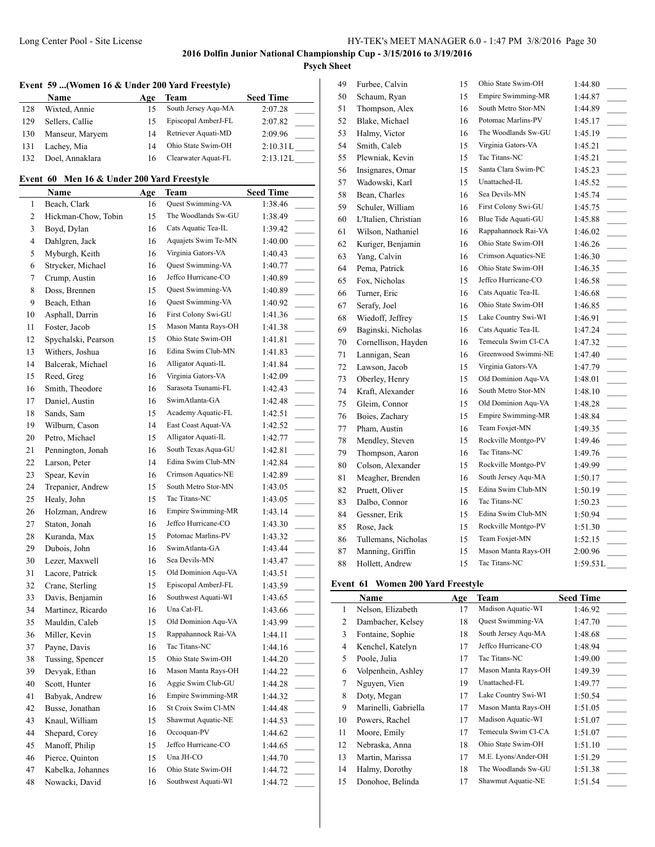# **Psych Sheet**

# **Event 59 ...(Women 16 & Under 200 Yard Freestyle)**

|     | <b>Name</b>     | Age | Team                | <b>Seed Time</b> |
|-----|-----------------|-----|---------------------|------------------|
| 128 | Wixted, Annie   | 15  | South Jersey Aqu-MA | 2:07.28          |
| 129 | Sellers, Callie | 15  | Episcopal AmberJ-FL | 2:07.82          |
| 130 | Manseur, Maryem | 14  | Retriever Aquati-MD | 2:09.96          |
| 131 | Lachey, Mia     | 14  | Ohio State Swim-OH  | 2:10.31L         |
| 132 | Doel, Annaklara |     | Clearwater Aquat-FL | 2:13.12L         |

# **Event 60 Men 16 & Under 200 Yard Freestyle**

|    | Name                | <u>Age</u> | Team                | <b>Seed Time</b>                    |
|----|---------------------|------------|---------------------|-------------------------------------|
| 1  | Beach, Clark        | 16         | Quest Swimming-VA   | 1:38.46                             |
| 2  | Hickman-Chow, Tobin | 15         | The Woodlands Sw-GU | 1:38.49                             |
| 3  | Boyd, Dylan         | 16         | Cats Aquatic Tea-IL | 1:39.42                             |
| 4  | Dahlgren, Jack      | 16         | Aquajets Swim Te-MN | 1:40.00<br>$\sim$ 100 $\mu$         |
| 5  | Myburgh, Keith      | 16         | Virginia Gators-VA  | 1:40.43                             |
| 6  | Strycker, Michael   | 16         | Quest Swimming-VA   | 1:40.77                             |
| 7  | Crump, Austin       | 16         | Jeffco Hurricane-CO | 1:40.89                             |
| 8  | Doss, Brennen       | 15         | Quest Swimming-VA   | 1:40.89                             |
| 9  | Beach, Ethan        | 16         | Quest Swimming-VA   | 1:40.92                             |
| 10 | Asphall, Darrin     | 16         | First Colony Swi-GU | 1:41.36                             |
| 11 | Foster, Jacob       | 15         | Mason Manta Rays-OH | 1:41.38                             |
| 12 | Spychalski, Pearson | 15         | Ohio State Swim-OH  | 1:41.81<br>$\overline{\phantom{a}}$ |
| 13 | Withers, Joshua     | 16         | Edina Swim Club-MN  | 1:41.83<br>$\sim$                   |
| 14 | Balcerak, Michael   | 16         | Alligator Aquati-IL | 1:41.84                             |
| 15 | Reed, Greg          | 16         | Virginia Gators-VA  | 1:42.09                             |
| 16 | Smith, Theodore     | 16         | Sarasota Tsunami-FL | 1:42.43<br>$\overline{\phantom{a}}$ |
| 17 | Daniel, Austin      | 16         | SwimAtlanta-GA      | 1:42.48                             |
| 18 | Sands, Sam          | 15         | Academy Aquatic-FL  | 1:42.51<br>$\overline{a}$           |
| 19 | Wilburn, Cason      | 14         | East Coast Aquat-VA | 1:42.52<br>$\overline{a}$           |
| 20 | Petro, Michael      | 15         | Alligator Aquati-IL | 1:42.77                             |
| 21 | Pennington, Jonah   | 16         | South Texas Aqua-GU | 1:42.81                             |
| 22 | Larson, Peter       | 14         | Edina Swim Club-MN  | 1:42.84                             |
| 23 | Spear, Kevin        | 16         | Crimson Aquatics-NE | 1:42.89                             |
| 24 | Trepanier, Andrew   | 15         | South Metro Stor-MN | 1:43.05<br>$\overline{\phantom{a}}$ |
| 25 | Healy, John         | 15         | Tac Titans-NC       | 1:43.05<br>$\sim$                   |
| 26 | Holzman, Andrew     | 16         | Empire Swimming-MR  | 1:43.14<br>$\overline{\phantom{a}}$ |
| 27 | Staton, Jonah       | 16         | Jeffco Hurricane-CO | 1:43.30                             |
| 28 | Kuranda, Max        | 15         | Potomac Marlins-PV  | 1:43.32<br>$\sim 10^{-1}$           |
| 29 | Dubois, John        | 16         | SwimAtlanta-GA      | 1:43.44                             |
| 30 | Lezer, Maxwell      | 16         | Sea Devils-MN       | 1:43.47                             |
| 31 | Lacore, Patrick     | 15         | Old Dominion Aqu-VA | 1:43.51                             |
| 32 | Crane, Sterling     | 15         | Episcopal AmberJ-FL | 1:43.59                             |
| 33 | Davis, Benjamin     | 16         | Southwest Aquati-WI | 1:43.65                             |
| 34 | Martinez, Ricardo   | 16         | Una Cat-FL          | 1:43.66                             |
| 35 | Mauldin, Caleb      | 15         | Old Dominion Aqu-VA | 1:43.99                             |
| 36 | Miller, Kevin       | 15         | Rappahannock Rai-VA | 1:44.11<br>$\sim$                   |
| 37 | Payne, Davis        | 16         | Tac Titans-NC       | 1:44.16<br>$\sim$                   |
| 38 | Tussing, Spencer    | 15         | Ohio State Swim-OH  | 1:44.20                             |
| 39 | Devyak, Ethan       | 16         | Mason Manta Rays-OH | 1:44.22                             |
| 40 | Scott, Hunter       | 16         | Aggie Swim Club-GU  | 1:44.28                             |
| 41 | Babyak, Andrew      | 16         | Empire Swimming-MR  | 1:44.32                             |
| 42 | Busse, Jonathan     | 16         | St Croix Swim Cl-MN | 1:44.48                             |
| 43 | Knaul, William      | 15         | Shawmut Aquatic-NE  | 1:44.53                             |
| 44 | Shepard, Corey      | 16         | Occoquan-PV         | 1:44.62                             |
| 45 | Manoff, Philip      | 15         | Jeffco Hurricane-CO | 1:44.65                             |
| 46 | Pierce, Quinton     | 15         | Una JH-CO           | 1:44.70                             |
| 47 | Kabelka, Johannes   | 16         | Ohio State Swim-OH  | 1:44.72                             |
| 48 | Nowacki, David      | 16         | Southwest Aquati-WI | 1:44.72                             |
|    |                     |            |                     |                                     |

| 49 | Furbee, Calvin       | 15 | Ohio State Swim-OH        | 1:44.80                                |
|----|----------------------|----|---------------------------|----------------------------------------|
| 50 | Schaum, Ryan         | 15 | <b>Empire Swimming-MR</b> | 1:44.87                                |
| 51 | Thompson, Alex       | 16 | South Metro Stor-MN       | 1:44.89                                |
| 52 | Blake, Michael       | 16 | Potomac Marlins-PV        | 1:45.17                                |
| 53 | Halmy, Victor        | 16 | The Woodlands Sw-GU       | 1:45.19<br>$\overline{\phantom{a}}$    |
| 54 | Smith, Caleb         | 15 | Virginia Gators-VA        | 1:45.21<br>$\overline{\phantom{a}}$    |
| 55 | Plewniak, Kevin      | 15 | Tac Titans-NC             | 1:45.21<br>$\overline{\phantom{a}}$    |
| 56 | Insignares, Omar     | 15 | Santa Clara Swim-PC       | 1:45.23<br>$\overline{\phantom{a}}$    |
| 57 | Wadowski, Karl       | 15 | Unattached-IL             | 1:45.52<br>$\overline{\phantom{a}}$    |
| 58 | Bean, Charles        | 16 | Sea Devils-MN             | 1:45.74                                |
| 59 | Schuler, William     | 16 | First Colony Swi-GU       | 1:45.75                                |
| 60 | L'Italien, Christian | 16 | Blue Tide Aquati-GU       | 1:45.88                                |
| 61 | Wilson, Nathaniel    | 16 | Rappahannock Rai-VA       | 1:46.02<br>$\overline{\phantom{a}}$    |
| 62 | Kuriger, Benjamin    | 16 | Ohio State Swim-OH        | 1:46.26                                |
| 63 | Yang, Calvin         | 16 | Crimson Aquatics-NE       | 1:46.30<br>$\overline{\phantom{a}}$    |
| 64 | Pema, Patrick        | 16 | Ohio State Swim-OH        | 1:46.35                                |
| 65 | Fox, Nicholas        | 15 | Jeffco Hurricane-CO       | 1:46.58<br>$\overline{\phantom{a}}$    |
| 66 | Turner, Eric         | 16 | Cats Aquatic Tea-IL       | 1:46.68                                |
| 67 | Serafy, Joel         | 16 | Ohio State Swim-OH        | 1:46.85<br>$\overline{a}$              |
| 68 | Wiedoff, Jeffrey     | 15 | Lake Country Swi-WI       | 1:46.91<br>$\overline{\phantom{a}}$    |
| 69 | Baginski, Nicholas   | 16 | Cats Aquatic Tea-IL       | 1:47.24                                |
| 70 | Cornellison, Hayden  | 16 | Temecula Swim Cl-CA       | 1:47.32                                |
| 71 | Lannigan, Sean       | 16 | Greenwood Swimmi-NE       | 1:47.40<br>$\overline{\phantom{a}}$    |
| 72 | Lawson, Jacob        | 15 | Virginia Gators-VA        | 1:47.79<br>$\overline{\phantom{a}}$    |
| 73 | Oberley, Henry       | 15 | Old Dominion Aqu-VA       | 1:48.01                                |
| 74 | Kraft, Alexander     | 16 | South Metro Stor-MN       | 1:48.10<br>$\overline{\phantom{a}}$    |
| 75 | Gleim, Connor        | 15 | Old Dominion Aqu-VA       | 1:48.28<br>$\overline{\phantom{a}}$    |
| 76 | Boies, Zachary       | 15 | Empire Swimming-MR        | 1:48.84<br>$\overline{\phantom{a}}$    |
| 77 | Pham, Austin         | 16 | Team Foxjet-MN            | 1:49.35<br>$\mathcal{L}^{\mathcal{L}}$ |
| 78 | Mendley, Steven      | 15 | Rockville Montgo-PV       | 1:49.46                                |
| 79 | Thompson, Aaron      | 16 | Tac Titans-NC             | 1:49.76<br>$\overline{\phantom{a}}$    |
| 80 | Colson, Alexander    | 15 | Rockville Montgo-PV       | 1:49.99                                |
| 81 | Meagher, Brenden     | 16 | South Jersey Aqu-MA       | 1:50.17                                |
| 82 | Pruett, Oliver       | 15 | Edina Swim Club-MN        | 1:50.19<br>$\overline{\phantom{a}}$    |
| 83 | Dalbo, Connor        | 16 | Tac Titans-NC             | 1:50.23<br>$\overline{\phantom{a}}$    |
| 84 | Gessner, Erik        | 15 | Edina Swim Club-MN        | 1:50.94                                |
| 85 | Rose, Jack           | 15 | Rockville Montgo-PV       | 1:51.30<br>$\sim$                      |
| 86 | Tullemans, Nicholas  | 15 | Team Foxjet-MN            | 1:52.15<br>$\overline{\phantom{a}}$    |
| 87 | Manning, Griffin     | 15 | Mason Manta Rays-OH       | 2:00.96                                |
| 88 | Hollett, Andrew      | 15 | Tac Titans-NC             | 1:59.53L                               |

### **Event 61 Women 200 Yard Freestyle**

|    | Name                 | Age | Team                | <b>Seed Time</b> |
|----|----------------------|-----|---------------------|------------------|
| 1  | Nelson, Elizabeth    | 17  | Madison Aquatic-WI  | 1:46.92          |
| 2  | Dambacher, Kelsey    | 18  | Quest Swimming-VA   | 1:47.70          |
| 3  | Fontaine, Sophie     | 18  | South Jersey Aqu-MA | 1:48.68          |
| 4  | Kenchel, Katelyn     | 17  | Jeffco Hurricane-CO | 1:48.94          |
| 5  | Poole, Julia         | 17  | Tac Titans-NC       | 1:49.00          |
| 6  | Volpenhein, Ashley   | 17  | Mason Manta Rays-OH | 1:49.39          |
| 7  | Nguyen, Vien         | 19  | Unattached-FL       | 1:49.77          |
| 8  | Doty, Megan          | 17  | Lake Country Swi-WI | 1:50.54          |
| 9  | Marinelli, Gabriella | 17  | Mason Manta Rays-OH | 1:51.05          |
| 10 | Powers, Rachel       | 17  | Madison Aquatic-WI  | 1:51.07          |
| 11 | Moore, Emily         | 17  | Temecula Swim Cl-CA | 1:51.07          |
| 12 | Nebraska, Anna       | 18  | Ohio State Swim-OH  | 1:51.10          |
| 13 | Martin, Marissa      | 17  | M.E. Lyons/Ander-OH | 1:51.29          |
| 14 | Halmy, Dorothy       | 18  | The Woodlands Sw-GU | 1:51.38          |
| 15 | Donohoe, Belinda     | 17  | Shawmut Aquatic-NE  | 1:51.54          |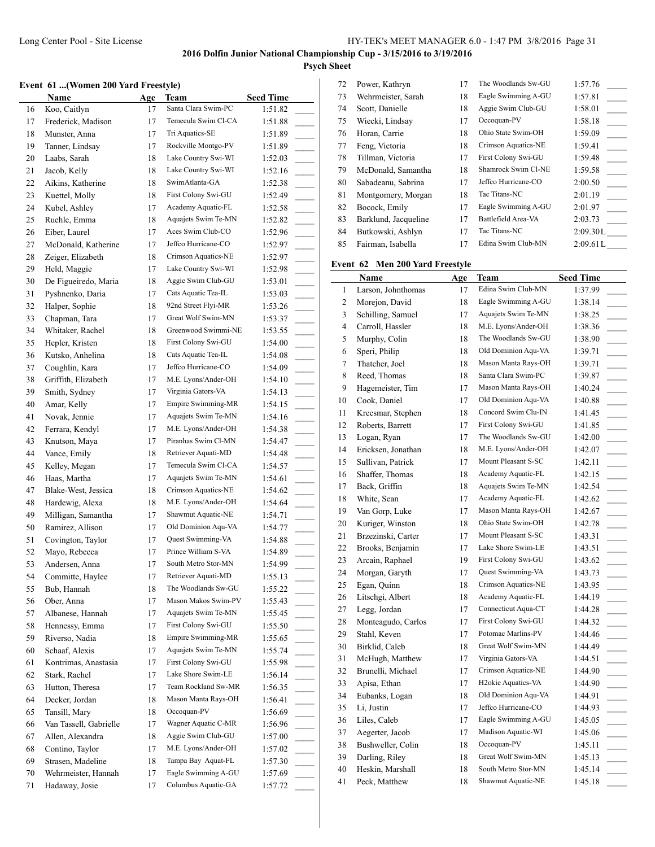# **Psych Sheet**

# **Event 61 ...(Women 200 Yard Freestyle)**

|    | vene of  (women zoo faru preestyle) |     |                     |                  |          | .              |
|----|-------------------------------------|-----|---------------------|------------------|----------|----------------|
|    | Name                                | Age | Team                | <b>Seed Time</b> | 73       | We             |
| 16 | Koo, Caitlyn                        | 17  | Santa Clara Swim-PC | 1:51.82          | 74       | Scc            |
| 17 | Frederick, Madison                  | 17  | Temecula Swim Cl-CA | 1:51.88          | 75       | Wi             |
| 18 | Munster, Anna                       | 17  | Tri Aquatics-SE     | 1:51.89          | 76       | H <sub>o</sub> |
| 19 | Tanner, Lindsay                     | 17  | Rockville Montgo-PV | 1:51.89          | 77       | Fer            |
| 20 | Laabs, Sarah                        | 18  | Lake Country Swi-WI | 1:52.03          | 78       | Till           |
| 21 | Jacob, Kelly                        | 18  | Lake Country Swi-WI | 1:52.16          | 79       | Mc             |
| 22 | Aikins, Katherine                   | 18  | SwimAtlanta-GA      | 1:52.38          | 80       | Sab            |
| 23 | Kuettel, Molly                      | 18  | First Colony Swi-GU | 1:52.49          | 81       | Mo             |
| 24 | Kubel, Ashley                       | 17  | Academy Aquatic-FL  | 1:52.58          | 82       | Bo             |
| 25 | Ruehle, Emma                        | 18  | Aquajets Swim Te-MN | 1:52.82          | 83       | Bar            |
| 26 | Eiber, Laurel                       | 17  | Aces Swim Club-CO   | 1:52.96          | 84       | But            |
| 27 | McDonald, Katherine                 | 17  | Jeffco Hurricane-CO | 1:52.97          | 85       | Fai            |
| 28 | Zeiger, Elizabeth                   | 18  | Crimson Aquatics-NE | 1:52.97          |          |                |
| 29 | Held, Maggie                        | 17  | Lake Country Swi-WI | 1:52.98          | Event 62 |                |
| 30 | De Figueiredo, Maria                | 18  | Aggie Swim Club-GU  | 1:53.01          |          | $N_i$          |
| 31 | Pyshnenko, Daria                    | 17  | Cats Aquatic Tea-IL | 1:53.03          | 1        | Lar            |
| 32 | Halper, Sophie                      | 18  | 92nd Street Flyi-MR | 1:53.26          | 2        | Mo             |
| 33 | Chapman, Tara                       | 17  | Great Wolf Swim-MN  | 1:53.37          | 3        | Sch            |
| 34 | Whitaker, Rachel                    | 18  | Greenwood Swimmi-NE | 1:53.55          | 4        | Car            |
| 35 |                                     | 18  | First Colony Swi-GU |                  | 5        | Mu             |
|    | Hepler, Kristen<br>Kutsko, Anhelina | 18  | Cats Aquatic Tea-IL | 1:54.00          | 6        | Spe            |
| 36 |                                     |     | Jeffco Hurricane-CO | 1:54.08          | 7        | Tha            |
| 37 | Coughlin, Kara                      | 17  | M.E. Lyons/Ander-OH | 1:54.09          | 8        | Ree            |
| 38 | Griffith, Elizabeth                 | 17  | Virginia Gators-VA  | 1:54.10          | 9        | Hag            |
| 39 | Smith, Sydney                       | 17  |                     | 1:54.13          | 10       | Co             |
| 40 | Amar, Kelly                         | 17  | Empire Swimming-MR  | 1:54.15          | 11       | Kre            |
| 41 | Novak, Jennie                       | 17  | Aquajets Swim Te-MN | 1:54.16          | 12       | Rol            |
| 42 | Ferrara, Kendyl                     | 17  | M.E. Lyons/Ander-OH | 1:54.38          | 13       | Log            |
| 43 | Knutson, Maya                       | 17  | Piranhas Swim Cl-MN | 1:54.47          | 14       | Eri            |
| 44 | Vance, Emily                        | 18  | Retriever Aquati-MD | 1:54.48          | 15       | Sul            |
| 45 | Kelley, Megan                       | 17  | Temecula Swim Cl-CA | 1:54.57          | 16       | Sha            |
| 46 | Haas, Martha                        | 17  | Aquajets Swim Te-MN | 1:54.61          | 17       | Bac            |
| 47 | Blake-West, Jessica                 | 18  | Crimson Aquatics-NE | 1:54.62          | 18       | Wh             |
| 48 | Hardewig, Alexa                     | 18  | M.E. Lyons/Ander-OH | 1:54.64          | 19       | Var            |
| 49 | Milligan, Samantha                  | 17  | Shawmut Aquatic-NE  | 1:54.71          | 20       | Ku             |
| 50 | Ramirez, Allison                    | 17  | Old Dominion Aqu-VA | 1:54.77          | 21       | Brz            |
| 51 | Covington, Taylor                   | 17  | Quest Swimming-VA   | 1:54.88          | 22       |                |
| 52 | Mayo, Rebecca                       | 17  | Prince William S-VA | 1:54.89          | 23       | Brc            |
| 53 | Andersen, Anna                      | 17  | South Metro Stor-MN | 1:54.99          | 24       | Arc            |
| 54 | Committe, Haylee                    | 17  | Retriever Aquati-MD | 1:55.13          |          | Mo             |
| 55 | Bub, Hannah                         | 18  | The Woodlands Sw-GU | 1:55.22          | 25       | Ega            |
| 56 | Ober, Anna                          | 17  | Mason Makos Swim-PV | 1:55.43          | 26       | Lits           |
| 57 | Albanese, Hannah                    | 17  | Aquajets Swim Te-MN | 1:55.45          | 27       | Leg            |
| 58 | Hennessy, Emma                      | 17  | First Colony Swi-GU | 1:55.50          | 28       | Mo             |
| 59 | Riverso, Nadia                      | 18  | Empire Swimming-MR  | 1:55.65          | 29       | Sta            |
| 60 | Schaaf, Alexis                      | 17  | Aquajets Swim Te-MN | 1:55.74          | 30       | Bir            |
| 61 | Kontrimas, Anastasia                | 17  | First Colony Swi-GU | 1:55.98          | 31       | Mc             |
| 62 | Stark, Rachel                       | 17  | Lake Shore Swim-LE  | 1:56.14          | 32       | Bru            |
| 63 | Hutton, Theresa                     | 17  | Team Rockland Sw-MR | 1:56.35          | 33       | Api            |
| 64 | Decker, Jordan                      | 18  | Mason Manta Rays-OH | 1:56.41          | 34       | Euł            |
| 65 | Tansill, Mary                       | 18  | Occoquan-PV         | 1:56.69          | 35       | Li,            |
| 66 | Van Tassell, Gabrielle              | 17  | Wagner Aquatic C-MR | 1:56.96          | 36       | Lik            |
| 67 | Allen, Alexandra                    | 18  | Aggie Swim Club-GU  | 1:57.00          | 37       | Aeg            |
| 68 | Contino, Taylor                     | 17  | M.E. Lyons/Ander-OH | 1:57.02          | 38       | Bus            |
| 69 | Strasen, Madeline                   | 18  | Tampa Bay Aquat-FL  | 1:57.30          | 39       | Dai            |
| 70 | Wehrmeister, Hannah                 | 17  | Eagle Swimming A-GU | 1:57.69          | 40       | Hes            |
| 71 | Hadaway, Josie                      | 17  | Columbus Aquatic-GA | 1:57.72          | 41       | Pec            |
|    |                                     |     |                     |                  |          |                |

| 72 | Power, Kathryn       | 17 | The Woodlands Sw-GU | 1:57.76  |
|----|----------------------|----|---------------------|----------|
| 73 | Wehrmeister, Sarah   | 18 | Eagle Swimming A-GU | 1:57.81  |
| 74 | Scott, Danielle      | 18 | Aggie Swim Club-GU  | 1:58.01  |
| 75 | Wiecki, Lindsay      | 17 | Occoquan-PV         | 1:58.18  |
| 76 | Horan, Carrie        | 18 | Ohio State Swim-OH  | 1:59.09  |
| 77 | Feng, Victoria       | 18 | Crimson Aquatics-NE | 1:59.41  |
| 78 | Tillman, Victoria    | 17 | First Colony Swi-GU | 1:59.48  |
| 79 | McDonald, Samantha   | 18 | Shamrock Swim Cl-NE | 1:59.58  |
| 80 | Sabadeanu, Sabrina   | 17 | Jeffco Hurricane-CO | 2:00.50  |
| 81 | Montgomery, Morgan   | 18 | Tac Titans-NC       | 2:01.19  |
| 82 | Bocock, Emily        | 17 | Eagle Swimming A-GU | 2:01.97  |
| 83 | Barklund, Jacqueline | 17 | Battlefield Area-VA | 2:03.73  |
| 84 | Butkowski, Ashlyn    | 17 | Tac Titans-NC       | 2:09.30L |
| 85 | Fairman, Isabella    | 17 | Edina Swim Club-MN  | 2:09.61L |
|    |                      |    |                     |          |

# **Men 200 Yard Freestyle**

|    | <b>Name</b>        | Age | Team                            | <b>Seed Time</b>                    |
|----|--------------------|-----|---------------------------------|-------------------------------------|
| 1  | Larson, Johnthomas | 17  | Edina Swim Club-MN              | 1:37.99                             |
| 2  | Morejon, David     | 18  | Eagle Swimming A-GU             | 1:38.14                             |
| 3  | Schilling, Samuel  | 17  | Aquajets Swim Te-MN             | 1:38.25                             |
| 4  | Carroll, Hassler   | 18  | M.E. Lyons/Ander-OH             | 1:38.36                             |
| 5  | Murphy, Colin      | 18  | The Woodlands Sw-GU             | 1:38.90                             |
| 6  | Speri, Philip      | 18  | Old Dominion Aqu-VA             | 1:39.71                             |
| 7  | Thatcher, Joel     | 18  | Mason Manta Rays-OH             | 1:39.71                             |
| 8  | Reed, Thomas       | 18  | Santa Clara Swim-PC             | 1:39.87                             |
| 9  | Hagemeister, Tim   | 17  | Mason Manta Rays-OH             | 1:40.24                             |
| 10 | Cook, Daniel       | 17  | Old Dominion Aqu-VA             | 1:40.88                             |
| 11 | Krecsmar, Stephen  | 18  | Concord Swim Clu-IN             | 1:41.45                             |
| 12 | Roberts, Barrett   | 17  | First Colony Swi-GU             | 1:41.85                             |
| 13 | Logan, Ryan        | 17  | The Woodlands Sw-GU             | 1:42.00                             |
| 14 | Ericksen, Jonathan | 18  | M.E. Lyons/Ander-OH             | 1:42.07                             |
| 15 | Sullivan, Patrick  | 17  | Mount Pleasant S-SC             | 1:42.11                             |
| 16 | Shaffer, Thomas    | 18  | Academy Aquatic-FL              | 1:42.15                             |
| 17 | Back, Griffin      | 18  | Aquajets Swim Te-MN             | 1:42.54                             |
| 18 | White, Sean        | 17  | Academy Aquatic-FL              | 1:42.62<br>$\overline{\phantom{a}}$ |
| 19 | Van Gorp, Luke     | 17  | Mason Manta Rays-OH             | 1:42.67                             |
| 20 | Kuriger, Winston   | 18  | Ohio State Swim-OH              | 1:42.78                             |
| 21 | Brzezinski, Carter | 17  | Mount Pleasant S-SC             | 1:43.31<br>$\overline{\phantom{a}}$ |
| 22 | Brooks, Benjamin   | 17  | Lake Shore Swim-LE              | 1:43.51                             |
| 23 | Arcain, Raphael    | 19  | First Colony Swi-GU             | 1:43.62                             |
| 24 | Morgan, Garyth     | 17  | Quest Swimming-VA               | 1:43.73                             |
| 25 | Egan, Quinn        | 18  | Crimson Aquatics-NE             | 1:43.95                             |
| 26 | Litschgi, Albert   | 18  | Academy Aquatic-FL              | 1:44.19                             |
| 27 | Legg, Jordan       | 17  | Connecticut Aqua-CT             | 1:44.28<br>$\overline{a}$           |
| 28 | Monteagudo, Carlos | 17  | First Colony Swi-GU             | 1:44.32                             |
| 29 | Stahl, Keven       | 17  | Potomac Marlins-PV              | 1:44.46                             |
| 30 | Birklid, Caleb     | 18  | Great Wolf Swim-MN              | 1:44.49                             |
| 31 | McHugh, Matthew    | 17  | Virginia Gators-VA              | 1:44.51                             |
| 32 | Brunelli, Michael  | 17  | Crimson Aquatics-NE             | 1:44.90                             |
| 33 | Apisa, Ethan       | 17  | H <sub>2</sub> okie Aquatics-VA | 1:44.90                             |
| 34 | Eubanks, Logan     | 18  | Old Dominion Aqu-VA             | 1:44.91                             |
| 35 | Li, Justin         | 17  | Jeffco Hurricane-CO             | 1:44.93                             |
| 36 | Liles, Caleb       | 17  | Eagle Swimming A-GU             | 1:45.05<br>$\overline{\phantom{a}}$ |
| 37 | Aegerter, Jacob    | 17  | Madison Aquatic-WI              | 1:45.06                             |
| 38 | Bushweller, Colin  | 18  | Occoquan-PV                     | 1:45.11<br>$\overline{a}$           |
| 39 | Darling, Riley     | 18  | Great Wolf Swim-MN              | 1:45.13                             |
| 40 | Heskin, Marshall   | 18  | South Metro Stor-MN             | 1:45.14                             |
| 41 | Peck, Matthew      | 18  | Shawmut Aquatic-NE              | 1:45.18                             |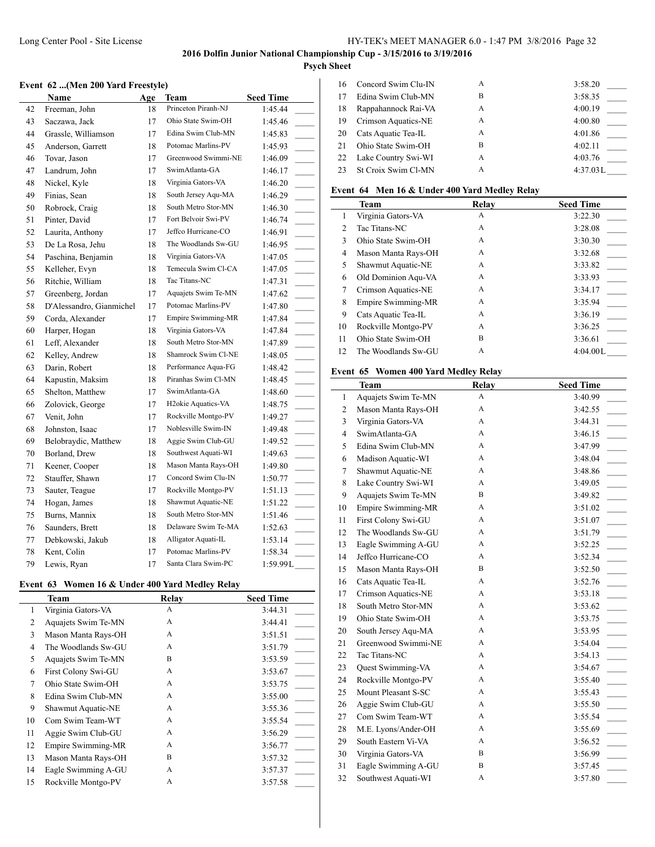## Long Center Pool - Site License HY-TEK's MEET MANAGER 6.0 - 1:47 PM 3/8/2016 Page 32

# **2016 Dolfin Junior National Championship Cup - 3/15/2016 to 3/19/2016**

# **Psych Sheet**

# **Event 62 ...(Men 200 Yard Freestyle)**

|    | Name                     | Age | Team                            | <b>Seed Time</b>                      |
|----|--------------------------|-----|---------------------------------|---------------------------------------|
| 42 | Freeman, John            | 18  | Princeton Piranh-NJ             | 1:45.44                               |
| 43 | Saczawa, Jack            | 17  | Ohio State Swim-OH              | 1:45.46                               |
| 44 | Grassle, Williamson      | 17  | Edina Swim Club-MN              | 1:45.83                               |
| 45 | Anderson, Garrett        | 18  | Potomac Marlins-PV              | 1:45.93                               |
| 46 | Tovar, Jason             | 17  | Greenwood Swimmi-NE             | 1:46.09                               |
| 47 | Landrum, John            | 17  | SwimAtlanta-GA                  | 1:46.17<br>$\sim$                     |
| 48 | Nickel, Kyle             | 18  | Virginia Gators-VA              | 1:46.20<br>$\sim$ 10 $\mu$            |
| 49 | Finias, Sean             | 18  | South Jersey Aqu-MA             | 1:46.29<br>$\overline{\phantom{a}}$   |
| 50 | Robrock, Craig           | 18  | South Metro Stor-MN             | 1:46.30<br>$\overline{\phantom{a}}$   |
| 51 | Pinter, David            | 17  | Fort Belvoir Swi-PV             | 1:46.74                               |
| 52 | Laurita, Anthony         | 17  | Jeffco Hurricane-CO             | 1:46.91<br>$\overline{\phantom{a}}$   |
| 53 | De La Rosa, Jehu         | 18  | The Woodlands Sw-GU             | 1:46.95<br>$\sim$                     |
| 54 | Paschina, Benjamin       | 18  | Virginia Gators-VA              | 1:47.05<br>$\sim 10^{-1}$             |
| 55 | Kelleher, Evyn           | 18  | Temecula Swim Cl-CA             | 1:47.05<br>$\overline{\phantom{a}}$   |
| 56 | Ritchie, William         | 18  | Tac Titans-NC                   | 1:47.31<br>$\overline{\phantom{a}}$   |
| 57 | Greenberg, Jordan        | 17  | Aquajets Swim Te-MN             | 1:47.62                               |
| 58 | D'Alessandro, Gianmichel | 17  | Potomac Marlins-PV              | 1:47.80                               |
| 59 | Corda, Alexander         | 17  | <b>Empire Swimming-MR</b>       | 1:47.84                               |
| 60 | Harper, Hogan            | 18  | Virginia Gators-VA              | 1:47.84<br>$\overline{\phantom{a}}$   |
| 61 | Leff, Alexander          | 18  | South Metro Stor-MN             | 1:47.89<br>$\sim$ 10 $\pm$            |
| 62 | Kelley, Andrew           | 18  | Shamrock Swim Cl-NE             | 1:48.05<br>$\overline{\phantom{a}}$   |
| 63 | Darin, Robert            | 18  | Performance Aqua-FG             | 1:48.42<br>$\overline{\phantom{a}}$   |
| 64 | Kapustin, Maksim         | 18  | Piranhas Swim Cl-MN             | 1:48.45<br>$\mathcal{L}^{\text{max}}$ |
| 65 | Shelton, Matthew         | 17  | SwimAtlanta-GA                  | 1:48.60<br>$\overline{\phantom{a}}$   |
| 66 | Zolovick, George         | 17  | H <sub>2</sub> okie Aquatics-VA | 1:48.75                               |
| 67 | Venit, John              | 17  | Rockville Montgo-PV             | 1:49.27                               |
| 68 | Johnston, Isaac          | 17  | Noblesville Swim-IN             | 1:49.48                               |
| 69 | Belobraydic, Matthew     | 18  | Aggie Swim Club-GU              | 1:49.52                               |
| 70 | Borland, Drew            | 18  | Southwest Aquati-WI             | 1:49.63                               |
| 71 | Keener, Cooper           | 18  | Mason Manta Rays-OH             | 1:49.80                               |
| 72 | Stauffer, Shawn          | 17  | Concord Swim Clu-IN             | 1:50.77<br>$\mathcal{L}$              |
| 73 | Sauter, Teague           | 17  | Rockville Montgo-PV             | 1:51.13<br>$\overline{\phantom{a}}$   |
| 74 | Hogan, James             | 18  | Shawmut Aquatic-NE              | 1:51.22<br>$\overline{\phantom{a}}$   |
| 75 | Burns, Mannix            | 18  | South Metro Stor-MN             | 1:51.46<br>$\overline{\phantom{a}}$   |
| 76 | Saunders, Brett          | 18  | Delaware Swim Te-MA             | 1:52.63<br>$\overline{\phantom{a}}$   |
| 77 | Debkowski, Jakub         | 18  | Alligator Aquati-IL             | 1:53.14                               |
| 78 | Kent, Colin              | 17  | Potomac Marlins-PV              | 1:58.34                               |
| 79 | Lewis, Ryan              | 17  | Santa Clara Swim-PC             | 1:59.99L                              |

#### **Event 63 Women 16 & Under 400 Yard Medley Relay**

| Team                | Relay | <b>Seed Time</b> |
|---------------------|-------|------------------|
| Virginia Gators-VA  | A     | 3:44.31          |
| Aquajets Swim Te-MN | A     | 3:44.41          |
| Mason Manta Rays-OH | A     | 3:51.51          |
| The Woodlands Sw-GU | A     | 3:51.79          |
| Aquajets Swim Te-MN | B     | 3:53.59          |
| First Colony Swi-GU | A     | 3:53.67          |
| Ohio State Swim-OH  | A     | 3:53.75          |
| Edina Swim Club-MN  | A     | 3:55.00          |
| Shawmut Aquatic-NE  | A     | 3:55.36          |
| Com Swim Team-WT    | A     | 3:55.54          |
| Aggie Swim Club-GU  | A     | 3:56.29          |
| Empire Swimming-MR  | A     | 3:56.77          |
| Mason Manta Rays-OH | B     | 3:57.32          |
| Eagle Swimming A-GU | A     | 3:57.37          |
| Rockville Montgo-PV | A     | 3:57.58          |
|                     |       |                  |

| 16 | Concord Swim Clu-IN        | А | 3:58.20  |
|----|----------------------------|---|----------|
| 17 | Edina Swim Club-MN         | B | 3:58.35  |
| 18 | Rappahannock Rai-VA        | А | 4:00.19  |
| 19 | Crimson Aquatics-NE        | A | 4:00.80  |
| 20 | Cats Aquatic Tea-IL        | А | 4:01.86  |
| 21 | Ohio State Swim-OH         | B | 4:02.11  |
| 22 | Lake Country Swi-WI        | A | 4:03.76  |
| 23 | <b>St Croix Swim Cl-MN</b> | А | 4:37.03L |

## **Event 64 Men 16 & Under 400 Yard Medley Relay**

|    | Team                | Relay | <b>Seed Time</b> |
|----|---------------------|-------|------------------|
|    | Virginia Gators-VA  | A     | 3:22.30          |
| 2  | Tac Titans-NC       | A     | 3:28.08          |
| 3  | Ohio State Swim-OH  | A     | 3:30.30          |
| 4  | Mason Manta Rays-OH | A     | 3:32.68          |
| 5  | Shawmut Aquatic-NE  | A     | 3:33.82          |
| 6  | Old Dominion Agu-VA | A     | 3:33.93          |
| 7  | Crimson Aquatics-NE | A     | 3:34.17          |
| 8  | Empire Swimming-MR  | A     | 3:35.94          |
| 9  | Cats Aquatic Tea-IL | A     | 3:36.19          |
| 10 | Rockville Montgo-PV | A     | 3:36.25          |
| 11 | Ohio State Swim-OH  | B     | 3:36.61          |
| 12 | The Woodlands Sw-GU | A     | 4:04.00L         |

# **Event 65 Women 400 Yard Medley Relay**

|                | <b>Team</b>         | <b>Relay</b> | <b>Seed Time</b>                       |
|----------------|---------------------|--------------|----------------------------------------|
| $\mathbf{1}$   | Aquajets Swim Te-MN | A            | 3:40.99                                |
| $\overline{c}$ | Mason Manta Rays-OH | A            | 3:42.55                                |
| 3              | Virginia Gators-VA  | A            | 3:44.31                                |
| $\overline{4}$ | SwimAtlanta-GA      | A            | 3:46.15<br>$\mathcal{L}^{\mathcal{L}}$ |
| 5              | Edina Swim Club-MN  | A            | 3:47.99                                |
| 6              | Madison Aquatic-WI  | A            | 3:48.04<br>$\mathcal{L}$               |
| $\overline{7}$ | Shawmut Aquatic-NE  | A            | 3:48.86<br>$\mathcal{L}^{\text{max}}$  |
| 8              | Lake Country Swi-WI | A            | 3:49.05<br>$\overline{\phantom{a}}$    |
| 9              | Aquajets Swim Te-MN | B            | 3:49.82                                |
| 10             | Empire Swimming-MR  | A            | 3:51.02                                |
| 11             | First Colony Swi-GU | A            | 3:51.07<br>$\mathcal{L}$               |
| 12             | The Woodlands Sw-GU | A            | 3:51.79                                |
| 13             | Eagle Swimming A-GU | A            | 3:52.25                                |
| 14             | Jeffco Hurricane-CO | A            | 3:52.34<br>$\overline{a}$              |
| 15             | Mason Manta Rays-OH | B            | 3:52.50<br>$\overline{\phantom{a}}$    |
| 16             | Cats Aquatic Tea-IL | A            | 3:52.76<br>$\overline{\phantom{a}}$    |
| 17             | Crimson Aquatics-NE | A            | 3:53.18                                |
| 18             | South Metro Stor-MN | A            | 3:53.62<br>$\mathbb{R}$                |
| 19             | Ohio State Swim-OH  | A            | 3:53.75<br>$\mathcal{L}^{\text{max}}$  |
| 20             | South Jersey Aqu-MA | A            | 3:53.95                                |
| 21             | Greenwood Swimmi-NE | A            | 3:54.04<br>$\overline{\phantom{a}}$    |
| 22             | Tac Titans-NC       | A            | 3:54.13<br>$\mathcal{L}^{\mathcal{L}}$ |
| 23             | Quest Swimming-VA   | A            | 3:54.67<br>$\sim 10^{-1}$              |
| 24             | Rockville Montgo-PV | A            | 3:55.40                                |
| 25             | Mount Pleasant S-SC | A            | 3:55.43                                |
| 26             | Aggie Swim Club-GU  | A            | 3:55.50                                |
| 27             | Com Swim Team-WT    | A            | 3:55.54                                |
| 28             | M.E. Lyons/Ander-OH | A            | 3:55.69                                |
| 29             | South Eastern Vi-VA | A            | 3:56.52                                |
| 30             | Virginia Gators-VA  | B            | 3:56.99                                |
| 31             | Eagle Swimming A-GU | B            | 3:57.45                                |
| 32             | Southwest Aquati-WI | A            | 3:57.80                                |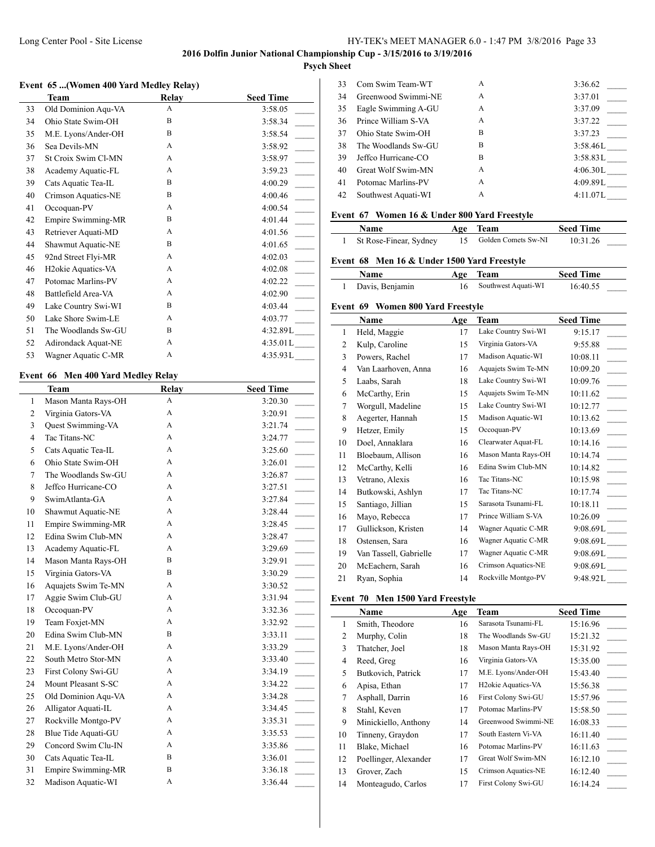## Long Center Pool - Site License HY-TEK's MEET MANAGER 6.0 - 1:47 PM 3/8/2016 Page 33

# **2016 Dolfin Junior National Championship Cup - 3/15/2016 to 3/19/2016**

# **Psych Sheet**  $\overline{1}$

#### **Event 65 ...(Women 400 Yard Medley Relay)**

|    | <b>Team</b>                     | Relay | <b>Seed Time</b> |
|----|---------------------------------|-------|------------------|
| 33 | Old Dominion Aqu-VA             | A     | 3:58.05          |
| 34 | Ohio State Swim-OH              | B     | 3:58.34          |
| 35 | M.E. Lyons/Ander-OH             | B     | 3:58.54          |
| 36 | Sea Devils-MN                   | A     | 3:58.92          |
| 37 | St Croix Swim Cl-MN             | A     | 3:58.97          |
| 38 | Academy Aquatic-FL              | A     | 3:59.23          |
| 39 | Cats Aquatic Tea-IL             | B     | 4:00.29          |
| 40 | Crimson Aquatics-NE             | B     | 4:00.46          |
| 41 | Occoquan-PV                     | A     | 4:00.54          |
| 42 | Empire Swimming-MR              | B     | 4:01.44          |
| 43 | Retriever Aquati-MD             | A     | 4:01.56          |
| 44 | Shawmut Aquatic-NE              | B     | 4:01.65          |
| 45 | 92nd Street Flyi-MR             | A     | 4:02.03          |
| 46 | H <sub>2</sub> okie Aquatics-VA | A     | 4:02.08          |
| 47 | Potomac Marlins-PV              | A     | 4:02.22          |
| 48 | Battlefield Area-VA             | A     | 4:02.90          |
| 49 | Lake Country Swi-WI             | B     | 4:03.44          |
| 50 | Lake Shore Swim-LE              | A     | 4:03.77          |
| 51 | The Woodlands Sw-GU             | B     | 4:32.89L         |
| 52 | Adirondack Aquat-NE             | A     | 4:35.01L         |
| 53 | Wagner Aquatic C-MR             | A     | 4:35.93L         |

#### **Event 66 Men 400 Yard Medley Relay**

|                | Team                | Relay | <b>Seed Time</b> |
|----------------|---------------------|-------|------------------|
| $\mathbf{1}$   | Mason Manta Rays-OH | A     | 3:20.30          |
| 2              | Virginia Gators-VA  | A     | 3:20.91          |
| 3              | Quest Swimming-VA   | A     | 3:21.74          |
| $\overline{4}$ | Tac Titans-NC       | A     | 3:24.77          |
| 5              | Cats Aquatic Tea-IL | A     | 3:25.60          |
| 6              | Ohio State Swim-OH  | A     | 3:26.01          |
| $\overline{7}$ | The Woodlands Sw-GU | A     | 3:26.87          |
| 8              | Jeffco Hurricane-CO | A     | 3:27.51          |
| 9              | SwimAtlanta-GA      | A     | 3:27.84          |
| 10             | Shawmut Aquatic-NE  | A     | 3:28.44          |
| 11             | Empire Swimming-MR  | A     | 3:28.45          |
| 12             | Edina Swim Club-MN  | A     | 3:28.47          |
| 13             | Academy Aquatic-FL  | A     | 3:29.69          |
| 14             | Mason Manta Rays-OH | B     | 3:29.91          |
| 15             | Virginia Gators-VA  | B     | 3:30.29          |
| 16             | Aquajets Swim Te-MN | A     | 3:30.52          |
| 17             | Aggie Swim Club-GU  | A     | 3:31.94          |
| 18             | Occoquan-PV         | A     | 3:32.36          |
| 19             | Team Foxjet-MN      | A     | 3:32.92          |
| 20             | Edina Swim Club-MN  | B     | 3:33.11          |
| 21             | M.E. Lyons/Ander-OH | A     | 3:33.29          |
| 22             | South Metro Stor-MN | A     | 3:33.40          |
| 23             | First Colony Swi-GU | A     | 3:34.19          |
| 24             | Mount Pleasant S-SC | A     | 3:34.22          |
| 25             | Old Dominion Aqu-VA | A     | 3:34.28          |
| 26             | Alligator Aquati-IL | A     | 3:34.45          |
| 27             | Rockville Montgo-PV | A     | 3:35.31          |
| 28             | Blue Tide Aquati-GU | A     | 3:35.53          |
| 29             | Concord Swim Clu-IN | A     | 3:35.86          |
| 30             | Cats Aquatic Tea-IL | B     | 3:36.01          |
| 31             | Empire Swimming-MR  | B     | 3:36.18          |
| 32             | Madison Aquatic-WI  | A     | 3:36.44          |
|                |                     |       |                  |

| 33 | Com Swim Team-WT    | A | 3:36.62  |
|----|---------------------|---|----------|
| 34 | Greenwood Swimmi-NE | A | 3:37.01  |
| 35 | Eagle Swimming A-GU | A | 3:37.09  |
| 36 | Prince William S-VA | A | 3:37.22  |
| 37 | Ohio State Swim-OH  | B | 3:37.23  |
| 38 | The Woodlands Sw-GU | В | 3:58.46L |
| 39 | Jeffco Hurricane-CO | B | 3:58.83L |
| 40 | Great Wolf Swim-MN  | A | 4:06.30L |
| 41 | Potomac Marlins-PV  | A | 4:09.89L |
| 42 | Southwest Aquati-WI | A | 4:11.07L |
|    |                     |   |          |

### **Event 67 Women 16 & Under 800 Yard Freestyle**

| <b>Name</b>              | Age Team            | <b>Seed Time</b> |  |
|--------------------------|---------------------|------------------|--|
| 1 St Rose-Finear, Sydney | Golden Comets Sw-NI | 10:31.26         |  |

## **Event 68 Men 16 & Under 1500 Yard Freestyle**

| Name              | Age Team               | <b>Seed Time</b> |
|-------------------|------------------------|------------------|
| 1 Davis, Benjamin | 16 Southwest Aquati-WI | 16:40.55         |

#### **Event 69 Women 800 Yard Freestyle**

|    | Name                   | Age | Team                | <b>Seed Time</b> |
|----|------------------------|-----|---------------------|------------------|
| 1  | Held, Maggie           | 17  | Lake Country Swi-WI | 9:15.17          |
| 2  | Kulp, Caroline         | 15  | Virginia Gators-VA  | 9:55.88          |
| 3  | Powers, Rachel         | 17  | Madison Aquatic-WI  | 10:08.11         |
| 4  | Van Laarhoven, Anna    | 16  | Aquajets Swim Te-MN | 10:09.20         |
| 5  | Laabs, Sarah           | 18  | Lake Country Swi-WI | 10:09.76         |
| 6  | McCarthy, Erin         | 15  | Aquajets Swim Te-MN | 10:11.62         |
| 7  | Worgull, Madeline      | 15  | Lake Country Swi-WI | 10:12.77         |
| 8  | Aegerter, Hannah       | 15  | Madison Aquatic-WI  | 10:13.62         |
| 9  | Hetzer, Emily          | 15  | Occoquan-PV         | 10:13.69         |
| 10 | Doel, Annaklara        | 16  | Clearwater Aquat-FL | 10:14.16         |
| 11 | Bloebaum, Allison      | 16  | Mason Manta Rays-OH | 10:14.74         |
| 12 | McCarthy, Kelli        | 16  | Edina Swim Club-MN  | 10:14.82         |
| 13 | Vetrano, Alexis        | 16  | Tac Titans-NC       | 10:15.98         |
| 14 | Butkowski, Ashlyn      | 17  | Tac Titans-NC       | 10:17.74         |
| 15 | Santiago, Jillian      | 15  | Sarasota Tsunami-FL | 10:18.11         |
| 16 | Mayo, Rebecca          | 17  | Prince William S-VA | 10:26.09         |
| 17 | Gullickson, Kristen    | 14  | Wagner Aquatic C-MR | 9:08.69L         |
| 18 | Ostensen, Sara         | 16  | Wagner Aquatic C-MR | 9:08.69L         |
| 19 | Van Tassell, Gabrielle | 17  | Wagner Aquatic C-MR | 9:08.69L         |
| 20 | McEachern, Sarah       | 16  | Crimson Aquatics-NE | 9:08.69L         |
| 21 | Ryan, Sophia           | 14  | Rockville Montgo-PV | 9:48.92L         |

#### **Event 70 Men 1500 Yard Freestyle**

|                | <b>Name</b>           | Age | Team                            | <b>Seed Time</b> |
|----------------|-----------------------|-----|---------------------------------|------------------|
| 1              | Smith, Theodore       | 16  | Sarasota Tsunami-FL             | 15:16.96         |
| 2              | Murphy, Colin         | 18  | The Woodlands Sw-GU             | 15:21.32         |
| 3              | Thatcher, Joel        | 18  | Mason Manta Rays-OH             | 15:31.92         |
| $\overline{4}$ | Reed, Greg            | 16  | Virginia Gators-VA              | 15:35.00         |
| 5              | Butkovich, Patrick    | 17  | M.E. Lyons/Ander-OH             | 15:43.40         |
| 6              | Apisa, Ethan          | 17  | H <sub>2</sub> okie Aquatics-VA | 15:56.38         |
| 7              | Asphall, Darrin       | 16  | First Colony Swi-GU             | 15:57.96         |
| 8              | Stahl, Keven          | 17  | Potomac Marlins-PV              | 15:58.50         |
| 9              | Minickiello, Anthony  | 14  | Greenwood Swimmi-NE             | 16:08.33         |
| 10             | Tinneny, Graydon      | 17  | South Eastern Vi-VA             | 16:11.40         |
| 11             | Blake, Michael        | 16  | Potomac Marlins-PV              | 16:11.63         |
| 12             | Poellinger, Alexander | 17  | Great Wolf Swim-MN              | 16:12.10         |
| 13             | Grover, Zach          | 15  | Crimson Aquatics-NE             | 16:12.40         |
| 14             | Monteagudo, Carlos    | 17  | First Colony Swi-GU             | 16:14.24         |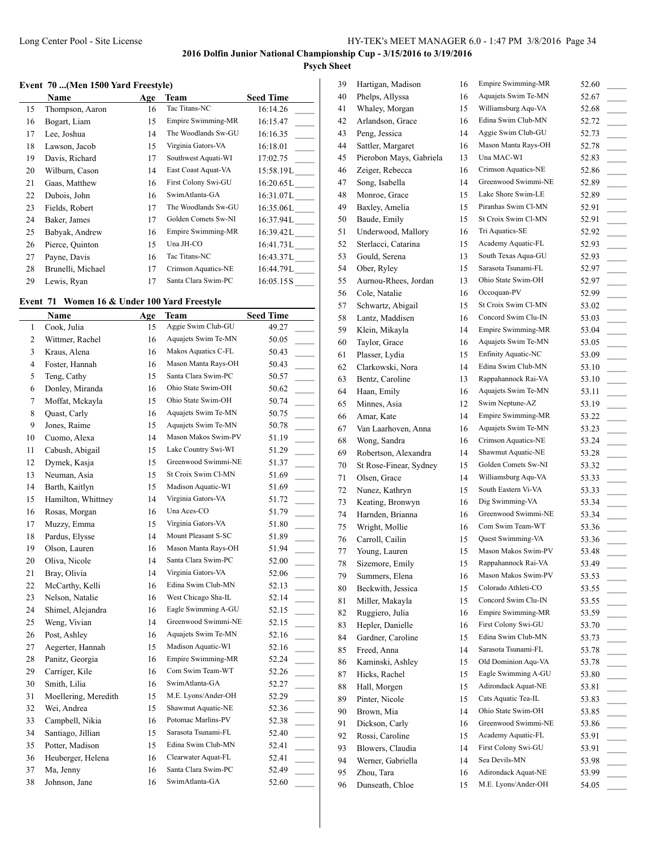# **Event 70 ...(Men 1500 Yard Freestyle)**

|    | <b>Name</b>       | Age | Team                      | <b>Seed Time</b> |
|----|-------------------|-----|---------------------------|------------------|
| 15 | Thompson, Aaron   | 16  | Tac Titans-NC             | 16:14.26         |
| 16 | Bogart, Liam      | 15  | <b>Empire Swimming-MR</b> | 16:15.47         |
| 17 | Lee, Joshua       | 14  | The Woodlands Sw-GU       | 16:16.35         |
| 18 | Lawson, Jacob     | 15  | Virginia Gators-VA        | 16:18.01         |
| 19 | Davis, Richard    | 17  | Southwest Aquati-WI       | 17:02.75         |
| 20 | Wilburn, Cason    | 14  | East Coast Aquat-VA       | 15:58.19L        |
| 21 | Gaas, Matthew     | 16  | First Colony Swi-GU       | 16:20.65L        |
| 22 | Dubois, John      | 16  | SwimAtlanta-GA            | 16:31.07L        |
| 23 | Fields, Robert    | 17  | The Woodlands Sw-GU       | 16:35.06L        |
| 24 | Baker, James      | 17  | Golden Comets Sw-NI       | 16:37.94L        |
| 25 | Babyak, Andrew    | 16  | <b>Empire Swimming-MR</b> | 16:39.42L        |
| 26 | Pierce, Quinton   | 15  | Una JH-CO                 | 16:41.73L        |
| 27 | Payne, Davis      | 16  | Tac Titans-NC             | 16:43.37L        |
| 28 | Brunelli, Michael | 17  | Crimson Aquatics-NE       | 16:44.79L        |
| 29 | Lewis, Ryan       | 17  | Santa Clara Swim-PC       | 16:05.15S        |

# **Event 71 Women 16 & Under 100 Yard Freestyle**

|                | Name                 | <b>Age</b> | Team                | <b>Seed Time</b>                  |
|----------------|----------------------|------------|---------------------|-----------------------------------|
| 1              | Cook, Julia          | 15         | Aggie Swim Club-GU  | 49.27                             |
| $\overline{c}$ | Wittmer, Rachel      | 16         | Aquajets Swim Te-MN | 50.05                             |
| 3              | Kraus, Alena         | 16         | Makos Aquatics C-FL | 50.43                             |
| 4              | Foster, Hannah       | 16         | Mason Manta Rays-OH | 50.43                             |
| 5              | Teng, Cathy          | 15         | Santa Clara Swim-PC | 50.57                             |
| 6              | Donley, Miranda      | 16         | Ohio State Swim-OH  | 50.62<br>$\mathbb{R}^2$           |
| 7              | Moffat, Mckayla      | 15         | Ohio State Swim-OH  | 50.74<br>$\overline{\phantom{a}}$ |
| 8              | Quast, Carly         | 16         | Aquajets Swim Te-MN | 50.75<br>$\overline{\phantom{a}}$ |
| 9              | Jones, Raime         | 15         | Aquajets Swim Te-MN | 50.78<br>$\overline{\phantom{a}}$ |
| 10             | Cuomo, Alexa         | 14         | Mason Makos Swim-PV | 51.19<br>$\mathcal{L}$            |
| 11             | Cabush, Abigail      | 15         | Lake Country Swi-WI | 51.29<br>$\mathcal{L}$            |
| 12             | Dymek, Kasja         | 15         | Greenwood Swimmi-NE | 51.37<br>$\overline{a}$           |
| 13             | Neuman, Asia         | 15         | St Croix Swim Cl-MN | 51.69<br>$\overline{a}$           |
| 14             | Barth, Kaitlyn       | 15         | Madison Aquatic-WI  | 51.69<br>$\overline{a}$           |
| 15             | Hamilton, Whittney   | 14         | Virginia Gators-VA  | 51.72<br>$\overline{\phantom{a}}$ |
| 16             | Rosas, Morgan        | 16         | Una Aces-CO         | 51.79                             |
| 17             | Muzzy, Emma          | 15         | Virginia Gators-VA  | 51.80                             |
| 18             | Pardus, Elysse       | 14         | Mount Pleasant S-SC | 51.89<br>$\overline{\phantom{a}}$ |
| 19             | Olson, Lauren        | 16         | Mason Manta Rays-OH | 51.94<br>$\overline{\phantom{a}}$ |
| 20             | Oliva, Nicole        | 14         | Santa Clara Swim-PC | 52.00                             |
| 21             | Bray, Olivia         | 14         | Virginia Gators-VA  | 52.06<br>$\overline{\phantom{a}}$ |
| 22             | McCarthy, Kelli      | 16         | Edina Swim Club-MN  | 52.13                             |
| 23             | Nelson, Natalie      | 16         | West Chicago Sha-IL | 52.14<br>$\mathbb{R}$             |
| 24             | Shimel, Alejandra    | 16         | Eagle Swimming A-GU | 52.15<br>$\overline{a}$           |
| 25             | Weng, Vivian         | 14         | Greenwood Swimmi-NE | 52.15<br>$\overline{\phantom{a}}$ |
| 26             | Post, Ashley         | 16         | Aquajets Swim Te-MN | 52.16                             |
| 27             | Aegerter, Hannah     | 15         | Madison Aquatic-WI  | 52.16                             |
| 28             | Panitz, Georgia      | 16         | Empire Swimming-MR  | 52.24                             |
| 29             | Carriger, Kile       | 16         | Com Swim Team-WT    | 52.26<br>$\mathbb{R}$             |
| 30             | Smith, Lilia         | 16         | SwimAtlanta-GA      | 52.27<br>$\mathcal{L}$            |
| 31             | Moellering, Meredith | 15         | M.E. Lyons/Ander-OH | 52.29<br>$\sim$                   |
| 32             | Wei, Andrea          | 15         | Shawmut Aquatic-NE  | 52.36                             |
| 33             | Campbell, Nikia      | 16         | Potomac Marlins-PV  | 52.38                             |
| 34             | Santiago, Jillian    | 15         | Sarasota Tsunami-FL | 52.40                             |
| 35             | Potter, Madison      | 15         | Edina Swim Club-MN  | 52.41<br>$\mathbb{R}$             |
| 36             | Heuberger, Helena    | 16         | Clearwater Aquat-FL | 52.41<br>$\mathcal{L}$            |
| 37             | Ma, Jenny            | 16         | Santa Clara Swim-PC | 52.49                             |
| 38             | Johnson, Jane        | 16         | SwimAtlanta-GA      | 52.60<br>$\sim$                   |
|                |                      |            |                     |                                   |

| 39 | Hartigan, Madison       | 16       | Empire Swimming-MR         | 52.60                             |
|----|-------------------------|----------|----------------------------|-----------------------------------|
| 40 | Phelps, Allyssa         | 16       | Aquajets Swim Te-MN        | 52.67                             |
| 41 | Whaley, Morgan          | 15       | Williamsburg Aqu-VA        | 52.68                             |
| 42 | Arlandson, Grace        | 16       | Edina Swim Club-MN         | 52.72                             |
| 43 | Peng, Jessica           | 14       | Aggie Swim Club-GU         | 52.73                             |
| 44 | Sattler, Margaret       | 16       | Mason Manta Rays-OH        | 52.78<br>$\sim$                   |
| 45 | Pierobon Mays, Gabriela | 13       | Una MAC-WI                 | 52.83                             |
| 46 | Zeiger, Rebecca         | 16       | Crimson Aquatics-NE        | 52.86                             |
| 47 | Song, Isabella          | 14       | Greenwood Swimmi-NE        | 52.89                             |
| 48 | Monroe, Grace           | 15       | Lake Shore Swim-LE         | 52.89                             |
| 49 | Baxley, Amelia          | 15       | Piranhas Swim Cl-MN        | 52.91                             |
| 50 | Baude, Emily            | 15       | St Croix Swim Cl-MN        | 52.91                             |
| 51 | Underwood, Mallory      | 16       | Tri Aquatics-SE            | 52.92                             |
| 52 | Sterlacci, Catarina     | 15       | Academy Aquatic-FL         | 52.93                             |
| 53 | Gould, Serena           | 13       | South Texas Aqua-GU        | 52.93                             |
| 54 | Ober, Ryley             | 15       | Sarasota Tsunami-FL        | 52.97                             |
| 55 | Aurnou-Rhees, Jordan    | 13       | Ohio State Swim-OH         | 52.97                             |
| 56 | Cole, Natalie           | 16       | Occoquan-PV                | 52.99<br>$\sim$                   |
| 57 | Schwartz, Abigail       | 15       | St Croix Swim Cl-MN        | 53.02                             |
| 58 | Lantz, Maddisen         | 16       | Concord Swim Clu-IN        | 53.03                             |
| 59 | Klein, Mikayla          | 14       | Empire Swimming-MR         | 53.04                             |
| 60 | Taylor, Grace           | 16       | Aquajets Swim Te-MN        | 53.05                             |
| 61 | Plasser, Lydia          | 15       | <b>Enfinity Aquatic-NC</b> | $\sim$<br>53.09                   |
| 62 | Clarkowski, Nora        | 14       | Edina Swim Club-MN         | $\overline{\phantom{a}}$<br>53.10 |
| 63 | Bentz, Caroline         | 13       | Rappahannock Rai-VA        | 53.10                             |
|    |                         |          | Aquajets Swim Te-MN        |                                   |
| 64 | Haan, Emily             | 16       | Swim Neptune-AZ            | 53.11                             |
| 65 | Minnes, Asia            | 12<br>14 | Empire Swimming-MR         | 53.19                             |
| 66 | Amar, Kate              |          |                            | 53.22                             |
| 67 | Van Laarhoven, Anna     | 16       | Aquajets Swim Te-MN        | 53.23                             |
| 68 | Wong, Sandra            | 16       | Crimson Aquatics-NE        | 53.24<br>$\sim$                   |
| 69 | Robertson, Alexandra    | 14       | Shawmut Aquatic-NE         | 53.28                             |
| 70 | St Rose-Finear, Sydney  | 15       | Golden Comets Sw-NI        | 53.32                             |
| 71 | Olsen, Grace            | 14       | Williamsburg Aqu-VA        | 53.33<br>$\sim 10^{-11}$          |
| 72 | Nunez, Kathryn          | 15       | South Eastern Vi-VA        | 53.33                             |
| 73 | Keating, Bronwyn        | 16       | Dig Swimming-VA            | 53.34                             |
| 74 | Harnden, Brianna        | 16       | Greenwood Swimmi-NE        | 53.34                             |
| 75 | Wright, Mollie          | 16       | Com Swim Team-WT           | 53.36                             |
| 76 | Carroll, Cailin         | 15       | Quest Swimming-VA          | 53.36                             |
| 77 | Young, Lauren           | 15       | Mason Makos Swim-PV        | 53.48                             |
| 78 | Sizemore, Emily         | 15       | Rappahannock Rai-VA        | 53.49                             |
| 79 | Summers, Elena          | 16       | Mason Makos Swim-PV        | 53.53                             |
| 80 | Beckwith, Jessica       | 15       | Colorado Athleti-CO        | 53.55                             |
| 81 | Miller, Makayla         | 15       | Concord Swim Clu-IN        | 53.55                             |
| 82 | Ruggiero, Julia         | 16       | Empire Swimming-MR         | 53.59                             |
| 83 | Hepler, Danielle        | 16       | First Colony Swi-GU        | 53.70                             |
| 84 | Gardner, Caroline       | 15       | Edina Swim Club-MN         | 53.73                             |
| 85 | Freed, Anna             | 14       | Sarasota Tsunami-FL        | 53.78                             |
| 86 | Kaminski, Ashley        | 15       | Old Dominion Aqu-VA        | 53.78                             |
| 87 | Hicks, Rachel           | 15       | Eagle Swimming A-GU        | 53.80                             |
| 88 | Hall, Morgen            | 15       | Adirondack Aquat-NE        | 53.81                             |
| 89 | Pinter, Nicole          | 15       | Cats Aquatic Tea-IL        | 53.83                             |
| 90 | Brown, Mia              | 14       | Ohio State Swim-OH         | 53.85                             |
| 91 | Dickson, Carly          | 16       | Greenwood Swimmi-NE        | 53.86                             |
| 92 | Rossi, Caroline         | 15       | Academy Aquatic-FL         | 53.91                             |
| 93 | Blowers, Claudia        | 14       | First Colony Swi-GU        | 53.91                             |
| 94 | Werner, Gabriella       | 14       | Sea Devils-MN              | 53.98                             |
| 95 | Zhou, Tara              | 16       | Adirondack Aquat-NE        | 53.99                             |
| 96 | Dunseath, Chloe         | $15\,$   | M.E. Lyons/Ander-OH        | 54.05                             |
|    |                         |          |                            |                                   |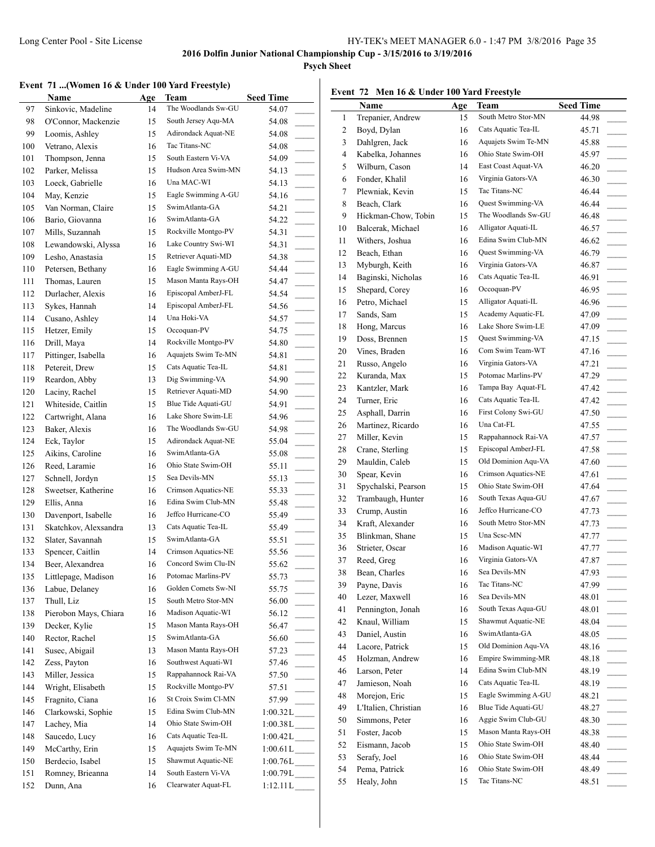**Psych Sheet**

# **Event 71 ...(Women 16 & Under 100 Yard Freestyle)**

|     | Event 71 (Women 16 & Under 100 Yard Freestyle)<br><b>Name</b> | Age | Team                | <b>Seed Time</b>                     | Ev             |
|-----|---------------------------------------------------------------|-----|---------------------|--------------------------------------|----------------|
| 97  | Sinkovic, Madeline                                            | 14  | The Woodlands Sw-GU | 54.07                                |                |
| 98  | O'Connor, Mackenzie                                           | 15  | South Jersey Aqu-MA | 54.08                                |                |
| 99  | Loomis, Ashley                                                | 15  | Adirondack Aquat-NE | 54.08                                |                |
| 100 | Vetrano, Alexis                                               | 16  | Tac Titans-NC       | 54.08                                |                |
| 101 | Thompson, Jenna                                               | 15  | South Eastern Vi-VA | 54.09                                |                |
| 102 | Parker, Melissa                                               | 15  | Hudson Area Swim-MN | 54.13                                |                |
| 103 | Loeck, Gabrielle                                              | 16  | Una MAC-WI          | 54.13<br>$\overline{\phantom{a}}$    |                |
| 104 | May, Kenzie                                                   | 15  | Eagle Swimming A-GU | 54.16                                |                |
| 105 | Van Norman, Claire                                            | 15  | SwimAtlanta-GA      | 54.21<br>$\mathcal{L}^{\mathcal{L}}$ |                |
| 106 | Bario, Giovanna                                               | 16  | SwimAtlanta-GA      | 54.22<br>$\overline{\phantom{a}}$    |                |
| 107 | Mills, Suzannah                                               | 15  | Rockville Montgo-PV | 54.31                                | $\mathbf{1}$   |
| 108 | Lewandowski, Alyssa                                           | 16  | Lake Country Swi-WI | 54.31                                | $\mathbf{1}$   |
| 109 | Lesho, Anastasia                                              | 15  | Retriever Aquati-MD | 54.38                                | 11             |
| 110 | Petersen, Bethany                                             | 16  | Eagle Swimming A-GU | 54.44                                | 11             |
| 111 | Thomas, Lauren                                                | 15  | Mason Manta Rays-OH | 54.47                                | 1.             |
| 112 | Durlacher, Alexis                                             | 16  | Episcopal AmberJ-FL | 54.54                                | 1:             |
| 113 | Sykes, Hannah                                                 | 14  | Episcopal AmberJ-FL | 54.56                                | 10             |
| 114 | Cusano, Ashley                                                | 14  | Una Hoki-VA         | 54.57                                | $1^{\prime}$   |
| 115 | Hetzer, Emily                                                 | 15  | Occoquan-PV         | 54.75                                | 1:             |
| 116 | Drill, Maya                                                   | 14  | Rockville Montgo-PV | 54.80                                | 1              |
| 117 | Pittinger, Isabella                                           | 16  | Aquajets Swim Te-MN | 54.81<br>$\mathcal{L}^{\mathcal{L}}$ | $\overline{2}$ |
| 118 | Petereit, Drew                                                | 15  | Cats Aquatic Tea-IL | 54.81<br>$\sim$                      | $\overline{2}$ |
| 119 | Reardon, Abby                                                 | 13  | Dig Swimming-VA     | 54.90                                | $2^{\prime}$   |
| 120 | Laciny, Rachel                                                | 15  | Retriever Aquati-MD | 54.90                                | 2 <sup>2</sup> |
| 121 | Whiteside, Caitlin                                            | 15  | Blue Tide Aquati-GU | 54.91                                | 2 <sub>6</sub> |
| 122 | Cartwright, Alana                                             | 16  | Lake Shore Swim-LE  | 54.96                                | 2:             |
| 123 | Baker, Alexis                                                 | 16  | The Woodlands Sw-GU | 54.98                                | $\overline{2}$ |
| 124 | Eck, Taylor                                                   | 15  | Adirondack Aquat-NE | 55.04                                | $2^\prime$     |
| 125 | Aikins, Caroline                                              | 16  | SwimAtlanta-GA      | 55.08                                | $\overline{2}$ |
| 126 | Reed, Laramie                                                 | 16  | Ohio State Swim-OH  | 55.11                                | 2 <sup>1</sup> |
| 127 | Schnell, Jordyn                                               | 15  | Sea Devils-MN       | 55.13                                | $\overline{3}$ |
| 128 | Sweetser, Katherine                                           | 16  | Crimson Aquatics-NE | 55.33                                | 3              |
| 129 | Ellis, Anna                                                   | 16  | Edina Swim Club-MN  | 55.48<br>$\mathcal{L}^{\mathcal{L}}$ | 3 <sup>′</sup> |
| 130 | Davenport, Isabelle                                           | 16  | Jeffco Hurricane-CO | 55.49<br>$\sim$                      | 3 <sup>2</sup> |
| 131 | Skatchkov, Alexsandra                                         | 13  | Cats Aquatic Tea-IL | 55.49                                | 3.             |
| 132 | Slater, Savannah                                              | 15  | SwimAtlanta-GA      | 55.51                                | 3              |
| 133 | Spencer, Caitlin                                              | 14  | Crimson Aquatics-NE | 55.56                                | 3              |
| 134 | Beer, Alexandrea                                              | 16  | Concord Swim Clu-IN | 55.62                                | 3'             |
| 135 | Littlepage, Madison                                           | 16  | Potomac Marlins-PV  | 55.73                                | 3              |
| 136 | Labue, Delaney                                                | 16  | Golden Comets Sw-NI | 55.75                                | 3 <sup>0</sup> |
| 137 | Thull, Liz                                                    | 15  | South Metro Stor-MN | 56.00                                | $\overline{4}$ |
| 138 | Pierobon Mays, Chiara                                         | 16  | Madison Aquatic-WI  | 56.12                                | $\overline{4}$ |
| 139 | Decker, Kylie                                                 | 15  | Mason Manta Rays-OH | 56.47                                | $\overline{4}$ |
| 140 | Rector, Rachel                                                | 15  | SwimAtlanta-GA      | 56.60                                | $\overline{4}$ |
| 141 | Susec, Abigail                                                | 13  | Mason Manta Rays-OH | 57.23                                | $\ddot{ }$     |
| 142 | Zess, Payton                                                  | 16  | Southwest Aquati-WI | 57.46<br>$\overline{\phantom{a}}$    | $\overline{4}$ |
| 143 | Miller, Jessica                                               | 15  | Rappahannock Rai-VA | 57.50                                | $\overline{4}$ |
| 144 | Wright, Elisabeth                                             | 15  | Rockville Montgo-PV | 57.51                                | $\overline{4}$ |
| 145 | Fragnito, Ciana                                               | 16  | St Croix Swim Cl-MN | 57.99                                | $\ddot{4}$     |
| 146 | Clarkowski, Sophie                                            | 15  | Edina Swim Club-MN  | $1:00.32L$ <sub>_____</sub>          | 4 <sup>1</sup> |
| 147 | Lachey, Mia                                                   | 14  | Ohio State Swim-OH  | $1:00.38L$ <sub>-----</sub>          | 5(             |
| 148 | Saucedo, Lucy                                                 | 16  | Cats Aquatic Tea-IL | $1:00.42L$ <sub>_____</sub>          | 5              |
| 149 | McCarthy, Erin                                                | 15  | Aquajets Swim Te-MN | $1:00.61 L$ <sub>____</sub>          | 5.             |
| 150 | Berdecio, Isabel                                              | 15  | Shawmut Aquatic-NE  | $1:00.76L$ <sub>_____</sub>          | 5.             |
| 151 | Romney, Brieanna                                              | 14  | South Eastern Vi-VA | 1:00.79L                             | 5.             |
| 152 | Dunn, Ana                                                     | 16  | Clearwater Aquat-FL | 1:12.11L                             | 5.             |
|     |                                                               |     |                     |                                      |                |

#### **Event 72 Men 16 & Under 100 Yard Freestyle**

|    | $\cdots$<br>$\cdot$  |     | $100$ imattices, it       |                                   |
|----|----------------------|-----|---------------------------|-----------------------------------|
|    | Name                 | Age | Team                      | <b>Seed Time</b>                  |
| 1  | Trepanier, Andrew    | 15  | South Metro Stor-MN       | 44.98                             |
| 2  | Boyd, Dylan          | 16  | Cats Aquatic Tea-IL       | 45.71                             |
| 3  | Dahlgren, Jack       | 16  | Aquajets Swim Te-MN       | 45.88<br>$\overline{\phantom{a}}$ |
| 4  | Kabelka, Johannes    | 16  | Ohio State Swim-OH        | 45.97                             |
| 5  | Wilburn, Cason       | 14  | East Coast Aquat-VA       | 46.20                             |
| 6  | Fonder, Khalil       | 16  | Virginia Gators-VA        | 46.30<br>$\sim 10^{-11}$          |
| 7  | Plewniak, Kevin      | 15  | Tac Titans-NC             | 46.44                             |
| 8  | Beach, Clark         | 16  | Quest Swimming-VA         | 46.44                             |
| 9  | Hickman-Chow, Tobin  | 15  | The Woodlands Sw-GU       | 46.48<br>$\overline{\phantom{a}}$ |
| 10 | Balcerak, Michael    | 16  | Alligator Aquati-IL       | 46.57                             |
| 11 | Withers, Joshua      | 16  | Edina Swim Club-MN        | 46.62                             |
| 12 | Beach, Ethan         | 16  | Quest Swimming-VA         | 46.79                             |
| 13 | Myburgh, Keith       | 16  | Virginia Gators-VA        | 46.87                             |
| 14 | Baginski, Nicholas   | 16  | Cats Aquatic Tea-IL       | 46.91                             |
| 15 | Shepard, Corey       | 16  | Occoquan-PV               | 46.95<br>$\overline{\phantom{a}}$ |
| 16 | Petro, Michael       | 15  | Alligator Aquati-IL       | 46.96<br>$\overline{\phantom{a}}$ |
| 17 | Sands, Sam           | 15  | Academy Aquatic-FL        | 47.09                             |
| 18 | Hong, Marcus         | 16  | Lake Shore Swim-LE        | 47.09<br>$\sim$ 10 $\pm$          |
| 19 | Doss, Brennen        | 15  | Quest Swimming-VA         | 47.15                             |
| 20 | Vines, Braden        | 16  | Com Swim Team-WT          | 47.16                             |
| 21 | Russo, Angelo        | 16  | Virginia Gators-VA        | 47.21                             |
| 22 | Kuranda, Max         | 15  | Potomac Marlins-PV        | $\overline{a}$<br>47.29           |
| 23 | Kantzler, Mark       | 16  | Tampa Bay Aquat-FL        | 47.42                             |
| 24 | Turner, Eric         | 16  | Cats Aquatic Tea-IL       | 47.42                             |
| 25 | Asphall, Darrin      | 16  | First Colony Swi-GU       | 47.50                             |
| 26 | Martinez, Ricardo    | 16  | Una Cat-FL                | 47.55                             |
|    | Miller, Kevin        | 15  | Rappahannock Rai-VA       | $\sim$                            |
| 27 |                      |     | Episcopal AmberJ-FL       | 47.57<br>$\overline{\phantom{a}}$ |
| 28 | Crane, Sterling      | 15  |                           | 47.58                             |
| 29 | Mauldin, Caleb       | 15  | Old Dominion Aqu-VA       | 47.60                             |
| 30 | Spear, Kevin         | 16  | Crimson Aquatics-NE       | 47.61<br>$\sim$                   |
| 31 | Spychalski, Pearson  | 15  | Ohio State Swim-OH        | 47.64                             |
| 32 | Trambaugh, Hunter    | 16  | South Texas Aqua-GU       | 47.67<br>$\overline{\phantom{a}}$ |
| 33 | Crump, Austin        | 16  | Jeffco Hurricane-CO       | 47.73                             |
| 34 | Kraft, Alexander     | 16  | South Metro Stor-MN       | 47.73                             |
| 35 | Blinkman, Shane      | 15  | Una Scsc-MN               | 47.77                             |
| 36 | Strieter, Oscar      | 16  | Madison Aquatic-WI        | 47.77                             |
| 37 | Reed, Greg           | 16  | Virginia Gators-VA        | 47.87                             |
| 38 | Bean, Charles        | 16  | Sea Devils-MN             | 47.93                             |
| 39 | Payne, Davis         | 16  | Tac Titans-NC             | 47.99                             |
| 40 | Lezer, Maxwell       | 16  | Sea Devils-MN             | 48.01                             |
| 41 | Pennington, Jonah    | 16  | South Texas Aqua-GU       | 48.01                             |
| 42 | Knaul, William       | 15  | Shawmut Aquatic-NE        | 48.04                             |
| 43 | Daniel, Austin       | 16  | SwimAtlanta-GA            | 48.05                             |
| 44 | Lacore, Patrick      | 15  | Old Dominion Aqu-VA       | 48.16<br>$\sim$                   |
| 45 | Holzman, Andrew      | 16  | <b>Empire Swimming-MR</b> | 48.18<br>$\overline{\phantom{a}}$ |
| 46 | Larson, Peter        | 14  | Edina Swim Club-MN        | 48.19                             |
| 47 | Jamieson, Noah       | 16  | Cats Aquatic Tea-IL       | 48.19                             |
| 48 | Morejon, Eric        | 15  | Eagle Swimming A-GU       | 48.21                             |
| 49 | L'Italien, Christian | 16  | Blue Tide Aquati-GU       | 48.27                             |
| 50 | Simmons, Peter       | 16  | Aggie Swim Club-GU        | 48.30                             |
| 51 | Foster, Jacob        | 15  | Mason Manta Rays-OH       | 48.38<br>$\overline{\phantom{a}}$ |
| 52 | Eismann, Jacob       | 15  | Ohio State Swim-OH        | 48.40                             |
| 53 | Serafy, Joel         | 16  | Ohio State Swim-OH        | 48.44                             |
| 54 | Pema, Patrick        | 16  | Ohio State Swim-OH        | 48.49                             |
| 55 | Healy, John          | 15  | Tac Titans-NC             | 48.51                             |
|    |                      |     |                           |                                   |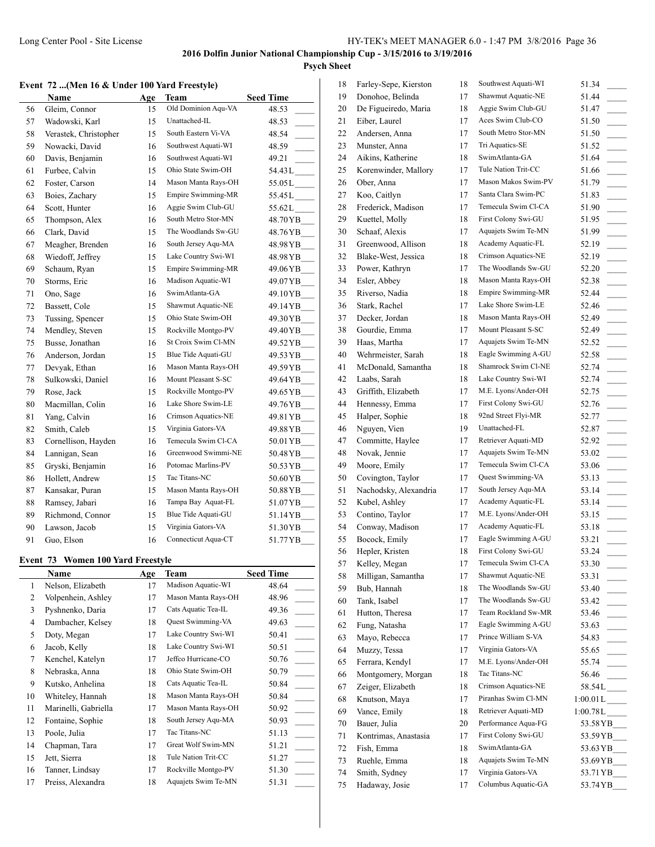# **Psych Sheet**

### **Event 72 ...(Men 16 & Under 100 Yard Freestyle)**

|    | Name                  | Age | Team                | <b>Seed Time</b>           |
|----|-----------------------|-----|---------------------|----------------------------|
| 56 | Gleim, Connor         | 15  | Old Dominion Aqu-VA | 48.53                      |
| 57 | Wadowski, Karl        | 15  | Unattached-IL       | 48.53                      |
| 58 | Verastek, Christopher | 15  | South Eastern Vi-VA | 48.54                      |
| 59 | Nowacki, David        | 16  | Southwest Aquati-WI | 48.59                      |
| 60 | Davis, Benjamin       | 16  | Southwest Aquati-WI | 49.21                      |
| 61 | Furbee, Calvin        | 15  | Ohio State Swim-OH  | $54.43 L$ <sub>_____</sub> |
| 62 | Foster, Carson        | 14  | Mason Manta Rays-OH | 55.05L                     |
| 63 | Boies, Zachary        | 15  | Empire Swimming-MR  | 55.45 L                    |
| 64 | Scott, Hunter         | 16  | Aggie Swim Club-GU  | 55.62L                     |
| 65 | Thompson, Alex        | 16  | South Metro Stor-MN | 48.70 Y B                  |
| 66 | Clark, David          | 15  | The Woodlands Sw-GU | 48.76 YB                   |
| 67 | Meagher, Brenden      | 16  | South Jersey Aqu-MA | 48.98 Y B                  |
| 68 | Wiedoff, Jeffrey      | 15  | Lake Country Swi-WI | 48.98YB__                  |
| 69 | Schaum, Ryan          | 15  | Empire Swimming-MR  | 49.06YB__                  |
| 70 | Storms, Eric          | 16  | Madison Aquatic-WI  | 49.07 YB                   |
| 71 | Ono, Sage             | 16  | SwimAtlanta-GA      | 49.10 YB                   |
| 72 | Bassett, Cole         | 15  | Shawmut Aquatic-NE  | 49.14 YB                   |
| 73 | Tussing, Spencer      | 15  | Ohio State Swim-OH  | 49.30YB__                  |
| 74 | Mendley, Steven       | 15  | Rockville Montgo-PV | 49.40 Y B                  |
| 75 | Busse, Jonathan       | 16  | St Croix Swim Cl-MN | 49.52 YB                   |
| 76 | Anderson, Jordan      | 15  | Blue Tide Aquati-GU | 49.53 YB                   |
| 77 | Devyak, Ethan         | 16  | Mason Manta Rays-OH | 49.59YB__                  |
| 78 | Sulkowski, Daniel     | 16  | Mount Pleasant S-SC | 49.64 YB                   |
| 79 | Rose, Jack            | 15  | Rockville Montgo-PV | 49.65 YB                   |
| 80 | Macmillan, Colin      | 16  | Lake Shore Swim-LE  | 49.76 Y B                  |
| 81 | Yang, Calvin          | 16  | Crimson Aquatics-NE | 49.81 YB                   |
| 82 | Smith, Caleb          | 15  | Virginia Gators-VA  | 49.88 YB                   |
| 83 | Cornellison, Hayden   | 16  | Temecula Swim Cl-CA | 50.01 YB                   |
| 84 | Lannigan, Sean        | 16  | Greenwood Swimmi-NE | 50.48 Y B                  |
| 85 | Gryski, Benjamin      | 16  | Potomac Marlins-PV  | 50.53 YB                   |
| 86 | Hollett, Andrew       | 15  | Tac Titans-NC       | 50.60 YB                   |
| 87 | Kansakar, Puran       | 15  | Mason Manta Rays-OH | 50.88YB__                  |
| 88 | Ramsey, Jabari        | 16  | Tampa Bay Aquat-FL  | 51.07 YB                   |
| 89 | Richmond, Connor      | 15  | Blue Tide Aquati-GU | 51.14 YB                   |
| 90 | Lawson, Jacob         | 15  | Virginia Gators-VA  | 51.30YB                    |
| 91 | Guo, Elson            | 16  | Connecticut Aqua-CT | 51.77 YB                   |

#### **Event 73 Women 100 Yard Freestyle**

|                | <b>Name</b>          | Age | Team                | <b>Seed Time</b>       |
|----------------|----------------------|-----|---------------------|------------------------|
| 1              | Nelson, Elizabeth    | 17  | Madison Aquatic-WI  | 48.64                  |
| 2              | Volpenhein, Ashley   | 17  | Mason Manta Rays-OH | 48.96                  |
| 3              | Pyshnenko, Daria     | 17  | Cats Aquatic Tea-IL | 49.36                  |
| $\overline{4}$ | Dambacher, Kelsey    | 18  | Quest Swimming-VA   | 49.63                  |
| 5              | Doty, Megan          | 17  | Lake Country Swi-WI | 50.41                  |
| 6              | Jacob, Kelly         | 18  | Lake Country Swi-WI | 50.51                  |
| 7              | Kenchel, Katelyn     | 17  | Jeffco Hurricane-CO | 50.76                  |
| 8              | Nebraska, Anna       | 18  | Ohio State Swim-OH  | 50.79                  |
| 9              | Kutsko, Anhelina     | 18  | Cats Aquatic Tea-IL | 50.84                  |
| 10             | Whiteley, Hannah     | 18  | Mason Manta Rays-OH | 50.84                  |
| 11             | Marinelli, Gabriella | 17  | Mason Manta Rays-OH | 50.92                  |
| 12             | Fontaine, Sophie     | 18  | South Jersey Aqu-MA | 50.93<br>$\mathcal{L}$ |
| 13             | Poole, Julia         | 17  | Tac Titans-NC       | 51.13                  |
| 14             | Chapman, Tara        | 17  | Great Wolf Swim-MN  | 51.21                  |
| 15             | Jett, Sierra         | 18  | Tule Nation Trit-CC | 51.27                  |
| 16             | Tanner, Lindsay      | 17  | Rockville Montgo-PV | 51.30                  |
| 17             | Preiss, Alexandra    | 18  | Aquajets Swim Te-MN | 51.31                  |

| 18 | Farley-Sepe, Kierston | 18 | Southwest Aquati-WI | 51.34                                                         |
|----|-----------------------|----|---------------------|---------------------------------------------------------------|
| 19 | Donohoe, Belinda      | 17 | Shawmut Aquatic-NE  | 51.44                                                         |
| 20 | De Figueiredo, Maria  | 18 | Aggie Swim Club-GU  | 51.47                                                         |
| 21 | Eiber, Laurel         | 17 | Aces Swim Club-CO   | 51.50<br>$\sim 10^{-1}$                                       |
| 22 | Andersen, Anna        | 17 | South Metro Stor-MN | 51.50<br>$\overline{\phantom{a}}$                             |
| 23 | Munster, Anna         | 17 | Tri Aquatics-SE     | 51.52<br>$\overline{\phantom{a}}$                             |
| 24 | Aikins, Katherine     | 18 | SwimAtlanta-GA      | 51.64                                                         |
| 25 | Korenwinder, Mallory  | 17 | Tule Nation Trit-CC | 51.66<br>$\sim$                                               |
| 26 | Ober, Anna            | 17 | Mason Makos Swim-PV | 51.79                                                         |
| 27 | Koo, Caitlyn          | 17 | Santa Clara Swim-PC | 51.83<br>$\overline{\phantom{a}}$                             |
| 28 | Frederick, Madison    | 17 | Temecula Swim Cl-CA | 51.90<br>$\sim 10^{-11}$                                      |
| 29 | Kuettel, Molly        | 18 | First Colony Swi-GU | 51.95                                                         |
| 30 | Schaaf, Alexis        | 17 | Aquajets Swim Te-MN | 51.99                                                         |
| 31 | Greenwood, Allison    | 18 | Academy Aquatic-FL  | 52.19<br>$\overline{\phantom{a}}$                             |
| 32 | Blake-West, Jessica   | 18 | Crimson Aquatics-NE | 52.19                                                         |
| 33 | Power, Kathryn        | 17 | The Woodlands Sw-GU | 52.20                                                         |
| 34 | Esler, Abbey          | 18 | Mason Manta Rays-OH | 52.38<br>$\overline{\phantom{a}}$                             |
| 35 | Riverso, Nadia        | 18 | Empire Swimming-MR  | 52.44                                                         |
| 36 | Stark, Rachel         | 17 | Lake Shore Swim-LE  | 52.46                                                         |
| 37 | Decker, Jordan        | 18 | Mason Manta Rays-OH | 52.49<br>$\mathcal{L}^{\mathcal{L}}$                          |
| 38 | Gourdie, Emma         | 17 | Mount Pleasant S-SC | 52.49                                                         |
| 39 | Haas, Martha          | 17 | Aquajets Swim Te-MN | 52.52<br>$\overline{\phantom{a}}$                             |
| 40 | Wehrmeister, Sarah    | 18 | Eagle Swimming A-GU | 52.58<br>$\overline{\phantom{a}}$                             |
| 41 | McDonald, Samantha    | 18 | Shamrock Swim Cl-NE | 52.74                                                         |
| 42 | Laabs, Sarah          | 18 | Lake Country Swi-WI | 52.74                                                         |
| 43 | Griffith, Elizabeth   | 17 | M.E. Lyons/Ander-OH | 52.75                                                         |
| 44 | Hennessy, Emma        | 17 | First Colony Swi-GU | 52.76                                                         |
| 45 | Halper, Sophie        | 18 | 92nd Street Flyi-MR | 52.77<br>$\sim$                                               |
| 46 | Nguyen, Vien          | 19 | Unattached-FL       | 52.87<br>$\overline{\phantom{a}}$                             |
| 47 | Committe, Haylee      | 17 | Retriever Aquati-MD | 52.92                                                         |
| 48 | Novak, Jennie         | 17 | Aquajets Swim Te-MN | $\overline{\phantom{a}}$<br>53.02<br>$\overline{\phantom{a}}$ |
| 49 | Moore, Emily          | 17 | Temecula Swim Cl-CA | 53.06<br>$\overline{\phantom{a}}$                             |
| 50 | Covington, Taylor     | 17 | Quest Swimming-VA   | 53.13                                                         |
| 51 | Nachodsky, Alexandria | 17 | South Jersey Aqu-MA | $\overline{\phantom{a}}$<br>53.14                             |
| 52 | Kubel, Ashley         | 17 | Academy Aquatic-FL  | 53.14                                                         |
| 53 | Contino, Taylor       | 17 | M.E. Lyons/Ander-OH | $\overline{\phantom{a}}$<br>53.15                             |
| 54 | Conway, Madison       | 17 | Academy Aquatic-FL  | 53.18                                                         |
| 55 | Bocock, Emily         | 17 | Eagle Swimming A-GU | 53.21                                                         |
| 56 | Hepler, Kristen       | 18 | First Colony Swi-GU | 53.24                                                         |
| 57 | Kelley, Megan         | 17 | Temecula Swim Cl-CA | 53.30                                                         |
| 58 | Milligan, Samantha    | 17 | Shawmut Aquatic-NE  | 53.31                                                         |
| 59 | Bub, Hannah           | 18 | The Woodlands Sw-GU | 53.40                                                         |
| 60 | Tank, Isabel          | 17 | The Woodlands Sw-GU | 53.42                                                         |
| 61 | Hutton, Theresa       | 17 | Team Rockland Sw-MR | 53.46                                                         |
| 62 | Fung, Natasha         | 17 | Eagle Swimming A-GU | $\mathcal{L}^{\mathcal{L}}$<br>53.63                          |
| 63 | Mayo, Rebecca         | 17 | Prince William S-VA | $\overline{\phantom{a}}$                                      |
| 64 | Muzzy, Tessa          | 17 | Virginia Gators-VA  | 54.83<br>$\overline{\phantom{a}}$                             |
|    | Ferrara, Kendyl       | 17 | M.E. Lyons/Ander-OH | 55.65<br>$\overline{\phantom{a}}$<br>55.74                    |
| 65 | Montgomery, Morgan    | 18 | Tac Titans-NC       |                                                               |
| 66 | Zeiger, Elizabeth     |    | Crimson Aquatics-NE | 56.46                                                         |
| 67 |                       | 18 | Piranhas Swim Cl-MN | 58.54L____                                                    |
| 68 | Knutson, Maya         | 17 |                     | $1:00.01 L$ <sub>____</sub>                                   |
| 69 | Vance, Emily          | 18 | Retriever Aquati-MD | $1:00.78L$ <sub>_____</sub>                                   |
| 70 | Bauer, Julia          | 20 | Performance Aqua-FG | 53.58YB_                                                      |
| 71 | Kontrimas, Anastasia  | 17 | First Colony Swi-GU | 53.59YB                                                       |
| 72 | Fish, Emma            | 18 | SwimAtlanta-GA      | 53.63 YB                                                      |
| 73 | Ruehle, Emma          | 18 | Aquajets Swim Te-MN | 53.69 YB                                                      |
| 74 | Smith, Sydney         | 17 | Virginia Gators-VA  | 53.71 YB                                                      |
| 75 | Hadaway, Josie        | 17 | Columbus Aquatic-GA | 53.74 YB                                                      |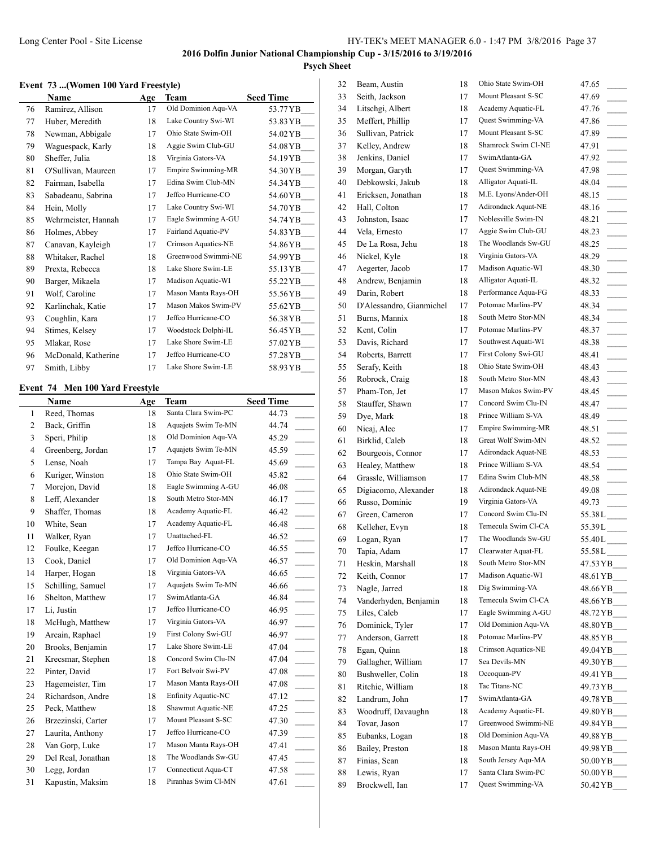### **Event 73 ...(Women 100 Yard Freestyle)**

|    | <b>Name</b>         | Age | Team                | <b>Seed Time</b> |
|----|---------------------|-----|---------------------|------------------|
| 76 | Ramirez, Allison    | 17  | Old Dominion Aqu-VA | 53.77 Y B        |
| 77 | Huber, Meredith     | 18  | Lake Country Swi-WI | 53.83 YB         |
| 78 | Newman, Abbigale    | 17  | Ohio State Swim-OH  | 54.02 YB         |
| 79 | Waguespack, Karly   | 18  | Aggie Swim Club-GU  | 54.08 Y B        |
| 80 | Sheffer, Julia      | 18  | Virginia Gators-VA  | 54.19 Y B        |
| 81 | O'Sullivan, Maureen | 17  | Empire Swimming-MR  | 54.30 YB         |
| 82 | Fairman, Isabella   | 17  | Edina Swim Club-MN  | 54.34 Y B        |
| 83 | Sabadeanu, Sabrina  | 17  | Jeffco Hurricane-CO | 54.60 YB         |
| 84 | Hein, Molly         | 17  | Lake Country Swi-WI | 54.70 Y B        |
| 85 | Wehrmeister, Hannah | 17  | Eagle Swimming A-GU | 54.74 YB         |
| 86 | Holmes, Abbey       | 17  | Fairland Aquatic-PV | 54.83 Y B        |
| 87 | Canavan, Kayleigh   | 17  | Crimson Aquatics-NE | 54.86 Y B        |
| 88 | Whitaker, Rachel    | 18  | Greenwood Swimmi-NE | 54.99 Y B        |
| 89 | Prexta, Rebecca     | 18  | Lake Shore Swim-LE  | 55.13 YB         |
| 90 | Barger, Mikaela     | 17  | Madison Aquatic-WI  | 55.22 Y B        |
| 91 | Wolf, Caroline      | 17  | Mason Manta Rays-OH | 55.56 YB         |
| 92 | Karlinchak, Katie   | 17  | Mason Makos Swim-PV | 55.62 YB         |
| 93 | Coughlin, Kara      | 17  | Jeffco Hurricane-CO | 56.38 YB         |
| 94 | Stimes, Kelsey      | 17  | Woodstock Dolphi-IL | 56.45 Y B        |
| 95 | Mlakar, Rose        | 17  | Lake Shore Swim-LE  | 57.02 YB         |
| 96 | McDonald, Katherine | 17  | Jeffco Hurricane-CO | 57.28 Y B        |
| 97 | Smith, Libby        | 17  | Lake Shore Swim-LE  | 58.93 Y B        |

# **Event 74 Men 100 Yard Freestyle**

|                | Name               | Age | <b>Team</b>         | <b>Seed Time</b>                     |
|----------------|--------------------|-----|---------------------|--------------------------------------|
| $\mathbf{1}$   | Reed, Thomas       | 18  | Santa Clara Swim-PC | 44.73                                |
| 2              | Back, Griffin      | 18  | Aquajets Swim Te-MN | 44.74                                |
| 3              | Speri, Philip      | 18  | Old Dominion Aqu-VA | 45.29                                |
| $\overline{4}$ | Greenberg, Jordan  | 17  | Aquajets Swim Te-MN | 45.59                                |
| 5              | Lense, Noah        | 17  | Tampa Bay Aquat-FL  | 45.69                                |
| 6              | Kuriger, Winston   | 18  | Ohio State Swim-OH  | 45.82                                |
| 7              | Morejon, David     | 18  | Eagle Swimming A-GU | 46.08                                |
| 8              | Leff, Alexander    | 18  | South Metro Stor-MN | 46.17                                |
| 9              | Shaffer, Thomas    | 18  | Academy Aquatic-FL  | 46.42                                |
| 10             | White, Sean        | 17  | Academy Aquatic-FL  | 46.48                                |
| 11             | Walker, Ryan       | 17  | Unattached-FL       | 46.52                                |
| 12             | Foulke, Keegan     | 17  | Jeffco Hurricane-CO | 46.55                                |
| 13             | Cook, Daniel       | 17  | Old Dominion Aqu-VA | 46.57                                |
| 14             | Harper, Hogan      | 18  | Virginia Gators-VA  | 46.65                                |
| 15             | Schilling, Samuel  | 17  | Aquajets Swim Te-MN | 46.66                                |
| 16             | Shelton, Matthew   | 17  | SwimAtlanta-GA      | 46.84<br>$\mathcal{L}^{\mathcal{L}}$ |
| 17             | Li, Justin         | 17  | Jeffco Hurricane-CO | 46.95                                |
| 18             | McHugh, Matthew    | 17  | Virginia Gators-VA  | 46.97                                |
| 19             | Arcain, Raphael    | 19  | First Colony Swi-GU | 46.97                                |
| 20             | Brooks, Benjamin   | 17  | Lake Shore Swim-LE  | 47.04                                |
| 21             | Krecsmar, Stephen  | 18  | Concord Swim Clu-IN | 47.04                                |
| 22             | Pinter, David      | 17  | Fort Belvoir Swi-PV | 47.08                                |
| 23             | Hagemeister, Tim   | 17  | Mason Manta Rays-OH | 47.08                                |
| 24             | Richardson, Andre  | 18  | Enfinity Aquatic-NC | 47.12                                |
| 25             | Peck, Matthew      | 18  | Shawmut Aquatic-NE  | 47.25                                |
| 26             | Brzezinski, Carter | 17  | Mount Pleasant S-SC | 47.30                                |
| 27             | Laurita, Anthony   | 17  | Jeffco Hurricane-CO | 47.39                                |
| 28             | Van Gorp, Luke     | 17  | Mason Manta Rays-OH | 47.41                                |
| 29             | Del Real, Jonathan | 18  | The Woodlands Sw-GU | 47.45                                |
| 30             | Legg, Jordan       | 17  | Connecticut Aqua-CT | 47.58                                |
| 31             | Kapustin, Maksim   | 18  | Piranhas Swim Cl-MN | 47.61                                |

| Seith, Jackson<br>Mount Pleasant S-SC<br>33<br>17<br>47.69<br>Academy Aquatic-FL<br>Litschgi, Albert<br>34<br>18<br>47.76<br>Quest Swimming-VA<br>Meffert, Phillip<br>35<br>17<br>47.86<br>$\overline{\phantom{a}}$<br>Mount Pleasant S-SC<br>Sullivan, Patrick<br>36<br>17<br>47.89<br>$\overline{\phantom{a}}$<br>Kelley, Andrew<br>Shamrock Swim Cl-NE<br>37<br>18<br>47.91<br>$\overline{\phantom{a}}$<br>38<br>Jenkins, Daniel<br>SwimAtlanta-GA<br>17<br>47.92<br>$\overline{\phantom{a}}$<br>Quest Swimming-VA<br>Morgan, Garyth<br>39<br>17<br>47.98<br>Alligator Aquati-IL<br>Debkowski, Jakub<br>40<br>18<br>48.04<br>M.E. Lyons/Ander-OH<br>41<br>Ericksen, Jonathan<br>18<br>48.15<br>Adirondack Aquat-NE<br>42<br>Hall, Colton<br>17<br>48.16<br>$\sim$<br>Noblesville Swim-IN<br>43<br>Johnston, Isaac<br>17<br>48.21<br>$\overline{\phantom{a}}$<br>Aggie Swim Club-GU<br>44<br>Vela, Ernesto<br>17<br>48.23<br>$\overline{\phantom{a}}$<br>The Woodlands Sw-GU<br>45<br>De La Rosa, Jehu<br>18<br>48.25<br>$\sim 10^{-1}$<br>Virginia Gators-VA<br>Nickel, Kyle<br>46<br>18<br>48.29<br>Madison Aquatic-WI<br>47<br>Aegerter, Jacob<br>17<br>48.30<br>$\overline{\phantom{a}}$<br>Alligator Aquati-IL<br>Andrew, Benjamin<br>48<br>18<br>48.32<br>$\overline{\phantom{a}}$<br>Performance Aqua-FG<br>49<br>Darin, Robert<br>18<br>48.33<br>$\overline{\phantom{a}}$<br>Potomac Marlins-PV<br>D'Alessandro, Gianmichel<br>17<br>50<br>48.34<br>South Metro Stor-MN<br>Burns, Mannix<br>51<br>18<br>48.34<br>Potomac Marlins-PV<br>Kent, Colin<br>52<br>17<br>48.37<br>Southwest Aquati-WI<br>Davis, Richard<br>53<br>48.38<br>17<br>First Colony Swi-GU<br>Roberts, Barrett<br>54<br>17<br>48.41<br>$\overline{\phantom{a}}$<br>Ohio State Swim-OH<br>Serafy, Keith<br>55<br>18<br>48.43<br>$\overline{\phantom{a}}$<br>56<br>Robrock, Craig<br>South Metro Stor-MN<br>18<br>48.43<br>Mason Makos Swim-PV<br>57<br>Pham-Ton, Jet<br>17<br>48.45<br>Concord Swim Clu-IN<br>Stauffer, Shawn<br>58<br>17<br>48.47<br>59<br>Dye, Mark<br>Prince William S-VA<br>18<br>48.49<br>Empire Swimming-MR<br>Nicaj, Alec<br>60<br>17<br>48.51<br>Great Wolf Swim-MN<br>Birklid, Caleb<br>61<br>18<br>48.52<br>$\overline{\phantom{a}}$<br>62<br>Bourgeois, Connor<br>Adirondack Aquat-NE<br>17<br>48.53<br>$\overline{\phantom{a}}$<br>Prince William S-VA<br>Healey, Matthew<br>63<br>18<br>48.54<br>Edina Swim Club-MN<br>Grassle, Williamson<br>64<br>17<br>48.58<br>Adirondack Aquat-NE<br>Digiacomo, Alexander<br>65<br>18<br>49.08<br>Virginia Gators-VA<br>Russo, Dominic<br>66<br>19<br>49.73<br>Concord Swim Clu-IN<br>Green, Cameron<br>67<br>17<br>$55.38L$ <sub>---</sub><br>Kelleher, Evyn<br>Temecula Swim Cl-CA<br>68<br>18<br>The Woodlands Sw-GU<br>69<br>Logan, Ryan<br>17<br>Clearwater Aquat-FL<br>Tapia, Adam<br>70<br>17<br>South Metro Stor-MN<br>71<br>Heskin, Marshall<br>18<br>47.53 YB<br>Madison Aquatic-WI<br>Keith, Connor<br>72<br>17<br>48.61 YB<br>Dig Swimming-VA<br>Nagle, Jarred<br>48.66YB<br>73<br>18<br>Vanderhyden, Benjamin<br>Temecula Swim Cl-CA<br>18<br>74<br>48.66 YB<br>Eagle Swimming A-GU<br>75<br>Liles, Caleb<br>48.72 YB<br>17<br>Old Dominion Aqu-VA<br>Dominick, Tyler<br>76<br>17<br>48.80 Y B<br>Potomac Marlins-PV<br>77<br>Anderson, Garrett<br>18<br>48.85 YB<br>Crimson Aquatics-NE<br>Egan, Quinn<br>49.04 YB<br>78<br>18<br>Sea Devils-MN<br>Gallagher, William<br>79<br>49.30 YB<br>17<br>Occoquan-PV<br>Bushweller, Colin<br>80<br>18<br>49.41 YB<br>Tac Titans-NC<br>81<br>Ritchie, William<br>49.73 YB<br>18<br>SwimAtlanta-GA<br>Landrum, John<br>49.78 YB<br>82<br>17<br>Academy Aquatic-FL<br>83<br>Woodruff, Davaughn<br>18<br>49.80 YB<br>Greenwood Swimmi-NE<br>84<br>Tovar, Jason<br>49.84 YB<br>17<br>Old Dominion Aqu-VA<br>Eubanks, Logan<br>49.88YB<br>85<br>18<br>Mason Manta Rays-OH<br>Bailey, Preston<br>49.98 YB<br>86<br>18<br>South Jersey Aqu-MA<br>Finias, Sean<br>87<br>18<br>Santa Clara Swim-PC<br>Lewis, Ryan<br>50.00 YB<br>88<br>17<br>Brockwell, Ian<br>Quest Swimming-VA<br>89<br>50.42YB__<br>17 | 32 | Beam, Austin | 18 | Ohio State Swim-OH | 47.65                     |
|----------------------------------------------------------------------------------------------------------------------------------------------------------------------------------------------------------------------------------------------------------------------------------------------------------------------------------------------------------------------------------------------------------------------------------------------------------------------------------------------------------------------------------------------------------------------------------------------------------------------------------------------------------------------------------------------------------------------------------------------------------------------------------------------------------------------------------------------------------------------------------------------------------------------------------------------------------------------------------------------------------------------------------------------------------------------------------------------------------------------------------------------------------------------------------------------------------------------------------------------------------------------------------------------------------------------------------------------------------------------------------------------------------------------------------------------------------------------------------------------------------------------------------------------------------------------------------------------------------------------------------------------------------------------------------------------------------------------------------------------------------------------------------------------------------------------------------------------------------------------------------------------------------------------------------------------------------------------------------------------------------------------------------------------------------------------------------------------------------------------------------------------------------------------------------------------------------------------------------------------------------------------------------------------------------------------------------------------------------------------------------------------------------------------------------------------------------------------------------------------------------------------------------------------------------------------------------------------------------------------------------------------------------------------------------------------------------------------------------------------------------------------------------------------------------------------------------------------------------------------------------------------------------------------------------------------------------------------------------------------------------------------------------------------------------------------------------------------------------------------------------------------------------------------------------------------------------------------------------------------------------------------------------------------------------------------------------------------------------------------------------------------------------------------------------------------------------------------------------------------------------------------------------------------------------------------------------------------------------------------------------------------------------------------------------------------------------------------------------------------------------------------------------------------------------------------------------------------------------------------------------------------------------------------------------------------------------------------------------------------------------------------------------------------------------------------------------------------------|----|--------------|----|--------------------|---------------------------|
|                                                                                                                                                                                                                                                                                                                                                                                                                                                                                                                                                                                                                                                                                                                                                                                                                                                                                                                                                                                                                                                                                                                                                                                                                                                                                                                                                                                                                                                                                                                                                                                                                                                                                                                                                                                                                                                                                                                                                                                                                                                                                                                                                                                                                                                                                                                                                                                                                                                                                                                                                                                                                                                                                                                                                                                                                                                                                                                                                                                                                                                                                                                                                                                                                                                                                                                                                                                                                                                                                                                                                                                                                                                                                                                                                                                                                                                                                                                                                                                                                                                                                                    |    |              |    |                    |                           |
|                                                                                                                                                                                                                                                                                                                                                                                                                                                                                                                                                                                                                                                                                                                                                                                                                                                                                                                                                                                                                                                                                                                                                                                                                                                                                                                                                                                                                                                                                                                                                                                                                                                                                                                                                                                                                                                                                                                                                                                                                                                                                                                                                                                                                                                                                                                                                                                                                                                                                                                                                                                                                                                                                                                                                                                                                                                                                                                                                                                                                                                                                                                                                                                                                                                                                                                                                                                                                                                                                                                                                                                                                                                                                                                                                                                                                                                                                                                                                                                                                                                                                                    |    |              |    |                    |                           |
|                                                                                                                                                                                                                                                                                                                                                                                                                                                                                                                                                                                                                                                                                                                                                                                                                                                                                                                                                                                                                                                                                                                                                                                                                                                                                                                                                                                                                                                                                                                                                                                                                                                                                                                                                                                                                                                                                                                                                                                                                                                                                                                                                                                                                                                                                                                                                                                                                                                                                                                                                                                                                                                                                                                                                                                                                                                                                                                                                                                                                                                                                                                                                                                                                                                                                                                                                                                                                                                                                                                                                                                                                                                                                                                                                                                                                                                                                                                                                                                                                                                                                                    |    |              |    |                    |                           |
|                                                                                                                                                                                                                                                                                                                                                                                                                                                                                                                                                                                                                                                                                                                                                                                                                                                                                                                                                                                                                                                                                                                                                                                                                                                                                                                                                                                                                                                                                                                                                                                                                                                                                                                                                                                                                                                                                                                                                                                                                                                                                                                                                                                                                                                                                                                                                                                                                                                                                                                                                                                                                                                                                                                                                                                                                                                                                                                                                                                                                                                                                                                                                                                                                                                                                                                                                                                                                                                                                                                                                                                                                                                                                                                                                                                                                                                                                                                                                                                                                                                                                                    |    |              |    |                    |                           |
|                                                                                                                                                                                                                                                                                                                                                                                                                                                                                                                                                                                                                                                                                                                                                                                                                                                                                                                                                                                                                                                                                                                                                                                                                                                                                                                                                                                                                                                                                                                                                                                                                                                                                                                                                                                                                                                                                                                                                                                                                                                                                                                                                                                                                                                                                                                                                                                                                                                                                                                                                                                                                                                                                                                                                                                                                                                                                                                                                                                                                                                                                                                                                                                                                                                                                                                                                                                                                                                                                                                                                                                                                                                                                                                                                                                                                                                                                                                                                                                                                                                                                                    |    |              |    |                    |                           |
|                                                                                                                                                                                                                                                                                                                                                                                                                                                                                                                                                                                                                                                                                                                                                                                                                                                                                                                                                                                                                                                                                                                                                                                                                                                                                                                                                                                                                                                                                                                                                                                                                                                                                                                                                                                                                                                                                                                                                                                                                                                                                                                                                                                                                                                                                                                                                                                                                                                                                                                                                                                                                                                                                                                                                                                                                                                                                                                                                                                                                                                                                                                                                                                                                                                                                                                                                                                                                                                                                                                                                                                                                                                                                                                                                                                                                                                                                                                                                                                                                                                                                                    |    |              |    |                    |                           |
|                                                                                                                                                                                                                                                                                                                                                                                                                                                                                                                                                                                                                                                                                                                                                                                                                                                                                                                                                                                                                                                                                                                                                                                                                                                                                                                                                                                                                                                                                                                                                                                                                                                                                                                                                                                                                                                                                                                                                                                                                                                                                                                                                                                                                                                                                                                                                                                                                                                                                                                                                                                                                                                                                                                                                                                                                                                                                                                                                                                                                                                                                                                                                                                                                                                                                                                                                                                                                                                                                                                                                                                                                                                                                                                                                                                                                                                                                                                                                                                                                                                                                                    |    |              |    |                    |                           |
|                                                                                                                                                                                                                                                                                                                                                                                                                                                                                                                                                                                                                                                                                                                                                                                                                                                                                                                                                                                                                                                                                                                                                                                                                                                                                                                                                                                                                                                                                                                                                                                                                                                                                                                                                                                                                                                                                                                                                                                                                                                                                                                                                                                                                                                                                                                                                                                                                                                                                                                                                                                                                                                                                                                                                                                                                                                                                                                                                                                                                                                                                                                                                                                                                                                                                                                                                                                                                                                                                                                                                                                                                                                                                                                                                                                                                                                                                                                                                                                                                                                                                                    |    |              |    |                    |                           |
|                                                                                                                                                                                                                                                                                                                                                                                                                                                                                                                                                                                                                                                                                                                                                                                                                                                                                                                                                                                                                                                                                                                                                                                                                                                                                                                                                                                                                                                                                                                                                                                                                                                                                                                                                                                                                                                                                                                                                                                                                                                                                                                                                                                                                                                                                                                                                                                                                                                                                                                                                                                                                                                                                                                                                                                                                                                                                                                                                                                                                                                                                                                                                                                                                                                                                                                                                                                                                                                                                                                                                                                                                                                                                                                                                                                                                                                                                                                                                                                                                                                                                                    |    |              |    |                    |                           |
|                                                                                                                                                                                                                                                                                                                                                                                                                                                                                                                                                                                                                                                                                                                                                                                                                                                                                                                                                                                                                                                                                                                                                                                                                                                                                                                                                                                                                                                                                                                                                                                                                                                                                                                                                                                                                                                                                                                                                                                                                                                                                                                                                                                                                                                                                                                                                                                                                                                                                                                                                                                                                                                                                                                                                                                                                                                                                                                                                                                                                                                                                                                                                                                                                                                                                                                                                                                                                                                                                                                                                                                                                                                                                                                                                                                                                                                                                                                                                                                                                                                                                                    |    |              |    |                    |                           |
|                                                                                                                                                                                                                                                                                                                                                                                                                                                                                                                                                                                                                                                                                                                                                                                                                                                                                                                                                                                                                                                                                                                                                                                                                                                                                                                                                                                                                                                                                                                                                                                                                                                                                                                                                                                                                                                                                                                                                                                                                                                                                                                                                                                                                                                                                                                                                                                                                                                                                                                                                                                                                                                                                                                                                                                                                                                                                                                                                                                                                                                                                                                                                                                                                                                                                                                                                                                                                                                                                                                                                                                                                                                                                                                                                                                                                                                                                                                                                                                                                                                                                                    |    |              |    |                    |                           |
|                                                                                                                                                                                                                                                                                                                                                                                                                                                                                                                                                                                                                                                                                                                                                                                                                                                                                                                                                                                                                                                                                                                                                                                                                                                                                                                                                                                                                                                                                                                                                                                                                                                                                                                                                                                                                                                                                                                                                                                                                                                                                                                                                                                                                                                                                                                                                                                                                                                                                                                                                                                                                                                                                                                                                                                                                                                                                                                                                                                                                                                                                                                                                                                                                                                                                                                                                                                                                                                                                                                                                                                                                                                                                                                                                                                                                                                                                                                                                                                                                                                                                                    |    |              |    |                    |                           |
|                                                                                                                                                                                                                                                                                                                                                                                                                                                                                                                                                                                                                                                                                                                                                                                                                                                                                                                                                                                                                                                                                                                                                                                                                                                                                                                                                                                                                                                                                                                                                                                                                                                                                                                                                                                                                                                                                                                                                                                                                                                                                                                                                                                                                                                                                                                                                                                                                                                                                                                                                                                                                                                                                                                                                                                                                                                                                                                                                                                                                                                                                                                                                                                                                                                                                                                                                                                                                                                                                                                                                                                                                                                                                                                                                                                                                                                                                                                                                                                                                                                                                                    |    |              |    |                    |                           |
|                                                                                                                                                                                                                                                                                                                                                                                                                                                                                                                                                                                                                                                                                                                                                                                                                                                                                                                                                                                                                                                                                                                                                                                                                                                                                                                                                                                                                                                                                                                                                                                                                                                                                                                                                                                                                                                                                                                                                                                                                                                                                                                                                                                                                                                                                                                                                                                                                                                                                                                                                                                                                                                                                                                                                                                                                                                                                                                                                                                                                                                                                                                                                                                                                                                                                                                                                                                                                                                                                                                                                                                                                                                                                                                                                                                                                                                                                                                                                                                                                                                                                                    |    |              |    |                    |                           |
|                                                                                                                                                                                                                                                                                                                                                                                                                                                                                                                                                                                                                                                                                                                                                                                                                                                                                                                                                                                                                                                                                                                                                                                                                                                                                                                                                                                                                                                                                                                                                                                                                                                                                                                                                                                                                                                                                                                                                                                                                                                                                                                                                                                                                                                                                                                                                                                                                                                                                                                                                                                                                                                                                                                                                                                                                                                                                                                                                                                                                                                                                                                                                                                                                                                                                                                                                                                                                                                                                                                                                                                                                                                                                                                                                                                                                                                                                                                                                                                                                                                                                                    |    |              |    |                    |                           |
|                                                                                                                                                                                                                                                                                                                                                                                                                                                                                                                                                                                                                                                                                                                                                                                                                                                                                                                                                                                                                                                                                                                                                                                                                                                                                                                                                                                                                                                                                                                                                                                                                                                                                                                                                                                                                                                                                                                                                                                                                                                                                                                                                                                                                                                                                                                                                                                                                                                                                                                                                                                                                                                                                                                                                                                                                                                                                                                                                                                                                                                                                                                                                                                                                                                                                                                                                                                                                                                                                                                                                                                                                                                                                                                                                                                                                                                                                                                                                                                                                                                                                                    |    |              |    |                    |                           |
|                                                                                                                                                                                                                                                                                                                                                                                                                                                                                                                                                                                                                                                                                                                                                                                                                                                                                                                                                                                                                                                                                                                                                                                                                                                                                                                                                                                                                                                                                                                                                                                                                                                                                                                                                                                                                                                                                                                                                                                                                                                                                                                                                                                                                                                                                                                                                                                                                                                                                                                                                                                                                                                                                                                                                                                                                                                                                                                                                                                                                                                                                                                                                                                                                                                                                                                                                                                                                                                                                                                                                                                                                                                                                                                                                                                                                                                                                                                                                                                                                                                                                                    |    |              |    |                    |                           |
|                                                                                                                                                                                                                                                                                                                                                                                                                                                                                                                                                                                                                                                                                                                                                                                                                                                                                                                                                                                                                                                                                                                                                                                                                                                                                                                                                                                                                                                                                                                                                                                                                                                                                                                                                                                                                                                                                                                                                                                                                                                                                                                                                                                                                                                                                                                                                                                                                                                                                                                                                                                                                                                                                                                                                                                                                                                                                                                                                                                                                                                                                                                                                                                                                                                                                                                                                                                                                                                                                                                                                                                                                                                                                                                                                                                                                                                                                                                                                                                                                                                                                                    |    |              |    |                    |                           |
|                                                                                                                                                                                                                                                                                                                                                                                                                                                                                                                                                                                                                                                                                                                                                                                                                                                                                                                                                                                                                                                                                                                                                                                                                                                                                                                                                                                                                                                                                                                                                                                                                                                                                                                                                                                                                                                                                                                                                                                                                                                                                                                                                                                                                                                                                                                                                                                                                                                                                                                                                                                                                                                                                                                                                                                                                                                                                                                                                                                                                                                                                                                                                                                                                                                                                                                                                                                                                                                                                                                                                                                                                                                                                                                                                                                                                                                                                                                                                                                                                                                                                                    |    |              |    |                    |                           |
|                                                                                                                                                                                                                                                                                                                                                                                                                                                                                                                                                                                                                                                                                                                                                                                                                                                                                                                                                                                                                                                                                                                                                                                                                                                                                                                                                                                                                                                                                                                                                                                                                                                                                                                                                                                                                                                                                                                                                                                                                                                                                                                                                                                                                                                                                                                                                                                                                                                                                                                                                                                                                                                                                                                                                                                                                                                                                                                                                                                                                                                                                                                                                                                                                                                                                                                                                                                                                                                                                                                                                                                                                                                                                                                                                                                                                                                                                                                                                                                                                                                                                                    |    |              |    |                    |                           |
|                                                                                                                                                                                                                                                                                                                                                                                                                                                                                                                                                                                                                                                                                                                                                                                                                                                                                                                                                                                                                                                                                                                                                                                                                                                                                                                                                                                                                                                                                                                                                                                                                                                                                                                                                                                                                                                                                                                                                                                                                                                                                                                                                                                                                                                                                                                                                                                                                                                                                                                                                                                                                                                                                                                                                                                                                                                                                                                                                                                                                                                                                                                                                                                                                                                                                                                                                                                                                                                                                                                                                                                                                                                                                                                                                                                                                                                                                                                                                                                                                                                                                                    |    |              |    |                    |                           |
|                                                                                                                                                                                                                                                                                                                                                                                                                                                                                                                                                                                                                                                                                                                                                                                                                                                                                                                                                                                                                                                                                                                                                                                                                                                                                                                                                                                                                                                                                                                                                                                                                                                                                                                                                                                                                                                                                                                                                                                                                                                                                                                                                                                                                                                                                                                                                                                                                                                                                                                                                                                                                                                                                                                                                                                                                                                                                                                                                                                                                                                                                                                                                                                                                                                                                                                                                                                                                                                                                                                                                                                                                                                                                                                                                                                                                                                                                                                                                                                                                                                                                                    |    |              |    |                    |                           |
|                                                                                                                                                                                                                                                                                                                                                                                                                                                                                                                                                                                                                                                                                                                                                                                                                                                                                                                                                                                                                                                                                                                                                                                                                                                                                                                                                                                                                                                                                                                                                                                                                                                                                                                                                                                                                                                                                                                                                                                                                                                                                                                                                                                                                                                                                                                                                                                                                                                                                                                                                                                                                                                                                                                                                                                                                                                                                                                                                                                                                                                                                                                                                                                                                                                                                                                                                                                                                                                                                                                                                                                                                                                                                                                                                                                                                                                                                                                                                                                                                                                                                                    |    |              |    |                    |                           |
|                                                                                                                                                                                                                                                                                                                                                                                                                                                                                                                                                                                                                                                                                                                                                                                                                                                                                                                                                                                                                                                                                                                                                                                                                                                                                                                                                                                                                                                                                                                                                                                                                                                                                                                                                                                                                                                                                                                                                                                                                                                                                                                                                                                                                                                                                                                                                                                                                                                                                                                                                                                                                                                                                                                                                                                                                                                                                                                                                                                                                                                                                                                                                                                                                                                                                                                                                                                                                                                                                                                                                                                                                                                                                                                                                                                                                                                                                                                                                                                                                                                                                                    |    |              |    |                    |                           |
|                                                                                                                                                                                                                                                                                                                                                                                                                                                                                                                                                                                                                                                                                                                                                                                                                                                                                                                                                                                                                                                                                                                                                                                                                                                                                                                                                                                                                                                                                                                                                                                                                                                                                                                                                                                                                                                                                                                                                                                                                                                                                                                                                                                                                                                                                                                                                                                                                                                                                                                                                                                                                                                                                                                                                                                                                                                                                                                                                                                                                                                                                                                                                                                                                                                                                                                                                                                                                                                                                                                                                                                                                                                                                                                                                                                                                                                                                                                                                                                                                                                                                                    |    |              |    |                    |                           |
|                                                                                                                                                                                                                                                                                                                                                                                                                                                                                                                                                                                                                                                                                                                                                                                                                                                                                                                                                                                                                                                                                                                                                                                                                                                                                                                                                                                                                                                                                                                                                                                                                                                                                                                                                                                                                                                                                                                                                                                                                                                                                                                                                                                                                                                                                                                                                                                                                                                                                                                                                                                                                                                                                                                                                                                                                                                                                                                                                                                                                                                                                                                                                                                                                                                                                                                                                                                                                                                                                                                                                                                                                                                                                                                                                                                                                                                                                                                                                                                                                                                                                                    |    |              |    |                    |                           |
|                                                                                                                                                                                                                                                                                                                                                                                                                                                                                                                                                                                                                                                                                                                                                                                                                                                                                                                                                                                                                                                                                                                                                                                                                                                                                                                                                                                                                                                                                                                                                                                                                                                                                                                                                                                                                                                                                                                                                                                                                                                                                                                                                                                                                                                                                                                                                                                                                                                                                                                                                                                                                                                                                                                                                                                                                                                                                                                                                                                                                                                                                                                                                                                                                                                                                                                                                                                                                                                                                                                                                                                                                                                                                                                                                                                                                                                                                                                                                                                                                                                                                                    |    |              |    |                    |                           |
|                                                                                                                                                                                                                                                                                                                                                                                                                                                                                                                                                                                                                                                                                                                                                                                                                                                                                                                                                                                                                                                                                                                                                                                                                                                                                                                                                                                                                                                                                                                                                                                                                                                                                                                                                                                                                                                                                                                                                                                                                                                                                                                                                                                                                                                                                                                                                                                                                                                                                                                                                                                                                                                                                                                                                                                                                                                                                                                                                                                                                                                                                                                                                                                                                                                                                                                                                                                                                                                                                                                                                                                                                                                                                                                                                                                                                                                                                                                                                                                                                                                                                                    |    |              |    |                    | $\overline{\phantom{a}}$  |
|                                                                                                                                                                                                                                                                                                                                                                                                                                                                                                                                                                                                                                                                                                                                                                                                                                                                                                                                                                                                                                                                                                                                                                                                                                                                                                                                                                                                                                                                                                                                                                                                                                                                                                                                                                                                                                                                                                                                                                                                                                                                                                                                                                                                                                                                                                                                                                                                                                                                                                                                                                                                                                                                                                                                                                                                                                                                                                                                                                                                                                                                                                                                                                                                                                                                                                                                                                                                                                                                                                                                                                                                                                                                                                                                                                                                                                                                                                                                                                                                                                                                                                    |    |              |    |                    |                           |
|                                                                                                                                                                                                                                                                                                                                                                                                                                                                                                                                                                                                                                                                                                                                                                                                                                                                                                                                                                                                                                                                                                                                                                                                                                                                                                                                                                                                                                                                                                                                                                                                                                                                                                                                                                                                                                                                                                                                                                                                                                                                                                                                                                                                                                                                                                                                                                                                                                                                                                                                                                                                                                                                                                                                                                                                                                                                                                                                                                                                                                                                                                                                                                                                                                                                                                                                                                                                                                                                                                                                                                                                                                                                                                                                                                                                                                                                                                                                                                                                                                                                                                    |    |              |    |                    |                           |
|                                                                                                                                                                                                                                                                                                                                                                                                                                                                                                                                                                                                                                                                                                                                                                                                                                                                                                                                                                                                                                                                                                                                                                                                                                                                                                                                                                                                                                                                                                                                                                                                                                                                                                                                                                                                                                                                                                                                                                                                                                                                                                                                                                                                                                                                                                                                                                                                                                                                                                                                                                                                                                                                                                                                                                                                                                                                                                                                                                                                                                                                                                                                                                                                                                                                                                                                                                                                                                                                                                                                                                                                                                                                                                                                                                                                                                                                                                                                                                                                                                                                                                    |    |              |    |                    |                           |
|                                                                                                                                                                                                                                                                                                                                                                                                                                                                                                                                                                                                                                                                                                                                                                                                                                                                                                                                                                                                                                                                                                                                                                                                                                                                                                                                                                                                                                                                                                                                                                                                                                                                                                                                                                                                                                                                                                                                                                                                                                                                                                                                                                                                                                                                                                                                                                                                                                                                                                                                                                                                                                                                                                                                                                                                                                                                                                                                                                                                                                                                                                                                                                                                                                                                                                                                                                                                                                                                                                                                                                                                                                                                                                                                                                                                                                                                                                                                                                                                                                                                                                    |    |              |    |                    |                           |
|                                                                                                                                                                                                                                                                                                                                                                                                                                                                                                                                                                                                                                                                                                                                                                                                                                                                                                                                                                                                                                                                                                                                                                                                                                                                                                                                                                                                                                                                                                                                                                                                                                                                                                                                                                                                                                                                                                                                                                                                                                                                                                                                                                                                                                                                                                                                                                                                                                                                                                                                                                                                                                                                                                                                                                                                                                                                                                                                                                                                                                                                                                                                                                                                                                                                                                                                                                                                                                                                                                                                                                                                                                                                                                                                                                                                                                                                                                                                                                                                                                                                                                    |    |              |    |                    |                           |
|                                                                                                                                                                                                                                                                                                                                                                                                                                                                                                                                                                                                                                                                                                                                                                                                                                                                                                                                                                                                                                                                                                                                                                                                                                                                                                                                                                                                                                                                                                                                                                                                                                                                                                                                                                                                                                                                                                                                                                                                                                                                                                                                                                                                                                                                                                                                                                                                                                                                                                                                                                                                                                                                                                                                                                                                                                                                                                                                                                                                                                                                                                                                                                                                                                                                                                                                                                                                                                                                                                                                                                                                                                                                                                                                                                                                                                                                                                                                                                                                                                                                                                    |    |              |    |                    | $\sim 10^{-1}$            |
|                                                                                                                                                                                                                                                                                                                                                                                                                                                                                                                                                                                                                                                                                                                                                                                                                                                                                                                                                                                                                                                                                                                                                                                                                                                                                                                                                                                                                                                                                                                                                                                                                                                                                                                                                                                                                                                                                                                                                                                                                                                                                                                                                                                                                                                                                                                                                                                                                                                                                                                                                                                                                                                                                                                                                                                                                                                                                                                                                                                                                                                                                                                                                                                                                                                                                                                                                                                                                                                                                                                                                                                                                                                                                                                                                                                                                                                                                                                                                                                                                                                                                                    |    |              |    |                    |                           |
|                                                                                                                                                                                                                                                                                                                                                                                                                                                                                                                                                                                                                                                                                                                                                                                                                                                                                                                                                                                                                                                                                                                                                                                                                                                                                                                                                                                                                                                                                                                                                                                                                                                                                                                                                                                                                                                                                                                                                                                                                                                                                                                                                                                                                                                                                                                                                                                                                                                                                                                                                                                                                                                                                                                                                                                                                                                                                                                                                                                                                                                                                                                                                                                                                                                                                                                                                                                                                                                                                                                                                                                                                                                                                                                                                                                                                                                                                                                                                                                                                                                                                                    |    |              |    |                    |                           |
|                                                                                                                                                                                                                                                                                                                                                                                                                                                                                                                                                                                                                                                                                                                                                                                                                                                                                                                                                                                                                                                                                                                                                                                                                                                                                                                                                                                                                                                                                                                                                                                                                                                                                                                                                                                                                                                                                                                                                                                                                                                                                                                                                                                                                                                                                                                                                                                                                                                                                                                                                                                                                                                                                                                                                                                                                                                                                                                                                                                                                                                                                                                                                                                                                                                                                                                                                                                                                                                                                                                                                                                                                                                                                                                                                                                                                                                                                                                                                                                                                                                                                                    |    |              |    |                    | $55.40L$ <sub>_____</sub> |
|                                                                                                                                                                                                                                                                                                                                                                                                                                                                                                                                                                                                                                                                                                                                                                                                                                                                                                                                                                                                                                                                                                                                                                                                                                                                                                                                                                                                                                                                                                                                                                                                                                                                                                                                                                                                                                                                                                                                                                                                                                                                                                                                                                                                                                                                                                                                                                                                                                                                                                                                                                                                                                                                                                                                                                                                                                                                                                                                                                                                                                                                                                                                                                                                                                                                                                                                                                                                                                                                                                                                                                                                                                                                                                                                                                                                                                                                                                                                                                                                                                                                                                    |    |              |    |                    | 55.58L                    |
|                                                                                                                                                                                                                                                                                                                                                                                                                                                                                                                                                                                                                                                                                                                                                                                                                                                                                                                                                                                                                                                                                                                                                                                                                                                                                                                                                                                                                                                                                                                                                                                                                                                                                                                                                                                                                                                                                                                                                                                                                                                                                                                                                                                                                                                                                                                                                                                                                                                                                                                                                                                                                                                                                                                                                                                                                                                                                                                                                                                                                                                                                                                                                                                                                                                                                                                                                                                                                                                                                                                                                                                                                                                                                                                                                                                                                                                                                                                                                                                                                                                                                                    |    |              |    |                    |                           |
|                                                                                                                                                                                                                                                                                                                                                                                                                                                                                                                                                                                                                                                                                                                                                                                                                                                                                                                                                                                                                                                                                                                                                                                                                                                                                                                                                                                                                                                                                                                                                                                                                                                                                                                                                                                                                                                                                                                                                                                                                                                                                                                                                                                                                                                                                                                                                                                                                                                                                                                                                                                                                                                                                                                                                                                                                                                                                                                                                                                                                                                                                                                                                                                                                                                                                                                                                                                                                                                                                                                                                                                                                                                                                                                                                                                                                                                                                                                                                                                                                                                                                                    |    |              |    |                    |                           |
|                                                                                                                                                                                                                                                                                                                                                                                                                                                                                                                                                                                                                                                                                                                                                                                                                                                                                                                                                                                                                                                                                                                                                                                                                                                                                                                                                                                                                                                                                                                                                                                                                                                                                                                                                                                                                                                                                                                                                                                                                                                                                                                                                                                                                                                                                                                                                                                                                                                                                                                                                                                                                                                                                                                                                                                                                                                                                                                                                                                                                                                                                                                                                                                                                                                                                                                                                                                                                                                                                                                                                                                                                                                                                                                                                                                                                                                                                                                                                                                                                                                                                                    |    |              |    |                    |                           |
|                                                                                                                                                                                                                                                                                                                                                                                                                                                                                                                                                                                                                                                                                                                                                                                                                                                                                                                                                                                                                                                                                                                                                                                                                                                                                                                                                                                                                                                                                                                                                                                                                                                                                                                                                                                                                                                                                                                                                                                                                                                                                                                                                                                                                                                                                                                                                                                                                                                                                                                                                                                                                                                                                                                                                                                                                                                                                                                                                                                                                                                                                                                                                                                                                                                                                                                                                                                                                                                                                                                                                                                                                                                                                                                                                                                                                                                                                                                                                                                                                                                                                                    |    |              |    |                    |                           |
|                                                                                                                                                                                                                                                                                                                                                                                                                                                                                                                                                                                                                                                                                                                                                                                                                                                                                                                                                                                                                                                                                                                                                                                                                                                                                                                                                                                                                                                                                                                                                                                                                                                                                                                                                                                                                                                                                                                                                                                                                                                                                                                                                                                                                                                                                                                                                                                                                                                                                                                                                                                                                                                                                                                                                                                                                                                                                                                                                                                                                                                                                                                                                                                                                                                                                                                                                                                                                                                                                                                                                                                                                                                                                                                                                                                                                                                                                                                                                                                                                                                                                                    |    |              |    |                    |                           |
|                                                                                                                                                                                                                                                                                                                                                                                                                                                                                                                                                                                                                                                                                                                                                                                                                                                                                                                                                                                                                                                                                                                                                                                                                                                                                                                                                                                                                                                                                                                                                                                                                                                                                                                                                                                                                                                                                                                                                                                                                                                                                                                                                                                                                                                                                                                                                                                                                                                                                                                                                                                                                                                                                                                                                                                                                                                                                                                                                                                                                                                                                                                                                                                                                                                                                                                                                                                                                                                                                                                                                                                                                                                                                                                                                                                                                                                                                                                                                                                                                                                                                                    |    |              |    |                    |                           |
|                                                                                                                                                                                                                                                                                                                                                                                                                                                                                                                                                                                                                                                                                                                                                                                                                                                                                                                                                                                                                                                                                                                                                                                                                                                                                                                                                                                                                                                                                                                                                                                                                                                                                                                                                                                                                                                                                                                                                                                                                                                                                                                                                                                                                                                                                                                                                                                                                                                                                                                                                                                                                                                                                                                                                                                                                                                                                                                                                                                                                                                                                                                                                                                                                                                                                                                                                                                                                                                                                                                                                                                                                                                                                                                                                                                                                                                                                                                                                                                                                                                                                                    |    |              |    |                    |                           |
|                                                                                                                                                                                                                                                                                                                                                                                                                                                                                                                                                                                                                                                                                                                                                                                                                                                                                                                                                                                                                                                                                                                                                                                                                                                                                                                                                                                                                                                                                                                                                                                                                                                                                                                                                                                                                                                                                                                                                                                                                                                                                                                                                                                                                                                                                                                                                                                                                                                                                                                                                                                                                                                                                                                                                                                                                                                                                                                                                                                                                                                                                                                                                                                                                                                                                                                                                                                                                                                                                                                                                                                                                                                                                                                                                                                                                                                                                                                                                                                                                                                                                                    |    |              |    |                    |                           |
|                                                                                                                                                                                                                                                                                                                                                                                                                                                                                                                                                                                                                                                                                                                                                                                                                                                                                                                                                                                                                                                                                                                                                                                                                                                                                                                                                                                                                                                                                                                                                                                                                                                                                                                                                                                                                                                                                                                                                                                                                                                                                                                                                                                                                                                                                                                                                                                                                                                                                                                                                                                                                                                                                                                                                                                                                                                                                                                                                                                                                                                                                                                                                                                                                                                                                                                                                                                                                                                                                                                                                                                                                                                                                                                                                                                                                                                                                                                                                                                                                                                                                                    |    |              |    |                    |                           |
|                                                                                                                                                                                                                                                                                                                                                                                                                                                                                                                                                                                                                                                                                                                                                                                                                                                                                                                                                                                                                                                                                                                                                                                                                                                                                                                                                                                                                                                                                                                                                                                                                                                                                                                                                                                                                                                                                                                                                                                                                                                                                                                                                                                                                                                                                                                                                                                                                                                                                                                                                                                                                                                                                                                                                                                                                                                                                                                                                                                                                                                                                                                                                                                                                                                                                                                                                                                                                                                                                                                                                                                                                                                                                                                                                                                                                                                                                                                                                                                                                                                                                                    |    |              |    |                    |                           |
|                                                                                                                                                                                                                                                                                                                                                                                                                                                                                                                                                                                                                                                                                                                                                                                                                                                                                                                                                                                                                                                                                                                                                                                                                                                                                                                                                                                                                                                                                                                                                                                                                                                                                                                                                                                                                                                                                                                                                                                                                                                                                                                                                                                                                                                                                                                                                                                                                                                                                                                                                                                                                                                                                                                                                                                                                                                                                                                                                                                                                                                                                                                                                                                                                                                                                                                                                                                                                                                                                                                                                                                                                                                                                                                                                                                                                                                                                                                                                                                                                                                                                                    |    |              |    |                    |                           |
|                                                                                                                                                                                                                                                                                                                                                                                                                                                                                                                                                                                                                                                                                                                                                                                                                                                                                                                                                                                                                                                                                                                                                                                                                                                                                                                                                                                                                                                                                                                                                                                                                                                                                                                                                                                                                                                                                                                                                                                                                                                                                                                                                                                                                                                                                                                                                                                                                                                                                                                                                                                                                                                                                                                                                                                                                                                                                                                                                                                                                                                                                                                                                                                                                                                                                                                                                                                                                                                                                                                                                                                                                                                                                                                                                                                                                                                                                                                                                                                                                                                                                                    |    |              |    |                    |                           |
|                                                                                                                                                                                                                                                                                                                                                                                                                                                                                                                                                                                                                                                                                                                                                                                                                                                                                                                                                                                                                                                                                                                                                                                                                                                                                                                                                                                                                                                                                                                                                                                                                                                                                                                                                                                                                                                                                                                                                                                                                                                                                                                                                                                                                                                                                                                                                                                                                                                                                                                                                                                                                                                                                                                                                                                                                                                                                                                                                                                                                                                                                                                                                                                                                                                                                                                                                                                                                                                                                                                                                                                                                                                                                                                                                                                                                                                                                                                                                                                                                                                                                                    |    |              |    |                    |                           |
|                                                                                                                                                                                                                                                                                                                                                                                                                                                                                                                                                                                                                                                                                                                                                                                                                                                                                                                                                                                                                                                                                                                                                                                                                                                                                                                                                                                                                                                                                                                                                                                                                                                                                                                                                                                                                                                                                                                                                                                                                                                                                                                                                                                                                                                                                                                                                                                                                                                                                                                                                                                                                                                                                                                                                                                                                                                                                                                                                                                                                                                                                                                                                                                                                                                                                                                                                                                                                                                                                                                                                                                                                                                                                                                                                                                                                                                                                                                                                                                                                                                                                                    |    |              |    |                    |                           |
|                                                                                                                                                                                                                                                                                                                                                                                                                                                                                                                                                                                                                                                                                                                                                                                                                                                                                                                                                                                                                                                                                                                                                                                                                                                                                                                                                                                                                                                                                                                                                                                                                                                                                                                                                                                                                                                                                                                                                                                                                                                                                                                                                                                                                                                                                                                                                                                                                                                                                                                                                                                                                                                                                                                                                                                                                                                                                                                                                                                                                                                                                                                                                                                                                                                                                                                                                                                                                                                                                                                                                                                                                                                                                                                                                                                                                                                                                                                                                                                                                                                                                                    |    |              |    |                    |                           |
|                                                                                                                                                                                                                                                                                                                                                                                                                                                                                                                                                                                                                                                                                                                                                                                                                                                                                                                                                                                                                                                                                                                                                                                                                                                                                                                                                                                                                                                                                                                                                                                                                                                                                                                                                                                                                                                                                                                                                                                                                                                                                                                                                                                                                                                                                                                                                                                                                                                                                                                                                                                                                                                                                                                                                                                                                                                                                                                                                                                                                                                                                                                                                                                                                                                                                                                                                                                                                                                                                                                                                                                                                                                                                                                                                                                                                                                                                                                                                                                                                                                                                                    |    |              |    |                    |                           |
|                                                                                                                                                                                                                                                                                                                                                                                                                                                                                                                                                                                                                                                                                                                                                                                                                                                                                                                                                                                                                                                                                                                                                                                                                                                                                                                                                                                                                                                                                                                                                                                                                                                                                                                                                                                                                                                                                                                                                                                                                                                                                                                                                                                                                                                                                                                                                                                                                                                                                                                                                                                                                                                                                                                                                                                                                                                                                                                                                                                                                                                                                                                                                                                                                                                                                                                                                                                                                                                                                                                                                                                                                                                                                                                                                                                                                                                                                                                                                                                                                                                                                                    |    |              |    |                    | 50.00 Y B                 |
|                                                                                                                                                                                                                                                                                                                                                                                                                                                                                                                                                                                                                                                                                                                                                                                                                                                                                                                                                                                                                                                                                                                                                                                                                                                                                                                                                                                                                                                                                                                                                                                                                                                                                                                                                                                                                                                                                                                                                                                                                                                                                                                                                                                                                                                                                                                                                                                                                                                                                                                                                                                                                                                                                                                                                                                                                                                                                                                                                                                                                                                                                                                                                                                                                                                                                                                                                                                                                                                                                                                                                                                                                                                                                                                                                                                                                                                                                                                                                                                                                                                                                                    |    |              |    |                    |                           |
|                                                                                                                                                                                                                                                                                                                                                                                                                                                                                                                                                                                                                                                                                                                                                                                                                                                                                                                                                                                                                                                                                                                                                                                                                                                                                                                                                                                                                                                                                                                                                                                                                                                                                                                                                                                                                                                                                                                                                                                                                                                                                                                                                                                                                                                                                                                                                                                                                                                                                                                                                                                                                                                                                                                                                                                                                                                                                                                                                                                                                                                                                                                                                                                                                                                                                                                                                                                                                                                                                                                                                                                                                                                                                                                                                                                                                                                                                                                                                                                                                                                                                                    |    |              |    |                    |                           |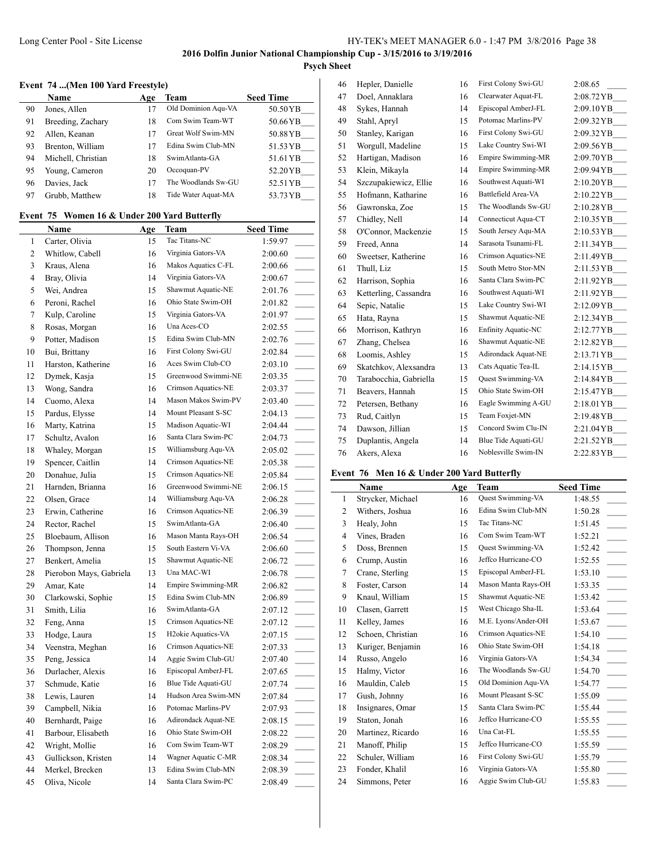# **Psych Sheet**

# **Event 74 ...(Men 100 Yard Freestyle)**

|    | <b>Name</b>        | Age | Team                | <b>Seed Time</b> |
|----|--------------------|-----|---------------------|------------------|
| 90 | Jones, Allen       |     | Old Dominion Agu-VA | 50.50YB          |
| 91 | Breeding, Zachary  | 18  | Com Swim Team-WT    | 50.66 YB         |
| 92 | Allen, Keanan      |     | Great Wolf Swim-MN  | 50.88 Y B        |
| 93 | Brenton, William   |     | Edina Swim Club-MN  | 51.53 YB         |
| 94 | Michell, Christian | 18  | SwimAtlanta-GA      | 51.61 YB         |
| 95 | Young, Cameron     | 20  | Occoquan-PV         | 52.20 YB         |
| 96 | Davies, Jack       |     | The Woodlands Sw-GU | 52.51 YB         |
| 97 | Grubb, Matthew     | 18  | Tide Water Aquat-MA | 53.73 YB         |

# **Event 75 Women 16 & Under 200 Yard Butterfly**

|    | Name                    | <u>Age</u> | <b>Team</b>                     | <b>Seed Time</b>                    |  |
|----|-------------------------|------------|---------------------------------|-------------------------------------|--|
| 1  | Carter, Olivia          | 15         | Tac Titans-NC                   | 1:59.97                             |  |
| 2  | Whitlow, Cabell         | 16         | Virginia Gators-VA              | 2:00.60                             |  |
| 3  | Kraus, Alena            | 16         | Makos Aquatics C-FL             | 2:00.66                             |  |
| 4  | Bray, Olivia            | 14         | Virginia Gators-VA              | 2:00.67                             |  |
| 5  | Wei, Andrea             | 15         | Shawmut Aquatic-NE              | 2:01.76                             |  |
| 6  | Peroni, Rachel          | 16         | Ohio State Swim-OH              | 2:01.82                             |  |
| 7  | Kulp, Caroline          | 15         | Virginia Gators-VA              | 2:01.97                             |  |
| 8  | Rosas, Morgan           | 16         | Una Aces-CO                     | 2:02.55                             |  |
| 9  | Potter, Madison         | 15         | Edina Swim Club-MN              | 2:02.76                             |  |
| 10 | Bui, Brittany           | 16         | First Colony Swi-GU             | 2:02.84                             |  |
| 11 | Harston, Katherine      | 16         | Aces Swim Club-CO               | 2:03.10                             |  |
| 12 | Dymek, Kasja            | 15         | Greenwood Swimmi-NE             | 2:03.35                             |  |
| 13 | Wong, Sandra            | 16         | Crimson Aquatics-NE             | 2:03.37                             |  |
| 14 | Cuomo, Alexa            | 14         | Mason Makos Swim-PV             | 2:03.40                             |  |
| 15 | Pardus, Elysse          | 14         | Mount Pleasant S-SC             | 2:04.13                             |  |
| 16 | Marty, Katrina          | 15         | Madison Aquatic-WI              | 2:04.44                             |  |
| 17 | Schultz, Avalon         | 16         | Santa Clara Swim-PC             | 2:04.73                             |  |
| 18 | Whaley, Morgan          | 15         | Williamsburg Aqu-VA             | 2:05.02                             |  |
| 19 | Spencer, Caitlin        | 14         | Crimson Aquatics-NE             | 2:05.38                             |  |
| 20 | Donahue, Julia          | 15         | Crimson Aquatics-NE             | 2:05.84                             |  |
| 21 | Harnden, Brianna        | 16         | Greenwood Swimmi-NE             | 2:06.15                             |  |
| 22 | Olsen, Grace            | 14         | Williamsburg Aqu-VA             | 2:06.28                             |  |
| 23 | Erwin, Catherine        | 16         | Crimson Aquatics-NE             | 2:06.39                             |  |
| 24 | Rector, Rachel          | 15         | SwimAtlanta-GA                  | 2:06.40                             |  |
| 25 | Bloebaum, Allison       | 16         | Mason Manta Rays-OH             | 2:06.54<br>$\overline{\phantom{a}}$ |  |
| 26 | Thompson, Jenna         | 15         | South Eastern Vi-VA             | 2:06.60<br>$\sim$                   |  |
| 27 | Benkert, Amelia         | 15         | Shawmut Aquatic-NE              | 2:06.72                             |  |
| 28 | Pierobon Mays, Gabriela | 13         | Una MAC-WI                      | 2:06.78                             |  |
| 29 | Amar, Kate              | 14         | Empire Swimming-MR              | 2:06.82                             |  |
| 30 | Clarkowski, Sophie      | 15         | Edina Swim Club-MN              | 2:06.89                             |  |
| 31 | Smith, Lilia            | 16         | SwimAtlanta-GA                  | 2:07.12                             |  |
| 32 | Feng, Anna              | 15         | Crimson Aquatics-NE             | 2:07.12                             |  |
| 33 | Hodge, Laura            | 15         | H <sub>2</sub> okie Aquatics-VA | 2:07.15                             |  |
| 34 | Veenstra, Meghan        | 16         | Crimson Aquatics-NE             | 2:07.33                             |  |
| 35 | Peng, Jessica           | 14         | Aggie Swim Club-GU              | 2:07.40                             |  |
| 36 | Durlacher, Alexis       | 16         | Episcopal AmberJ-FL             | 2:07.65<br>$\overline{\phantom{a}}$ |  |
| 37 | Schmude, Katie          | 16         | Blue Tide Aquati-GU             | 2:07.74                             |  |
| 38 | Lewis, Lauren           | 14         | Hudson Area Swim-MN             | 2:07.84                             |  |
| 39 | Campbell, Nikia         | 16         | Potomac Marlins-PV              | 2:07.93                             |  |
| 40 | Bernhardt, Paige        | 16         | Adirondack Aquat-NE             | 2:08.15                             |  |
| 41 | Barbour, Elisabeth      | 16         | Ohio State Swim-OH              | 2:08.22                             |  |
| 42 | Wright, Mollie          | 16         | Com Swim Team-WT                | 2:08.29                             |  |
| 43 | Gullickson, Kristen     | 14         | Wagner Aquatic C-MR             | 2:08.34                             |  |
| 44 | Merkel, Brecken         | 13         | Edina Swim Club-MN              | 2:08.39                             |  |
| 45 | Oliva, Nicole           | 14         | Santa Clara Swim-PC             | 2:08.49                             |  |
|    |                         |            |                                 |                                     |  |

| 46 | Hepler, Danielle       | 16 | First Colony Swi-GU       | 2:08.65    |
|----|------------------------|----|---------------------------|------------|
| 47 | Doel, Annaklara        | 16 | Clearwater Aquat-FL       | 2:08.72 YB |
| 48 | Sykes, Hannah          | 14 | Episcopal AmberJ-FL       | 2:09.10 YB |
| 49 | Stahl, Apryl           | 15 | Potomac Marlins-PV        | 2:09.32 YB |
| 50 | Stanley, Karigan       | 16 | First Colony Swi-GU       | 2:09.32 YB |
| 51 | Worgull, Madeline      | 15 | Lake Country Swi-WI       | 2:09.56 YB |
| 52 | Hartigan, Madison      | 16 | Empire Swimming-MR        | 2:09.70 YB |
| 53 | Klein, Mikayla         | 14 | <b>Empire Swimming-MR</b> | 2:09.94 YB |
| 54 | Szczupakiewicz, Ellie  | 16 | Southwest Aquati-WI       | 2:10.20YB  |
| 55 | Hofmann, Katharine     | 16 | Battlefield Area-VA       | 2:10.22 YB |
| 56 | Gawronska, Zoe         | 15 | The Woodlands Sw-GU       | 2:10.28 YB |
| 57 | Chidley, Nell          | 14 | Connecticut Aqua-CT       | 2:10.35 YB |
| 58 | O'Connor, Mackenzie    | 15 | South Jersey Aqu-MA       | 2:10.53 YB |
| 59 | Freed, Anna            | 14 | Sarasota Tsunami-FL       | 2:11.34 YB |
| 60 | Sweetser, Katherine    | 16 | Crimson Aquatics-NE       | 2:11.49 YB |
| 61 | Thull, Liz             | 15 | South Metro Stor-MN       | 2:11.53 YB |
| 62 | Harrison, Sophia       | 16 | Santa Clara Swim-PC       | 2:11.92 YB |
| 63 | Ketterling, Cassandra  | 16 | Southwest Aquati-WI       | 2:11.92 YB |
| 64 | Sepic, Natalie         | 15 | Lake Country Swi-WI       | 2:12.09 YB |
| 65 | Hata, Rayna            | 15 | Shawmut Aquatic-NE        | 2:12.34 YB |
| 66 | Morrison, Kathryn      | 16 | Enfinity Aquatic-NC       | 2:12.77 YB |
| 67 | Zhang, Chelsea         | 16 | Shawmut Aquatic-NE        | 2:12.82 YB |
| 68 | Loomis, Ashley         | 15 | Adirondack Aquat-NE       | 2:13.71 YB |
| 69 | Skatchkov, Alexsandra  | 13 | Cats Aquatic Tea-IL       | 2:14.15 YB |
| 70 | Tarabocchia, Gabriella | 15 | Quest Swimming-VA         | 2:14.84 YB |
| 71 | Beavers, Hannah        | 15 | Ohio State Swim-OH        | 2:15.47 YB |
| 72 | Petersen, Bethany      | 16 | Eagle Swimming A-GU       | 2:18.01 YB |
| 73 | Rud, Caitlyn           | 15 | Team Foxjet-MN            | 2:19.48 YB |
| 74 | Dawson, Jillian        | 15 | Concord Swim Clu-IN       | 2:21.04 YB |
| 75 | Duplantis, Angela      | 14 | Blue Tide Aquati-GU       | 2:21.52 YB |
| 76 | Akers, Alexa           | 16 | Noblesville Swim-IN       | 2:22.83 YB |
|    |                        |    |                           |            |

#### **Event 76 Men 16 & Under 200 Yard Butterfly**

|    | <b>Name</b>       | Age | Team                | <b>Seed Time</b> |
|----|-------------------|-----|---------------------|------------------|
| 1  | Strycker, Michael | 16  | Quest Swimming-VA   | 1:48.55          |
| 2  | Withers, Joshua   | 16  | Edina Swim Club-MN  | 1:50.28          |
| 3  | Healy, John       | 15  | Tac Titans-NC       | 1:51.45          |
| 4  | Vines, Braden     | 16  | Com Swim Team-WT    | 1:52.21          |
| 5  | Doss, Brennen     | 15  | Quest Swimming-VA   | 1:52.42          |
| 6  | Crump, Austin     | 16  | Jeffco Hurricane-CO | 1:52.55          |
| 7  | Crane, Sterling   | 15  | Episcopal AmberJ-FL | 1:53.10          |
| 8  | Foster, Carson    | 14  | Mason Manta Rays-OH | 1:53.35          |
| 9  | Knaul, William    | 15  | Shawmut Aquatic-NE  | 1:53.42          |
| 10 | Clasen, Garrett   | 15  | West Chicago Sha-IL | 1:53.64          |
| 11 | Kelley, James     | 16  | M.E. Lyons/Ander-OH | 1:53.67          |
| 12 | Schoen, Christian | 16  | Crimson Aquatics-NE | 1:54.10          |
| 13 | Kuriger, Benjamin | 16  | Ohio State Swim-OH  | 1:54.18          |
| 14 | Russo, Angelo     | 16  | Virginia Gators-VA  | 1:54.34          |
| 15 | Halmy, Victor     | 16  | The Woodlands Sw-GU | 1:54.70          |
| 16 | Mauldin, Caleb    | 15  | Old Dominion Aqu-VA | 1:54.77          |
| 17 | Gush, Johnny      | 16  | Mount Pleasant S-SC | 1:55.09          |
| 18 | Insignares, Omar  | 15  | Santa Clara Swim-PC | 1:55.44          |
| 19 | Staton, Jonah     | 16  | Jeffco Hurricane-CO | 1:55.55          |
| 20 | Martinez, Ricardo | 16  | Una Cat-FL          | 1:55.55          |
| 21 | Manoff, Philip    | 15  | Jeffco Hurricane-CO | 1:55.59          |
| 22 | Schuler, William  | 16  | First Colony Swi-GU | 1:55.79          |
| 23 | Fonder, Khalil    | 16  | Virginia Gators-VA  | 1:55.80          |
| 24 | Simmons, Peter    | 16  | Aggie Swim Club-GU  | 1:55.83          |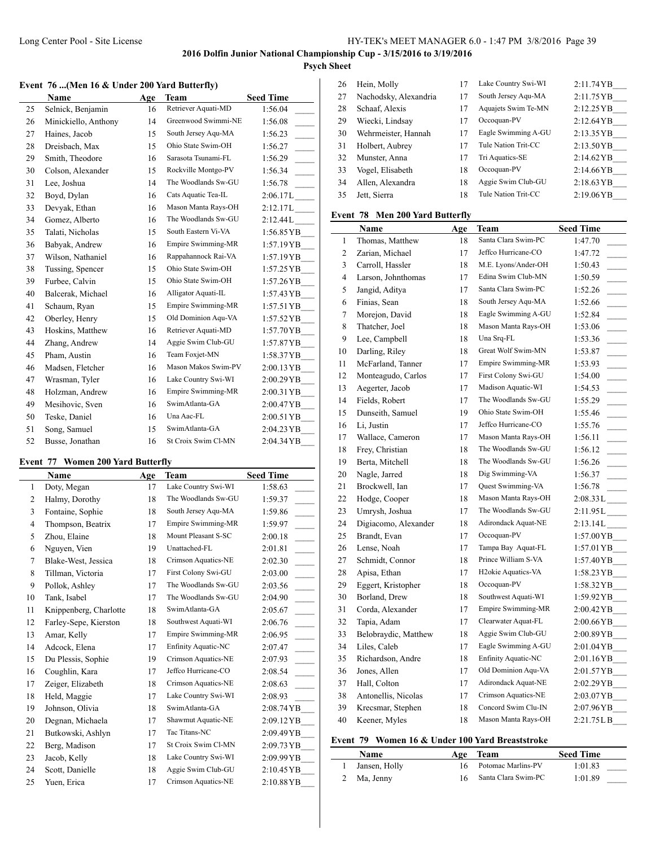## Long Center Pool - Site License HY-TEK's MEET MANAGER 6.0 - 1:47 PM 3/8/2016 Page 39

# **2016 Dolfin Junior National Championship Cup - 3/15/2016 to 3/19/2016**

# **Psych Sheet**

l,

### **Event 76 ...(Men 16 & Under 200 Yard Butterfly)**

|    | Name                 | Age | Team                      | <b>Seed Time</b>                       |
|----|----------------------|-----|---------------------------|----------------------------------------|
| 25 | Selnick, Benjamin    | 16  | Retriever Aquati-MD       | 1:56.04                                |
| 26 | Minickiello, Anthony | 14  | Greenwood Swimmi-NE       | 1:56.08                                |
| 27 | Haines, Jacob        | 15  | South Jersey Aqu-MA       | 1:56.23<br>$\mathcal{L}^{\mathcal{L}}$ |
| 28 | Dreisbach, Max       | 15  | Ohio State Swim-OH        | 1:56.27<br>$\overline{\phantom{a}}$    |
| 29 | Smith, Theodore      | 16  | Sarasota Tsunami-FL       | 1:56.29                                |
| 30 | Colson, Alexander    | 15  | Rockville Montgo-PV       | 1:56.34<br>$\overline{a}$              |
| 31 | Lee, Joshua          | 14  | The Woodlands Sw-GU       | 1:56.78                                |
| 32 | Boyd, Dylan          | 16  | Cats Aquatic Tea-IL       | 2:06.17L                               |
| 33 | Devyak, Ethan        | 16  | Mason Manta Rays-OH       | $2:12.17L$ <sub>____</sub>             |
| 34 | Gomez, Alberto       | 16  | The Woodlands Sw-GU       | 2:12.44L                               |
| 35 | Talati, Nicholas     | 15  | South Eastern Vi-VA       | 1:56.85 YB                             |
| 36 | Babyak, Andrew       | 16  | <b>Empire Swimming-MR</b> | 1:57.19 YB                             |
| 37 | Wilson, Nathaniel    | 16  | Rappahannock Rai-VA       | 1:57.19YB                              |
| 38 | Tussing, Spencer     | 15  | Ohio State Swim-OH        | $1:57.25 \text{YB}$                    |
| 39 | Furbee, Calvin       | 15  | Ohio State Swim-OH        | 1:57.26 YB                             |
| 40 | Balcerak, Michael    | 16  | Alligator Aquati-IL       | 1:57.43 YB                             |
| 41 | Schaum, Ryan         | 15  | <b>Empire Swimming-MR</b> | $1:57.51 \text{ YB}$                   |
| 42 | Oberley, Henry       | 15  | Old Dominion Aqu-VA       | 1:57.52 YB                             |
| 43 | Hoskins, Matthew     | 16  | Retriever Aquati-MD       | 1:57.70 Y B                            |
| 44 | Zhang, Andrew        | 14  | Aggie Swim Club-GU        | 1:57.87 YB                             |
| 45 | Pham, Austin         | 16  | Team Foxjet-MN            | 1:58.37YB                              |
| 46 | Madsen, Fletcher     | 16  | Mason Makos Swim-PV       | 2:00.13 YB                             |
| 47 | Wrasman, Tyler       | 16  | Lake Country Swi-WI       | 2:00.29 YB                             |
| 48 | Holzman, Andrew      | 16  | <b>Empire Swimming-MR</b> | 2:00.31 YB                             |
| 49 | Mesihovic, Sven      | 16  | SwimAtlanta-GA            | 2:00.47 YB                             |
| 50 | Teske, Daniel        | 16  | Una Aac-FL                | 2:00.51 YB                             |
| 51 | Song, Samuel         | 15  | SwimAtlanta-GA            | 2:04.23 YB                             |
| 52 | Busse, Jonathan      | 16  | St Croix Swim Cl-MN       | 2:04.34YB                              |

# **Event 77 Women 200 Yard Butterfly**

 $\overline{\phantom{a}}$ 

|    | Name                   | Age | Team                       | <b>Seed Time</b>                       |
|----|------------------------|-----|----------------------------|----------------------------------------|
| 1  | Doty, Megan            | 17  | Lake Country Swi-WI        | 1:58.63                                |
| 2  | Halmy, Dorothy         | 18  | The Woodlands Sw-GU        | 1:59.37                                |
| 3  | Fontaine, Sophie       | 18  | South Jersey Aqu-MA        | 1:59.86                                |
| 4  | Thompson, Beatrix      | 17  | <b>Empire Swimming-MR</b>  | 1:59.97<br>$\mathcal{L}^{\mathcal{L}}$ |
| 5  | Zhou, Elaine           | 18  | Mount Pleasant S-SC        | 2:00.18                                |
| 6  | Nguyen, Vien           | 19  | Unattached-FL              | 2:01.81<br>$\overline{\phantom{a}}$    |
| 7  | Blake-West, Jessica    | 18  | Crimson Aquatics-NE        | 2:02.30                                |
| 8  | Tillman, Victoria      | 17  | First Colony Swi-GU        | 2:03.00<br>$\overline{\phantom{0}}$    |
| 9  | Pollok, Ashley         | 17  | The Woodlands Sw-GU        | 2:03.56<br>$\overline{\phantom{a}}$    |
| 10 | Tank, Isabel           | 17  | The Woodlands Sw-GU        | 2:04.90<br>$\mathcal{L}$               |
| 11 | Knippenberg, Charlotte | 18  | SwimAtlanta-GA             | $\overline{a}$<br>2:05.67              |
| 12 | Farley-Sepe, Kierston  | 18  | Southwest Aquati-WI        | 2:06.76                                |
| 13 | Amar, Kelly            | 17  | <b>Empire Swimming-MR</b>  | 2:06.95<br>$\overline{\phantom{0}}$    |
| 14 | Adcock, Elena          | 17  | <b>Enfinity Aquatic-NC</b> | 2:07.47                                |
| 15 | Du Plessis, Sophie     | 19  | Crimson Aquatics-NE        | 2:07.93<br>$\overline{\phantom{a}}$    |
| 16 | Coughlin, Kara         | 17  | Jeffco Hurricane-CO        | 2:08.54                                |
| 17 | Zeiger, Elizabeth      | 18  | Crimson Aquatics-NE        | 2:08.63                                |
| 18 | Held, Maggie           | 17  | Lake Country Swi-WI        | 2:08.93                                |
| 19 | Johnson, Olivia        | 18  | SwimAtlanta-GA             | 2:08.74YB                              |
| 20 | Degnan, Michaela       | 17  | Shawmut Aquatic-NE         | 2:09.12YB                              |
| 21 | Butkowski, Ashlyn      | 17  | Tac Titans-NC              | 2:09.49 YB                             |
| 22 | Berg, Madison          | 17  | St Croix Swim Cl-MN        | 2:09.73 YB                             |
| 23 | Jacob, Kelly           | 18  | Lake Country Swi-WI        | 2:09.99 YB                             |
| 24 | Scott, Danielle        | 18  | Aggie Swim Club-GU         | 2:10.45 YB                             |
| 25 | Yuen, Erica            | 17  | Crimson Aquatics-NE        | 2:10.88YB                              |

| 26 | Hein, Molly           | 17 | Lake Country Swi-WI | 2:11.74YB           |
|----|-----------------------|----|---------------------|---------------------|
| 27 | Nachodsky, Alexandria |    | South Jersey Aqu-MA | 2:11.75YB           |
| 28 | Schaaf, Alexis        | 17 | Aquajets Swim Te-MN | 2:12.25YB           |
| 29 | Wiecki, Lindsay       | 17 | Occoquan-PV         | $2:12.64$ YB        |
| 30 | Wehrmeister, Hannah   | 17 | Eagle Swimming A-GU | 2:13.35YB           |
| 31 | Holbert, Aubrey       | 17 | Tule Nation Trit-CC | 2:13.50YB           |
| 32 | Munster, Anna         | 17 | Tri Aquatics-SE     | $2:14.62 \text{YB}$ |
| 33 | Vogel, Elisabeth      | 18 | Occoquan-PV         | 2:14.66YB           |
| 34 | Allen, Alexandra      | 18 | Aggie Swim Club-GU  | 2:18.63 YB          |
| 35 | Jett, Sierra          | 18 | Tule Nation Trit-CC | 2:19.06YB           |
|    |                       |    |                     |                     |

## **Event 78 Men 200 Yard Butterfly**

|                | Name                 | Age | Team                            | <b>Seed Time</b>                       |
|----------------|----------------------|-----|---------------------------------|----------------------------------------|
| $\mathbf{1}$   | Thomas, Matthew      | 18  | Santa Clara Swim-PC             | 1:47.70                                |
| $\overline{2}$ | Zarian, Michael      | 17  | Jeffco Hurricane-CO             | 1:47.72                                |
| 3              | Carroll, Hassler     | 18  | M.E. Lyons/Ander-OH             | 1:50.43                                |
| 4              | Larson, Johnthomas   | 17  | Edina Swim Club-MN              | 1:50.59                                |
| 5              | Jangid, Aditya       | 17  | Santa Clara Swim-PC             | 1:52.26<br>$\overline{\phantom{a}}$    |
| 6              | Finias, Sean         | 18  | South Jersey Aqu-MA             | 1:52.66                                |
| 7              | Morejon, David       | 18  | Eagle Swimming A-GU             | 1:52.84                                |
| 8              | Thatcher, Joel       | 18  | Mason Manta Rays-OH             | 1:53.06<br>$\overline{\phantom{a}}$    |
| 9              | Lee, Campbell        | 18  | Una Srq-FL                      | 1:53.36<br>$\overline{\phantom{a}}$    |
| 10             | Darling, Riley       | 18  | Great Wolf Swim-MN              | 1:53.87<br>$\overline{\phantom{a}}$    |
| 11             | McFarland, Tanner    | 17  | <b>Empire Swimming-MR</b>       | 1:53.93                                |
| 12             | Monteagudo, Carlos   | 17  | First Colony Swi-GU             | 1:54.00                                |
| 13             | Aegerter, Jacob      | 17  | Madison Aquatic-WI              | 1:54.53<br>$\overline{\phantom{a}}$    |
| 14             | Fields, Robert       | 17  | The Woodlands Sw-GU             | 1:55.29                                |
| 15             | Dunseith, Samuel     | 19  | Ohio State Swim-OH              | 1:55.46<br>$\mathcal{L}^{\mathcal{L}}$ |
| 16             | Li, Justin           | 17  | Jeffco Hurricane-CO             | 1:55.76<br>$\overline{\phantom{a}}$    |
| 17             | Wallace, Cameron     | 17  | Mason Manta Rays-OH             | 1:56.11<br>$\sim$                      |
| 18             | Frey, Christian      | 18  | The Woodlands Sw-GU             | 1:56.12                                |
| 19             | Berta, Mitchell      | 18  | The Woodlands Sw-GU             | 1:56.26<br>$\sim 10^{-1}$              |
| 20             | Nagle, Jarred        | 18  | Dig Swimming-VA                 | 1:56.37<br>$\overline{\phantom{a}}$    |
| 21             | Brockwell, Ian       | 17  | Quest Swimming-VA               | 1:56.78<br>$\sim$                      |
| 22             | Hodge, Cooper        | 18  | Mason Manta Rays-OH             | $2:08.33L$ <sub>____</sub>             |
| 23             | Umrysh, Joshua       | 17  | The Woodlands Sw-GU             | $2:11.95L$ <sub>____</sub>             |
| 24             | Digiacomo, Alexander | 18  | Adirondack Aquat-NE             | $2:13.14L$ <sub>____</sub>             |
| 25             | Brandt, Evan         | 17  | Occoquan-PV                     | 1:57.00YB                              |
| 26             | Lense, Noah          | 17  | Tampa Bay Aquat-FL              | 1:57.01 YB___                          |
| 27             | Schmidt, Connor      | 18  | Prince William S-VA             | 1:57.40 YB                             |
| 28             | Apisa, Ethan         | 17  | H <sub>2</sub> okie Aquatics-VA | $1:58.23 \text{ YB}$                   |
| 29             | Eggert, Kristopher   | 18  | Occoquan-PV                     | $1:58.32 \text{ YB}$                   |
| 30             | Borland, Drew        | 18  | Southwest Aquati-WI             | 1:59.92 YB__                           |
| 31             | Corda, Alexander     | 17  | Empire Swimming-MR              | 2:00.42 YB_                            |
| 32             | Tapia, Adam          | 17  | Clearwater Aquat-FL             | 2:00.66YB__                            |
| 33             | Belobraydic, Matthew | 18  | Aggie Swim Club-GU              | 2:00.89 YB                             |
| 34             | Liles, Caleb         | 17  | Eagle Swimming A-GU             | 2:01.04 YB                             |
| 35             | Richardson, Andre    | 18  | <b>Enfinity Aquatic-NC</b>      | 2:01.16YB_                             |
| 36             | Jones, Allen         | 17  | Old Dominion Aqu-VA             | 2:01.57YB_                             |
| 37             | Hall, Colton         | 17  | Adirondack Aquat-NE             | 2:02.29 YB                             |
| 38             | Antonellis, Nicolas  | 17  | Crimson Aquatics-NE             | 2:03.07 YB                             |
| 39             | Krecsmar, Stephen    | 18  | Concord Swim Clu-IN             | 2:07.96YB__                            |
| 40             | Keener, Myles        | 18  | Mason Manta Rays-OH             | 2:21.75LB                              |
|                |                      |     |                                 |                                        |

# **Event 79 Women 16 & Under 100 Yard Breaststroke**

| Name          | Age Team              | <b>Seed Time</b> |
|---------------|-----------------------|------------------|
| Jansen, Holly | 16 Potomac Marlins-PV | 1:01.83          |
| 2 Ma, Jenny   | Santa Clara Swim-PC   | 1:01.89          |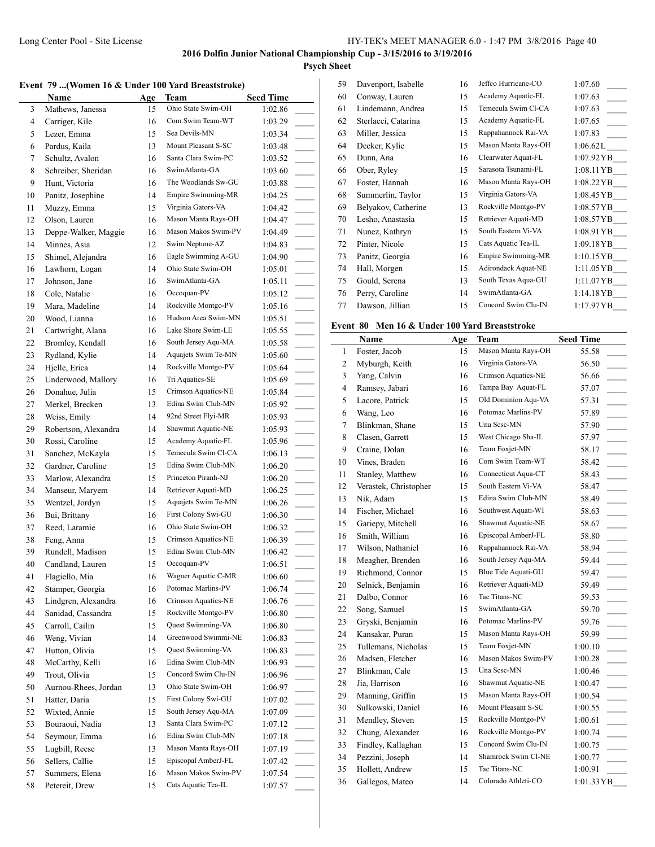59 Davenport, Isabelle 16 Jeffco Hurricane-CO 1:07.60

# **2016 Dolfin Junior National Championship Cup - 3/15/2016 to 3/19/2016**

# **Psych Sheet**

|    | Name                 | Age | Team                | <b>Seed Time</b> |
|----|----------------------|-----|---------------------|------------------|
| 3  | Mathews, Janessa     | 15  | Ohio State Swim-OH  | 1:02.86          |
| 4  | Carriger, Kile       | 16  | Com Swim Team-WT    | 1:03.29          |
| 5  | Lezer, Emma          | 15  | Sea Devils-MN       | 1:03.34          |
| 6  | Pardus, Kaila        | 13  | Mount Pleasant S-SC | 1:03.48          |
| 7  | Schultz, Avalon      | 16  | Santa Clara Swim-PC | 1:03.52          |
| 8  | Schreiber, Sheridan  | 16  | SwimAtlanta-GA      | 1:03.60          |
| 9  | Hunt, Victoria       | 16  | The Woodlands Sw-GU | 1:03.88          |
| 10 | Panitz, Josephine    | 14  | Empire Swimming-MR  | 1:04.25          |
| 11 | Muzzy, Emma          | 15  | Virginia Gators-VA  | 1:04.42          |
| 12 | Olson, Lauren        | 16  | Mason Manta Rays-OH | 1:04.47          |
| 13 | Deppe-Walker, Maggie | 16  | Mason Makos Swim-PV | 1:04.49          |
| 14 | Minnes, Asia         | 12  | Swim Neptune-AZ     | 1:04.83          |

| 60 | Conway, Lauren      | 15 | Academy Aquatic-FL        | 1:07.63                |
|----|---------------------|----|---------------------------|------------------------|
| 61 | Lindemann, Andrea   | 15 | Temecula Swim Cl-CA       | 1:07.63                |
| 62 | Sterlacci, Catarina | 15 | Academy Aquatic-FL        | 1:07.65                |
| 63 | Miller, Jessica     | 15 | Rappahannock Rai-VA       | 1:07.83                |
| 64 | Decker, Kylie       | 15 | Mason Manta Rays-OH       | 1:06.62L               |
| 65 | Dunn, Ana           | 16 | Clearwater Aquat-FL       | 1:07.92 YB             |
| 66 | Ober, Ryley         | 15 | Sarasota Tsunami-FL       | 1:08.11 YB             |
| 67 | Foster, Hannah      | 16 | Mason Manta Rays-OH       | $1:08.22\,\mathrm{YB}$ |
| 68 | Summerlin, Taylor   | 15 | Virginia Gators-VA        | $1:08.45\,\mathrm{YB}$ |
| 69 | Belyakov, Catherine | 13 | Rockville Montgo-PV       | 1:08.57 YB             |
| 70 | Lesho, Anastasia    | 15 | Retriever Aquati-MD       | $1:08.57\,\text{YB}$   |
| 71 | Nunez, Kathryn      | 15 | South Eastern Vi-VA       | 1:08.91 YB             |
| 72 | Pinter, Nicole      | 15 | Cats Aquatic Tea-IL       | 1:09.18 YB             |
| 73 | Panitz, Georgia     | 16 | <b>Empire Swimming-MR</b> | $1:10.15 \text{YB}$    |
| 74 | Hall, Morgen        | 15 | Adirondack Aquat-NE       | $1:11.05$ YB           |
| 75 | Gould, Serena       | 13 | South Texas Aqua-GU       | $1:11.07\,\text{YB}$   |
| 76 | Perry, Caroline     | 14 | SwimAtlanta-GA            | 1:14.18 Y B            |
| 77 | Dawson, Jillian     | 15 | Concord Swim Clu-IN       | 1:17.97YB              |

#### **Event 80 Men 16 & Under 100 Yard Breaststroke**

|    | Name                  | Age | Team                | <b>Seed Time</b>                     |
|----|-----------------------|-----|---------------------|--------------------------------------|
| 1  | Foster, Jacob         | 15  | Mason Manta Rays-OH | 55.58                                |
| 2  | Myburgh, Keith        | 16  | Virginia Gators-VA  | 56.50<br>$\sim 10^{-1}$              |
| 3  | Yang, Calvin          | 16  | Crimson Aquatics-NE | 56.66                                |
| 4  | Ramsey, Jabari        | 16  | Tampa Bay Aquat-FL  | 57.07<br>$\sim$                      |
| 5  | Lacore, Patrick       | 15  | Old Dominion Aqu-VA | 57.31<br>$\sim 10$                   |
| 6  | Wang, Leo             | 16  | Potomac Marlins-PV  | 57.89                                |
| 7  | Blinkman, Shane       | 15  | Una Sese-MN         | 57.90<br>$\sim 10^{-1}$              |
| 8  | Clasen, Garrett       | 15  | West Chicago Sha-IL | 57.97<br>$\mathcal{L}^{\mathcal{L}}$ |
| 9  | Craine, Dolan         | 16  | Team Foxjet-MN      | 58.17<br>$\overline{\phantom{0}}$    |
| 10 | Vines, Braden         | 16  | Com Swim Team-WT    | 58.42<br>$\mathcal{L}^{\mathcal{L}}$ |
| 11 | Stanley, Matthew      | 16  | Connecticut Aqua-CT | 58.43<br>$\mathcal{L}$               |
| 12 | Verastek, Christopher | 15  | South Eastern Vi-VA | 58.47<br>$\sim 10$                   |
| 13 | Nik, Adam             | 15  | Edina Swim Club-MN  | 58.49<br>$\overline{\phantom{a}}$    |
| 14 | Fischer, Michael      | 16  | Southwest Aquati-WI | 58.63<br>$\sim 10$                   |
| 15 | Gariepy, Mitchell     | 16  | Shawmut Aquatic-NE  | 58.67<br>$\overline{\phantom{a}}$    |
| 16 | Smith, William        | 16  | Episcopal AmberJ-FL | 58.80<br>$\sim 10$                   |
| 17 | Wilson, Nathaniel     | 16  | Rappahannock Rai-VA | 58.94                                |
| 18 | Meagher, Brenden      | 16  | South Jersey Aqu-MA | 59.44                                |
| 19 | Richmond, Connor      | 15  | Blue Tide Aquati-GU | 59.47                                |
| 20 | Selnick, Benjamin     | 16  | Retriever Aquati-MD | 59.49                                |
| 21 | Dalbo, Connor         | 16  | Tac Titans-NC       | 59.53                                |
| 22 | Song, Samuel          | 15  | SwimAtlanta-GA      | 59.70                                |
| 23 | Gryski, Benjamin      | 16  | Potomac Marlins-PV  | 59.76                                |
| 24 | Kansakar, Puran       | 15  | Mason Manta Rays-OH | 59.99                                |
| 25 | Tullemans, Nicholas   | 15  | Team Foxjet-MN      | 1:00.10                              |
| 26 | Madsen, Fletcher      | 16  | Mason Makos Swim-PV | 1:00.28                              |
| 27 | Blinkman, Cale        | 15  | Una Scsc-MN         | 1:00.46                              |
| 28 | Jia, Harrison         | 16  | Shawmut Aquatic-NE  | 1:00.47                              |
| 29 | Manning, Griffin      | 15  | Mason Manta Rays-OH | 1:00.54                              |
| 30 | Sulkowski, Daniel     | 16  | Mount Pleasant S-SC | 1:00.55<br>$\overline{\phantom{a}}$  |
| 31 | Mendley, Steven       | 15  | Rockville Montgo-PV | 1:00.61                              |
| 32 | Chung, Alexander      | 16  | Rockville Montgo-PV | 1:00.74<br>$\overline{\phantom{a}}$  |
| 33 | Findley, Kallaghan    | 15  | Concord Swim Clu-IN | 1:00.75                              |
| 34 | Pezzini, Joseph       | 14  | Shamrock Swim Cl-NE | 1:00.77                              |
| 35 | Hollett, Andrew       | 15  | Tac Titans-NC       | 1:00.91                              |
| 36 | Gallegos, Mateo       | 14  | Colorado Athleti-CO | 1:01.33 YB                           |

|                | гуаше                | <u>Age</u> | теаш                | <u>seed Thine</u>                     |
|----------------|----------------------|------------|---------------------|---------------------------------------|
| 3              | Mathews, Janessa     | 15         | Ohio State Swim-OH  | 1:02.86                               |
| $\overline{4}$ | Carriger, Kile       | 16         | Com Swim Team-WT    | 1:03.29                               |
| 5              | Lezer, Emma          | 15         | Sea Devils-MN       | 1:03.34                               |
| 6              | Pardus, Kaila        | 13         | Mount Pleasant S-SC | 1:03.48<br>$\sim 10$                  |
| 7              | Schultz, Avalon      | 16         | Santa Clara Swim-PC | 1:03.52<br>$\sim$                     |
| 8              | Schreiber, Sheridan  | 16         | SwimAtlanta-GA      | 1:03.60                               |
| 9              | Hunt, Victoria       | 16         | The Woodlands Sw-GU | 1:03.88                               |
| 10             | Panitz, Josephine    | 14         | Empire Swimming-MR  | 1:04.25                               |
| 11             | Muzzy, Emma          | 15         | Virginia Gators-VA  | 1:04.42                               |
| 12             | Olson, Lauren        | 16         | Mason Manta Rays-OH | 1:04.47                               |
| 13             | Deppe-Walker, Maggie | 16         | Mason Makos Swim-PV | 1:04.49<br>$\overline{\phantom{a}}$   |
| 14             | Minnes, Asia         | 12         | Swim Neptune-AZ     | 1:04.83                               |
| 15             | Shimel, Alejandra    | 16         | Eagle Swimming A-GU | 1:04.90                               |
| 16             | Lawhorn, Logan       | 14         | Ohio State Swim-OH  | 1:05.01                               |
| 17             | Johnson, Jane        | 16         | SwimAtlanta-GA      | 1:05.11                               |
| 18             | Cole, Natalie        | 16         | Occoquan-PV         | 1:05.12<br>$\sim$ $\sim$              |
| 19             | Mara, Madeline       | 14         | Rockville Montgo-PV | 1:05.16<br>$\sim$                     |
| 20             | Wood, Lianna         | 16         | Hudson Area Swim-MN | 1:05.51<br>$\overline{\phantom{a}}$   |
| 21             | Cartwright, Alana    | 16         | Lake Shore Swim-LE  | 1:05.55<br>$\sim$ 10 $\mu$            |
| 22             | Bromley, Kendall     | 16         | South Jersey Aqu-MA | 1:05.58                               |
| 23             | Rydland, Kylie       | 14         | Aquajets Swim Te-MN | 1:05.60                               |
| 24             | Hjelle, Erica        | 14         | Rockville Montgo-PV | 1:05.64<br>$\sim$                     |
| 25             | Underwood, Mallory   | 16         | Tri Aquatics-SE     | 1:05.69                               |
| 26             | Donahue, Julia       | 15         | Crimson Aquatics-NE | 1:05.84                               |
| 27             | Merkel, Brecken      | 13         | Edina Swim Club-MN  | 1:05.92                               |
| 28             | Weiss, Emily         | 14         | 92nd Street Flyi-MR | 1:05.93                               |
| 29             | Robertson, Alexandra | 14         | Shawmut Aquatic-NE  | 1:05.93                               |
| 30             | Rossi, Caroline      | 15         | Academy Aquatic-FL  | 1:05.96<br>$\sim$ 10 $\mu$            |
| 31             | Sanchez, McKayla     | 15         | Temecula Swim Cl-CA | 1:06.13<br>$\sim$                     |
| 32             | Gardner, Caroline    | 15         | Edina Swim Club-MN  | 1:06.20                               |
| 33             | Marlow, Alexandra    | 15         | Princeton Piranh-NJ | 1:06.20<br>$\mathcal{L}^{\text{max}}$ |
| 34             | Manseur, Maryem      | 14         | Retriever Aquati-MD | 1:06.25                               |
| 35             | Wentzel, Jordyn      | 15         | Aquajets Swim Te-MN | 1:06.26<br>$\sim$                     |
| 36             | Bui, Brittany        | 16         | First Colony Swi-GU | 1:06.30<br>$\sim$                     |
| 37             | Reed, Laramie        | 16         | Ohio State Swim-OH  | 1:06.32<br>$\frac{1}{2}$              |
| 38             | Feng, Anna           | 15         | Crimson Aquatics-NE | 1:06.39                               |
| 39             | Rundell, Madison     | 15         | Edina Swim Club-MN  | 1:06.42                               |
| 40             | Candland, Lauren     | 15         | Occoquan-PV         | 1:06.51                               |
| 41             | Flagiello, Mia       | 16         | Wagner Aquatic C-MR | 1:06.60                               |
| 42             | Stamper, Georgia     | 16         | Potomac Marlins-PV  | 1:06.74                               |
| 43             | Lindgren, Alexandra  | 16         | Crimson Aquatics-NE | 1:06.76<br>$\overline{\phantom{a}}$   |
| 44             | Sanidad, Cassandra   | 15         | Rockville Montgo-PV | 1:06.80                               |
| 45             | Carroll, Cailin      | 15         | Quest Swimming-VA   | 1:06.80                               |
| 46             | Weng, Vivian         | 14         | Greenwood Swimmi-NE | 1:06.83                               |
| 47             | Hutton, Olivia       | 15         | Quest Swimming-VA   | 1:06.83                               |
| 48             | McCarthy, Kelli      | 16         | Edina Swim Club-MN  | 1:06.93                               |
| 49             | Trout, Olivia        | 15         | Concord Swim Clu-IN | 1:06.96                               |
| 50             | Aurnou-Rhees, Jordan | 13         | Ohio State Swim-OH  | 1:06.97                               |
| 51             | Hatter, Daria        | 15         | First Colony Swi-GU | 1:07.02                               |
| 52             | Wixted, Annie        | 15         | South Jersey Aqu-MA | 1:07.09                               |
| 53             | Bouraoui, Nadia      | 13         | Santa Clara Swim-PC | 1:07.12                               |
| 54             | Seymour, Emma        | 16         | Edina Swim Club-MN  | 1:07.18                               |
| 55             | Lugbill, Reese       | 13         | Mason Manta Rays-OH | $\sim$ $-$<br>1:07.19                 |
| 56             | Sellers, Callie      | 15         | Episcopal AmberJ-FL | 1:07.42                               |
| 57             | Summers, Elena       | 16         | Mason Makos Swim-PV | 1:07.54                               |
| 58             | Petereit, Drew       | 15         | Cats Aquatic Tea-IL | 1:07.57                               |
|                |                      |            |                     |                                       |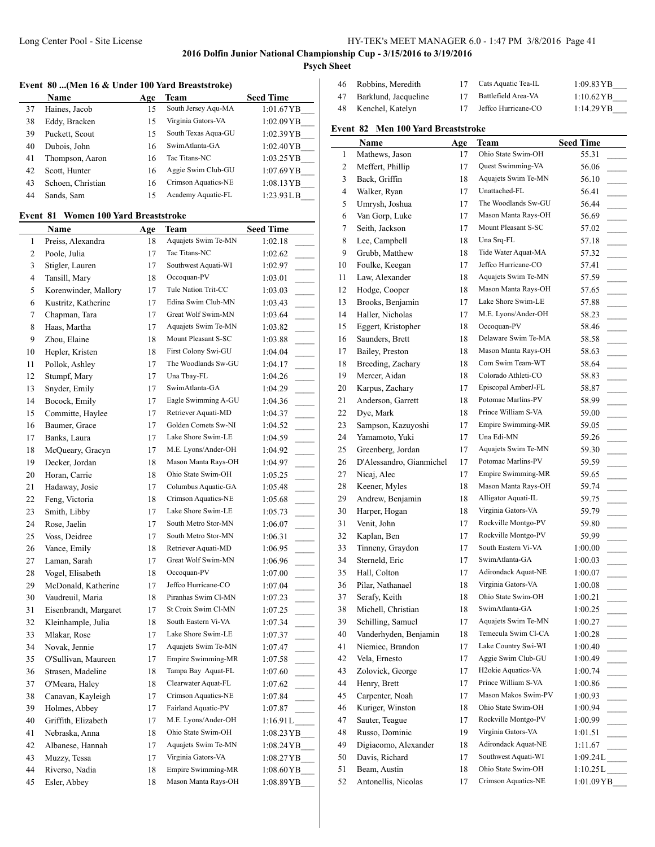## Long Center Pool - Site License HY-TEK's MEET MANAGER 6.0 - 1:47 PM 3/8/2016 Page 41

**2016 Dolfin Junior National Championship Cup - 3/15/2016 to 3/19/2016**

**Psych Sheet**

# **Event 80 ...(Men 16 & Under 100 Yard Breaststroke)**

|    | <b>Name</b>       | Age | Team                | <b>Seed Time</b>     |
|----|-------------------|-----|---------------------|----------------------|
| 37 | Haines, Jacob     | 15  | South Jersey Aqu-MA | 1:01.67YB            |
| 38 | Eddy, Bracken     | 15  | Virginia Gators-VA  | 1:02.09YB            |
| 39 | Puckett, Scout    | 15  | South Texas Aqua-GU | 1:02.39YB            |
| 40 | Dubois, John      | 16  | SwimAtlanta-GA      | 1:02.40YB            |
| 41 | Thompson, Aaron   | 16  | Tac Titans-NC       | $1:03.25 \text{YB}$  |
| 42 | Scott, Hunter     | 16  | Aggie Swim Club-GU  | $1:07.69$ YB         |
| 43 | Schoen, Christian | 16  | Crimson Aquatics-NE | $1:08.13 \text{ YB}$ |
| 44 | Sands, Sam        | 15  | Academy Aquatic-FL  | 1:23.93LB            |

## **Event 81 Women 100 Yard Breaststroke**

|                | Name                  | <u>Age</u> | Team                | <b>Seed Time</b>                    |
|----------------|-----------------------|------------|---------------------|-------------------------------------|
| 1              | Preiss, Alexandra     | 18         | Aquajets Swim Te-MN | 1:02.18                             |
| $\overline{c}$ | Poole, Julia          | 17         | Tac Titans-NC       | 1:02.62                             |
| 3              | Stigler, Lauren       | 17         | Southwest Aquati-WI | 1:02.97                             |
| $\overline{4}$ | Tansill, Mary         | 18         | Occoquan-PV         | 1:03.01                             |
| 5              | Korenwinder, Mallory  | 17         | Tule Nation Trit-CC | 1:03.03                             |
| 6              | Kustritz, Katherine   | 17         | Edina Swim Club-MN  | 1:03.43                             |
| 7              | Chapman, Tara         | 17         | Great Wolf Swim-MN  | 1:03.64                             |
| 8              | Haas, Martha          | 17         | Aquajets Swim Te-MN | 1:03.82                             |
| 9              | Zhou, Elaine          | 18         | Mount Pleasant S-SC | 1:03.88                             |
| 10             | Hepler, Kristen       | 18         | First Colony Swi-GU | 1:04.04                             |
| 11             | Pollok, Ashley        | 17         | The Woodlands Sw-GU | 1:04.17                             |
| 12             | Stumpf, Mary          | 17         | Una Tbay-FL         | 1:04.26                             |
| 13             | Snyder, Emily         | 17         | SwimAtlanta-GA      | 1:04.29                             |
| 14             | Bocock, Emily         | 17         | Eagle Swimming A-GU | 1:04.36                             |
| 15             | Committe, Haylee      | 17         | Retriever Aquati-MD | 1:04.37                             |
| 16             | Baumer, Grace         | 17         | Golden Comets Sw-NI | 1:04.52                             |
| 17             | Banks, Laura          | 17         | Lake Shore Swim-LE  | 1:04.59                             |
| 18             | McQueary, Gracyn      | 17         | M.E. Lyons/Ander-OH | 1:04.92                             |
| 19             | Decker, Jordan        | 18         | Mason Manta Rays-OH | 1:04.97                             |
| 20             | Horan, Carrie         | 18         | Ohio State Swim-OH  | 1:05.25                             |
| 21             | Hadaway, Josie        | 17         | Columbus Aquatic-GA | 1:05.48                             |
| 22             | Feng, Victoria        | 18         | Crimson Aquatics-NE | 1:05.68                             |
| 23             | Smith, Libby          | 17         | Lake Shore Swim-LE  | 1:05.73                             |
| 24             | Rose, Jaelin          | 17         | South Metro Stor-MN | 1:06.07<br>$\overline{\phantom{a}}$ |
| 25             | Voss, Deidree         | 17         | South Metro Stor-MN | 1:06.31<br>$\overline{\phantom{a}}$ |
| 26             | Vance, Emily          | 18         | Retriever Aquati-MD | 1:06.95                             |
| 27             | Laman, Sarah          | 17         | Great Wolf Swim-MN  | 1:06.96                             |
| 28             | Vogel, Elisabeth      | 18         | Occoquan-PV         | 1:07.00                             |
| 29             | McDonald, Katherine   | 17         | Jeffco Hurricane-CO | 1:07.04                             |
| 30             | Vaudreuil, Maria      | 18         | Piranhas Swim Cl-MN | 1:07.23                             |
| 31             | Eisenbrandt, Margaret | 17         | St Croix Swim Cl-MN | 1:07.25                             |
| 32             | Kleinhample, Julia    | 18         | South Eastern Vi-VA | 1:07.34                             |
| 33             | Mlakar, Rose          | 17         | Lake Shore Swim-LE  | 1:07.37                             |
| 34             | Novak, Jennie         | 17         | Aquajets Swim Te-MN | 1:07.47                             |
| 35             | O'Sullivan, Maureen   | 17         | Empire Swimming-MR  | 1:07.58                             |
| 36             | Strasen, Madeline     | 18         | Tampa Bay Aquat-FL  | 1:07.60<br>$\overline{a}$           |
| 37             | O'Meara, Haley        | 18         | Clearwater Aquat-FL | 1:07.62                             |
| 38             | Canavan, Kayleigh     | 17         | Crimson Aquatics-NE | 1:07.84                             |
| 39             | Holmes, Abbey         | 17         | Fairland Aquatic-PV | 1:07.87                             |
| 40             | Griffith, Elizabeth   | 17         | M.E. Lyons/Ander-OH | 1:16.91 L                           |
| 41             | Nebraska, Anna        | 18         | Ohio State Swim-OH  | 1:08.23 YB                          |
| 42             | Albanese, Hannah      | 17         | Aquajets Swim Te-MN | 1:08.24YB                           |
| 43             | Muzzy, Tessa          | 17         | Virginia Gators-VA  | 1:08.27YB                           |
| 44             | Riverso, Nadia        | 18         | Empire Swimming-MR  | 1:08.60YB                           |
| 45             | Esler, Abbey          | 18         | Mason Manta Rays-OH | 1:08.89YB                           |
|                |                       |            |                     |                                     |

| 46  | Robbins, Meredith    | 17 | Cats Aquatic Tea-IL | $1:09.83 \text{ YB}$ |
|-----|----------------------|----|---------------------|----------------------|
| 47  | Barklund, Jacqueline | 17 | Battlefield Area-VA | $1:10.62 \text{ YB}$ |
| -48 | Kenchel, Katelyn     | 17 | Jeffco Hurricane-CO | 1:14.29YB            |

# **Event 82 Men 100 Yard Breaststroke**

|                | Name                     | <u>Age</u> | Team                            | <b>Seed Time</b>                  |
|----------------|--------------------------|------------|---------------------------------|-----------------------------------|
| 1              | Mathews, Jason           | 17         | Ohio State Swim-OH              | 55.31                             |
| $\overline{c}$ | Meffert, Phillip         | 17         | Quest Swimming-VA               | 56.06                             |
| 3              | Back, Griffin            | 18         | Aquajets Swim Te-MN             | 56.10<br>$\overline{\phantom{a}}$ |
| 4              | Walker, Ryan             | 17         | Unattached-FL                   | 56.41                             |
| 5              | Umrysh, Joshua           | 17         | The Woodlands Sw-GU             | 56.44<br>$\sim 10^{-1}$           |
| 6              | Van Gorp, Luke           | 17         | Mason Manta Rays-OH             | 56.69<br>$\sim$                   |
| 7              | Seith, Jackson           | 17         | Mount Pleasant S-SC             | 57.02<br>$\sim$                   |
| 8              | Lee, Campbell            | 18         | Una Srq-FL                      | 57.18                             |
| 9              | Grubb, Matthew           | 18         | Tide Water Aquat-MA             | 57.32<br>$\sim 10^{-1}$           |
| 10             | Foulke, Keegan           | 17         | Jeffco Hurricane-CO             | 57.41                             |
| 11             | Law, Alexander           | 18         | Aquajets Swim Te-MN             | $\overline{\phantom{a}}$<br>57.59 |
| 12             | Hodge, Cooper            | 18         | Mason Manta Rays-OH             | 57.65                             |
| 13             | Brooks, Benjamin         | 17         | Lake Shore Swim-LE              | $\overline{\phantom{a}}$          |
|                |                          |            | M.E. Lyons/Ander-OH             | 57.88                             |
| 14             | Haller, Nicholas         | 17         | Occoquan-PV                     | 58.23                             |
| 15             | Eggert, Kristopher       | 18         |                                 | 58.46<br>$\mathbb{R}^n$           |
| 16             | Saunders, Brett          | 18         | Delaware Swim Te-MA             | 58.58                             |
| 17             | Bailey, Preston          | 18         | Mason Manta Rays-OH             | 58.63<br>$\overline{\phantom{a}}$ |
| 18             | Breeding, Zachary        | 18         | Com Swim Team-WT                | 58.64<br>$\overline{\phantom{a}}$ |
| 19             | Mercer, Aidan            | 18         | Colorado Athleti-CO             | 58.83<br>$\overline{\phantom{a}}$ |
| 20             | Karpus, Zachary          | 17         | Episcopal AmberJ-FL             | 58.87                             |
| 21             | Anderson, Garrett        | 18         | Potomac Marlins-PV              | 58.99<br>$\overline{\phantom{a}}$ |
| 22             | Dye, Mark                | 18         | Prince William S-VA             | 59.00<br>$\overline{\phantom{a}}$ |
| 23             | Sampson, Kazuyoshi       | 17         | Empire Swimming-MR              | 59.05<br>$\overline{\phantom{a}}$ |
| 24             | Yamamoto, Yuki           | 17         | Una Edi-MN                      | 59.26<br>$\overline{\phantom{a}}$ |
| 25             | Greenberg, Jordan        | 17         | Aquajets Swim Te-MN             | 59.30                             |
| 26             | D'Alessandro, Gianmichel | 17         | Potomac Marlins-PV              | 59.59                             |
| 27             | Nicaj, Alec              | 17         | Empire Swimming-MR              | 59.65<br>$\mathcal{L}$            |
| 28             | Keener, Myles            | 18         | Mason Manta Rays-OH             | 59.74                             |
| 29             | Andrew, Benjamin         | 18         | Alligator Aquati-IL             | 59.75<br>$\overline{\phantom{a}}$ |
| 30             | Harper, Hogan            | 18         | Virginia Gators-VA              | 59.79<br>$\sim$                   |
| 31             | Venit, John              | 17         | Rockville Montgo-PV             | 59.80                             |
| 32             | Kaplan, Ben              | 17         | Rockville Montgo-PV             | 59.99                             |
| 33             | Tinneny, Graydon         | 17         | South Eastern Vi-VA             | 1:00.00<br>$\sim 10^{-1}$         |
| 34             | Sterneld, Eric           | 17         | SwimAtlanta-GA                  | 1:00.03                           |
| 35             | Hall, Colton             | 17         | Adirondack Aquat-NE             | 1:00.07                           |
| 36             | Pilar, Nathanael         | 18         | Virginia Gators-VA              | 1:00.08<br>$\sim$                 |
| 37             | Serafy, Keith            | 18         | Ohio State Swim-OH              | 1:00.21                           |
| 38             | Michell, Christian       | 18         | SwimAtlanta-GA                  | 1:00.25                           |
| 39             | Schilling, Samuel        | 17         | Aquajets Swim Te-MN             | 1:00.27                           |
| 40             | Vanderhyden, Benjamin    | 18         | Temecula Swim Cl-CA             | 1:00.28                           |
| 41             | Niemiec, Brandon         | 17         | Lake Country Swi-WI             | 1:00.40                           |
| 42             | Vela, Ernesto            | 17         | Aggie Swim Club-GU              | 1:00.49                           |
| 43             | Zolovick, George         | 17         | H <sub>2</sub> okie Aquatics-VA | 1:00.74                           |
| 44             | Henry, Brett             | 17         | Prince William S-VA             | 1:00.86                           |
| 45             | Carpenter, Noah          | 17         | Mason Makos Swim-PV             | 1:00.93                           |
| 46             | Kuriger, Winston         | 18         | Ohio State Swim-OH              | $\sim$ 100 $\pm$                  |
| 47             |                          | 17         | Rockville Montgo-PV             | 1:00.94                           |
|                | Sauter, Teague           |            | Virginia Gators-VA              | 1:00.99                           |
| 48             | Russo, Dominic           | 19         |                                 | 1:01.51                           |
| 49             | Digiacomo, Alexander     | 18         | Adirondack Aquat-NE             | 1:11.67                           |
| 50             | Davis, Richard           | 17         | Southwest Aquati-WI             | 1:09.24L                          |
| 51             | Beam, Austin             | 18         | Ohio State Swim-OH              | $1:10.25L$ <sub>____</sub>        |
| 52             | Antonellis, Nicolas      | 17         | Crimson Aquatics-NE             | 1:01.09YB                         |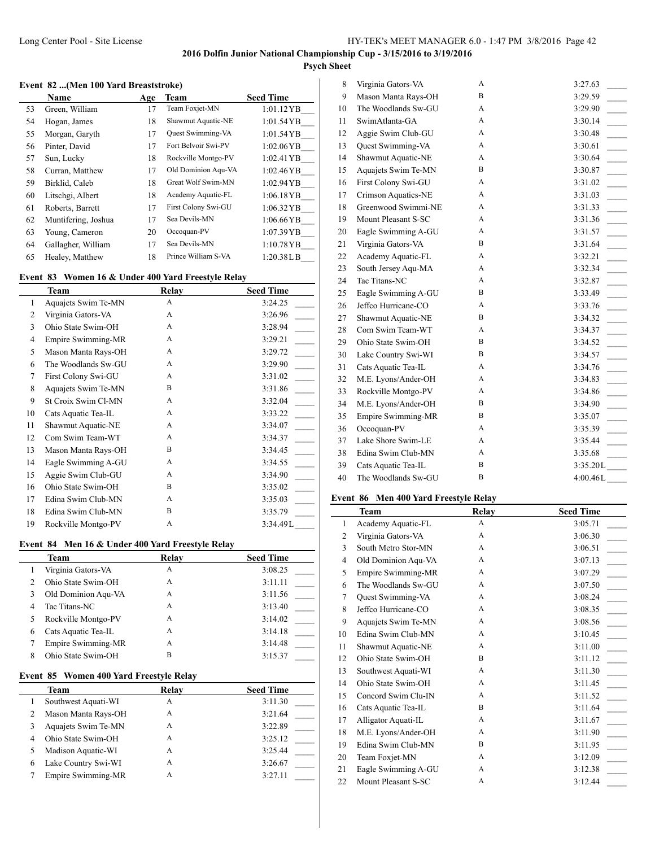# **Psych Sheet**

### **Event 82 ...(Men 100 Yard Breaststroke)**

|    | Name                | Age | Team                | <b>Seed Time</b> |
|----|---------------------|-----|---------------------|------------------|
| 53 | Green, William      | 17  | Team Foxjet-MN      | $1:01.12$ YB     |
| 54 | Hogan, James        | 18  | Shawmut Aquatic-NE  | 1:01.54YB        |
| 55 | Morgan, Garyth      | 17  | Quest Swimming-VA   | 1:01.54YB        |
| 56 | Pinter, David       | 17  | Fort Belvoir Swi-PV | $1:02.06$ YB     |
| 57 | Sun, Lucky          | 18  | Rockville Montgo-PV | 1:02.41 YB       |
| 58 | Curran, Matthew     | 17  | Old Dominion Agu-VA | $1:02.46$ YB     |
| 59 | Birklid, Caleb      | 18  | Great Wolf Swim-MN  | 1:02.94 YB       |
| 60 | Litschgi, Albert    | 18  | Academy Aquatic-FL  | $1:06.18$ YB     |
| 61 | Roberts, Barrett    | 17  | First Colony Swi-GU | 1:06.32YB        |
| 62 | Muntifering, Joshua | 17  | Sea Devils-MN       | 1:06.66YB        |
| 63 | Young, Cameron      | 20  | Occoquan-PV         | $1:07.39$ YB     |
| 64 | Gallagher, William  | 17  | Sea Devils-MN       | $1:10.78$ YB     |
| 65 | Healey, Matthew     | 18  | Prince William S-VA | 1:20.38L B       |

## **Event 83 Women 16 & Under 400 Yard Freestyle Relay**

|    | Team                | Relay | <b>Seed Time</b> |
|----|---------------------|-------|------------------|
| 1  | Aquajets Swim Te-MN | A     | 3:24.25          |
| 2  | Virginia Gators-VA  | A     | 3:26.96          |
| 3  | Ohio State Swim-OH  | A     | 3:28.94          |
| 4  | Empire Swimming-MR  | A     | 3:29.21          |
| 5  | Mason Manta Rays-OH | A     | 3:29.72          |
| 6  | The Woodlands Sw-GU | A     | 3:29.90          |
| 7  | First Colony Swi-GU | A     | 3:31.02          |
| 8  | Aquajets Swim Te-MN | B     | 3:31.86          |
| 9  | St Croix Swim Cl-MN | A     | 3:32.04          |
| 10 | Cats Aquatic Tea-IL | A     | 3:33.22          |
| 11 | Shawmut Aquatic-NE  | A     | 3:34.07          |
| 12 | Com Swim Team-WT    | A     | 3:34.37          |
| 13 | Mason Manta Rays-OH | B     | 3:34.45          |
| 14 | Eagle Swimming A-GU | A     | 3:34.55          |
| 15 | Aggie Swim Club-GU  | A     | 3:34.90          |
| 16 | Ohio State Swim-OH  | B     | 3:35.02          |
| 17 | Edina Swim Club-MN  | A     | 3:35.03          |
| 18 | Edina Swim Club-MN  | B     | 3:35.79          |
| 19 | Rockville Montgo-PV | A     | 3:34.49L         |
|    |                     |       |                  |

#### **Event 84 Men 16 & Under 400 Yard Freestyle Relay**

|   | Team                | Relay | <b>Seed Time</b> |
|---|---------------------|-------|------------------|
|   | Virginia Gators-VA  | А     | 3:08.25          |
|   | Ohio State Swim-OH  | А     | 3:11.11          |
| 3 | Old Dominion Agu-VA | A     | 3:11.56          |
| 4 | Tac Titans-NC       | A     | 3:13.40          |
| 5 | Rockville Montgo-PV | А     | 3:14.02          |
| 6 | Cats Aquatic Tea-IL | А     | 3:14.18          |
|   | Empire Swimming-MR  | А     | 3:14.48          |
| 8 | Ohio State Swim-OH  | B     | 3:15.37          |

## **Event 85 Women 400 Yard Freestyle Relay**

|   | <b>Team</b>         | Relay | <b>Seed Time</b> |
|---|---------------------|-------|------------------|
|   | Southwest Aquati-WI | Α     | 3:11.30          |
| 2 | Mason Manta Rays-OH | А     | 3:21.64          |
|   | Aquajets Swim Te-MN | А     | 3:22.89          |
| 4 | Ohio State Swim-OH  | А     | 3:25.12          |
|   | Madison Aquatic-WI  | А     | 3:25.44          |
| 6 | Lake Country Swi-WI | А     | 3:26.67          |
|   | Empire Swimming-MR  | Α     | 3:27.11          |

| 8  | Virginia Gators-VA  | A | 3:27.63                                |
|----|---------------------|---|----------------------------------------|
| 9  | Mason Manta Rays-OH | B | 3:29.59                                |
| 10 | The Woodlands Sw-GU | A | 3:29.90                                |
| 11 | SwimAtlanta-GA      | A | 3:30.14<br>$\overline{\phantom{a}}$    |
| 12 | Aggie Swim Club-GU  | A | 3:30.48<br>$\overline{\phantom{a}}$    |
| 13 | Quest Swimming-VA   | A | 3:30.61<br>$\mathbb{R}$                |
| 14 | Shawmut Aquatic-NE  | A | 3:30.64<br>$\mathcal{L}(\mathcal{L})$  |
| 15 | Aquajets Swim Te-MN | B | 3:30.87<br>$\mathcal{L}$               |
| 16 | First Colony Swi-GU | A | 3:31.02                                |
| 17 | Crimson Aquatics-NE | A | 3:31.03<br>$\mathbb{R}$                |
| 18 | Greenwood Swimmi-NE | A | 3:31.33<br>$\overline{\phantom{a}}$    |
| 19 | Mount Pleasant S-SC | A | $\overline{\phantom{a}}$<br>3:31.36    |
| 20 | Eagle Swimming A-GU | A | 3:31.57                                |
| 21 | Virginia Gators-VA  | B | $\mathbb{R}$<br>3:31.64                |
| 22 | Academy Aquatic-FL  | A | 3:32.21<br>$\mathcal{L}$               |
| 23 | South Jersey Aqu-MA | A | 3:32.34                                |
| 24 | Tac Titans-NC       | A | 3:32.87<br>$\mathcal{L}$               |
| 25 | Eagle Swimming A-GU | B | 3:33.49<br>$\overline{\phantom{a}}$    |
| 26 | Jeffco Hurricane-CO | A | 3:33.76                                |
| 27 | Shawmut Aquatic-NE  | B | 3:34.32                                |
| 28 | Com Swim Team-WT    | A | 3:34.37                                |
| 29 | Ohio State Swim-OH  | B | 3:34.52                                |
| 30 | Lake Country Swi-WI | B | 3:34.57<br>$\mathcal{L}^{\mathcal{L}}$ |
| 31 | Cats Aquatic Tea-IL | A | 3:34.76                                |
| 32 | M.E. Lyons/Ander-OH | A | 3:34.83                                |
| 33 | Rockville Montgo-PV | A | 3:34.86<br>$\overline{\phantom{a}}$    |
| 34 | M.E. Lyons/Ander-OH | B | 3:34.90                                |
| 35 | Empire Swimming-MR  | B | 3:35.07                                |
| 36 | Occoquan-PV         | A | 3:35.39<br>$\overline{\phantom{a}}$    |
| 37 | Lake Shore Swim-LE  | A | 3:35.44                                |
| 38 | Edina Swim Club-MN  | A | 3:35.68                                |
| 39 | Cats Aquatic Tea-IL | B | 3:35.20L                               |
| 40 | The Woodlands Sw-GU | B | 4:00.46L                               |
|    |                     |   |                                        |

## **Event 86 Men 400 Yard Freestyle Relay**

|              | <b>Team</b>         | Relay        | <b>Seed Time</b>                    |
|--------------|---------------------|--------------|-------------------------------------|
| $\mathbf{1}$ | Academy Aquatic-FL  | $\mathsf{A}$ | 3:05.71                             |
| 2            | Virginia Gators-VA  | A            | 3:06.30                             |
| 3            | South Metro Stor-MN | A            | 3:06.51                             |
| 4            | Old Dominion Aqu-VA | A            | 3:07.13<br>$\mathbb{R}^2$           |
| 5            | Empire Swimming-MR  | A            | 3:07.29                             |
| 6            | The Woodlands Sw-GU | A            | 3:07.50                             |
| 7            | Quest Swimming-VA   | A            | 3:08.24<br>$\overline{\phantom{a}}$ |
| 8            | Jeffco Hurricane-CO | A            | 3:08.35                             |
| 9            | Aquajets Swim Te-MN | A            | $\frac{1}{2}$<br>3:08.56            |
| 10           | Edina Swim Club-MN  | A            | 3:10.45                             |
| 11           | Shawmut Aquatic-NE  | $\mathsf{A}$ | 3:11.00                             |
| 12           | Ohio State Swim-OH  | B            | 3:11.12<br>$\overline{\phantom{a}}$ |
| 13           | Southwest Aquati-WI | A            | 3:11.30                             |
| 14           | Ohio State Swim-OH  | A            | 3:11.45                             |
| 15           | Concord Swim Clu-IN | A            | 3:11.52                             |
| 16           | Cats Aquatic Tea-IL | B            | 3:11.64                             |
| 17           | Alligator Aquati-IL | A            | 3:11.67                             |
| 18           | M.E. Lyons/Ander-OH | A            | 3:11.90                             |
| 19           | Edina Swim Club-MN  | B            | 3:11.95                             |
| 20           | Team Foxjet-MN      | $\mathsf{A}$ | 3:12.09                             |
| 21           | Eagle Swimming A-GU | A            | 3:12.38                             |
| 22           | Mount Pleasant S-SC | A            | 3:12.44                             |